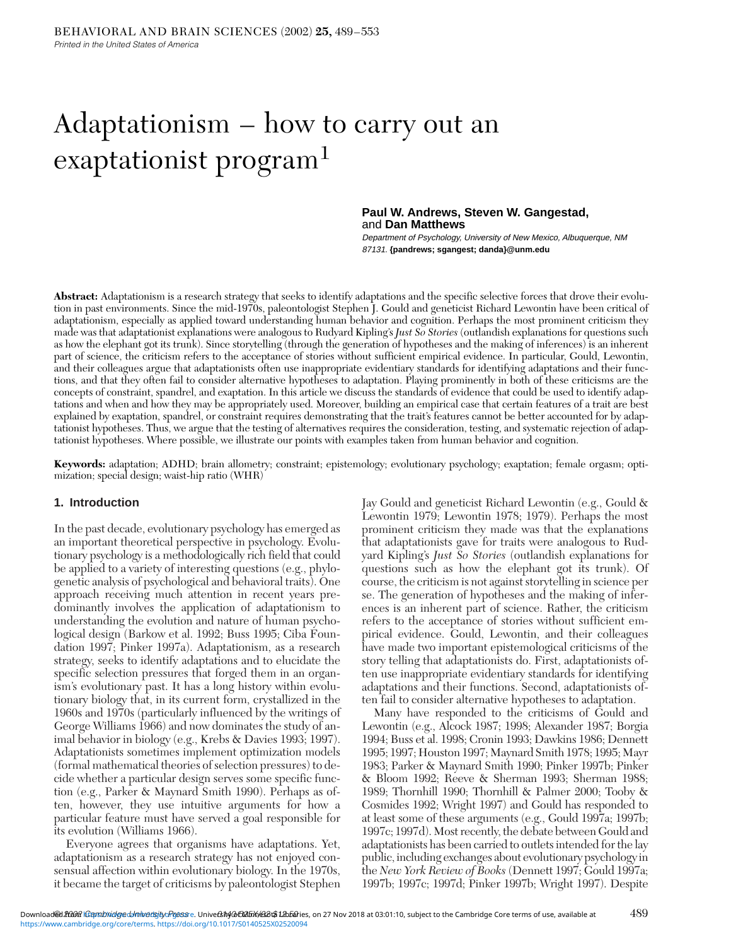# Adaptationism – how to carry out an exaptationist program<sup>1</sup>

## **Paul W. Andrews, Steven W. Gangestad,**  and **Dan Matthews**

Department of Psychology, University of New Mexico, Albuquerque, NM 87131. **{pandrews; sgangest; danda}@unm.edu**

**Abstract:** Adaptationism is a research strategy that seeks to identify adaptations and the specific selective forces that drove their evolution in past environments. Since the mid-1970s, paleontologist Stephen J. Gould and geneticist Richard Lewontin have been critical of adaptationism, especially as applied toward understanding human behavior and cognition. Perhaps the most prominent criticism they made was that adaptationist explanations were analogous to Rudyard Kipling's *Just So Stories* (outlandish explanations for questions such as how the elephant got its trunk). Since storytelling (through the generation of hypotheses and the making of inferences) is an inherent part of science, the criticism refers to the acceptance of stories without sufficient empirical evidence. In particular, Gould, Lewontin, and their colleagues argue that adaptationists often use inappropriate evidentiary standards for identifying adaptations and their functions, and that they often fail to consider alternative hypotheses to adaptation. Playing prominently in both of these criticisms are the concepts of constraint, spandrel, and exaptation. In this article we discuss the standards of evidence that could be used to identify adaptations and when and how they may be appropriately used. Moreover, building an empirical case that certain features of a trait are best explained by exaptation, spandrel, or constraint requires demonstrating that the trait's features cannot be better accounted for by adaptationist hypotheses. Thus, we argue that the testing of alternatives requires the consideration, testing, and systematic rejection of adaptationist hypotheses. Where possible, we illustrate our points with examples taken from human behavior and cognition.

**Keywords:** adaptation; ADHD; brain allometry; constraint; epistemology; evolutionary psychology; exaptation; female orgasm; optimization; special design; waist-hip ratio (WHR)

## **1. Introduction**

In the past decade, evolutionary psychology has emerged as an important theoretical perspective in psychology. Evolutionary psychology is a methodologically rich field that could be applied to a variety of interesting questions (e.g., phylogenetic analysis of psychological and behavioral traits). One approach receiving much attention in recent years predominantly involves the application of adaptationism to understanding the evolution and nature of human psychological design (Barkow et al. 1992; Buss 1995; Ciba Foundation 1997; Pinker 1997a). Adaptationism, as a research strategy, seeks to identify adaptations and to elucidate the specific selection pressures that forged them in an organism's evolutionary past. It has a long history within evolutionary biology that, in its current form, crystallized in the 1960s and 1970s (particularly influenced by the writings of George Williams 1966) and now dominates the study of animal behavior in biology (e.g., Krebs & Davies 1993; 1997). Adaptationists sometimes implement optimization models (formal mathematical theories of selection pressures) to decide whether a particular design serves some specific function (e.g., Parker & Maynard Smith 1990). Perhaps as often, however, they use intuitive arguments for how a particular feature must have served a goal responsible for its evolution (Williams 1966).

Everyone agrees that organisms have adaptations. Yet, adaptationism as a research strategy has not enjoyed consensual affection within evolutionary biology. In the 1970s, it became the target of criticisms by paleontologist Stephen

Jay Gould and geneticist Richard Lewontin (e.g., Gould & Lewontin 1979; Lewontin 1978; 1979). Perhaps the most prominent criticism they made was that the explanations that adaptationists gave for traits were analogous to Rudyard Kipling's *Just So Stories* (outlandish explanations for questions such as how the elephant got its trunk). Of course, the criticism is not against storytelling in science per se. The generation of hypotheses and the making of inferences is an inherent part of science. Rather, the criticism refers to the acceptance of stories without sufficient empirical evidence. Gould, Lewontin, and their colleagues have made two important epistemological criticisms of the story telling that adaptationists do. First, adaptationists often use inappropriate evidentiary standards for identifying adaptations and their functions. Second, adaptationists often fail to consider alternative hypotheses to adaptation.

Many have responded to the criticisms of Gould and Lewontin (e.g., Alcock 1987; 1998; Alexander 1987; Borgia 1994; Buss et al. 1998; Cronin 1993; Dawkins 1986; Dennett 1995; 1997; Houston 1997; Maynard Smith 1978; 1995; Mayr 1983; Parker & Maynard Smith 1990; Pinker 1997b; Pinker & Bloom 1992; Reeve & Sherman 1993; Sherman 1988; 1989; Thornhill 1990; Thornhill & Palmer 2000; Tooby & Cosmides 1992; Wright 1997) and Gould has responded to at least some of these arguments (e.g., Gould 1997a; 1997b; 1997c; 1997d). Most recently, the debate between Gould and adaptationists has been carried to outlets intended for the lay public, including exchanges about evolutionary psychology in the *New York Review of Books* (Dennett 1997; Gould 1997a; 1997b; 1997c; 1997d; Pinker 1997b; Wright 1997). Despite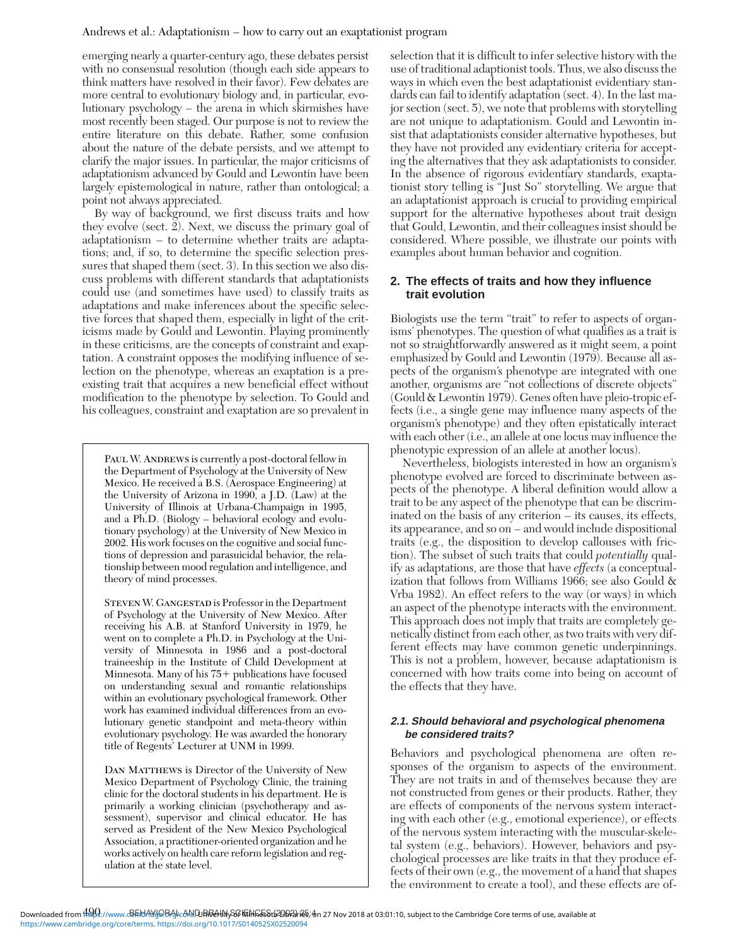emerging nearly a quarter-century ago, these debates persist with no consensual resolution (though each side appears to think matters have resolved in their favor). Few debates are more central to evolutionary biology and, in particular, evolutionary psychology – the arena in which skirmishes have most recently been staged. Our purpose is not to review the entire literature on this debate. Rather, some confusion about the nature of the debate persists, and we attempt to clarify the major issues. In particular, the major criticisms of adaptationism advanced by Gould and Lewontin have been largely epistemological in nature, rather than ontological; a point not always appreciated.

By way of background, we first discuss traits and how they evolve (sect. 2). Next, we discuss the primary goal of adaptationism – to determine whether traits are adaptations; and, if so, to determine the specific selection pressures that shaped them (sect. 3). In this section we also discuss problems with different standards that adaptationists could use (and sometimes have used) to classify traits as adaptations and make inferences about the specific selective forces that shaped them, especially in light of the criticisms made by Gould and Lewontin. Playing prominently in these criticisms, are the concepts of constraint and exaptation. A constraint opposes the modifying influence of selection on the phenotype, whereas an exaptation is a preexisting trait that acquires a new beneficial effect without modification to the phenotype by selection. To Gould and his colleagues, constraint and exaptation are so prevalent in

PAUL W. ANDREWS is currently a post-doctoral fellow in the Department of Psychology at the University of New Mexico. He received a B.S. (Aerospace Engineering) at the University of Arizona in 1990, a J.D. (Law) at the University of Illinois at Urbana-Champaign in 1995, and a Ph.D. (Biology – behavioral ecology and evolutionary psychology) at the University of New Mexico in 2002. His work focuses on the cognitive and social functions of depression and parasuicidal behavior, the relationship between mood regulation and intelligence, and theory of mind processes.

Steven W. Gangestad is Professor in the Department of Psychology at the University of New Mexico. After receiving his A.B. at Stanford University in 1979, he went on to complete a Ph.D. in Psychology at the University of Minnesota in 1986 and a post-doctoral traineeship in the Institute of Child Development at Minnesota. Many of his  $75+$  publications have focused on understanding sexual and romantic relationships within an evolutionary psychological framework. Other work has examined individual differences from an evolutionary genetic standpoint and meta-theory within evolutionary psychology. He was awarded the honorary title of Regents' Lecturer at UNM in 1999.

DAN MATTHEWS is Director of the University of New Mexico Department of Psychology Clinic, the training clinic for the doctoral students in his department. He is primarily a working clinician (psychotherapy and assessment), supervisor and clinical educator. He has served as President of the New Mexico Psychological Association, a practitioner-oriented organization and he works actively on health care reform legislation and regulation at the state level.

selection that it is difficult to infer selective history with the use of traditional adaptionist tools. Thus, we also discuss the ways in which even the best adaptationist evidentiary standards can fail to identify adaptation (sect. 4). In the last major section (sect. 5), we note that problems with storytelling are not unique to adaptationism. Gould and Lewontin insist that adaptationists consider alternative hypotheses, but they have not provided any evidentiary criteria for accepting the alternatives that they ask adaptationists to consider. In the absence of rigorous evidentiary standards, exaptationist story telling is "Just So" storytelling. We argue that an adaptationist approach is crucial to providing empirical support for the alternative hypotheses about trait design that Gould, Lewontin, and their colleagues insist should be considered. Where possible, we illustrate our points with examples about human behavior and cognition.

## **2. The effects of traits and how they influence trait evolution**

Biologists use the term "trait" to refer to aspects of organisms' phenotypes. The question of what qualifies as a trait is not so straightforwardly answered as it might seem, a point emphasized by Gould and Lewontin (1979). Because all aspects of the organism's phenotype are integrated with one another, organisms are "not collections of discrete objects" (Gould & Lewontin 1979). Genes often have pleio-tropic effects (i.e., a single gene may influence many aspects of the organism's phenotype) and they often epistatically interact with each other (i.e., an allele at one locus may influence the phenotypic expression of an allele at another locus).

Nevertheless, biologists interested in how an organism's phenotype evolved are forced to discriminate between aspects of the phenotype. A liberal definition would allow a trait to be any aspect of the phenotype that can be discriminated on the basis of any criterion – its causes, its effects, its appearance, and so on – and would include dispositional traits (e.g., the disposition to develop callouses with friction). The subset of such traits that could *potentially* qualify as adaptations, are those that have *effects* (a conceptualization that follows from Williams 1966; see also Gould & Vrba 1982). An effect refers to the way (or ways) in which an aspect of the phenotype interacts with the environment. This approach does not imply that traits are completely genetically distinct from each other, as two traits with very different effects may have common genetic underpinnings. This is not a problem, however, because adaptationism is concerned with how traits come into being on account of the effects that they have.

## **2.1. Should behavioral and psychological phenomena be considered traits?**

Behaviors and psychological phenomena are often responses of the organism to aspects of the environment. They are not traits in and of themselves because they are not constructed from genes or their products. Rather, they are effects of components of the nervous system interacting with each other (e.g., emotional experience), or effects of the nervous system interacting with the muscular-skeletal system (e.g., behaviors). However, behaviors and psychological processes are like traits in that they produce effects of their own (e.g., the movement of a hand that shapes the environment to create a tool), and these effects are of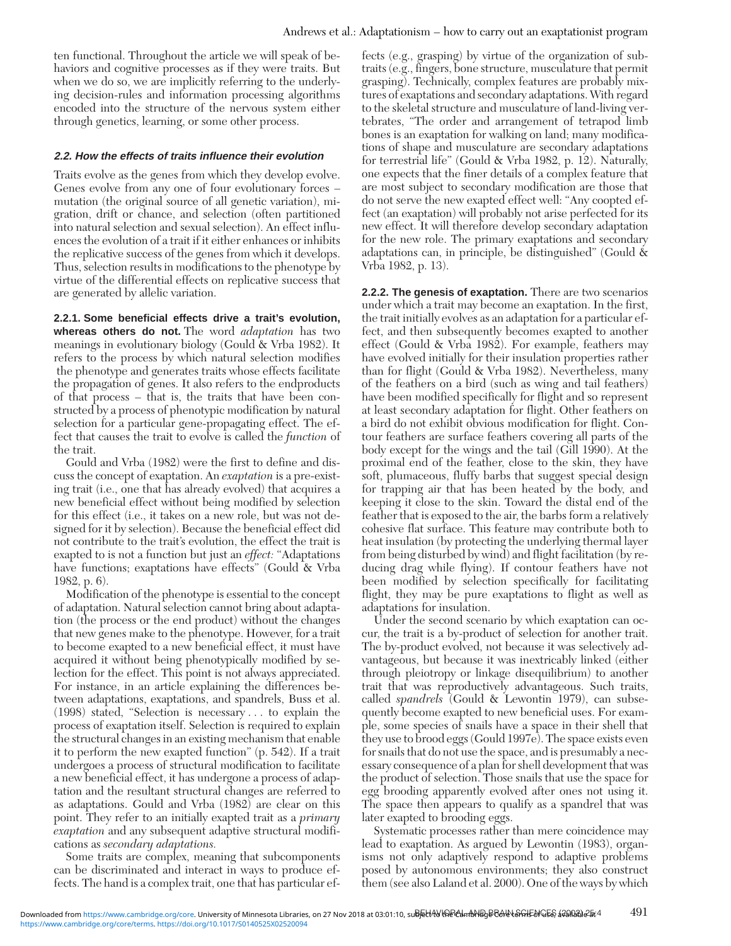ten functional. Throughout the article we will speak of behaviors and cognitive processes as if they were traits. But when we do so, we are implicitly referring to the underlying decision-rules and information processing algorithms encoded into the structure of the nervous system either through genetics, learning, or some other process.

## **2.2. How the effects of traits influence their evolution**

Traits evolve as the genes from which they develop evolve. Genes evolve from any one of four evolutionary forces – mutation (the original source of all genetic variation), migration, drift or chance, and selection (often partitioned into natural selection and sexual selection). An effect influences the evolution of a trait if it either enhances or inhibits the replicative success of the genes from which it develops. Thus, selection results in modifications to the phenotype by virtue of the differential effects on replicative success that are generated by allelic variation.

**2.2.1. Some beneficial effects drive a trait's evolution, whereas others do not.** The word *adaptation* has two meanings in evolutionary biology (Gould & Vrba 1982). It refers to the process by which natural selection modifies the phenotype and generates traits whose effects facilitate the propagation of genes. It also refers to the endproducts of that process – that is, the traits that have been constructed by a process of phenotypic modification by natural selection for a particular gene-propagating effect. The effect that causes the trait to evolve is called the *function* of the trait.

Gould and Vrba (1982) were the first to define and discuss the concept of exaptation. An *exaptation* is a pre-existing trait (i.e., one that has already evolved) that acquires a new beneficial effect without being modified by selection for this effect (i.e., it takes on a new role, but was not designed for it by selection). Because the beneficial effect did not contribute to the trait's evolution, the effect the trait is exapted to is not a function but just an *effect:* "Adaptations have functions; exaptations have effects" (Gould & Vrba 1982, p. 6).

Modification of the phenotype is essential to the concept of adaptation. Natural selection cannot bring about adaptation (the process or the end product) without the changes that new genes make to the phenotype. However, for a trait to become exapted to a new beneficial effect, it must have acquired it without being phenotypically modified by selection for the effect. This point is not always appreciated. For instance, in an article explaining the differences between adaptations, exaptations, and spandrels, Buss et al. (1998) stated, "Selection is necessary . . . to explain the process of exaptation itself. Selection is required to explain the structural changes in an existing mechanism that enable it to perform the new exapted function" (p. 542). If a trait undergoes a process of structural modification to facilitate a new beneficial effect, it has undergone a process of adaptation and the resultant structural changes are referred to as adaptations. Gould and Vrba (1982) are clear on this point. They refer to an initially exapted trait as a *primary exaptation* and any subsequent adaptive structural modifications as *secondary adaptations.*

Some traits are complex, meaning that subcomponents can be discriminated and interact in ways to produce effects. The hand is a complex trait, one that has particular ef-

fects (e.g., grasping) by virtue of the organization of subtraits (e.g., fingers, bone structure, musculature that permit grasping). Technically, complex features are probably mixtures of exaptations and secondary adaptations. With regard to the skeletal structure and musculature of land-living vertebrates, "The order and arrangement of tetrapod limb bones is an exaptation for walking on land; many modifications of shape and musculature are secondary adaptations for terrestrial life" (Gould & Vrba 1982, p. 12). Naturally, one expects that the finer details of a complex feature that are most subject to secondary modification are those that do not serve the new exapted effect well: "Any coopted effect (an exaptation) will probably not arise perfected for its new effect. It will therefore develop secondary adaptation for the new role. The primary exaptations and secondary adaptations can, in principle, be distinguished" (Gould & Vrba 1982, p. 13).

**2.2.2. The genesis of exaptation.** There are two scenarios under which a trait may become an exaptation. In the first, the trait initially evolves as an adaptation for a particular effect, and then subsequently becomes exapted to another effect (Gould & Vrba 1982). For example, feathers may have evolved initially for their insulation properties rather than for flight (Gould & Vrba 1982). Nevertheless, many of the feathers on a bird (such as wing and tail feathers) have been modified specifically for flight and so represent at least secondary adaptation for flight. Other feathers on a bird do not exhibit obvious modification for flight. Contour feathers are surface feathers covering all parts of the body except for the wings and the tail (Gill 1990). At the proximal end of the feather, close to the skin, they have soft, plumaceous, fluffy barbs that suggest special design for trapping air that has been heated by the body, and keeping it close to the skin. Toward the distal end of the feather that is exposed to the air, the barbs form a relatively cohesive flat surface. This feature may contribute both to heat insulation (by protecting the underlying thermal layer from being disturbed by wind) and flight facilitation (by reducing drag while flying). If contour feathers have not been modified by selection specifically for facilitating flight, they may be pure exaptations to flight as well as adaptations for insulation.

Under the second scenario by which exaptation can occur, the trait is a by-product of selection for another trait. The by-product evolved, not because it was selectively advantageous, but because it was inextricably linked (either through pleiotropy or linkage disequilibrium) to another trait that was reproductively advantageous. Such traits, called *spandrels* (Gould & Lewontin 1979), can subsequently become exapted to new beneficial uses. For example, some species of snails have a space in their shell that they use to brood eggs (Gould 1997e). The space exists even for snails that do not use the space, and is presumably a necessary consequence of a plan for shell development that was the product of selection. Those snails that use the space for egg brooding apparently evolved after ones not using it. The space then appears to qualify as a spandrel that was later exapted to brooding eggs.

Systematic processes rather than mere coincidence may lead to exaptation. As argued by Lewontin (1983), organisms not only adaptively respond to adaptive problems posed by autonomous environments; they also construct them (see also Laland et al. 2000). One of the ways by which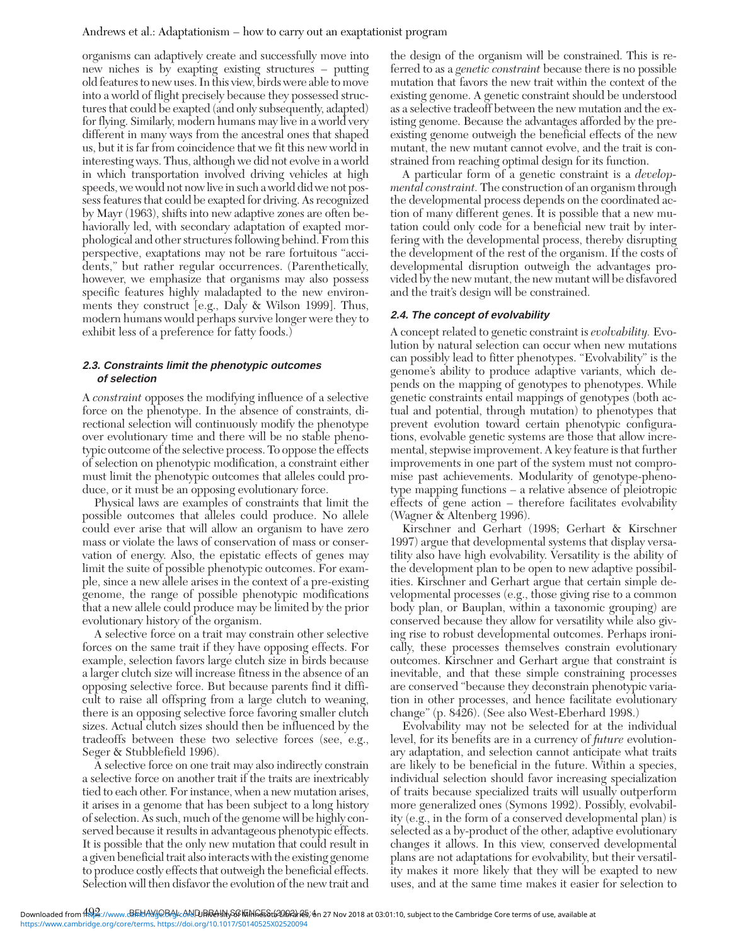organisms can adaptively create and successfully move into new niches is by exapting existing structures – putting old features to new uses. In this view, birds were able to move into a world of flight precisely because they possessed structures that could be exapted (and only subsequently, adapted) for flying. Similarly, modern humans may live in a world very different in many ways from the ancestral ones that shaped us, but it is far from coincidence that we fit this new world in interesting ways. Thus, although we did not evolve in a world in which transportation involved driving vehicles at high speeds, we would not now live in such a world did we not possess features that could be exapted for driving. As recognized by Mayr (1963), shifts into new adaptive zones are often behaviorally led, with secondary adaptation of exapted morphological and other structures following behind. From this perspective, exaptations may not be rare fortuitous "accidents," but rather regular occurrences. (Parenthetically, however, we emphasize that organisms may also possess specific features highly maladapted to the new environments they construct [e.g., Daly & Wilson 1999]. Thus, modern humans would perhaps survive longer were they to exhibit less of a preference for fatty foods.)

## **2.3. Constraints limit the phenotypic outcomes of selection**

A *constraint* opposes the modifying influence of a selective force on the phenotype. In the absence of constraints, directional selection will continuously modify the phenotype over evolutionary time and there will be no stable phenotypic outcome of the selective process. To oppose the effects of selection on phenotypic modification, a constraint either must limit the phenotypic outcomes that alleles could produce, or it must be an opposing evolutionary force.

Physical laws are examples of constraints that limit the possible outcomes that alleles could produce. No allele could ever arise that will allow an organism to have zero mass or violate the laws of conservation of mass or conservation of energy. Also, the epistatic effects of genes may limit the suite of possible phenotypic outcomes. For example, since a new allele arises in the context of a pre-existing genome, the range of possible phenotypic modifications that a new allele could produce may be limited by the prior evolutionary history of the organism.

A selective force on a trait may constrain other selective forces on the same trait if they have opposing effects. For example, selection favors large clutch size in birds because a larger clutch size will increase fitness in the absence of an opposing selective force. But because parents find it difficult to raise all offspring from a large clutch to weaning, there is an opposing selective force favoring smaller clutch sizes. Actual clutch sizes should then be influenced by the tradeoffs between these two selective forces (see, e.g., Seger & Stubblefield 1996).

A selective force on one trait may also indirectly constrain a selective force on another trait if the traits are inextricably tied to each other. For instance, when a new mutation arises, it arises in a genome that has been subject to a long history of selection. As such, much of the genome will be highly conserved because it results in advantageous phenotypic effects. It is possible that the only new mutation that could result in a given beneficial trait also interacts with the existing genome to produce costly effects that outweigh the beneficial effects. Selection will then disfavor the evolution of the new trait and

the design of the organism will be constrained. This is referred to as a *genetic constraint* because there is no possible mutation that favors the new trait within the context of the existing genome. A genetic constraint should be understood as a selective tradeoff between the new mutation and the existing genome. Because the advantages afforded by the preexisting genome outweigh the beneficial effects of the new mutant, the new mutant cannot evolve, and the trait is constrained from reaching optimal design for its function.

A particular form of a genetic constraint is a *developmental constraint.* The construction of an organism through the developmental process depends on the coordinated action of many different genes. It is possible that a new mutation could only code for a beneficial new trait by interfering with the developmental process, thereby disrupting the development of the rest of the organism. If the costs of developmental disruption outweigh the advantages provided by the new mutant, the new mutant will be disfavored and the trait's design will be constrained.

## **2.4. The concept of evolvability**

A concept related to genetic constraint is *evolvability.* Evolution by natural selection can occur when new mutations can possibly lead to fitter phenotypes. "Evolvability" is the genome's ability to produce adaptive variants, which depends on the mapping of genotypes to phenotypes. While genetic constraints entail mappings of genotypes (both actual and potential, through mutation) to phenotypes that prevent evolution toward certain phenotypic configurations, evolvable genetic systems are those that allow incremental, stepwise improvement. A key feature is that further improvements in one part of the system must not compromise past achievements. Modularity of genotype-phenotype mapping functions – a relative absence of pleiotropic effects of gene action – therefore facilitates evolvability (Wagner & Altenberg 1996).

Kirschner and Gerhart (1998; Gerhart & Kirschner 1997) argue that developmental systems that display versatility also have high evolvability. Versatility is the ability of the development plan to be open to new adaptive possibilities. Kirschner and Gerhart argue that certain simple developmental processes (e.g., those giving rise to a common body plan, or Bauplan, within a taxonomic grouping) are conserved because they allow for versatility while also giving rise to robust developmental outcomes. Perhaps ironically, these processes themselves constrain evolutionary outcomes. Kirschner and Gerhart argue that constraint is inevitable, and that these simple constraining processes are conserved "because they deconstrain phenotypic variation in other processes, and hence facilitate evolutionary change" (p. 8426). (See also West-Eberhard 1998.)

Evolvability may not be selected for at the individual level, for its benefits are in a currency of *future* evolutionary adaptation, and selection cannot anticipate what traits are likely to be beneficial in the future. Within a species, individual selection should favor increasing specialization of traits because specialized traits will usually outperform more generalized ones (Symons 1992). Possibly, evolvability (e.g., in the form of a conserved developmental plan) is selected as a by-product of the other, adaptive evolutionary changes it allows. In this view, conserved developmental plans are not adaptations for evolvability, but their versatility makes it more likely that they will be exapted to new uses, and at the same time makes it easier for selection to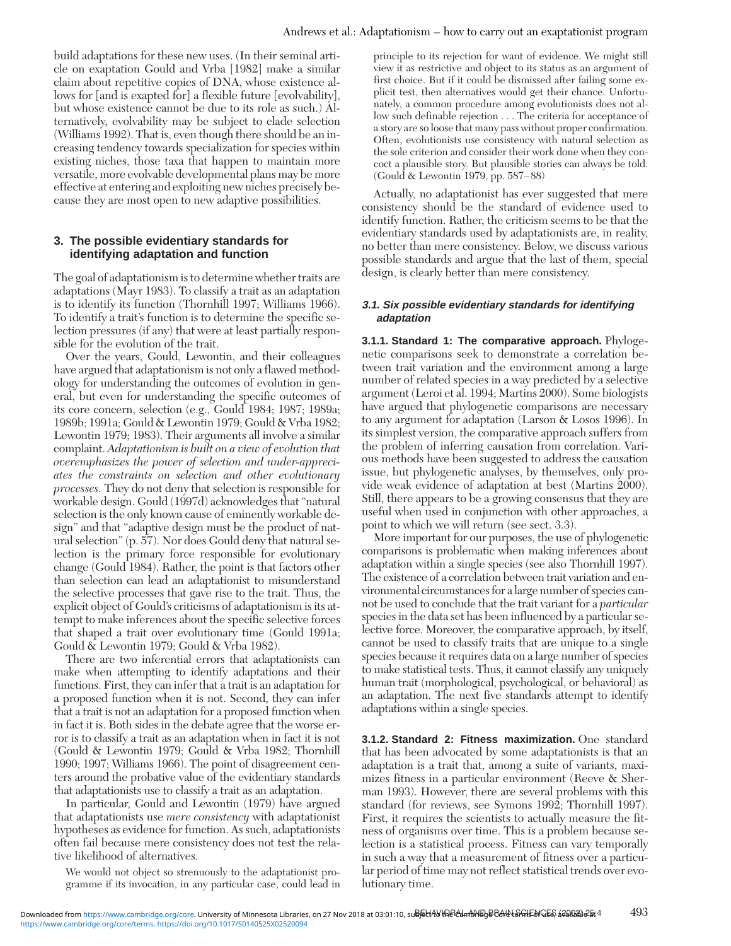build adaptations for these new uses. (In their seminal article on exaptation Gould and Vrba [1982] make a similar claim about repetitive copies of DNA, whose existence allows for [and is exapted for] a flexible future [evolvability], but whose existence cannot be due to its role as such.) Alternatively, evolvability may be subject to clade selection (Williams 1992). That is, even though there should be an increasing tendency towards specialization for species within existing niches, those taxa that happen to maintain more versatile, more evolvable developmental plans may be more effective at entering and exploiting new niches precisely because they are most open to new adaptive possibilities.

## **3. The possible evidentiary standards for identifying adaptation and function**

The goal of adaptationism is to determine whether traits are adaptations (Mayr 1983). To classify a trait as an adaptation is to identify its function (Thornhill 1997; Williams 1966). To identify a trait's function is to determine the specific selection pressures (if any) that were at least partially responsible for the evolution of the trait.

Over the years, Gould, Lewontin, and their colleagues have argued that adaptationism is not only a flawed methodology for understanding the outcomes of evolution in general, but even for understanding the specific outcomes of its core concern, selection (e.g., Gould 1984; 1987; 1989a; 1989b; 1991a; Gould & Lewontin 1979; Gould & Vrba 1982; Lewontin 1979; 1983). Their arguments all involve a similar complaint. *Adaptationism is built on a view of evolution that overemphasizes the power of selection and under-appreciates the constraints on selection and other evolutionary processes.* They do not deny that selection is responsible for workable design. Gould (1997d) acknowledges that "natural selection is the only known cause of eminently workable design" and that "adaptive design must be the product of natural selection" (p. 57). Nor does Gould deny that natural selection is the primary force responsible for evolutionary change (Gould 1984). Rather, the point is that factors other than selection can lead an adaptationist to misunderstand the selective processes that gave rise to the trait. Thus, the explicit object of Gould's criticisms of adaptationism is its attempt to make inferences about the specific selective forces that shaped a trait over evolutionary time (Gould 1991a; Gould & Lewontin 1979; Gould & Vrba 1982).

There are two inferential errors that adaptationists can make when attempting to identify adaptations and their functions. First, they can infer that a trait is an adaptation for a proposed function when it is not. Second, they can infer that a trait is not an adaptation for a proposed function when in fact it is. Both sides in the debate agree that the worse error is to classify a trait as an adaptation when in fact it is not (Gould & Lewontin 1979; Gould & Vrba 1982; Thornhill 1990; 1997; Williams 1966). The point of disagreement centers around the probative value of the evidentiary standards that adaptationists use to classify a trait as an adaptation.

In particular, Gould and Lewontin (1979) have argued that adaptationists use *mere consistency* with adaptationist hypotheses as evidence for function. As such, adaptationists often fail because mere consistency does not test the relative likelihood of alternatives.

We would not object so strenuously to the adaptationist programme if its invocation, in any particular case, could lead in principle to its rejection for want of evidence. We might still view it as restrictive and object to its status as an argument of first choice. But if it could be dismissed after failing some explicit test, then alternatives would get their chance. Unfortunately, a common procedure among evolutionists does not allow such definable rejection . . . The criteria for acceptance of a story are so loose that many pass without proper confirmation. Often, evolutionists use consistency with natural selection as the sole criterion and consider their work done when they concoct a plausible story. But plausible stories can always be told. (Gould & Lewontin 1979, pp. 587–88)

Actually, no adaptationist has ever suggested that mere consistency should be the standard of evidence used to identify function. Rather, the criticism seems to be that the evidentiary standards used by adaptationists are, in reality, no better than mere consistency. Below, we discuss various possible standards and argue that the last of them, special design, is clearly better than mere consistency.

#### **3.1. Six possible evidentiary standards for identifying adaptation**

**3.1.1. Standard 1: The comparative approach.** Phylogenetic comparisons seek to demonstrate a correlation between trait variation and the environment among a large number of related species in a way predicted by a selective argument (Leroi et al. 1994; Martins 2000). Some biologists have argued that phylogenetic comparisons are necessary to any argument for adaptation (Larson & Losos 1996). In its simplest version, the comparative approach suffers from the problem of inferring causation from correlation. Various methods have been suggested to address the causation issue, but phylogenetic analyses, by themselves, only provide weak evidence of adaptation at best (Martins 2000). Still, there appears to be a growing consensus that they are useful when used in conjunction with other approaches, a point to which we will return (see sect. 3.3).

More important for our purposes, the use of phylogenetic comparisons is problematic when making inferences about adaptation within a single species (see also Thornhill 1997). The existence of a correlation between trait variation and environmental circumstances for a large number of species cannot be used to conclude that the trait variant for a *particular* species in the data set has been influenced by a particular selective force. Moreover, the comparative approach, by itself, cannot be used to classify traits that are unique to a single species because it requires data on a large number of species to make statistical tests. Thus, it cannot classify any uniquely human trait (morphological, psychological, or behavioral) as an adaptation. The next five standards attempt to identify adaptations within a single species.

**3.1.2. Standard 2: Fitness maximization.** One standard that has been advocated by some adaptationists is that an adaptation is a trait that, among a suite of variants, maximizes fitness in a particular environment (Reeve & Sherman 1993). However, there are several problems with this standard (for reviews, see Symons 1992; Thornhill 1997). First, it requires the scientists to actually measure the fitness of organisms over time. This is a problem because selection is a statistical process. Fitness can vary temporally in such a way that a measurement of fitness over a particular period of time may not reflect statistical trends over evolutionary time.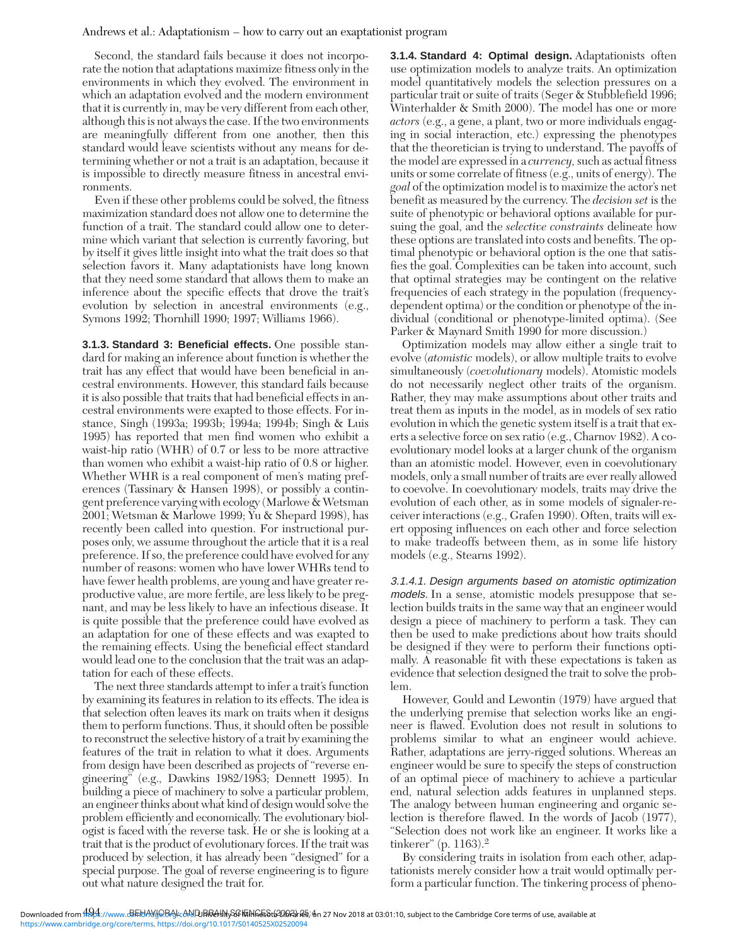Second, the standard fails because it does not incorporate the notion that adaptations maximize fitness only in the environments in which they evolved. The environment in which an adaptation evolved and the modern environment that it is currently in, may be very different from each other, although this is not always the case. If the two environments are meaningfully different from one another, then this standard would leave scientists without any means for determining whether or not a trait is an adaptation, because it is impossible to directly measure fitness in ancestral environments.

Even if these other problems could be solved, the fitness maximization standard does not allow one to determine the function of a trait. The standard could allow one to determine which variant that selection is currently favoring, but by itself it gives little insight into what the trait does so that selection favors it. Many adaptationists have long known that they need some standard that allows them to make an inference about the specific effects that drove the trait's evolution by selection in ancestral environments (e.g., Symons 1992; Thornhill 1990; 1997; Williams 1966).

**3.1.3. Standard 3: Beneficial effects.** One possible standard for making an inference about function is whether the trait has any effect that would have been beneficial in ancestral environments. However, this standard fails because it is also possible that traits that had beneficial effects in ancestral environments were exapted to those effects. For instance, Singh (1993a; 1993b; 1994a; 1994b; Singh & Luis 1995) has reported that men find women who exhibit a waist-hip ratio (WHR) of 0.7 or less to be more attractive than women who exhibit a waist-hip ratio of 0.8 or higher. Whether WHR is a real component of men's mating preferences (Tassinary & Hansen 1998), or possibly a contingent preference varying with ecology (Marlowe & Wetsman  $2001$ ; Wetsman & Marlowe 1999; Yu & Shepard 1998), has recently been called into question. For instructional purposes only, we assume throughout the article that it is a real preference. If so, the preference could have evolved for any number of reasons: women who have lower WHRs tend to have fewer health problems, are young and have greater reproductive value, are more fertile, are less likely to be pregnant, and may be less likely to have an infectious disease. It is quite possible that the preference could have evolved as an adaptation for one of these effects and was exapted to the remaining effects. Using the beneficial effect standard would lead one to the conclusion that the trait was an adaptation for each of these effects.

The next three standards attempt to infer a trait's function by examining its features in relation to its effects. The idea is that selection often leaves its mark on traits when it designs them to perform functions. Thus, it should often be possible to reconstruct the selective history of a trait by examining the features of the trait in relation to what it does. Arguments from design have been described as projects of "reverse engineering" (e.g., Dawkins 1982/1983; Dennett 1995). In building a piece of machinery to solve a particular problem, an engineer thinks about what kind of design would solve the problem efficiently and economically. The evolutionary biologist is faced with the reverse task. He or she is looking at a trait that is the product of evolutionary forces. If the trait was produced by selection, it has already been "designed" for a special purpose. The goal of reverse engineering is to figure out what nature designed the trait for.

**3.1.4. Standard 4: Optimal design.** Adaptationists often use optimization models to analyze traits. An optimization model quantitatively models the selection pressures on a particular trait or suite of traits (Seger & Stubblefield 1996; Winterhalder & Smith 2000). The model has one or more *actors* (e.g., a gene, a plant, two or more individuals engaging in social interaction, etc.) expressing the phenotypes that the theoretician is trying to understand. The payoffs of the model are expressed in a *currency,*such as actual fitness units or some correlate of fitness (e.g., units of energy). The *goal* of the optimization model is to maximize the actor's net benefit as measured by the currency. The *decision set* is the suite of phenotypic or behavioral options available for pursuing the goal, and the *selective constraints* delineate how these options are translated into costs and benefits. The optimal phenotypic or behavioral option is the one that satisfies the goal. Complexities can be taken into account, such that optimal strategies may be contingent on the relative frequencies of each strategy in the population (frequencydependent optima) or the condition or phenotype of the individual (conditional or phenotype-limited optima). (See Parker & Maynard Smith 1990 for more discussion.)

Optimization models may allow either a single trait to evolve (*atomistic* models), or allow multiple traits to evolve simultaneously (*coevolutionary* models). Atomistic models do not necessarily neglect other traits of the organism. Rather, they may make assumptions about other traits and treat them as inputs in the model, as in models of sex ratio evolution in which the genetic system itself is a trait that exerts a selective force on sex ratio (e.g., Charnov 1982). A coevolutionary model looks at a larger chunk of the organism than an atomistic model. However, even in coevolutionary models, only a small number of traits are ever really allowed to coevolve. In coevolutionary models, traits may drive the evolution of each other, as in some models of signaler-receiver interactions (e.g., Grafen 1990). Often, traits will exert opposing influences on each other and force selection to make tradeoffs between them, as in some life history models (e.g., Stearns 1992).

3.1.4.1. Design arguments based on atomistic optimization models. In a sense, atomistic models presuppose that selection builds traits in the same way that an engineer would design a piece of machinery to perform a task. They can then be used to make predictions about how traits should be designed if they were to perform their functions optimally. A reasonable fit with these expectations is taken as evidence that selection designed the trait to solve the problem.

However, Gould and Lewontin (1979) have argued that the underlying premise that selection works like an engineer is flawed. Evolution does not result in solutions to problems similar to what an engineer would achieve. Rather, adaptations are jerry-rigged solutions. Whereas an engineer would be sure to specify the steps of construction of an optimal piece of machinery to achieve a particular end, natural selection adds features in unplanned steps. The analogy between human engineering and organic selection is therefore flawed. In the words of Jacob (1977), "Selection does not work like an engineer. It works like a tinkerer" (p. 1163).<sup>2</sup>

By considering traits in isolation from each other, adaptationists merely consider how a trait would optimally perform a particular function. The tinkering process of pheno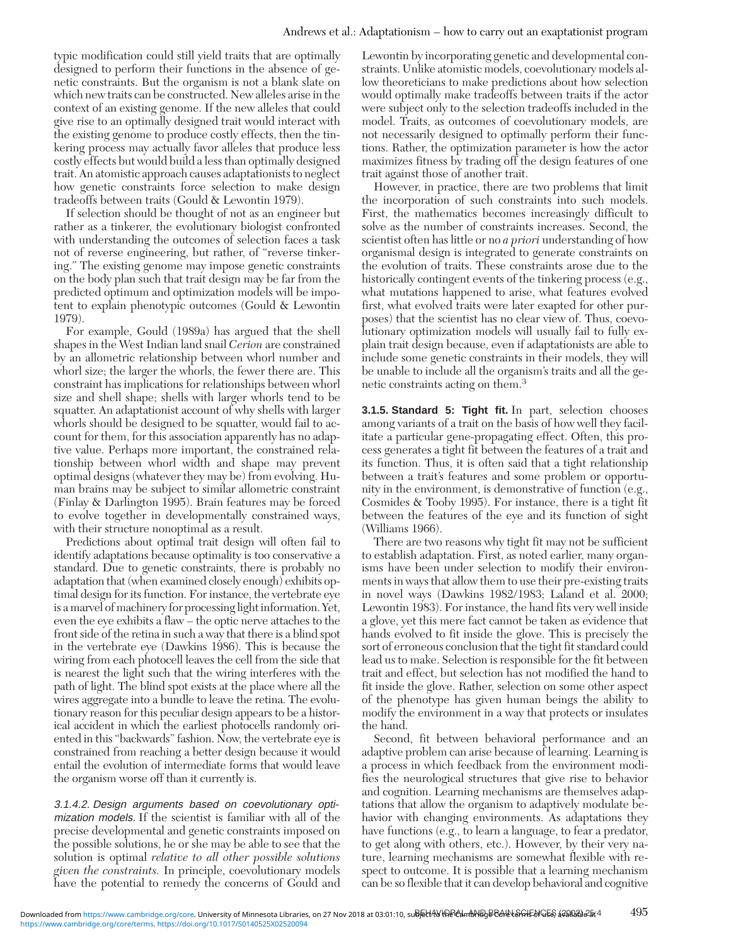typic modification could still yield traits that are optimally designed to perform their functions in the absence of genetic constraints. But the organism is not a blank slate on which new traits can be constructed. New alleles arise in the context of an existing genome. If the new alleles that could give rise to an optimally designed trait would interact with the existing genome to produce costly effects, then the tinkering process may actually favor alleles that produce less costly effects but would build a less than optimally designed trait. An atomistic approach causes adaptationists to neglect how genetic constraints force selection to make design tradeoffs between traits (Gould & Lewontin 1979).

If selection should be thought of not as an engineer but rather as a tinkerer, the evolutionary biologist confronted with understanding the outcomes of selection faces a task not of reverse engineering, but rather, of "reverse tinkering." The existing genome may impose genetic constraints on the body plan such that trait design may be far from the predicted optimum and optimization models will be impotent to explain phenotypic outcomes (Gould & Lewontin 1979).

For example, Gould (1989a) has argued that the shell shapes in the West Indian land snail *Cerion* are constrained by an allometric relationship between whorl number and whorl size; the larger the whorls, the fewer there are. This constraint has implications for relationships between whorl size and shell shape; shells with larger whorls tend to be squatter. An adaptationist account of why shells with larger whorls should be designed to be squatter, would fail to account for them, for this association apparently has no adaptive value. Perhaps more important, the constrained relationship between whorl width and shape may prevent optimal designs (whatever they may be) from evolving. Human brains may be subject to similar allometric constraint (Finlay & Darlington 1995). Brain features may be forced to evolve together in developmentally constrained ways, with their structure nonoptimal as a result.

Predictions about optimal trait design will often fail to identify adaptations because optimality is too conservative a standard. Due to genetic constraints, there is probably no adaptation that (when examined closely enough) exhibits optimal design for its function. For instance, the vertebrate eye is a marvel of machinery for processing light information. Yet, even the eye exhibits a flaw – the optic nerve attaches to the front side of the retina in such a way that there is a blind spot in the vertebrate eye (Dawkins 1986). This is because the wiring from each photocell leaves the cell from the side that is nearest the light such that the wiring interferes with the path of light. The blind spot exists at the place where all the wires aggregate into a bundle to leave the retina. The evolutionary reason for this peculiar design appears to be a historical accident in which the earliest photocells randomly oriented in this "backwards" fashion. Now, the vertebrate eye is constrained from reaching a better design because it would entail the evolution of intermediate forms that would leave the organism worse off than it currently is.

3.1.4.2. Design arguments based on coevolutionary optimization models. If the scientist is familiar with all of the precise developmental and genetic constraints imposed on the possible solutions, he or she may be able to see that the solution is optimal *relative to all other possible solutions given the constraints.* In principle, coevolutionary models have the potential to remedy the concerns of Gould and

Lewontin by incorporating genetic and developmental constraints. Unlike atomistic models, coevolutionary models allow theoreticians to make predictions about how selection would optimally make tradeoffs between traits if the actor were subject only to the selection tradeoffs included in the model. Traits, as outcomes of coevolutionary models, are not necessarily designed to optimally perform their functions. Rather, the optimization parameter is how the actor maximizes fitness by trading off the design features of one trait against those of another trait.

However, in practice, there are two problems that limit the incorporation of such constraints into such models. First, the mathematics becomes increasingly difficult to solve as the number of constraints increases. Second, the scientist often has little or no *a priori* understanding of how organismal design is integrated to generate constraints on the evolution of traits. These constraints arose due to the historically contingent events of the tinkering process (e.g., what mutations happened to arise, what features evolved first, what evolved traits were later exapted for other purposes) that the scientist has no clear view of. Thus, coevolutionary optimization models will usually fail to fully explain trait design because, even if adaptationists are able to include some genetic constraints in their models, they will be unable to include all the organism's traits and all the genetic constraints acting on them.3

**3.1.5. Standard 5: Tight fit.** In part, selection chooses among variants of a trait on the basis of how well they facilitate a particular gene-propagating effect. Often, this process generates a tight fit between the features of a trait and its function. Thus, it is often said that a tight relationship between a trait's features and some problem or opportunity in the environment, is demonstrative of function (e.g., Cosmides & Tooby 1995). For instance, there is a tight fit between the features of the eye and its function of sight (Williams 1966).

There are two reasons why tight fit may not be sufficient to establish adaptation. First, as noted earlier, many organisms have been under selection to modify their environments in ways that allow them to use their pre-existing traits in novel ways (Dawkins 1982/1983; Laland et al. 2000; Lewontin 1983). For instance, the hand fits very well inside a glove, yet this mere fact cannot be taken as evidence that hands evolved to fit inside the glove. This is precisely the sort of erroneous conclusion that the tight fit standard could lead us to make. Selection is responsible for the fit between trait and effect, but selection has not modified the hand to fit inside the glove. Rather, selection on some other aspect of the phenotype has given human beings the ability to modify the environment in a way that protects or insulates the hand.

Second, fit between behavioral performance and an adaptive problem can arise because of learning. Learning is a process in which feedback from the environment modifies the neurological structures that give rise to behavior and cognition. Learning mechanisms are themselves adaptations that allow the organism to adaptively modulate behavior with changing environments. As adaptations they have functions (e.g., to learn a language, to fear a predator, to get along with others, etc.). However, by their very nature, learning mechanisms are somewhat flexible with respect to outcome. It is possible that a learning mechanism can be so flexible that it can develop behavioral and cognitive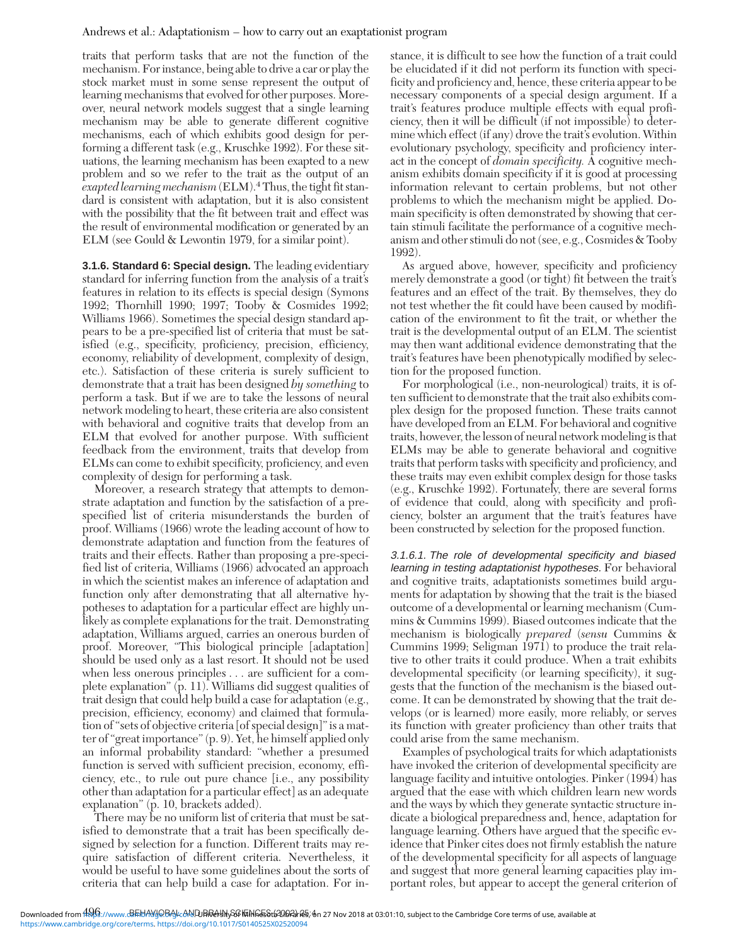traits that perform tasks that are not the function of the mechanism. For instance, being able to drive a car or play the stock market must in some sense represent the output of learning mechanisms that evolved for other purposes. Moreover, neural network models suggest that a single learning mechanism may be able to generate different cognitive mechanisms, each of which exhibits good design for performing a different task (e.g., Kruschke 1992). For these situations, the learning mechanism has been exapted to a new problem and so we refer to the trait as the output of an *exapted learning mechanism*(ELM).4Thus, the tight fit standard is consistent with adaptation, but it is also consistent with the possibility that the fit between trait and effect was the result of environmental modification or generated by an ELM (see Gould & Lewontin 1979, for a similar point).

**3.1.6. Standard 6: Special design.** The leading evidentiary standard for inferring function from the analysis of a trait's features in relation to its effects is special design (Symons 1992; Thornhill 1990; 1997; Tooby & Cosmides 1992; Williams 1966). Sometimes the special design standard appears to be a pre-specified list of criteria that must be satisfied (e.g., specificity, proficiency, precision, efficiency, economy, reliability of development, complexity of design, etc.). Satisfaction of these criteria is surely sufficient to demonstrate that a trait has been designed *by something* to perform a task. But if we are to take the lessons of neural network modeling to heart, these criteria are also consistent with behavioral and cognitive traits that develop from an ELM that evolved for another purpose. With sufficient feedback from the environment, traits that develop from ELMs can come to exhibit specificity, proficiency, and even complexity of design for performing a task.

Moreover, a research strategy that attempts to demonstrate adaptation and function by the satisfaction of a prespecified list of criteria misunderstands the burden of proof. Williams (1966) wrote the leading account of how to demonstrate adaptation and function from the features of traits and their effects. Rather than proposing a pre-specified list of criteria, Williams (1966) advocated an approach in which the scientist makes an inference of adaptation and function only after demonstrating that all alternative hypotheses to adaptation for a particular effect are highly unlikely as complete explanations for the trait. Demonstrating adaptation, Williams argued, carries an onerous burden of proof. Moreover, "This biological principle [adaptation] should be used only as a last resort. It should not be used when less onerous principles . . . are sufficient for a complete explanation" (p. 11). Williams did suggest qualities of trait design that could help build a case for adaptation (e.g., precision, efficiency, economy) and claimed that formulation of "sets of objective criteria [of special design]" is a matter of "great importance" (p. 9). Yet, he himself applied only an informal probability standard: "whether a presumed function is served with sufficient precision, economy, efficiency, etc., to rule out pure chance [i.e., any possibility other than adaptation for a particular effect] as an adequate explanation" (p. 10, brackets added).

There may be no uniform list of criteria that must be satisfied to demonstrate that a trait has been specifically designed by selection for a function. Different traits may require satisfaction of different criteria. Nevertheless, it would be useful to have some guidelines about the sorts of criteria that can help build a case for adaptation. For in-

stance, it is difficult to see how the function of a trait could be elucidated if it did not perform its function with specificity and proficiency and, hence, these criteria appear to be necessary components of a special design argument. If a trait's features produce multiple effects with equal proficiency, then it will be difficult (if not impossible) to determine which effect (if any) drove the trait's evolution. Within evolutionary psychology, specificity and proficiency interact in the concept of *domain specificity.* A cognitive mechanism exhibits domain specificity if it is good at processing information relevant to certain problems, but not other problems to which the mechanism might be applied. Domain specificity is often demonstrated by showing that certain stimuli facilitate the performance of a cognitive mechanism and other stimuli do not (see, e.g., Cosmides  $\&$  Tooby 1992).

As argued above, however, specificity and proficiency merely demonstrate a good (or tight) fit between the trait's features and an effect of the trait. By themselves, they do not test whether the fit could have been caused by modification of the environment to fit the trait, or whether the trait is the developmental output of an ELM. The scientist may then want additional evidence demonstrating that the trait's features have been phenotypically modified by selection for the proposed function.

For morphological (i.e., non-neurological) traits, it is often sufficient to demonstrate that the trait also exhibits complex design for the proposed function. These traits cannot have developed from an ELM. For behavioral and cognitive traits, however, the lesson of neural network modeling is that ELMs may be able to generate behavioral and cognitive traits that perform tasks with specificity and proficiency, and these traits may even exhibit complex design for those tasks (e.g., Kruschke 1992). Fortunately, there are several forms of evidence that could, along with specificity and proficiency, bolster an argument that the trait's features have been constructed by selection for the proposed function.

3.1.6.1. The role of developmental specificity and biased learning in testing adaptationist hypotheses. For behavioral and cognitive traits, adaptationists sometimes build arguments for adaptation by showing that the trait is the biased outcome of a developmental or learning mechanism (Cummins & Cummins 1999). Biased outcomes indicate that the mechanism is biologically *prepared* (*sensu* Cummins & Cummins 1999; Seligman 1971) to produce the trait relative to other traits it could produce. When a trait exhibits developmental specificity (or learning specificity), it suggests that the function of the mechanism is the biased outcome. It can be demonstrated by showing that the trait develops (or is learned) more easily, more reliably, or serves its function with greater proficiency than other traits that could arise from the same mechanism.

Examples of psychological traits for which adaptationists have invoked the criterion of developmental specificity are language facility and intuitive ontologies. Pinker (1994) has argued that the ease with which children learn new words and the ways by which they generate syntactic structure indicate a biological preparedness and, hence, adaptation for language learning. Others have argued that the specific evidence that Pinker cites does not firmly establish the nature of the developmental specificity for all aspects of language and suggest that more general learning capacities play important roles, but appear to accept the general criterion of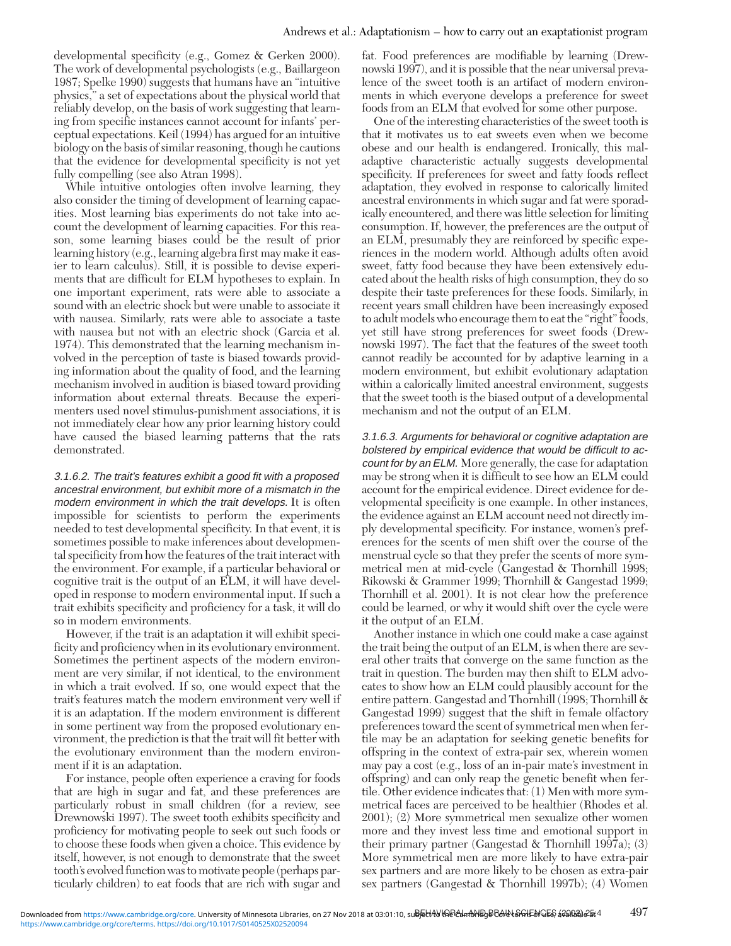developmental specificity (e.g., Gomez & Gerken 2000). The work of developmental psychologists (e.g., Baillargeon 1987; Spelke 1990) suggests that humans have an "intuitive physics," a set of expectations about the physical world that reliably develop, on the basis of work suggesting that learning from specific instances cannot account for infants' perceptual expectations. Keil (1994) has argued for an intuitive biology on the basis of similar reasoning, though he cautions that the evidence for developmental specificity is not yet fully compelling (see also Atran 1998).

While intuitive ontologies often involve learning, they also consider the timing of development of learning capacities. Most learning bias experiments do not take into account the development of learning capacities. For this reason, some learning biases could be the result of prior learning history (e.g., learning algebra first may make it easier to learn calculus). Still, it is possible to devise experiments that are difficult for ELM hypotheses to explain. In one important experiment, rats were able to associate a sound with an electric shock but were unable to associate it with nausea. Similarly, rats were able to associate a taste with nausea but not with an electric shock (Garcia et al. 1974). This demonstrated that the learning mechanism involved in the perception of taste is biased towards providing information about the quality of food, and the learning mechanism involved in audition is biased toward providing information about external threats. Because the experimenters used novel stimulus-punishment associations, it is not immediately clear how any prior learning history could have caused the biased learning patterns that the rats demonstrated.

3.1.6.2. The trait's features exhibit a good fit with a proposed ancestral environment, but exhibit more of a mismatch in the modern environment in which the trait develops. It is often impossible for scientists to perform the experiments needed to test developmental specificity. In that event, it is sometimes possible to make inferences about developmental specificity from how the features of the trait interact with the environment. For example, if a particular behavioral or cognitive trait is the output of an ELM, it will have developed in response to modern environmental input. If such a trait exhibits specificity and proficiency for a task, it will do so in modern environments.

However, if the trait is an adaptation it will exhibit specificity and proficiency when in its evolutionary environment. Sometimes the pertinent aspects of the modern environment are very similar, if not identical, to the environment in which a trait evolved. If so, one would expect that the trait's features match the modern environment very well if it is an adaptation. If the modern environment is different in some pertinent way from the proposed evolutionary environment, the prediction is that the trait will fit better with the evolutionary environment than the modern environment if it is an adaptation.

For instance, people often experience a craving for foods that are high in sugar and fat, and these preferences are particularly robust in small children (for a review, see Drewnowski 1997). The sweet tooth exhibits specificity and proficiency for motivating people to seek out such foods or to choose these foods when given a choice. This evidence by itself, however, is not enough to demonstrate that the sweet tooth's evolved function was to motivate people (perhaps particularly children) to eat foods that are rich with sugar and

fat. Food preferences are modifiable by learning (Drewnowski 1997), and it is possible that the near universal prevalence of the sweet tooth is an artifact of modern environments in which everyone develops a preference for sweet foods from an ELM that evolved for some other purpose.

One of the interesting characteristics of the sweet tooth is that it motivates us to eat sweets even when we become obese and our health is endangered. Ironically, this maladaptive characteristic actually suggests developmental specificity. If preferences for sweet and fatty foods reflect adaptation, they evolved in response to calorically limited ancestral environments in which sugar and fat were sporadically encountered, and there was little selection for limiting consumption. If, however, the preferences are the output of an ELM, presumably they are reinforced by specific experiences in the modern world. Although adults often avoid sweet, fatty food because they have been extensively educated about the health risks of high consumption, they do so despite their taste preferences for these foods. Similarly, in recent years small children have been increasingly exposed to adult models who encourage them to eat the "right" foods, yet still have strong preferences for sweet foods (Drewnowski 1997). The fact that the features of the sweet tooth cannot readily be accounted for by adaptive learning in a modern environment, but exhibit evolutionary adaptation within a calorically limited ancestral environment, suggests that the sweet tooth is the biased output of a developmental mechanism and not the output of an ELM.

3.1.6.3. Arguments for behavioral or cognitive adaptation are bolstered by empirical evidence that would be difficult to account for by an ELM. More generally, the case for adaptation may be strong when it is difficult to see how an ELM could account for the empirical evidence. Direct evidence for developmental specificity is one example. In other instances, the evidence against an ELM account need not directly imply developmental specificity. For instance, women's preferences for the scents of men shift over the course of the menstrual cycle so that they prefer the scents of more symmetrical men at mid-cycle (Gangestad & Thornhill 1998; Rikowski & Grammer 1999; Thornhill & Gangestad 1999; Thornhill et al. 2001). It is not clear how the preference could be learned, or why it would shift over the cycle were it the output of an ELM.

Another instance in which one could make a case against the trait being the output of an ELM, is when there are several other traits that converge on the same function as the trait in question. The burden may then shift to ELM advocates to show how an ELM could plausibly account for the entire pattern. Gangestad and Thornhill (1998; Thornhill & Gangestad 1999) suggest that the shift in female olfactory preferences toward the scent of symmetrical men when fertile may be an adaptation for seeking genetic benefits for offspring in the context of extra-pair sex, wherein women may pay a cost (e.g., loss of an in-pair mate's investment in offspring) and can only reap the genetic benefit when fertile. Other evidence indicates that: (1) Men with more symmetrical faces are perceived to be healthier (Rhodes et al. 2001); (2) More symmetrical men sexualize other women more and they invest less time and emotional support in their primary partner (Gangestad & Thornhill 1997a); (3) More symmetrical men are more likely to have extra-pair sex partners and are more likely to be chosen as extra-pair sex partners (Gangestad & Thornhill 1997b); (4) Women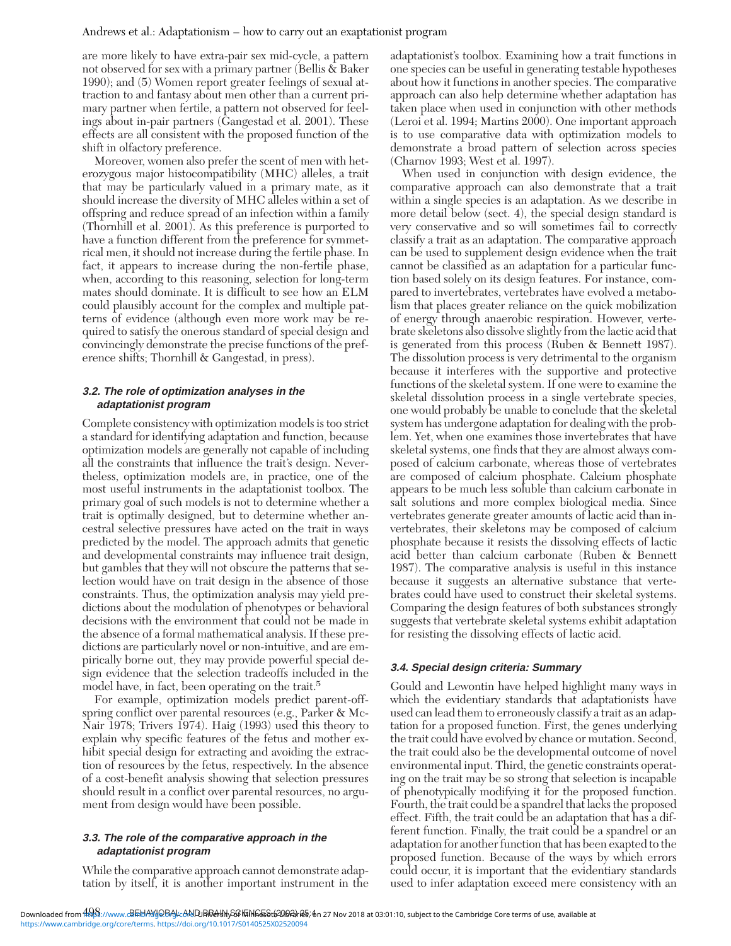are more likely to have extra-pair sex mid-cycle, a pattern not observed for sex with a primary partner (Bellis & Baker 1990); and (5) Women report greater feelings of sexual attraction to and fantasy about men other than a current primary partner when fertile, a pattern not observed for feelings about in-pair partners (Gangestad et al. 2001). These effects are all consistent with the proposed function of the shift in olfactory preference.

Moreover, women also prefer the scent of men with heterozygous major histocompatibility (MHC) alleles, a trait that may be particularly valued in a primary mate, as it should increase the diversity of MHC alleles within a set of offspring and reduce spread of an infection within a family (Thornhill et al. 2001). As this preference is purported to have a function different from the preference for symmetrical men, it should not increase during the fertile phase. In fact, it appears to increase during the non-fertile phase, when, according to this reasoning, selection for long-term mates should dominate. It is difficult to see how an ELM could plausibly account for the complex and multiple patterns of evidence (although even more work may be required to satisfy the onerous standard of special design and convincingly demonstrate the precise functions of the preference shifts; Thornhill & Gangestad, in press).

## **3.2. The role of optimization analyses in the adaptationist program**

Complete consistency with optimization models is too strict a standard for identifying adaptation and function, because optimization models are generally not capable of including all the constraints that influence the trait's design. Nevertheless, optimization models are, in practice, one of the most useful instruments in the adaptationist toolbox. The primary goal of such models is not to determine whether a trait is optimally designed, but to determine whether ancestral selective pressures have acted on the trait in ways predicted by the model. The approach admits that genetic and developmental constraints may influence trait design, but gambles that they will not obscure the patterns that selection would have on trait design in the absence of those constraints. Thus, the optimization analysis may yield predictions about the modulation of phenotypes or behavioral decisions with the environment that could not be made in the absence of a formal mathematical analysis. If these predictions are particularly novel or non-intuitive, and are empirically borne out, they may provide powerful special design evidence that the selection tradeoffs included in the model have, in fact, been operating on the trait.5

For example, optimization models predict parent-offspring conflict over parental resources (e.g., Parker & Mc-Nair 1978; Trivers 1974). Haig (1993) used this theory to explain why specific features of the fetus and mother exhibit special design for extracting and avoiding the extraction of resources by the fetus, respectively. In the absence of a cost-benefit analysis showing that selection pressures should result in a conflict over parental resources, no argument from design would have been possible.

## **3.3. The role of the comparative approach in the adaptationist program**

While the comparative approach cannot demonstrate adaptation by itself, it is another important instrument in the adaptationist's toolbox. Examining how a trait functions in one species can be useful in generating testable hypotheses about how it functions in another species. The comparative approach can also help determine whether adaptation has taken place when used in conjunction with other methods (Leroi et al. 1994; Martins 2000). One important approach is to use comparative data with optimization models to demonstrate a broad pattern of selection across species (Charnov 1993; West et al. 1997).

When used in conjunction with design evidence, the comparative approach can also demonstrate that a trait within a single species is an adaptation. As we describe in more detail below (sect. 4), the special design standard is very conservative and so will sometimes fail to correctly classify a trait as an adaptation. The comparative approach can be used to supplement design evidence when the trait cannot be classified as an adaptation for a particular function based solely on its design features. For instance, compared to invertebrates, vertebrates have evolved a metabolism that places greater reliance on the quick mobilization of energy through anaerobic respiration. However, vertebrate skeletons also dissolve slightly from the lactic acid that is generated from this process (Ruben & Bennett 1987). The dissolution process is very detrimental to the organism because it interferes with the supportive and protective functions of the skeletal system. If one were to examine the skeletal dissolution process in a single vertebrate species, one would probably be unable to conclude that the skeletal system has undergone adaptation for dealing with the problem. Yet, when one examines those invertebrates that have skeletal systems, one finds that they are almost always composed of calcium carbonate, whereas those of vertebrates are composed of calcium phosphate. Calcium phosphate appears to be much less soluble than calcium carbonate in salt solutions and more complex biological media. Since vertebrates generate greater amounts of lactic acid than invertebrates, their skeletons may be composed of calcium phosphate because it resists the dissolving effects of lactic acid better than calcium carbonate (Ruben & Bennett 1987). The comparative analysis is useful in this instance because it suggests an alternative substance that vertebrates could have used to construct their skeletal systems. Comparing the design features of both substances strongly suggests that vertebrate skeletal systems exhibit adaptation for resisting the dissolving effects of lactic acid.

## **3.4. Special design criteria: Summary**

Gould and Lewontin have helped highlight many ways in which the evidentiary standards that adaptationists have used can lead them to erroneously classify a trait as an adaptation for a proposed function. First, the genes underlying the trait could have evolved by chance or mutation. Second, the trait could also be the developmental outcome of novel environmental input. Third, the genetic constraints operating on the trait may be so strong that selection is incapable of phenotypically modifying it for the proposed function. Fourth, the trait could be a spandrel that lacks the proposed effect. Fifth, the trait could be an adaptation that has a different function. Finally, the trait could be a spandrel or an adaptation for another function that has been exapted to the proposed function. Because of the ways by which errors could occur, it is important that the evidentiary standards used to infer adaptation exceed mere consistency with an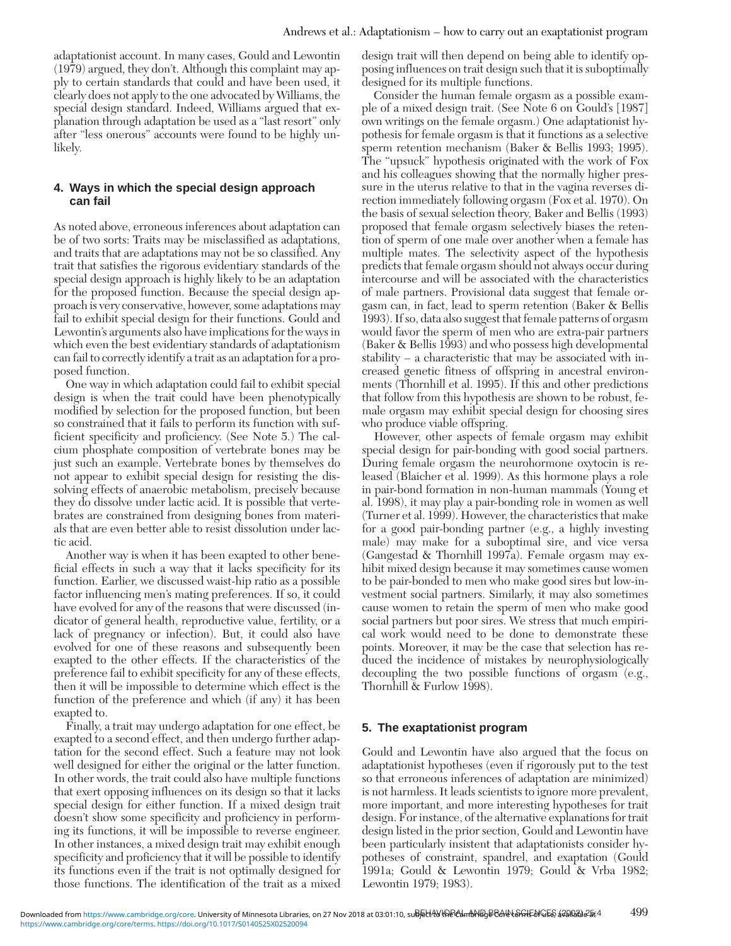adaptationist account. In many cases, Gould and Lewontin (1979) argued, they don't. Although this complaint may apply to certain standards that could and have been used, it clearly does not apply to the one advocated by Williams, the special design standard. Indeed, Williams argued that explanation through adaptation be used as a "last resort" only after "less onerous" accounts were found to be highly unlikely.

## **4. Ways in which the special design approach can fail**

As noted above, erroneous inferences about adaptation can be of two sorts: Traits may be misclassified as adaptations, and traits that are adaptations may not be so classified. Any trait that satisfies the rigorous evidentiary standards of the special design approach is highly likely to be an adaptation for the proposed function. Because the special design approach is very conservative, however, some adaptations may fail to exhibit special design for their functions. Gould and Lewontin's arguments also have implications for the ways in which even the best evidentiary standards of adaptationism can fail to correctly identify a trait as an adaptation for a proposed function.

One way in which adaptation could fail to exhibit special design is when the trait could have been phenotypically modified by selection for the proposed function, but been so constrained that it fails to perform its function with sufficient specificity and proficiency. (See Note 5.) The calcium phosphate composition of vertebrate bones may be just such an example. Vertebrate bones by themselves do not appear to exhibit special design for resisting the dissolving effects of anaerobic metabolism, precisely because they do dissolve under lactic acid. It is possible that vertebrates are constrained from designing bones from materials that are even better able to resist dissolution under lactic acid.

Another way is when it has been exapted to other beneficial effects in such a way that it lacks specificity for its function. Earlier, we discussed waist-hip ratio as a possible factor influencing men's mating preferences. If so, it could have evolved for any of the reasons that were discussed (indicator of general health, reproductive value, fertility, or a lack of pregnancy or infection). But, it could also have evolved for one of these reasons and subsequently been exapted to the other effects. If the characteristics of the preference fail to exhibit specificity for any of these effects, then it will be impossible to determine which effect is the function of the preference and which (if any) it has been exapted to.

Finally, a trait may undergo adaptation for one effect, be exapted to a second effect, and then undergo further adaptation for the second effect. Such a feature may not look well designed for either the original or the latter function. In other words, the trait could also have multiple functions that exert opposing influences on its design so that it lacks special design for either function. If a mixed design trait doesn't show some specificity and proficiency in performing its functions, it will be impossible to reverse engineer. In other instances, a mixed design trait may exhibit enough specificity and proficiency that it will be possible to identify its functions even if the trait is not optimally designed for those functions. The identification of the trait as a mixed

design trait will then depend on being able to identify opposing influences on trait design such that it is suboptimally designed for its multiple functions.

Consider the human female orgasm as a possible example of a mixed design trait. (See Note 6 on Gould's [1987] own writings on the female orgasm.) One adaptationist hypothesis for female orgasm is that it functions as a selective sperm retention mechanism (Baker & Bellis 1993; 1995). The "upsuck" hypothesis originated with the work of Fox and his colleagues showing that the normally higher pressure in the uterus relative to that in the vagina reverses direction immediately following orgasm (Fox et al. 1970). On the basis of sexual selection theory, Baker and Bellis (1993) proposed that female orgasm selectively biases the retention of sperm of one male over another when a female has multiple mates. The selectivity aspect of the hypothesis predicts that female orgasm should not always occur during intercourse and will be associated with the characteristics of male partners. Provisional data suggest that female orgasm can, in fact, lead to sperm retention (Baker & Bellis 1993). If so, data also suggest that female patterns of orgasm would favor the sperm of men who are extra-pair partners (Baker & Bellis 1993) and who possess high developmental stability – a characteristic that may be associated with increased genetic fitness of offspring in ancestral environments (Thornhill et al. 1995). If this and other predictions that follow from this hypothesis are shown to be robust, female orgasm may exhibit special design for choosing sires who produce viable offspring.

However, other aspects of female orgasm may exhibit special design for pair-bonding with good social partners. During female orgasm the neurohormone oxytocin is released (Blaicher et al. 1999). As this hormone plays a role in pair-bond formation in non-human mammals (Young et al. 1998), it may play a pair-bonding role in women as well (Turner et al. 1999). However, the characteristics that make for a good pair-bonding partner (e.g., a highly investing male) may make for a suboptimal sire, and vice versa (Gangestad & Thornhill 1997a). Female orgasm may exhibit mixed design because it may sometimes cause women to be pair-bonded to men who make good sires but low-investment social partners. Similarly, it may also sometimes cause women to retain the sperm of men who make good social partners but poor sires. We stress that much empirical work would need to be done to demonstrate these points. Moreover, it may be the case that selection has reduced the incidence of mistakes by neurophysiologically decoupling the two possible functions of orgasm (e.g., Thornhill & Furlow 1998).

#### **5. The exaptationist program**

Gould and Lewontin have also argued that the focus on adaptationist hypotheses (even if rigorously put to the test so that erroneous inferences of adaptation are minimized) is not harmless. It leads scientists to ignore more prevalent, more important, and more interesting hypotheses for trait design. For instance, of the alternative explanations for trait design listed in the prior section, Gould and Lewontin have been particularly insistent that adaptationists consider hypotheses of constraint, spandrel, and exaptation (Gould 1991a; Gould & Lewontin 1979; Gould & Vrba 1982; Lewontin 1979; 1983).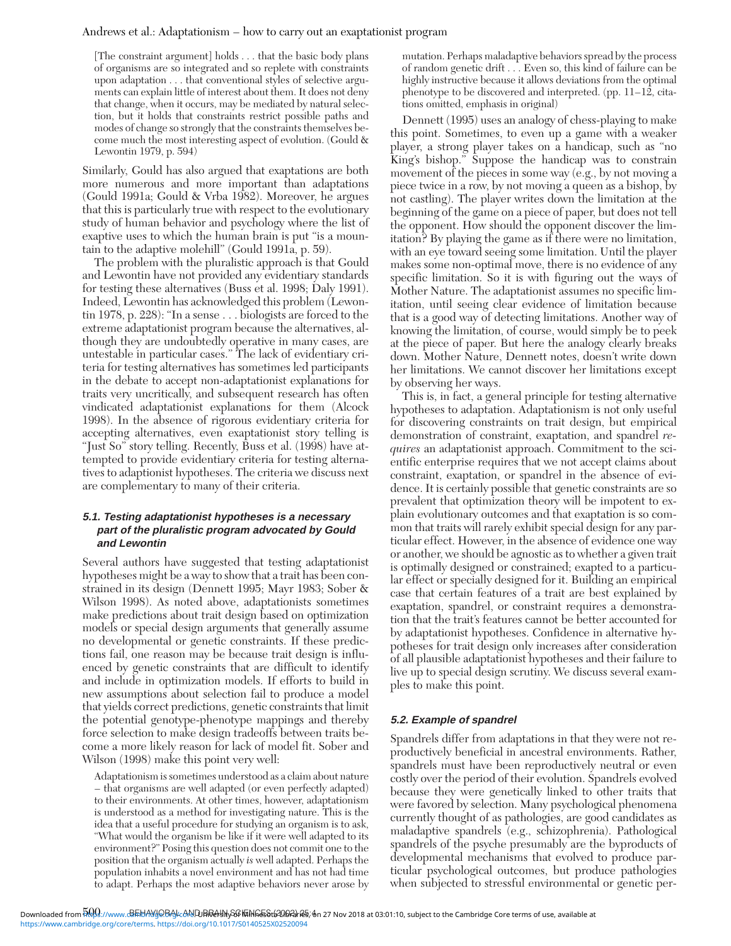[The constraint argument] holds . . . that the basic body plans of organisms are so integrated and so replete with constraints upon adaptation . . . that conventional styles of selective arguments can explain little of interest about them. It does not deny that change, when it occurs, may be mediated by natural selection, but it holds that constraints restrict possible paths and modes of change so strongly that the constraints themselves become much the most interesting aspect of evolution. (Gould & Lewontin 1979, p. 594)

Similarly, Gould has also argued that exaptations are both more numerous and more important than adaptations (Gould 1991a; Gould & Vrba 1982). Moreover, he argues that this is particularly true with respect to the evolutionary study of human behavior and psychology where the list of exaptive uses to which the human brain is put "is a mountain to the adaptive molehill" (Gould 1991a, p. 59).

The problem with the pluralistic approach is that Gould and Lewontin have not provided any evidentiary standards for testing these alternatives (Buss et al. 1998; Daly 1991). Indeed, Lewontin has acknowledged this problem (Lewontin 1978, p. 228): "In a sense . . . biologists are forced to the extreme adaptationist program because the alternatives, although they are undoubtedly operative in many cases, are untestable in particular cases." The lack of evidentiary criteria for testing alternatives has sometimes led participants in the debate to accept non-adaptationist explanations for traits very uncritically, and subsequent research has often vindicated adaptationist explanations for them (Alcock 1998). In the absence of rigorous evidentiary criteria for accepting alternatives, even exaptationist story telling is "Just So" story telling. Recently, Buss et al. (1998) have attempted to provide evidentiary criteria for testing alternatives to adaptionist hypotheses. The criteria we discuss next are complementary to many of their criteria.

## **5.1. Testing adaptationist hypotheses is a necessary part of the pluralistic program advocated by Gould and Lewontin**

Several authors have suggested that testing adaptationist hypotheses might be a way to show that a trait has been constrained in its design (Dennett 1995; Mayr 1983; Sober & Wilson 1998). As noted above, adaptationists sometimes make predictions about trait design based on optimization models or special design arguments that generally assume no developmental or genetic constraints. If these predictions fail, one reason may be because trait design is influenced by genetic constraints that are difficult to identify and include in optimization models. If efforts to build in new assumptions about selection fail to produce a model that yields correct predictions, genetic constraints that limit the potential genotype-phenotype mappings and thereby force selection to make design tradeoffs between traits become a more likely reason for lack of model fit. Sober and Wilson (1998) make this point very well:

Adaptationism is sometimes understood as a claim about nature – that organisms are well adapted (or even perfectly adapted) to their environments. At other times, however, adaptationism is understood as a method for investigating nature. This is the idea that a useful procedure for studying an organism is to ask, "What would the organism be like if it were well adapted to its environment?" Posing this question does not commit one to the position that the organism actually *is* well adapted. Perhaps the population inhabits a novel environment and has not had time to adapt. Perhaps the most adaptive behaviors never arose by mutation. Perhaps maladaptive behaviors spread by the process of random genetic drift . . . Even so, this kind of failure can be highly instructive because it allows deviations from the optimal phenotype to be discovered and interpreted. (pp. 11–12, citations omitted, emphasis in original)

Dennett (1995) uses an analogy of chess-playing to make this point. Sometimes, to even up a game with a weaker player, a strong player takes on a handicap, such as "no King's bishop." Suppose the handicap was to constrain movement of the pieces in some way (e.g., by not moving a piece twice in a row, by not moving a queen as a bishop, by not castling). The player writes down the limitation at the beginning of the game on a piece of paper, but does not tell the opponent. How should the opponent discover the limitation? By playing the game as if there were no limitation, with an eye toward seeing some limitation. Until the player makes some non-optimal move, there is no evidence of any specific limitation. So it is with figuring out the ways of Mother Nature. The adaptationist assumes no specific limitation, until seeing clear evidence of limitation because that is a good way of detecting limitations. Another way of knowing the limitation, of course, would simply be to peek at the piece of paper. But here the analogy clearly breaks down. Mother Nature, Dennett notes, doesn't write down her limitations. We cannot discover her limitations except by observing her ways.

This is, in fact, a general principle for testing alternative hypotheses to adaptation. Adaptationism is not only useful for discovering constraints on trait design, but empirical demonstration of constraint, exaptation, and spandrel *requires* an adaptationist approach. Commitment to the scientific enterprise requires that we not accept claims about constraint, exaptation, or spandrel in the absence of evidence. It is certainly possible that genetic constraints are so prevalent that optimization theory will be impotent to explain evolutionary outcomes and that exaptation is so common that traits will rarely exhibit special design for any particular effect. However, in the absence of evidence one way or another, we should be agnostic as to whether a given trait is optimally designed or constrained; exapted to a particular effect or specially designed for it. Building an empirical case that certain features of a trait are best explained by exaptation, spandrel, or constraint requires a demonstration that the trait's features cannot be better accounted for by adaptationist hypotheses. Confidence in alternative hypotheses for trait design only increases after consideration of all plausible adaptationist hypotheses and their failure to live up to special design scrutiny. We discuss several examples to make this point.

## **5.2. Example of spandrel**

Spandrels differ from adaptations in that they were not reproductively beneficial in ancestral environments. Rather, spandrels must have been reproductively neutral or even costly over the period of their evolution. Spandrels evolved because they were genetically linked to other traits that were favored by selection. Many psychological phenomena currently thought of as pathologies, are good candidates as maladaptive spandrels (e.g., schizophrenia). Pathological spandrels of the psyche presumably are the byproducts of developmental mechanisms that evolved to produce particular psychological outcomes, but produce pathologies when subjected to stressful environmental or genetic per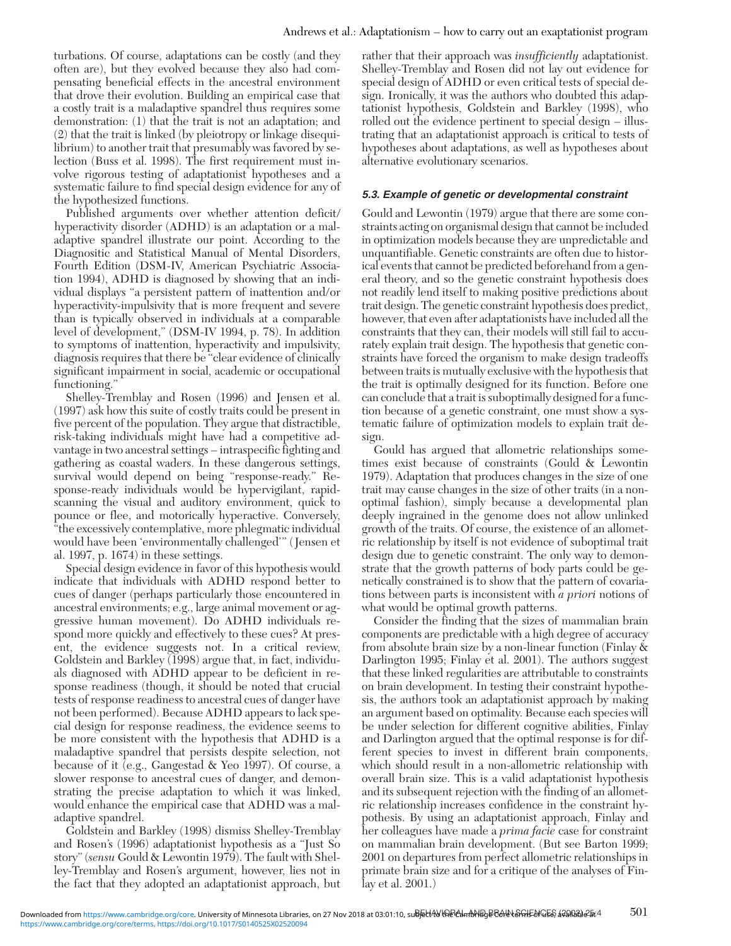turbations. Of course, adaptations can be costly (and they often are), but they evolved because they also had compensating beneficial effects in the ancestral environment that drove their evolution. Building an empirical case that a costly trait is a maladaptive spandrel thus requires some demonstration: (1) that the trait is not an adaptation; and (2) that the trait is linked (by pleiotropy or linkage disequilibrium) to another trait that presumably was favored by selection (Buss et al. 1998). The first requirement must involve rigorous testing of adaptationist hypotheses and a systematic failure to find special design evidence for any of the hypothesized functions.

Published arguments over whether attention deficit/ hyperactivity disorder (ADHD) is an adaptation or a maladaptive spandrel illustrate our point. According to the Diagnositic and Statistical Manual of Mental Disorders, Fourth Edition (DSM-IV, American Psychiatric Association 1994), ADHD is diagnosed by showing that an individual displays "a persistent pattern of inattention and/or hyperactivity-impulsivity that is more frequent and severe than is typically observed in individuals at a comparable level of development," (DSM-IV 1994, p. 78). In addition to symptoms of inattention, hyperactivity and impulsivity, diagnosis requires that there be "clear evidence of clinically significant impairment in social, academic or occupational functioning."

Shelley-Tremblay and Rosen (1996) and Jensen et al. (1997) ask how this suite of costly traits could be present in five percent of the population. They argue that distractible, risk-taking individuals might have had a competitive advantage in two ancestral settings – intraspecific fighting and gathering as coastal waders. In these dangerous settings, survival would depend on being "response-ready." Response-ready individuals would be hypervigilant, rapidscanning the visual and auditory environment, quick to pounce or flee, and motorically hyperactive. Conversely, "the excessively contemplative, more phlegmatic individual would have been 'environmentally challenged'" (Jensen et al. 1997, p. 1674) in these settings.

Special design evidence in favor of this hypothesis would indicate that individuals with ADHD respond better to cues of danger (perhaps particularly those encountered in ancestral environments; e.g., large animal movement or aggressive human movement). Do ADHD individuals respond more quickly and effectively to these cues? At present, the evidence suggests not. In a critical review, Goldstein and Barkley  $(1998)$  argue that, in fact, individuals diagnosed with ADHD appear to be deficient in response readiness (though, it should be noted that crucial tests of response readiness to ancestral cues of danger have not been performed). Because ADHD appears to lack special design for response readiness, the evidence seems to be more consistent with the hypothesis that ADHD is a maladaptive spandrel that persists despite selection, not because of it (e.g., Gangestad & Yeo 1997). Of course, a slower response to ancestral cues of danger, and demonstrating the precise adaptation to which it was linked, would enhance the empirical case that ADHD was a maladaptive spandrel.

Goldstein and Barkley (1998) dismiss Shelley-Tremblay and Rosen's (1996) adaptationist hypothesis as a "Just So story" (*sensu* Gould & Lewontin 1979). The fault with Shelley-Tremblay and Rosen's argument, however, lies not in the fact that they adopted an adaptationist approach, but

rather that their approach was *insufficiently* adaptationist. Shelley-Tremblay and Rosen did not lay out evidence for special design of ADHD or even critical tests of special design. Ironically, it was the authors who doubted this adaptationist hypothesis, Goldstein and Barkley (1998), who rolled out the evidence pertinent to special design – illustrating that an adaptationist approach is critical to tests of hypotheses about adaptations, as well as hypotheses about alternative evolutionary scenarios.

## **5.3. Example of genetic or developmental constraint**

Gould and Lewontin (1979) argue that there are some constraints acting on organismal design that cannot be included in optimization models because they are unpredictable and unquantifiable. Genetic constraints are often due to historical events that cannot be predicted beforehand from a general theory, and so the genetic constraint hypothesis does not readily lend itself to making positive predictions about trait design. The genetic constraint hypothesis does predict, however, that even after adaptationists have included all the constraints that they can, their models will still fail to accurately explain trait design. The hypothesis that genetic constraints have forced the organism to make design tradeoffs between traits is mutually exclusive with the hypothesis that the trait is optimally designed for its function. Before one can conclude that a trait is suboptimally designed for a function because of a genetic constraint, one must show a systematic failure of optimization models to explain trait design.

Gould has argued that allometric relationships sometimes exist because of constraints (Gould & Lewontin 1979). Adaptation that produces changes in the size of one trait may cause changes in the size of other traits (in a nonoptimal fashion), simply because a developmental plan deeply ingrained in the genome does not allow unlinked growth of the traits. Of course, the existence of an allometric relationship by itself is not evidence of suboptimal trait design due to genetic constraint. The only way to demonstrate that the growth patterns of body parts could be genetically constrained is to show that the pattern of covariations between parts is inconsistent with *a priori* notions of what would be optimal growth patterns.

Consider the finding that the sizes of mammalian brain components are predictable with a high degree of accuracy from absolute brain size by a non-linear function (Finlay & Darlington 1995; Finlay et al. 2001). The authors suggest that these linked regularities are attributable to constraints on brain development. In testing their constraint hypothesis, the authors took an adaptationist approach by making an argument based on optimality. Because each species will be under selection for different cognitive abilities, Finlay and Darlington argued that the optimal response is for different species to invest in different brain components, which should result in a non-allometric relationship with overall brain size. This is a valid adaptationist hypothesis and its subsequent rejection with the finding of an allometric relationship increases confidence in the constraint hypothesis. By using an adaptationist approach, Finlay and her colleagues have made a *prima facie* case for constraint on mammalian brain development. (But see Barton 1999; 2001 on departures from perfect allometric relationships in primate brain size and for a critique of the analyses of Finlay et al. 2001.)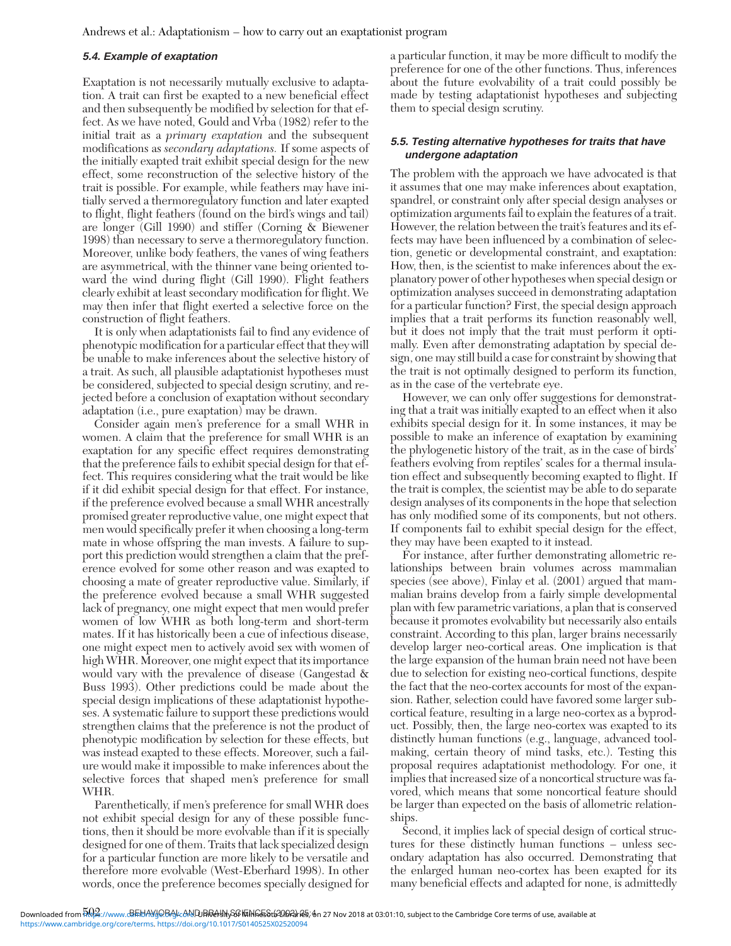## **5.4. Example of exaptation**

Exaptation is not necessarily mutually exclusive to adaptation. A trait can first be exapted to a new beneficial effect and then subsequently be modified by selection for that effect. As we have noted, Gould and Vrba (1982) refer to the initial trait as a *primary exaptation* and the subsequent modifications as *secondary adaptations.* If some aspects of the initially exapted trait exhibit special design for the new effect, some reconstruction of the selective history of the trait is possible. For example, while feathers may have initially served a thermoregulatory function and later exapted to flight, flight feathers (found on the bird's wings and tail) are longer (Gill 1990) and stiffer (Corning & Biewener 1998) than necessary to serve a thermoregulatory function. Moreover, unlike body feathers, the vanes of wing feathers are asymmetrical, with the thinner vane being oriented toward the wind during flight (Gill 1990). Flight feathers clearly exhibit at least secondary modification for flight. We may then infer that flight exerted a selective force on the construction of flight feathers.

It is only when adaptationists fail to find any evidence of phenotypic modification for a particular effect that they will be unable to make inferences about the selective history of a trait. As such, all plausible adaptationist hypotheses must be considered, subjected to special design scrutiny, and rejected before a conclusion of exaptation without secondary adaptation (i.e., pure exaptation) may be drawn.

Consider again men's preference for a small WHR in women. A claim that the preference for small WHR is an exaptation for any specific effect requires demonstrating that the preference fails to exhibit special design for that effect. This requires considering what the trait would be like if it did exhibit special design for that effect. For instance, if the preference evolved because a small WHR ancestrally promised greater reproductive value, one might expect that men would specifically prefer it when choosing a long-term mate in whose offspring the man invests. A failure to support this prediction would strengthen a claim that the preference evolved for some other reason and was exapted to choosing a mate of greater reproductive value. Similarly, if the preference evolved because a small WHR suggested lack of pregnancy, one might expect that men would prefer women of low WHR as both long-term and short-term mates. If it has historically been a cue of infectious disease, one might expect men to actively avoid sex with women of high WHR. Moreover, one might expect that its importance would vary with the prevalence of disease (Gangestad & Buss 1993). Other predictions could be made about the special design implications of these adaptationist hypotheses. A systematic failure to support these predictions would strengthen claims that the preference is not the product of phenotypic modification by selection for these effects, but was instead exapted to these effects. Moreover, such a failure would make it impossible to make inferences about the selective forces that shaped men's preference for small WHR.

Parenthetically, if men's preference for small WHR does not exhibit special design for any of these possible functions, then it should be more evolvable than if it is specially designed for one of them. Traits that lack specialized design for a particular function are more likely to be versatile and therefore more evolvable (West-Eberhard 1998). In other words, once the preference becomes specially designed for a particular function, it may be more difficult to modify the preference for one of the other functions. Thus, inferences about the future evolvability of a trait could possibly be made by testing adaptationist hypotheses and subjecting them to special design scrutiny.

## **5.5. Testing alternative hypotheses for traits that have undergone adaptation**

The problem with the approach we have advocated is that it assumes that one may make inferences about exaptation, spandrel, or constraint only after special design analyses or optimization arguments fail to explain the features of a trait. However, the relation between the trait's features and its effects may have been influenced by a combination of selection, genetic or developmental constraint, and exaptation: How, then, is the scientist to make inferences about the explanatory power of other hypotheses when special design or optimization analyses succeed in demonstrating adaptation for a particular function? First, the special design approach implies that a trait performs its function reasonably well, but it does not imply that the trait must perform it optimally. Even after demonstrating adaptation by special design, one may still build a case for constraint by showing that the trait is not optimally designed to perform its function, as in the case of the vertebrate eye.

However, we can only offer suggestions for demonstrating that a trait was initially exapted to an effect when it also exhibits special design for it. In some instances, it may be possible to make an inference of exaptation by examining the phylogenetic history of the trait, as in the case of birds' feathers evolving from reptiles' scales for a thermal insulation effect and subsequently becoming exapted to flight. If the trait is complex, the scientist may be able to do separate design analyses of its components in the hope that selection has only modified some of its components, but not others. If components fail to exhibit special design for the effect, they may have been exapted to it instead.

For instance, after further demonstrating allometric relationships between brain volumes across mammalian species (see above), Finlay et al. (2001) argued that mammalian brains develop from a fairly simple developmental plan with few parametric variations, a plan that is conserved because it promotes evolvability but necessarily also entails constraint. According to this plan, larger brains necessarily develop larger neo-cortical areas. One implication is that the large expansion of the human brain need not have been due to selection for existing neo-cortical functions, despite the fact that the neo-cortex accounts for most of the expansion. Rather, selection could have favored some larger subcortical feature, resulting in a large neo-cortex as a byproduct. Possibly, then, the large neo-cortex was exapted to its distinctly human functions (e.g., language, advanced toolmaking, certain theory of mind tasks, etc.). Testing this proposal requires adaptationist methodology. For one, it implies that increased size of a noncortical structure was favored, which means that some noncortical feature should be larger than expected on the basis of allometric relationships.

Second, it implies lack of special design of cortical structures for these distinctly human functions – unless secondary adaptation has also occurred. Demonstrating that the enlarged human neo-cortex has been exapted for its many beneficial effects and adapted for none, is admittedly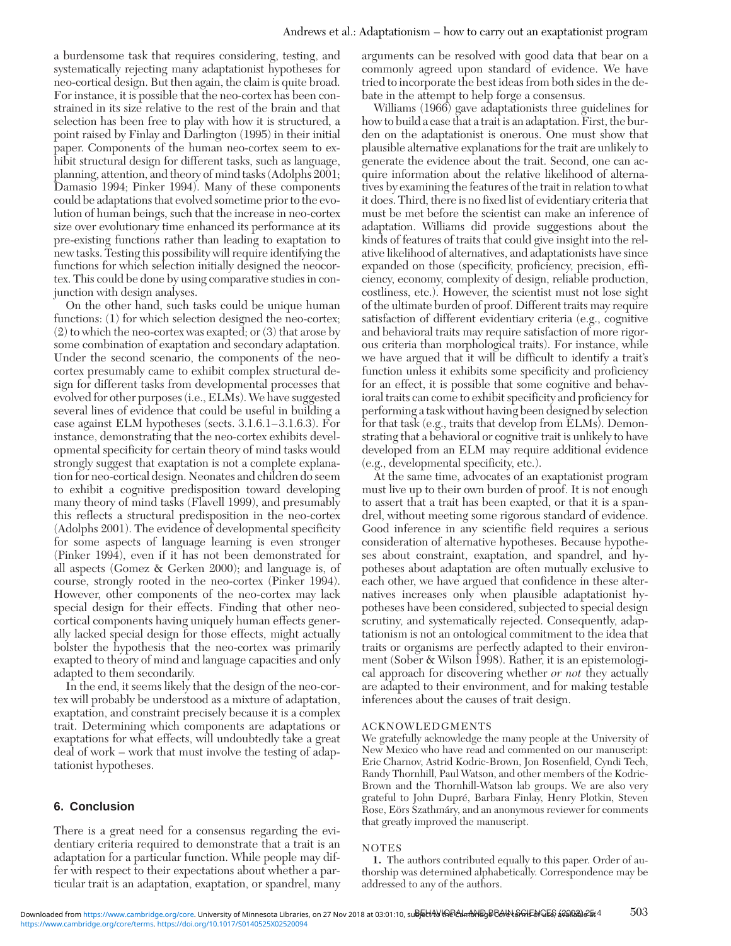a burdensome task that requires considering, testing, and systematically rejecting many adaptationist hypotheses for neo-cortical design. But then again, the claim is quite broad. For instance, it is possible that the neo-cortex has been constrained in its size relative to the rest of the brain and that selection has been free to play with how it is structured, a point raised by Finlay and Darlington (1995) in their initial paper. Components of the human neo-cortex seem to exhibit structural design for different tasks, such as language, planning, attention, and theory of mind tasks (Adolphs 2001; Damasio 1994; Pinker 1994). Many of these components could be adaptations that evolved sometime prior to the evolution of human beings, such that the increase in neo-cortex size over evolutionary time enhanced its performance at its pre-existing functions rather than leading to exaptation to new tasks. Testing this possibility will require identifying the functions for which selection initially designed the neocortex. This could be done by using comparative studies in conjunction with design analyses.

On the other hand, such tasks could be unique human functions: (1) for which selection designed the neo-cortex; (2) to which the neo-cortex was exapted; or (3) that arose by some combination of exaptation and secondary adaptation. Under the second scenario, the components of the neocortex presumably came to exhibit complex structural design for different tasks from developmental processes that evolved for other purposes (i.e., ELMs). We have suggested several lines of evidence that could be useful in building a case against ELM hypotheses (sects. 3.1.6.1–3.1.6.3). For instance, demonstrating that the neo-cortex exhibits developmental specificity for certain theory of mind tasks would strongly suggest that exaptation is not a complete explanation for neo-cortical design. Neonates and children do seem to exhibit a cognitive predisposition toward developing many theory of mind tasks (Flavell 1999), and presumably this reflects a structural predisposition in the neo-cortex (Adolphs 2001). The evidence of developmental specificity for some aspects of language learning is even stronger (Pinker 1994), even if it has not been demonstrated for all aspects (Gomez & Gerken 2000); and language is, of course, strongly rooted in the neo-cortex (Pinker 1994). However, other components of the neo-cortex may lack special design for their effects. Finding that other neocortical components having uniquely human effects generally lacked special design for those effects, might actually bolster the hypothesis that the neo-cortex was primarily exapted to theory of mind and language capacities and only adapted to them secondarily.

In the end, it seems likely that the design of the neo-cortex will probably be understood as a mixture of adaptation, exaptation, and constraint precisely because it is a complex trait. Determining which components are adaptations or exaptations for what effects, will undoubtedly take a great deal of work – work that must involve the testing of adaptationist hypotheses.

## **6. Conclusion**

There is a great need for a consensus regarding the evidentiary criteria required to demonstrate that a trait is an adaptation for a particular function. While people may differ with respect to their expectations about whether a particular trait is an adaptation, exaptation, or spandrel, many

arguments can be resolved with good data that bear on a commonly agreed upon standard of evidence. We have tried to incorporate the best ideas from both sides in the debate in the attempt to help forge a consensus.

Williams (1966) gave adaptationists three guidelines for how to build a case that a trait is an adaptation. First, the burden on the adaptationist is onerous. One must show that plausible alternative explanations for the trait are unlikely to generate the evidence about the trait. Second, one can acquire information about the relative likelihood of alternatives by examining the features of the trait in relation to what it does. Third, there is no fixed list of evidentiary criteria that must be met before the scientist can make an inference of adaptation. Williams did provide suggestions about the kinds of features of traits that could give insight into the relative likelihood of alternatives, and adaptationists have since expanded on those (specificity, proficiency, precision, efficiency, economy, complexity of design, reliable production, costliness, etc.). However, the scientist must not lose sight of the ultimate burden of proof. Different traits may require satisfaction of different evidentiary criteria (e.g., cognitive and behavioral traits may require satisfaction of more rigorous criteria than morphological traits). For instance, while we have argued that it will be difficult to identify a trait's function unless it exhibits some specificity and proficiency for an effect, it is possible that some cognitive and behavioral traits can come to exhibit specificity and proficiency for performing a task without having been designed by selection for that task (e.g., traits that develop from ELMs). Demonstrating that a behavioral or cognitive trait is unlikely to have developed from an ELM may require additional evidence (e.g., developmental specificity, etc.).

At the same time, advocates of an exaptationist program must live up to their own burden of proof. It is not enough to assert that a trait has been exapted, or that it is a spandrel, without meeting some rigorous standard of evidence. Good inference in any scientific field requires a serious consideration of alternative hypotheses. Because hypotheses about constraint, exaptation, and spandrel, and hypotheses about adaptation are often mutually exclusive to each other, we have argued that confidence in these alternatives increases only when plausible adaptationist hypotheses have been considered, subjected to special design scrutiny, and systematically rejected. Consequently, adaptationism is not an ontological commitment to the idea that traits or organisms are perfectly adapted to their environment (Sober & Wilson 1998). Rather, it is an epistemological approach for discovering whether *or not* they actually are adapted to their environment, and for making testable inferences about the causes of trait design.

#### ACKNOWLEDGMENTS

We gratefully acknowledge the many people at the University of New Mexico who have read and commented on our manuscript: Eric Charnov, Astrid Kodric-Brown, Jon Rosenfield, Cyndi Tech, Randy Thornhill, Paul Watson, and other members of the Kodric-Brown and the Thornhill-Watson lab groups. We are also very grateful to John Dupré, Barbara Finlay, Henry Plotkin, Steven Rose, Eörs Szathmáry, and an anonymous reviewer for comments that greatly improved the manuscript.

#### NOTES

**1.** The authors contributed equally to this paper. Order of authorship was determined alphabetically. Correspondence may be addressed to any of the authors.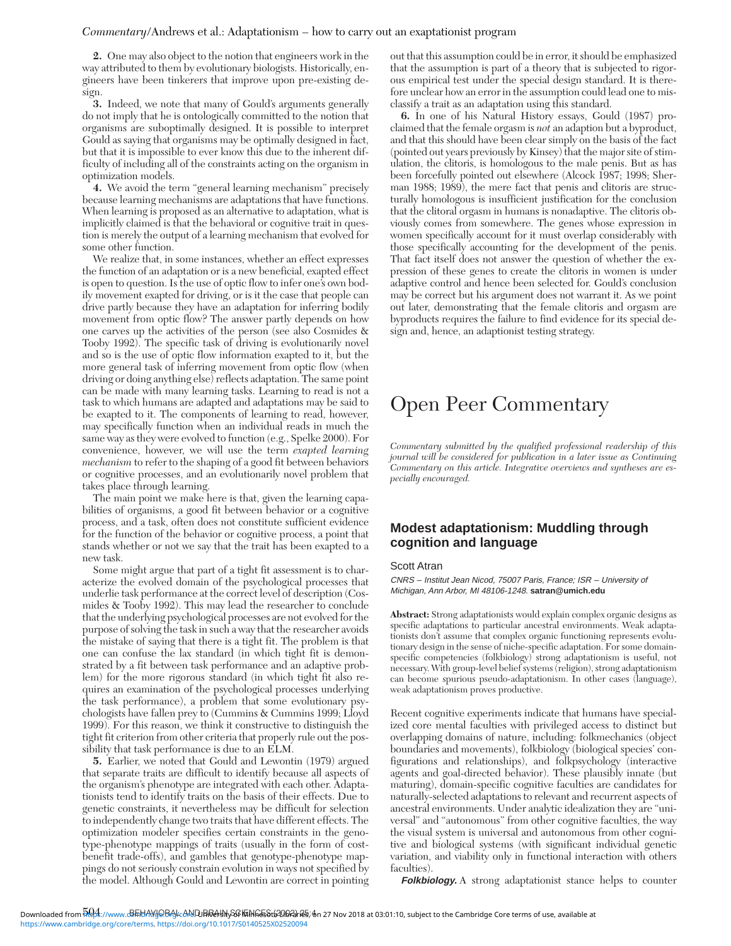**2.** One may also object to the notion that engineers work in the way attributed to them by evolutionary biologists. Historically, engineers have been tinkerers that improve upon pre-existing design.

**3.** Indeed, we note that many of Gould's arguments generally do not imply that he is ontologically committed to the notion that organisms are suboptimally designed. It is possible to interpret Gould as saying that organisms may be optimally designed in fact, but that it is impossible to ever know this due to the inherent difficulty of including all of the constraints acting on the organism in optimization models.

**4.** We avoid the term "general learning mechanism" precisely because learning mechanisms are adaptations that have functions. When learning is proposed as an alternative to adaptation, what is implicitly claimed is that the behavioral or cognitive trait in question is merely the output of a learning mechanism that evolved for some other function.

We realize that, in some instances, whether an effect expresses the function of an adaptation or is a new beneficial, exapted effect is open to question. Is the use of optic flow to infer one's own bodily movement exapted for driving, or is it the case that people can drive partly because they have an adaptation for inferring bodily movement from optic flow? The answer partly depends on how one carves up the activities of the person (see also Cosmides & Tooby 1992). The specific task of driving is evolutionarily novel and so is the use of optic flow information exapted to it, but the more general task of inferring movement from optic flow (when driving or doing anything else) reflects adaptation. The same point can be made with many learning tasks. Learning to read is not a task to which humans are adapted and adaptations may be said to be exapted to it. The components of learning to read, however, may specifically function when an individual reads in much the same way as they were evolved to function (e.g., Spelke 2000). For convenience, however, we will use the term *exapted learning mechanism* to refer to the shaping of a good fit between behaviors or cognitive processes, and an evolutionarily novel problem that takes place through learning.

The main point we make here is that, given the learning capabilities of organisms, a good fit between behavior or a cognitive process, and a task, often does not constitute sufficient evidence for the function of the behavior or cognitive process, a point that stands whether or not we say that the trait has been exapted to a new task.

Some might argue that part of a tight fit assessment is to characterize the evolved domain of the psychological processes that underlie task performance at the correct level of description (Cosmides & Tooby 1992). This may lead the researcher to conclude that the underlying psychological processes are not evolved for the purpose of solving the task in such a way that the researcher avoids the mistake of saying that there is a tight fit. The problem is that one can confuse the lax standard (in which tight fit is demonstrated by a fit between task performance and an adaptive problem) for the more rigorous standard (in which tight fit also requires an examination of the psychological processes underlying the task performance), a problem that some evolutionary psychologists have fallen prey to (Cummins & Cummins 1999; Lloyd 1999). For this reason, we think it constructive to distinguish the tight fit criterion from other criteria that properly rule out the possibility that task performance is due to an ELM.

**5.** Earlier, we noted that Gould and Lewontin (1979) argued that separate traits are difficult to identify because all aspects of the organism's phenotype are integrated with each other. Adaptationists tend to identify traits on the basis of their effects. Due to genetic constraints, it nevertheless may be difficult for selection to independently change two traits that have different effects. The optimization modeler specifies certain constraints in the genotype-phenotype mappings of traits (usually in the form of costbenefit trade-offs), and gambles that genotype-phenotype mappings do not seriously constrain evolution in ways not specified by the model. Although Gould and Lewontin are correct in pointing out that this assumption could be in error, it should be emphasized that the assumption is part of a theory that is subjected to rigorous empirical test under the special design standard. It is therefore unclear how an error in the assumption could lead one to misclassify a trait as an adaptation using this standard.

**6.** In one of his Natural History essays, Gould (1987) proclaimed that the female orgasm is *not* an adaption but a byproduct, and that this should have been clear simply on the basis of the fact (pointed out years previously by Kinsey) that the major site of stimulation, the clitoris, is homologous to the male penis. But as has been forcefully pointed out elsewhere (Alcock 1987; 1998; Sherman 1988; 1989), the mere fact that penis and clitoris are structurally homologous is insufficient justification for the conclusion that the clitoral orgasm in humans is nonadaptive. The clitoris obviously comes from somewhere. The genes whose expression in women specifically account for it must overlap considerably with those specifically accounting for the development of the penis. That fact itself does not answer the question of whether the expression of these genes to create the clitoris in women is under adaptive control and hence been selected for. Gould's conclusion may be correct but his argument does not warrant it. As we point out later, demonstrating that the female clitoris and orgasm are byproducts requires the failure to find evidence for its special design and, hence, an adaptionist testing strategy.

## Open Peer Commentary

*Commentary submitted by the qualified professional readership of this journal will be considered for publication in a later issue as Continuing Commentary on this article. Integrative overviews and syntheses are especially encouraged.*

## **Modest adaptationism: Muddling through cognition and language**

#### Scott Atran

CNRS – Institut Jean Nicod, 75007 Paris, France; ISR – University of Michigan, Ann Arbor, MI 48106-1248. **satran@umich.edu**

**Abstract:** Strong adaptationists would explain complex organic designs as specific adaptations to particular ancestral environments. Weak adaptationists don't assume that complex organic functioning represents evolutionary design in the sense of niche-specific adaptation. For some domainspecific competencies (folkbiology) strong adaptationism is useful, not necessary. With group-level belief systems (religion), strong adaptationism can become spurious pseudo-adaptationism. In other cases (language), weak adaptationism proves productive.

Recent cognitive experiments indicate that humans have specialized core mental faculties with privileged access to distinct but overlapping domains of nature, including: folkmechanics (object boundaries and movements), folkbiology (biological species' configurations and relationships), and folkpsychology (interactive agents and goal-directed behavior). These plausibly innate (but maturing), domain-specific cognitive faculties are candidates for naturally-selected adaptations to relevant and recurrent aspects of ancestral environments. Under analytic idealization they are "universal" and "autonomous" from other cognitive faculties, the way the visual system is universal and autonomous from other cognitive and biological systems (with significant individual genetic variation, and viability only in functional interaction with others faculties).

**Folkbiology.** A strong adaptationist stance helps to counter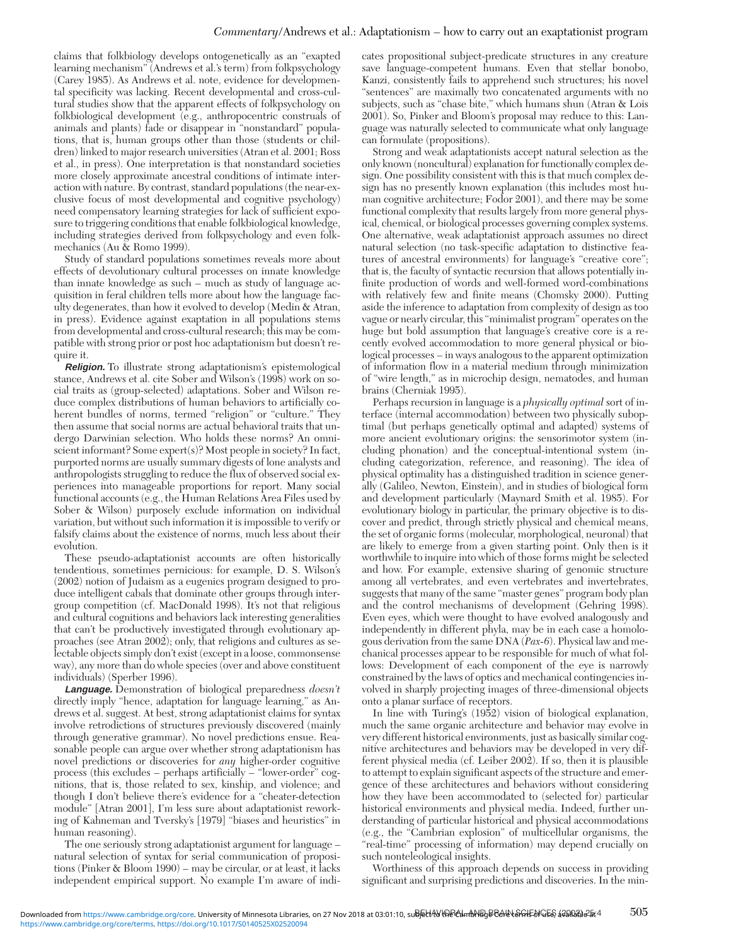claims that folkbiology develops ontogenetically as an "exapted learning mechanism" (Andrews et al.'s term) from folkpsychology (Carey 1985). As Andrews et al. note, evidence for developmental specificity was lacking. Recent developmental and cross-cultural studies show that the apparent effects of folkpsychology on folkbiological development (e.g., anthropocentric construals of animals and plants) fade or disappear in "nonstandard" populations, that is, human groups other than those (students or children) linked to major research universities (Atran et al. 2001; Ross et al., in press). One interpretation is that nonstandard societies more closely approximate ancestral conditions of intimate interaction with nature. By contrast, standard populations (the near-exclusive focus of most developmental and cognitive psychology) need compensatory learning strategies for lack of sufficient exposure to triggering conditions that enable folkbiological knowledge, including strategies derived from folkpsychology and even folkmechanics (Au & Romo 1999).

Study of standard populations sometimes reveals more about effects of devolutionary cultural processes on innate knowledge than innate knowledge as such – much as study of language acquisition in feral children tells more about how the language faculty degenerates, than how it evolved to develop (Medin & Atran, in press). Evidence against exaptation in all populations stems from developmental and cross-cultural research; this may be compatible with strong prior or post hoc adaptationism but doesn't require it.

**Religion.** To illustrate strong adaptationism's epistemological stance, Andrews et al. cite Sober and Wilson's (1998) work on social traits as (group-selected) adaptations. Sober and Wilson reduce complex distributions of human behaviors to artificially coherent bundles of norms, termed "religion" or "culture." They then assume that social norms are actual behavioral traits that undergo Darwinian selection. Who holds these norms? An omniscient informant? Some expert(s)? Most people in society? In fact, purported norms are usually summary digests of lone analysts and anthropologists struggling to reduce the flux of observed social experiences into manageable proportions for report. Many social functional accounts (e.g., the Human Relations Area Files used by Sober & Wilson) purposely exclude information on individual variation, but without such information it is impossible to verify or falsify claims about the existence of norms, much less about their evolution.

These pseudo-adaptationist accounts are often historically tendentious, sometimes pernicious: for example, D. S. Wilson's (2002) notion of Judaism as a eugenics program designed to produce intelligent cabals that dominate other groups through intergroup competition (cf. MacDonald 1998). It's not that religious and cultural cognitions and behaviors lack interesting generalities that can't be productively investigated through evolutionary approaches (see Atran 2002); only, that religions and cultures as selectable objects simply don't exist (except in a loose, commonsense way), any more than do whole species (over and above constituent individuals) (Sperber 1996).

**Language.** Demonstration of biological preparedness *doesn't* directly imply "hence, adaptation for language learning," as Andrews et al. suggest. At best, strong adaptationist claims for syntax involve retrodictions of structures previously discovered (mainly through generative grammar). No novel predictions ensue. Reasonable people can argue over whether strong adaptationism has novel predictions or discoveries for *any* higher-order cognitive process (this excludes – perhaps artificially – "lower-order" cognitions, that is, those related to sex, kinship, and violence; and though I don't believe there's evidence for a "cheater-detection module" [Atran 2001], I'm less sure about adaptationist reworking of Kahneman and Tversky's [1979] "biases and heuristics" in human reasoning).

The one seriously strong adaptationist argument for language – natural selection of syntax for serial communication of propositions (Pinker & Bloom 1990) – may be circular, or at least, it lacks independent empirical support. No example I'm aware of indicates propositional subject-predicate structures in any creature save language-competent humans. Even that stellar bonobo, Kanzi, consistently fails to apprehend such structures; his novel "sentences" are maximally two concatenated arguments with no subjects, such as "chase bite," which humans shun (Atran & Lois 2001). So, Pinker and Bloom's proposal may reduce to this: Language was naturally selected to communicate what only language can formulate (propositions).

Strong and weak adaptationists accept natural selection as the only known (noncultural) explanation for functionally complex design. One possibility consistent with this is that much complex design has no presently known explanation (this includes most human cognitive architecture; Fodor 2001), and there may be some functional complexity that results largely from more general physical, chemical, or biological processes governing complex systems. One alternative, weak adaptationist approach assumes no direct natural selection (no task-specific adaptation to distinctive features of ancestral environments) for language's "creative core"; that is, the faculty of syntactic recursion that allows potentially infinite production of words and well-formed word-combinations with relatively few and finite means (Chomsky 2000). Putting aside the inference to adaptation from complexity of design as too vague or nearly circular, this "minimalist program" operates on the huge but bold assumption that language's creative core is a recently evolved accommodation to more general physical or biological processes – in ways analogous to the apparent optimization of information flow in a material medium through minimization of "wire length," as in microchip design, nematodes, and human brains (Cherniak 1995).

Perhaps recursion in language is a *physically optimal* sort of interface (internal accommodation) between two physically suboptimal (but perhaps genetically optimal and adapted) systems of more ancient evolutionary origins: the sensorimotor system (including phonation) and the conceptual-intentional system (including categorization, reference, and reasoning). The idea of physical optimality has a distinguished tradition in science generally (Galileo, Newton, Einstein), and in studies of biological form and development particularly (Maynard Smith et al. 1985). For evolutionary biology in particular, the primary objective is to discover and predict, through strictly physical and chemical means, the set of organic forms (molecular, morphological, neuronal) that are likely to emerge from a given starting point. Only then is it worthwhile to inquire into which of those forms might be selected and how. For example, extensive sharing of genomic structure among all vertebrates, and even vertebrates and invertebrates, suggests that many of the same "master genes" program body plan and the control mechanisms of development (Gehring 1998). Even eyes, which were thought to have evolved analogously and independently in different phyla, may be in each case a homologous derivation from the same DNA (*Pax-6*). Physical law and mechanical processes appear to be responsible for much of what follows: Development of each component of the eye is narrowly constrained by the laws of optics and mechanical contingencies involved in sharply projecting images of three-dimensional objects onto a planar surface of receptors.

In line with Turing's (1952) vision of biological explanation, much the same organic architecture and behavior may evolve in very different historical environments, just as basically similar cognitive architectures and behaviors may be developed in very different physical media (cf. Leiber 2002). If so, then it is plausible to attempt to explain significant aspects of the structure and emergence of these architectures and behaviors without considering how they have been accommodated to (selected for) particular historical environments and physical media. Indeed, further understanding of particular historical and physical accommodations (e.g., the "Cambrian explosion" of multicellular organisms, the "real-time" processing of information) may depend crucially on such nonteleological insights.

Worthiness of this approach depends on success in providing significant and surprising predictions and discoveries. In the min-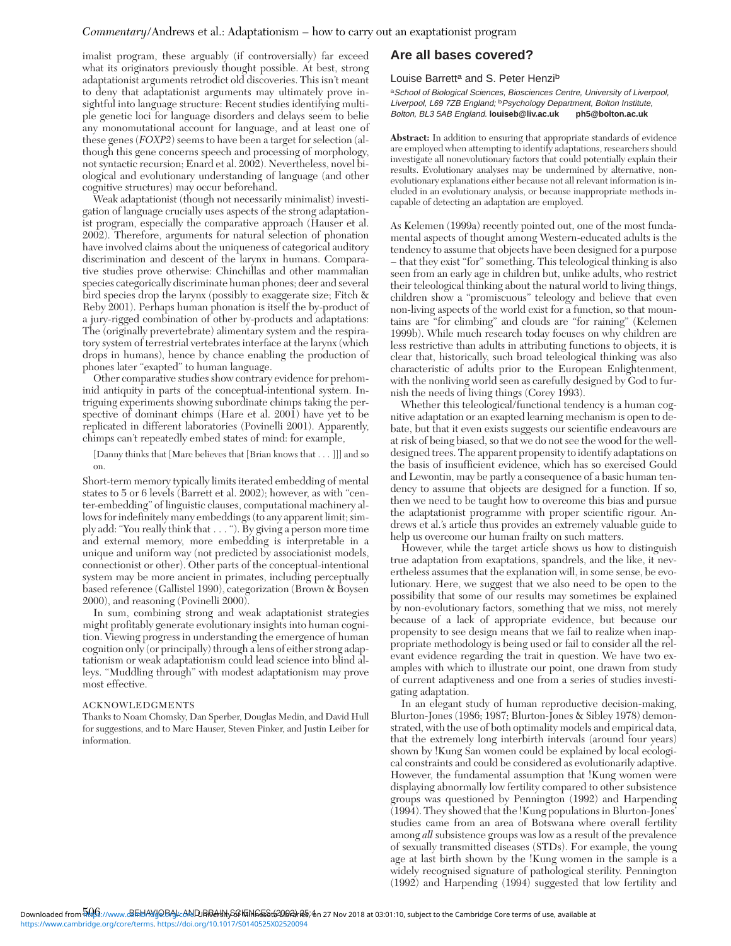imalist program, these arguably (if controversially) far exceed what its originators previously thought possible. At best, strong adaptationist arguments retrodict old discoveries. This isn't meant to deny that adaptationist arguments may ultimately prove insightful into language structure: Recent studies identifying multiple genetic loci for language disorders and delays seem to belie any monomutational account for language, and at least one of these genes (*FOXP2*) seems to have been a target for selection (although this gene concerns speech and processing of morphology, not syntactic recursion; Enard et al. 2002). Nevertheless, novel biological and evolutionary understanding of language (and other cognitive structures) may occur beforehand.

Weak adaptationist (though not necessarily minimalist) investigation of language crucially uses aspects of the strong adaptationist program, especially the comparative approach (Hauser et al. 2002). Therefore, arguments for natural selection of phonation have involved claims about the uniqueness of categorical auditory discrimination and descent of the larynx in humans. Comparative studies prove otherwise: Chinchillas and other mammalian species categorically discriminate human phones; deer and several bird species drop the larynx (possibly to exaggerate size; Fitch & Reby 2001). Perhaps human phonation is itself the by-product of a jury-rigged combination of other by-products and adaptations: The (originally prevertebrate) alimentary system and the respiratory system of terrestrial vertebrates interface at the larynx (which drops in humans), hence by chance enabling the production of phones later "exapted" to human language.

Other comparative studies show contrary evidence for prehominid antiquity in parts of the conceptual-intentional system. Intriguing experiments showing subordinate chimps taking the perspective of dominant chimps (Hare et al. 2001) have yet to be replicated in different laboratories (Povinelli 2001). Apparently, chimps can't repeatedly embed states of mind: for example,

[Danny thinks that [Marc believes that [Brian knows that . . . ]]] and so on.

Short-term memory typically limits iterated embedding of mental states to 5 or 6 levels (Barrett et al. 2002); however, as with "center-embedding" of linguistic clauses, computational machinery allows for indefinitely many embeddings (to any apparent limit; simply add: "You really think that . . . "). By giving a person more time and external memory, more embedding is interpretable in a unique and uniform way (not predicted by associationist models, connectionist or other). Other parts of the conceptual-intentional system may be more ancient in primates, including perceptually based reference (Gallistel 1990), categorization (Brown & Boysen 2000), and reasoning (Povinelli 2000).

In sum, combining strong and weak adaptationist strategies might profitably generate evolutionary insights into human cognition. Viewing progress in understanding the emergence of human cognition only (or principally) through a lens of either strong adaptationism or weak adaptationism could lead science into blind alleys. "Muddling through" with modest adaptationism may prove most effective.

#### ACKNOWLEDGMENTS

Thanks to Noam Chomsky, Dan Sperber, Douglas Medin, and David Hull for suggestions, and to Marc Hauser, Steven Pinker, and Justin Leiber for information.

## **Are all bases covered?**

Louise Barrett<sup>a</sup> and S. Peter Henzi<sup>b</sup>

aSchool of Biological Sciences, Biosciences Centre, University of Liverpool, Liverpool, L69 7ZB England; bPsychology Department, Bolton Institute, Bolton, BL3 5AB England. **louiseb@liv.ac.uk ph5@bolton.ac.uk**

**Abstract:** In addition to ensuring that appropriate standards of evidence are employed when attempting to identify adaptations, researchers should investigate all nonevolutionary factors that could potentially explain their results. Evolutionary analyses may be undermined by alternative, nonevolutionary explanations either because not all relevant information is included in an evolutionary analysis, or because inappropriate methods incapable of detecting an adaptation are employed.

As Kelemen (1999a) recently pointed out, one of the most fundamental aspects of thought among Western-educated adults is the tendency to assume that objects have been designed for a purpose – that they exist "for" something. This teleological thinking is also seen from an early age in children but, unlike adults, who restrict their teleological thinking about the natural world to living things, children show a "promiscuous" teleology and believe that even non-living aspects of the world exist for a function, so that mountains are "for climbing" and clouds are "for raining" (Kelemen 1999b). While much research today focuses on why children are less restrictive than adults in attributing functions to objects, it is clear that, historically, such broad teleological thinking was also characteristic of adults prior to the European Enlightenment, with the nonliving world seen as carefully designed by God to furnish the needs of living things (Corey 1993).

Whether this teleological/functional tendency is a human cognitive adaptation or an exapted learning mechanism is open to debate, but that it even exists suggests our scientific endeavours are at risk of being biased, so that we do not see the wood for the welldesigned trees. The apparent propensity to identify adaptations on the basis of insufficient evidence, which has so exercised Gould and Lewontin, may be partly a consequence of a basic human tendency to assume that objects are designed for a function. If so, then we need to be taught how to overcome this bias and pursue the adaptationist programme with proper scientific rigour. Andrews et al.'s article thus provides an extremely valuable guide to help us overcome our human frailty on such matters.

However, while the target article shows us how to distinguish true adaptation from exaptations, spandrels, and the like, it nevertheless assumes that the explanation will, in some sense, be evolutionary. Here, we suggest that we also need to be open to the possibility that some of our results may sometimes be explained by non-evolutionary factors, something that we miss, not merely because of a lack of appropriate evidence, but because our propensity to see design means that we fail to realize when inappropriate methodology is being used or fail to consider all the relevant evidence regarding the trait in question. We have two examples with which to illustrate our point, one drawn from study of current adaptiveness and one from a series of studies investigating adaptation.

In an elegant study of human reproductive decision-making, Blurton-Jones (1986; 1987; Blurton-Jones & Sibley 1978) demonstrated, with the use of both optimality models and empirical data, that the extremely long interbirth intervals (around four years) shown by !Kung San women could be explained by local ecological constraints and could be considered as evolutionarily adaptive. However, the fundamental assumption that !Kung women were displaying abnormally low fertility compared to other subsistence groups was questioned by Pennington (1992) and Harpending (1994). They showed that the !Kung populations in Blurton-Jones' studies came from an area of Botswana where overall fertility among *all* subsistence groups was low as a result of the prevalence of sexually transmitted diseases (STDs). For example, the young age at last birth shown by the !Kung women in the sample is a widely recognised signature of pathological sterility. Pennington (1992) and Harpending (1994) suggested that low fertility and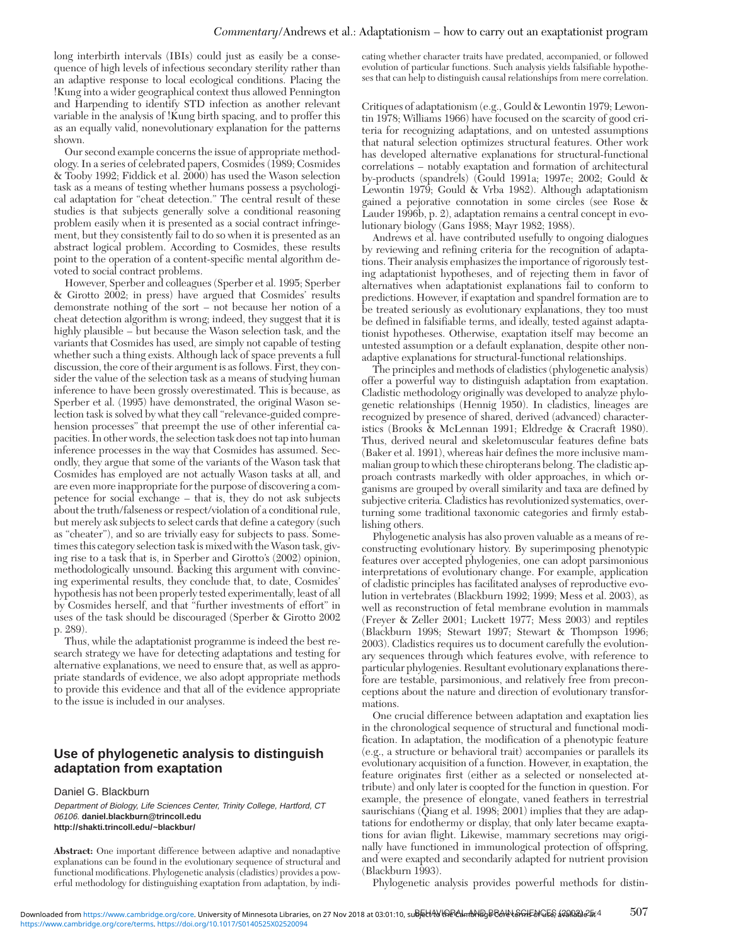long interbirth intervals (IBIs) could just as easily be a consequence of high levels of infectious secondary sterility rather than an adaptive response to local ecological conditions. Placing the !Kung into a wider geographical context thus allowed Pennington and Harpending to identify STD infection as another relevant variable in the analysis of !Kung birth spacing, and to proffer this as an equally valid, nonevolutionary explanation for the patterns shown.

Our second example concerns the issue of appropriate methodology. In a series of celebrated papers, Cosmides (1989; Cosmides & Tooby 1992; Fiddick et al. 2000) has used the Wason selection task as a means of testing whether humans possess a psychological adaptation for "cheat detection." The central result of these studies is that subjects generally solve a conditional reasoning problem easily when it is presented as a social contract infringement, but they consistently fail to do so when it is presented as an abstract logical problem. According to Cosmides, these results point to the operation of a content-specific mental algorithm devoted to social contract problems.

However, Sperber and colleagues (Sperber et al. 1995; Sperber & Girotto 2002; in press) have argued that Cosmides' results demonstrate nothing of the sort – not because her notion of a cheat detection algorithm is wrong; indeed, they suggest that it is highly plausible – but because the Wason selection task, and the variants that Cosmides has used, are simply not capable of testing whether such a thing exists. Although lack of space prevents a full discussion, the core of their argument is as follows. First, they consider the value of the selection task as a means of studying human inference to have been grossly overestimated. This is because, as Sperber et al. (1995) have demonstrated, the original Wason selection task is solved by what they call "relevance-guided comprehension processes" that preempt the use of other inferential capacities. In other words, the selection task does not tap into human inference processes in the way that Cosmides has assumed. Secondly, they argue that some of the variants of the Wason task that Cosmides has employed are not actually Wason tasks at all, and are even more inappropriate for the purpose of discovering a competence for social exchange – that is, they do not ask subjects about the truth/falseness or respect/violation of a conditional rule, but merely ask subjects to select cards that define a category (such as "cheater"), and so are trivially easy for subjects to pass. Sometimes this category selection task is mixed with the Wason task, giving rise to a task that is, in Sperber and Girotto's (2002) opinion, methodologically unsound. Backing this argument with convincing experimental results, they conclude that, to date, Cosmides' hypothesis has not been properly tested experimentally, least of all by Cosmides herself, and that "further investments of effort" in uses of the task should be discouraged (Sperber & Girotto 2002 p. 289).

Thus, while the adaptationist programme is indeed the best research strategy we have for detecting adaptations and testing for alternative explanations, we need to ensure that, as well as appropriate standards of evidence, we also adopt appropriate methods to provide this evidence and that all of the evidence appropriate to the issue is included in our analyses.

## **Use of phylogenetic analysis to distinguish adaptation from exaptation**

Daniel G. Blackburn

Department of Biology, Life Sciences Center, Trinity College, Hartford, CT 06106. **daniel.blackburn@trincoll.edu http://shakti.trincoll.edu/~blackbur/**

**Abstract:** One important difference between adaptive and nonadaptive explanations can be found in the evolutionary sequence of structural and functional modifications. Phylogenetic analysis (cladistics) provides a powerful methodology for distinguishing exaptation from adaptation, by indicating whether character traits have predated, accompanied, or followed evolution of particular functions. Such analysis yields falsifiable hypotheses that can help to distinguish causal relationships from mere correlation.

Critiques of adaptationism (e.g., Gould & Lewontin 1979; Lewontin 1978; Williams 1966) have focused on the scarcity of good criteria for recognizing adaptations, and on untested assumptions that natural selection optimizes structural features. Other work has developed alternative explanations for structural-functional correlations – notably exaptation and formation of architectural by-products (spandrels) (Gould 1991a; 1997e; 2002; Gould & Lewontin 1979; Gould & Vrba 1982). Although adaptationism gained a pejorative connotation in some circles (see Rose & Lauder 1996b, p. 2), adaptation remains a central concept in evolutionary biology (Gans 1988; Mayr 1982; 1988).

Andrews et al. have contributed usefully to ongoing dialogues by reviewing and refining criteria for the recognition of adaptations. Their analysis emphasizes the importance of rigorously testing adaptationist hypotheses, and of rejecting them in favor of alternatives when adaptationist explanations fail to conform to predictions. However, if exaptation and spandrel formation are to be treated seriously as evolutionary explanations, they too must be defined in falsifiable terms, and ideally, tested against adaptationist hypotheses. Otherwise, exaptation itself may become an untested assumption or a default explanation, despite other nonadaptive explanations for structural-functional relationships.

The principles and methods of cladistics (phylogenetic analysis) offer a powerful way to distinguish adaptation from exaptation. Cladistic methodology originally was developed to analyze phylogenetic relationships (Hennig 1950). In cladistics, lineages are recognized by presence of shared, derived (advanced) characteristics (Brooks & McLennan 1991; Eldredge & Cracraft 1980). Thus, derived neural and skeletomuscular features define bats (Baker et al. 1991), whereas hair defines the more inclusive mammalian group to which these chiropterans belong. The cladistic approach contrasts markedly with older approaches, in which organisms are grouped by overall similarity and taxa are defined by subjective criteria. Cladistics has revolutionized systematics, overturning some traditional taxonomic categories and firmly establishing others.

Phylogenetic analysis has also proven valuable as a means of reconstructing evolutionary history. By superimposing phenotypic features over accepted phylogenies, one can adopt parsimonious interpretations of evolutionary change. For example, application of cladistic principles has facilitated analyses of reproductive evolution in vertebrates (Blackburn 1992; 1999; Mess et al. 2003), as well as reconstruction of fetal membrane evolution in mammals (Freyer & Zeller 2001; Luckett 1977; Mess 2003) and reptiles (Blackburn 1998; Stewart 1997; Stewart & Thompson 1996; 2003). Cladistics requires us to document carefully the evolutionary sequences through which features evolve, with reference to particular phylogenies. Resultant evolutionary explanations therefore are testable, parsimonious, and relatively free from preconceptions about the nature and direction of evolutionary transformations.

One crucial difference between adaptation and exaptation lies in the chronological sequence of structural and functional modification. In adaptation, the modification of a phenotypic feature (e.g., a structure or behavioral trait) accompanies or parallels its evolutionary acquisition of a function. However, in exaptation, the feature originates first (either as a selected or nonselected attribute) and only later is coopted for the function in question. For example, the presence of elongate, vaned feathers in terrestrial saurischians (Qiang et al. 1998; 2001) implies that they are adaptations for endothermy or display, that only later became exaptations for avian flight. Likewise, mammary secretions may originally have functioned in immunological protection of offspring, and were exapted and secondarily adapted for nutrient provision (Blackburn 1993).

Phylogenetic analysis provides powerful methods for distin-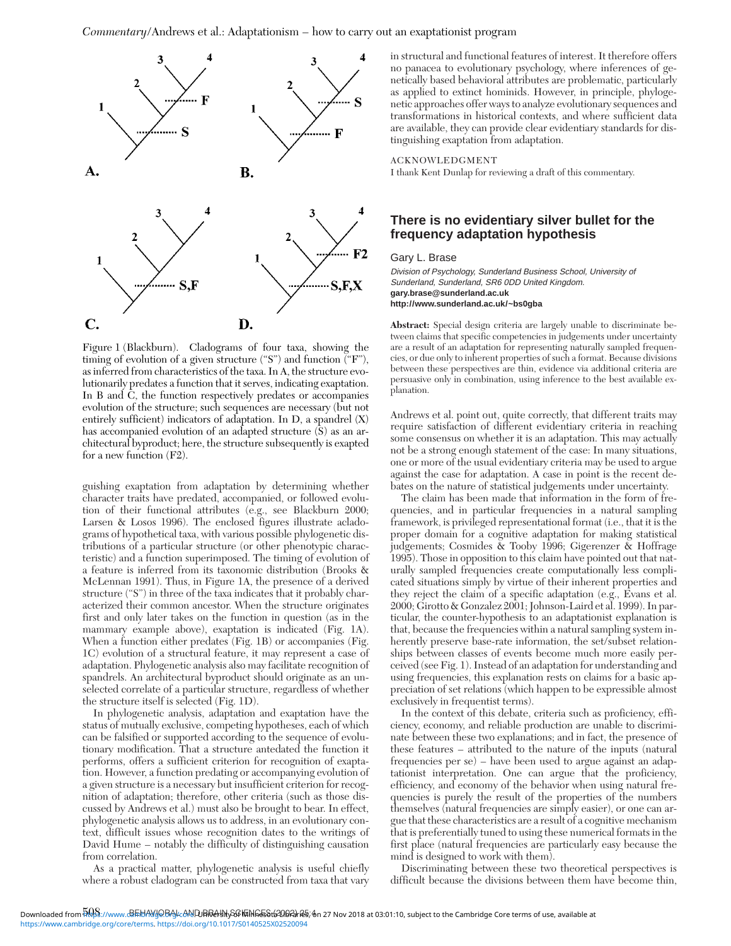

Figure 1 (Blackburn). Cladograms of four taxa, showing the timing of evolution of a given structure ("S") and function  $\tilde{C}$ "F"), as inferred from characteristics of the taxa. In A, the structure evolutionarily predates a function that it serves, indicating exaptation. In B and C, the function respectively predates or accompanies evolution of the structure; such sequences are necessary (but not entirely sufficient) indicators of adaptation. In D, a spandrel (X) has accompanied evolution of an adapted structure  $(S)$  as an architectural byproduct; here, the structure subsequently is exapted for a new function (F2).

guishing exaptation from adaptation by determining whether character traits have predated, accompanied, or followed evolution of their functional attributes (e.g., see Blackburn 2000; Larsen & Losos 1996). The enclosed figures illustrate acladograms of hypothetical taxa, with various possible phylogenetic distributions of a particular structure (or other phenotypic characteristic) and a function superimposed. The timing of evolution of a feature is inferred from its taxonomic distribution (Brooks & McLennan 1991). Thus, in Figure 1A, the presence of a derived structure ("S") in three of the taxa indicates that it probably characterized their common ancestor. When the structure originates first and only later takes on the function in question (as in the mammary example above), exaptation is indicated (Fig. 1A). When a function either predates (Fig. 1B) or accompanies (Fig. 1C) evolution of a structural feature, it may represent a case of adaptation. Phylogenetic analysis also may facilitate recognition of spandrels. An architectural byproduct should originate as an unselected correlate of a particular structure, regardless of whether the structure itself is selected (Fig. 1D).

In phylogenetic analysis, adaptation and exaptation have the status of mutually exclusive, competing hypotheses, each of which can be falsified or supported according to the sequence of evolutionary modification. That a structure antedated the function it performs, offers a sufficient criterion for recognition of exaptation. However, a function predating or accompanying evolution of a given structure is a necessary but insufficient criterion for recognition of adaptation; therefore, other criteria (such as those discussed by Andrews et al.) must also be brought to bear. In effect, phylogenetic analysis allows us to address, in an evolutionary context, difficult issues whose recognition dates to the writings of David Hume – notably the difficulty of distinguishing causation from correlation.

As a practical matter, phylogenetic analysis is useful chiefly where a robust cladogram can be constructed from taxa that vary in structural and functional features of interest. It therefore offers no panacea to evolutionary psychology, where inferences of genetically based behavioral attributes are problematic, particularly as applied to extinct hominids. However, in principle, phylogenetic approaches offer ways to analyze evolutionary sequences and transformations in historical contexts, and where sufficient data are available, they can provide clear evidentiary standards for distinguishing exaptation from adaptation.

#### ACKNOWLEDGMENT

I thank Kent Dunlap for reviewing a draft of this commentary.

## **There is no evidentiary silver bullet for the frequency adaptation hypothesis**

#### Gary L. Brase

Division of Psychology, Sunderland Business School, University of Sunderland, Sunderland, SR6 0DD United Kingdom. **gary.brase@sunderland.ac.uk http://www.sunderland.ac.uk/~bs0gba**

**Abstract:** Special design criteria are largely unable to discriminate between claims that specific competencies in judgements under uncertainty are a result of an adaptation for representing naturally sampled frequencies, or due only to inherent properties of such a format. Because divisions between these perspectives are thin, evidence via additional criteria are persuasive only in combination, using inference to the best available explanation.

Andrews et al. point out, quite correctly, that different traits may require satisfaction of different evidentiary criteria in reaching some consensus on whether it is an adaptation. This may actually not be a strong enough statement of the case: In many situations, one or more of the usual evidentiary criteria may be used to argue against the case for adaptation. A case in point is the recent debates on the nature of statistical judgements under uncertainty.

The claim has been made that information in the form of frequencies, and in particular frequencies in a natural sampling framework, is privileged representational format (i.e., that it is the proper domain for a cognitive adaptation for making statistical judgements; Cosmides & Tooby 1996; Gigerenzer & Hoffrage 1995). Those in opposition to this claim have pointed out that naturally sampled frequencies create computationally less complicated situations simply by virtue of their inherent properties and they reject the claim of a specific adaptation (e.g., Evans et al. 2000; Girotto & Gonzalez 2001; Johnson-Laird et al. 1999). In particular, the counter-hypothesis to an adaptationist explanation is that, because the frequencies within a natural sampling system inherently preserve base-rate information, the set/subset relationships between classes of events become much more easily perceived (see Fig. 1). Instead of an adaptation for understanding and using frequencies, this explanation rests on claims for a basic appreciation of set relations (which happen to be expressible almost exclusively in frequentist terms).

In the context of this debate, criteria such as proficiency, efficiency, economy, and reliable production are unable to discriminate between these two explanations; and in fact, the presence of these features – attributed to the nature of the inputs (natural frequencies per se) – have been used to argue against an adaptationist interpretation. One can argue that the proficiency, efficiency, and economy of the behavior when using natural frequencies is purely the result of the properties of the numbers themselves (natural frequencies are simply easier), or one can argue that these characteristics are a result of a cognitive mechanism that is preferentially tuned to using these numerical formats in the first place (natural frequencies are particularly easy because the mind is designed to work with them).

Discriminating between these two theoretical perspectives is difficult because the divisions between them have become thin,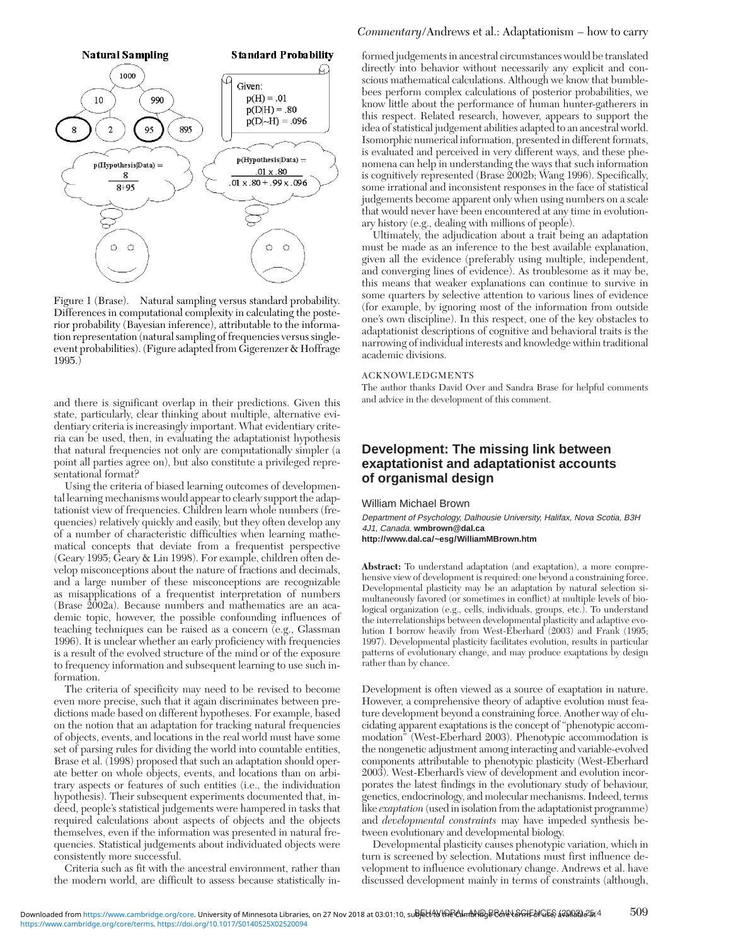

Figure 1 (Brase). Natural sampling versus standard probability. Differences in computational complexity in calculating the posterior probability (Bayesian inference), attributable to the information representation (natural sampling of frequencies versus singleevent probabilities). (Figure adapted from Gigerenzer & Hoffrage 1995.)

and there is significant overlap in their predictions. Given this state, particularly, clear thinking about multiple, alternative evidentiary criteria is increasingly important. What evidentiary criteria can be used, then, in evaluating the adaptationist hypothesis that natural frequencies not only are computationally simpler (a point all parties agree on), but also constitute a privileged representational format?

Using the criteria of biased learning outcomes of developmental learning mechanisms would appear to clearly support the adaptationist view of frequencies. Children learn whole numbers (frequencies) relatively quickly and easily, but they often develop any of a number of characteristic difficulties when learning mathematical concepts that deviate from a frequentist perspective (Geary 1995; Geary & Lin 1998). For example, children often develop misconceptions about the nature of fractions and decimals, and a large number of these misconceptions are recognizable as misapplications of a frequentist interpretation of numbers (Brase 2002a). Because numbers and mathematics are an academic topic, however, the possible confounding influences of teaching techniques can be raised as a concern (e.g., Glassman 1996). It is unclear whether an early proficiency with frequencies is a result of the evolved structure of the mind or of the exposure to frequency information and subsequent learning to use such information.

The criteria of specificity may need to be revised to become even more precise, such that it again discriminates between predictions made based on different hypotheses. For example, based on the notion that an adaptation for tracking natural frequencies of objects, events, and locations in the real world must have some set of parsing rules for dividing the world into countable entities, Brase et al. (1998) proposed that such an adaptation should operate better on whole objects, events, and locations than on arbitrary aspects or features of such entities (i.e., the individuation hypothesis). Their subsequent experiments documented that, indeed, people's statistical judgements were hampered in tasks that required calculations about aspects of objects and the objects themselves, even if the information was presented in natural frequencies. Statistical judgements about individuated objects were consistently more successful.

Criteria such as fit with the ancestral environment, rather than the modern world, are difficult to assess because statistically in-

## *Commentary*/Andrews et al.: Adaptationism – how to carry

formed judgements in ancestral circumstances would be translated directly into behavior without necessarily any explicit and conscious mathematical calculations. Although we know that bumblebees perform complex calculations of posterior probabilities, we know little about the performance of human hunter-gatherers in this respect. Related research, however, appears to support the idea of statistical judgement abilities adapted to an ancestral world. Isomorphic numerical information, presented in different formats, is evaluated and perceived in very different ways, and these phenomena can help in understanding the ways that such information is cognitively represented (Brase 2002b; Wang 1996). Specifically, some irrational and inconsistent responses in the face of statistical judgements become apparent only when using numbers on a scale that would never have been encountered at any time in evolutionary history (e.g., dealing with millions of people).

Ultimately, the adjudication about a trait being an adaptation must be made as an inference to the best available explanation, given all the evidence (preferably using multiple, independent, and converging lines of evidence). As troublesome as it may be, this means that weaker explanations can continue to survive in some quarters by selective attention to various lines of evidence (for example, by ignoring most of the information from outside one's own discipline). In this respect, one of the key obstacles to adaptationist descriptions of cognitive and behavioral traits is the narrowing of individual interests and knowledge within traditional academic divisions.

#### ACKNOWLEDGMENTS

The author thanks David Over and Sandra Brase for helpful comments and advice in the development of this comment.

## **Development: The missing link between exaptationist and adaptationist accounts of organismal design**

William Michael Brown

Department of Psychology, Dalhousie University, Halifax, Nova Scotia, B3H 4J1, Canada. **wmbrown@dal.ca http://www.dal.ca/~esg/WilliamMBrown.htm**

**Abstract:** To understand adaptation (and exaptation), a more comprehensive view of development is required: one beyond a constraining force. Developmental plasticity may be an adaptation by natural selection simultaneously favored (or sometimes in conflict) at multiple levels of biological organization (e.g., cells, individuals, groups, etc.). To understand the interrelationships between developmental plasticity and adaptive evolution I borrow heavily from West-Eberhard (2003) and Frank (1995; 1997). Developmental plasticity facilitates evolution, results in particular patterns of evolutionary change, and may produce exaptations by design rather than by chance.

Development is often viewed as a source of exaptation in nature. However, a comprehensive theory of adaptive evolution must feature development beyond a constraining force. Another way of elucidating apparent exaptations is the concept of "phenotypic accommodation" (West-Eberhard 2003). Phenotypic accommodation is the nongenetic adjustment among interacting and variable-evolved components attributable to phenotypic plasticity (West-Eberhard 2003). West-Eberhard's view of development and evolution incorporates the latest findings in the evolutionary study of behaviour, genetics, endocrinology, and molecular mechanisms. Indeed, terms like *exaptation* (used in isolation from the adaptationist programme) and *developmental constraints* may have impeded synthesis between evolutionary and developmental biology.

Developmental plasticity causes phenotypic variation, which in turn is screened by selection. Mutations must first influence development to influence evolutionary change. Andrews et al. have discussed development mainly in terms of constraints (although,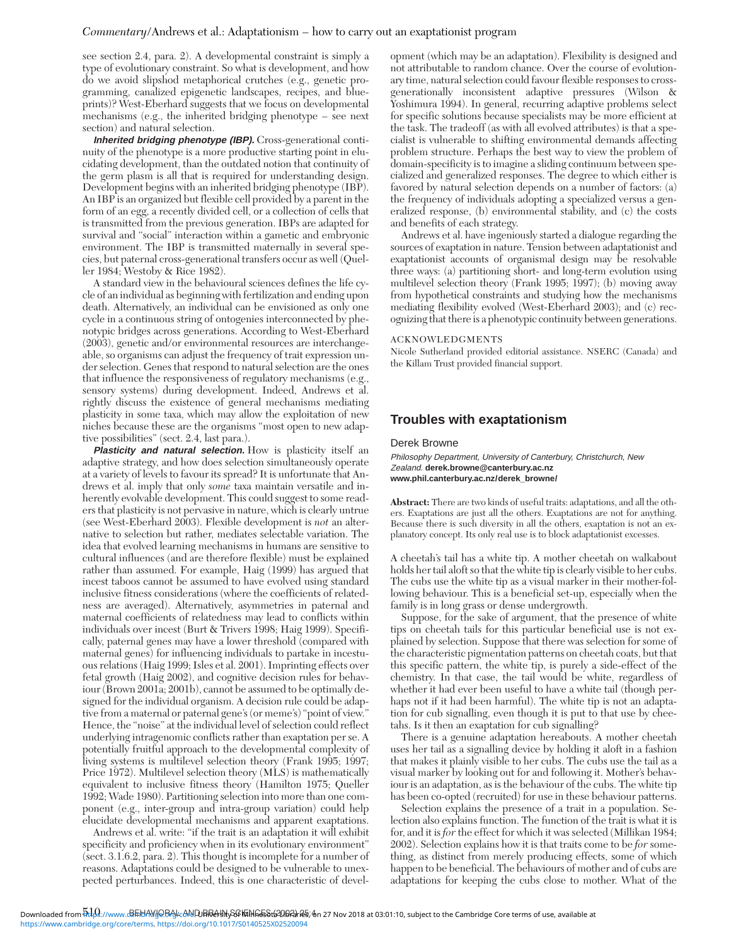see section 2.4, para. 2). A developmental constraint is simply a type of evolutionary constraint. So what is development, and how do we avoid slipshod metaphorical crutches (e.g., genetic programming, canalized epigenetic landscapes, recipes, and blueprints)? West-Eberhard suggests that we focus on developmental mechanisms (e.g., the inherited bridging phenotype – see next section) and natural selection.

**Inherited bridging phenotype (IBP).** Cross-generational continuity of the phenotype is a more productive starting point in elucidating development, than the outdated notion that continuity of the germ plasm is all that is required for understanding design. Development begins with an inherited bridging phenotype (IBP). An IBP is an organized but flexible cell provided by a parent in the form of an egg, a recently divided cell, or a collection of cells that is transmitted from the previous generation. IBPs are adapted for survival and "social" interaction within a gametic and embryonic environment. The IBP is transmitted maternally in several species, but paternal cross-generational transfers occur as well (Queller 1984; Westoby & Rice 1982).

A standard view in the behavioural sciences defines the life cycle of an individual as beginning with fertilization and ending upon death. Alternatively, an individual can be envisioned as only one cycle in a continuous string of ontogenies interconnected by phenotypic bridges across generations. According to West-Eberhard (2003), genetic and/or environmental resources are interchangeable, so organisms can adjust the frequency of trait expression under selection. Genes that respond to natural selection are the ones that influence the responsiveness of regulatory mechanisms (e.g., sensory systems) during development. Indeed, Andrews et al. rightly discuss the existence of general mechanisms mediating plasticity in some taxa, which may allow the exploitation of new niches because these are the organisms "most open to new adaptive possibilities" (sect. 2.4, last para.).

**Plasticity and natural selection.** How is plasticity itself an adaptive strategy, and how does selection simultaneously operate at a variety of levels to favour its spread? It is unfortunate that Andrews et al. imply that only *some* taxa maintain versatile and inherently evolvable development. This could suggest to some readers that plasticity is not pervasive in nature, which is clearly untrue (see West-Eberhard 2003). Flexible development is *not* an alternative to selection but rather, mediates selectable variation. The idea that evolved learning mechanisms in humans are sensitive to cultural influences (and are therefore flexible) must be explained rather than assumed. For example, Haig (1999) has argued that incest taboos cannot be assumed to have evolved using standard inclusive fitness considerations (where the coefficients of relatedness are averaged). Alternatively, asymmetries in paternal and maternal coefficients of relatedness may lead to conflicts within individuals over incest (Burt & Trivers 1998; Haig 1999). Specifically, paternal genes may have a lower threshold (compared with maternal genes) for influencing individuals to partake in incestuous relations (Haig 1999; Isles et al. 2001). Imprinting effects over fetal growth (Haig 2002), and cognitive decision rules for behaviour (Brown 2001a; 2001b), cannot be assumed to be optimally designed for the individual organism. A decision rule could be adaptive from a maternal or paternal gene's (or meme's) "point of view." Hence, the "noise" at the individual level of selection could reflect underlying intragenomic conflicts rather than exaptation per se. A potentially fruitful approach to the developmental complexity of living systems is multilevel selection theory (Frank 1995; 1997; Price 1972). Multilevel selection theory (MLS) is mathematically equivalent to inclusive fitness theory (Hamilton 1975; Queller 1992; Wade 1980). Partitioning selection into more than one component (e.g., inter-group and intra-group variation) could help elucidate developmental mechanisms and apparent exaptations.

Andrews et al. write: "if the trait is an adaptation it will exhibit specificity and proficiency when in its evolutionary environment" (sect. 3.1.6.2, para. 2). This thought is incomplete for a number of reasons. Adaptations could be designed to be vulnerable to unexpected perturbances. Indeed, this is one characteristic of development (which may be an adaptation). Flexibility is designed and not attributable to random chance. Over the course of evolutionary time, natural selection could favour flexible responses to crossgenerationally inconsistent adaptive pressures (Wilson & Yoshimura 1994). In general, recurring adaptive problems select for specific solutions because specialists may be more efficient at the task. The tradeoff (as with all evolved attributes) is that a specialist is vulnerable to shifting environmental demands affecting problem structure. Perhaps the best way to view the problem of domain-specificity is to imagine a sliding continuum between specialized and generalized responses. The degree to which either is favored by natural selection depends on a number of factors: (a) the frequency of individuals adopting a specialized versus a generalized response, (b) environmental stability, and (c) the costs and benefits of each strategy.

Andrews et al. have ingeniously started a dialogue regarding the sources of exaptation in nature. Tension between adaptationist and exaptationist accounts of organismal design may be resolvable three ways: (a) partitioning short- and long-term evolution using multilevel selection theory (Frank 1995; 1997); (b) moving away from hypothetical constraints and studying how the mechanisms mediating flexibility evolved (West-Eberhard 2003); and (c) recognizing that there is a phenotypic continuity between generations.

#### ACKNOWLEDGMENTS

Nicole Sutherland provided editorial assistance. NSERC (Canada) and the Killam Trust provided financial support.

## **Troubles with exaptationism**

#### Derek Browne

Philosophy Department, University of Canterbury, Christchurch, New Zealand. **derek.browne@canterbury.ac.nz www.phil.canterbury.ac.nz/derek\_browne/**

**Abstract:** There are two kinds of useful traits: adaptations, and all the others. Exaptations are just all the others. Exaptations are not for anything. Because there is such diversity in all the others, exaptation is not an explanatory concept. Its only real use is to block adaptationist excesses.

A cheetah's tail has a white tip. A mother cheetah on walkabout holds her tail aloft so that the white tip is clearly visible to her cubs. The cubs use the white tip as a visual marker in their mother-following behaviour. This is a beneficial set-up, especially when the family is in long grass or dense undergrowth.

Suppose, for the sake of argument, that the presence of white tips on cheetah tails for this particular beneficial use is not explained by selection. Suppose that there was selection for some of the characteristic pigmentation patterns on cheetah coats, but that this specific pattern, the white tip, is purely a side-effect of the chemistry. In that case, the tail would be white, regardless of whether it had ever been useful to have a white tail (though perhaps not if it had been harmful). The white tip is not an adaptation for cub signalling, even though it is put to that use by cheetahs. Is it then an exaptation for cub signalling?

There is a genuine adaptation hereabouts. A mother cheetah uses her tail as a signalling device by holding it aloft in a fashion that makes it plainly visible to her cubs. The cubs use the tail as a visual marker by looking out for and following it. Mother's behaviour is an adaptation, as is the behaviour of the cubs. The white tip has been co-opted (recruited) for use in these behaviour patterns.

Selection explains the presence of a trait in a population. Selection also explains function. The function of the trait is what it is for, and it is *for* the effect for which it was selected (Millikan 1984; 2002). Selection explains how it is that traits come to be *for* something, as distinct from merely producing effects, some of which happen to be beneficial. The behaviours of mother and of cubs are adaptations for keeping the cubs close to mother. What of the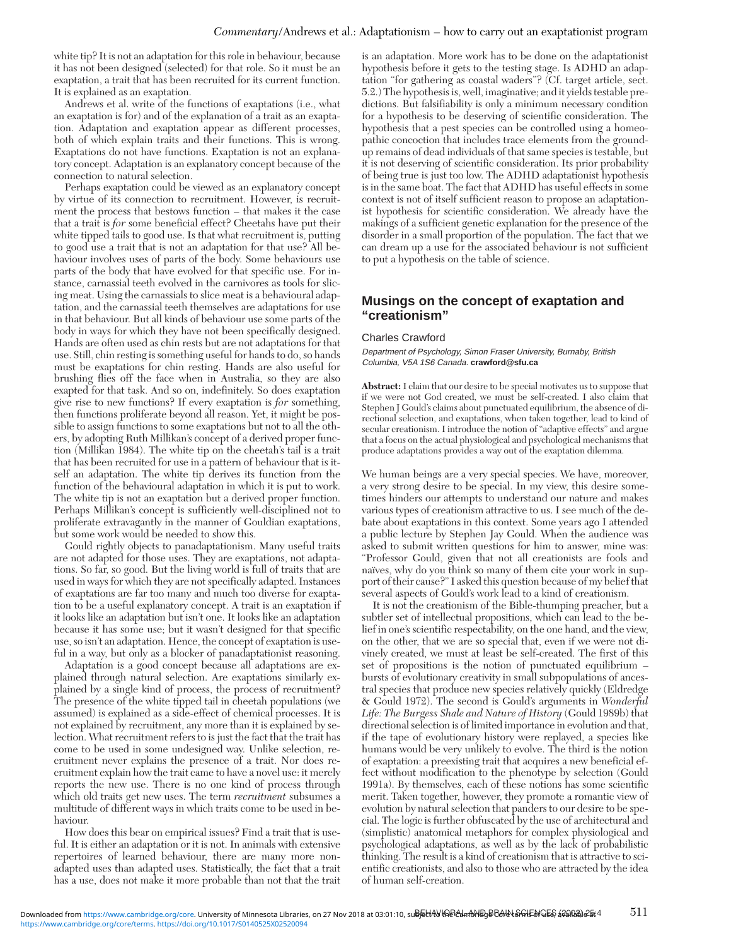white tip? It is not an adaptation for this role in behaviour, because it has not been designed (selected) for that role. So it must be an exaptation, a trait that has been recruited for its current function. It is explained as an exaptation.

Andrews et al. write of the functions of exaptations (i.e., what an exaptation is for) and of the explanation of a trait as an exaptation. Adaptation and exaptation appear as different processes, both of which explain traits and their functions. This is wrong. Exaptations do not have functions. Exaptation is not an explanatory concept. Adaptation is an explanatory concept because of the connection to natural selection.

Perhaps exaptation could be viewed as an explanatory concept by virtue of its connection to recruitment. However, is recruitment the process that bestows function – that makes it the case that a trait is *for* some beneficial effect? Cheetahs have put their white tipped tails to good use. Is that what recruitment is, putting to good use a trait that is not an adaptation for that use? All behaviour involves uses of parts of the body. Some behaviours use parts of the body that have evolved for that specific use. For instance, carnassial teeth evolved in the carnivores as tools for slicing meat. Using the carnassials to slice meat is a behavioural adaptation, and the carnassial teeth themselves are adaptations for use in that behaviour. But all kinds of behaviour use some parts of the body in ways for which they have not been specifically designed. Hands are often used as chin rests but are not adaptations for that use. Still, chin resting is something useful for hands to do, so hands must be exaptations for chin resting. Hands are also useful for brushing flies off the face when in Australia, so they are also exapted for that task. And so on, indefinitely. So does exaptation give rise to new functions? If every exaptation is *for* something, then functions proliferate beyond all reason. Yet, it might be possible to assign functions to some exaptations but not to all the others, by adopting Ruth Millikan's concept of a derived proper function (Millikan 1984). The white tip on the cheetah's tail is a trait that has been recruited for use in a pattern of behaviour that is itself an adaptation. The white tip derives its function from the function of the behavioural adaptation in which it is put to work. The white tip is not an exaptation but a derived proper function. Perhaps Millikan's concept is sufficiently well-disciplined not to proliferate extravagantly in the manner of Gouldian exaptations, but some work would be needed to show this.

Gould rightly objects to panadaptationism. Many useful traits are not adapted for those uses. They are exaptations, not adaptations. So far, so good. But the living world is full of traits that are used in ways for which they are not specifically adapted. Instances of exaptations are far too many and much too diverse for exaptation to be a useful explanatory concept. A trait is an exaptation if it looks like an adaptation but isn't one. It looks like an adaptation because it has some use; but it wasn't designed for that specific use, so isn't an adaptation. Hence, the concept of exaptation is useful in a way, but only as a blocker of panadaptationist reasoning.

Adaptation is a good concept because all adaptations are explained through natural selection. Are exaptations similarly explained by a single kind of process, the process of recruitment? The presence of the white tipped tail in cheetah populations (we assumed) is explained as a side-effect of chemical processes. It is not explained by recruitment, any more than it is explained by selection. What recruitment refers to is just the fact that the trait has come to be used in some undesigned way. Unlike selection, recruitment never explains the presence of a trait. Nor does recruitment explain how the trait came to have a novel use: it merely reports the new use. There is no one kind of process through which old traits get new uses. The term *recruitment* subsumes a multitude of different ways in which traits come to be used in behaviour.

How does this bear on empirical issues? Find a trait that is useful. It is either an adaptation or it is not. In animals with extensive repertoires of learned behaviour, there are many more nonadapted uses than adapted uses. Statistically, the fact that a trait has a use, does not make it more probable than not that the trait

is an adaptation. More work has to be done on the adaptationist hypothesis before it gets to the testing stage. Is ADHD an adaptation "for gathering as coastal waders"? (Cf. target article, sect. 5.2.) The hypothesis is, well, imaginative; and it yields testable predictions. But falsifiability is only a minimum necessary condition for a hypothesis to be deserving of scientific consideration. The hypothesis that a pest species can be controlled using a homeopathic concoction that includes trace elements from the groundup remains of dead individuals of that same species is testable, but it is not deserving of scientific consideration. Its prior probability of being true is just too low. The ADHD adaptationist hypothesis is in the same boat. The fact that ADHD has useful effects in some context is not of itself sufficient reason to propose an adaptationist hypothesis for scientific consideration. We already have the makings of a sufficient genetic explanation for the presence of the disorder in a small proportion of the population. The fact that we can dream up a use for the associated behaviour is not sufficient to put a hypothesis on the table of science.

## **Musings on the concept of exaptation and "creationism"**

#### Charles Crawford

Department of Psychology, Simon Fraser University, Burnaby, British Columbia, V5A 1S6 Canada. **crawford@sfu.ca**

**Abstract:** I claim that our desire to be special motivates us to suppose that if we were not God created, we must be self-created. I also claim that Stephen J Gould's claims about punctuated equilibrium, the absence of directional selection, and exaptations, when taken together, lead to kind of secular creationism. I introduce the notion of "adaptive effects" and argue that a focus on the actual physiological and psychological mechanisms that produce adaptations provides a way out of the exaptation dilemma.

We human beings are a very special species. We have, moreover, a very strong desire to be special. In my view, this desire sometimes hinders our attempts to understand our nature and makes various types of creationism attractive to us. I see much of the debate about exaptations in this context. Some years ago I attended a public lecture by Stephen Jay Gould. When the audience was asked to submit written questions for him to answer, mine was: "Professor Gould, given that not all creationists are fools and naïves, why do you think so many of them cite your work in support of their cause?" I asked this question because of my belief that several aspects of Gould's work lead to a kind of creationism.

It is not the creationism of the Bible-thumping preacher, but a subtler set of intellectual propositions, which can lead to the belief in one's scientific respectability, on the one hand, and the view, on the other, that we are so special that, even if we were not divinely created, we must at least be self-created. The first of this set of propositions is the notion of punctuated equilibrium – bursts of evolutionary creativity in small subpopulations of ancestral species that produce new species relatively quickly (Eldredge & Gould 1972). The second is Gould's arguments in *Wonderful Life: The Burgess Shale and Nature of History* (Gould 1989b) that directional selection is of limited importance in evolution and that, if the tape of evolutionary history were replayed, a species like humans would be very unlikely to evolve. The third is the notion of exaptation: a preexisting trait that acquires a new beneficial effect without modification to the phenotype by selection (Gould 1991a). By themselves, each of these notions has some scientific merit. Taken together, however, they promote a romantic view of evolution by natural selection that panders to our desire to be special. The logic is further obfuscated by the use of architectural and (simplistic) anatomical metaphors for complex physiological and psychological adaptations, as well as by the lack of probabilistic thinking. The result is a kind of creationism that is attractive to scientific creationists, and also to those who are attracted by the idea of human self-creation.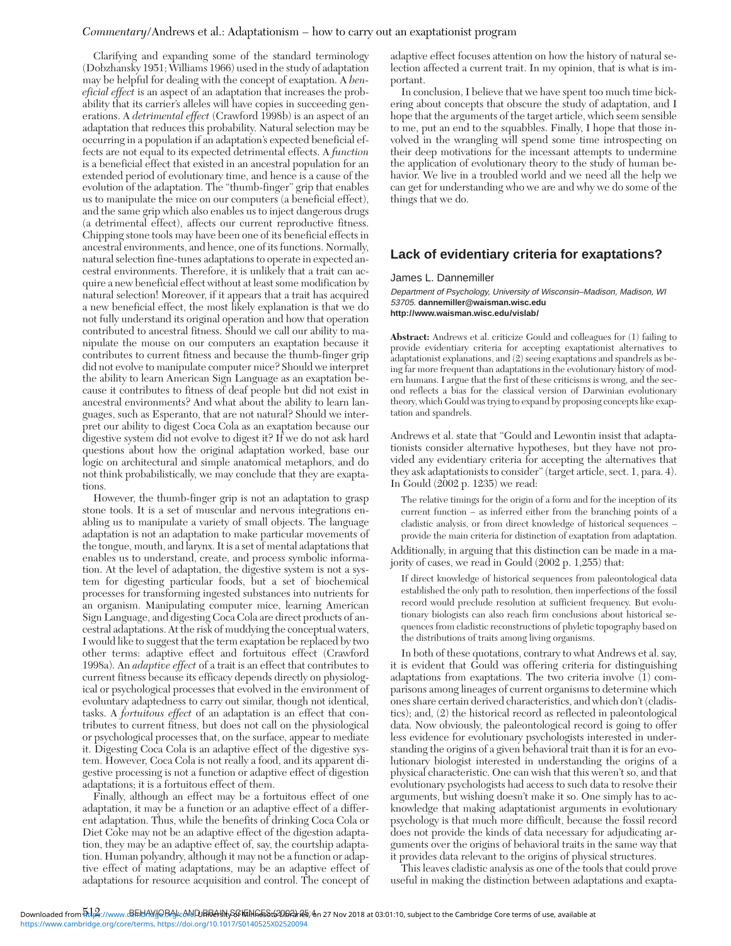Clarifying and expanding some of the standard terminology (Dobzhansky 1951; Williams 1966) used in the study of adaptation may be helpful for dealing with the concept of exaptation. A *beneficial effect* is an aspect of an adaptation that increases the probability that its carrier's alleles will have copies in succeeding generations. A *detrimental effect* (Crawford 1998b) is an aspect of an adaptation that reduces this probability. Natural selection may be occurring in a population if an adaptation's expected beneficial effects are not equal to its expected detrimental effects. A *function* is a beneficial effect that existed in an ancestral population for an extended period of evolutionary time, and hence is a cause of the evolution of the adaptation. The "thumb-finger" grip that enables us to manipulate the mice on our computers (a beneficial effect), and the same grip which also enables us to inject dangerous drugs (a detrimental effect), affects our current reproductive fitness. Chipping stone tools may have been one of its beneficial effects in ancestral environments, and hence, one of its functions. Normally, natural selection fine-tunes adaptations to operate in expected ancestral environments. Therefore, it is unlikely that a trait can acquire a new beneficial effect without at least some modification by natural selection! Moreover, if it appears that a trait has acquired a new beneficial effect, the most likely explanation is that we do not fully understand its original operation and how that operation contributed to ancestral fitness. Should we call our ability to manipulate the mouse on our computers an exaptation because it contributes to current fitness and because the thumb-finger grip did not evolve to manipulate computer mice? Should we interpret the ability to learn American Sign Language as an exaptation because it contributes to fitness of deaf people but did not exist in ancestral environments? And what about the ability to learn languages, such as Esperanto, that are not natural? Should we interpret our ability to digest Coca Cola as an exaptation because our digestive system did not evolve to digest it? If we do not ask hard questions about how the original adaptation worked, base our logic on architectural and simple anatomical metaphors, and do not think probabilistically, we may conclude that they are exaptations.

However, the thumb-finger grip is not an adaptation to grasp stone tools. It is a set of muscular and nervous integrations enabling us to manipulate a variety of small objects. The language adaptation is not an adaptation to make particular movements of the tongue, mouth, and larynx. It is a set of mental adaptations that enables us to understand, create, and process symbolic information. At the level of adaptation, the digestive system is not a system for digesting particular foods, but a set of biochemical processes for transforming ingested substances into nutrients for an organism. Manipulating computer mice, learning American Sign Language, and digesting Coca Cola are direct products of ancestral adaptations. At the risk of muddying the conceptual waters, I would like to suggest that the term exaptation be replaced by two other terms: adaptive effect and fortuitous effect (Crawford 1998a). An *adaptive effect* of a trait is an effect that contributes to current fitness because its efficacy depends directly on physiological or psychological processes that evolved in the environment of evoluntary adaptedness to carry out similar, though not identical, tasks. A *fortuitous effect* of an adaptation is an effect that contributes to current fitness, but does not call on the physiological or psychological processes that, on the surface, appear to mediate it. Digesting Coca Cola is an adaptive effect of the digestive system. However, Coca Cola is not really a food, and its apparent digestive processing is not a function or adaptive effect of digestion adaptations; it is a fortuitous effect of them.

Finally, although an effect may be a fortuitous effect of one adaptation, it may be a function or an adaptive effect of a different adaptation. Thus, while the benefits of drinking Coca Cola or Diet Coke may not be an adaptive effect of the digestion adaptation, they may be an adaptive effect of, say, the courtship adaptation. Human polyandry, although it may not be a function or adaptive effect of mating adaptations, may be an adaptive effect of adaptations for resource acquisition and control. The concept of adaptive effect focuses attention on how the history of natural selection affected a current trait. In my opinion, that is what is important.

In conclusion, I believe that we have spent too much time bickering about concepts that obscure the study of adaptation, and I hope that the arguments of the target article, which seem sensible to me, put an end to the squabbles. Finally, I hope that those involved in the wrangling will spend some time introspecting on their deep motivations for the incessant attempts to undermine the application of evolutionary theory to the study of human behavior. We live in a troubled world and we need all the help we can get for understanding who we are and why we do some of the things that we do.

## **Lack of evidentiary criteria for exaptations?**

#### James L. Dannemiller

Department of Psychology, University of Wisconsin–Madison, Madison, WI 53705. **dannemiller@waisman.wisc.edu http://www.waisman.wisc.edu/vislab/**

**Abstract:** Andrews et al. criticize Gould and colleagues for (1) failing to provide evidentiary criteria for accepting exaptationist alternatives to adaptationist explanations, and (2) seeing exaptations and spandrels as being far more frequent than adaptations in the evolutionary history of modern humans. I argue that the first of these criticisms is wrong, and the second reflects a bias for the classical version of Darwinian evolutionary theory, which Gould was trying to expand by proposing concepts like exaptation and spandrels.

Andrews et al. state that "Gould and Lewontin insist that adaptationists consider alternative hypotheses, but they have not provided any evidentiary criteria for accepting the alternatives that they ask adaptationists to consider" (target article, sect. 1, para. 4). In Gould (2002 p. 1235) we read:

The relative timings for the origin of a form and for the inception of its current function – as inferred either from the branching points of a cladistic analysis, or from direct knowledge of historical sequences – provide the main criteria for distinction of exaptation from adaptation.

Additionally, in arguing that this distinction can be made in a majority of cases, we read in Gould (2002 p. 1,255) that:

If direct knowledge of historical sequences from paleontological data established the only path to resolution, then imperfections of the fossil record would preclude resolution at sufficient frequency. But evolutionary biologists can also reach firm conclusions about historical sequences from cladistic reconstructions of phyletic topography based on the distributions of traits among living organisms.

In both of these quotations, contrary to what Andrews et al. say, it is evident that Gould was offering criteria for distinguishing adaptations from exaptations. The two criteria involve (1) comparisons among lineages of current organisms to determine which ones share certain derived characteristics, and which don't (cladistics); and, (2) the historical record as reflected in paleontological data. Now obviously, the paleontological record is going to offer less evidence for evolutionary psychologists interested in understanding the origins of a given behavioral trait than it is for an evolutionary biologist interested in understanding the origins of a physical characteristic. One can wish that this weren't so, and that evolutionary psychologists had access to such data to resolve their arguments, but wishing doesn't make it so. One simply has to acknowledge that making adaptationist arguments in evolutionary psychology is that much more difficult, because the fossil record does not provide the kinds of data necessary for adjudicating arguments over the origins of behavioral traits in the same way that provides data relevant to the origins of physical structures.

This leaves cladistic analysis as one of the tools that could prove useful in making the distinction between adaptations and exapta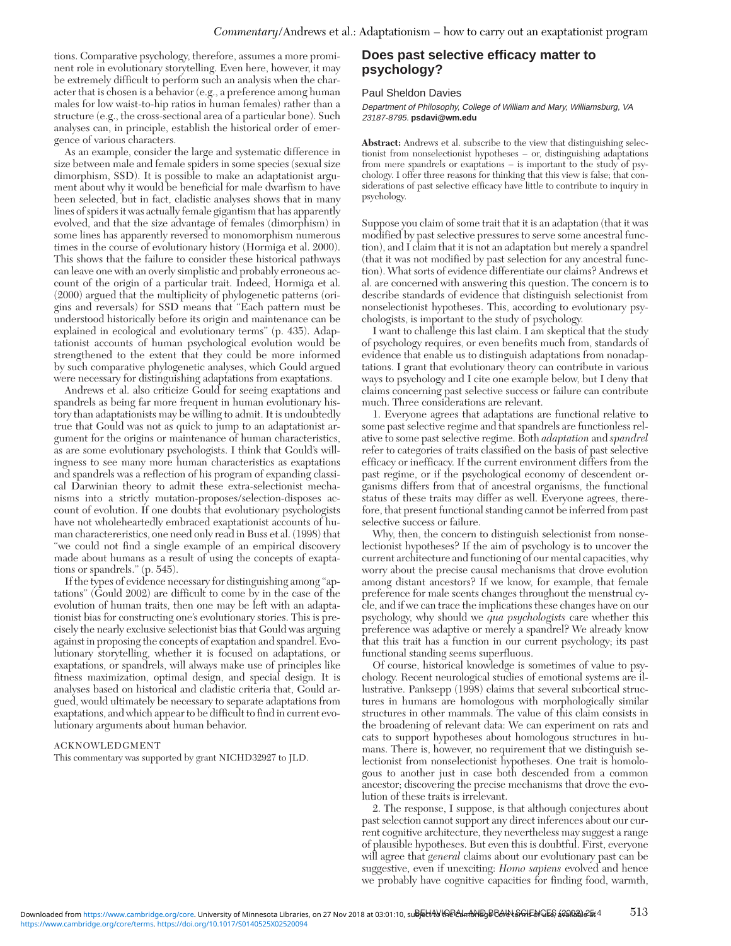tions. Comparative psychology, therefore, assumes a more prominent role in evolutionary storytelling. Even here, however, it may be extremely difficult to perform such an analysis when the character that is chosen is a behavior (e.g., a preference among human males for low waist-to-hip ratios in human females) rather than a structure (e.g., the cross-sectional area of a particular bone). Such analyses can, in principle, establish the historical order of emergence of various characters.

As an example, consider the large and systematic difference in size between male and female spiders in some species (sexual size dimorphism, SSD). It is possible to make an adaptationist argument about why it would be beneficial for male dwarfism to have been selected, but in fact, cladistic analyses shows that in many lines of spiders it was actually female gigantism that has apparently evolved, and that the size advantage of females (dimorphism) in some lines has apparently reversed to monomorphism numerous times in the course of evolutionary history (Hormiga et al. 2000). This shows that the failure to consider these historical pathways can leave one with an overly simplistic and probably erroneous account of the origin of a particular trait. Indeed, Hormiga et al. (2000) argued that the multiplicity of phylogenetic patterns (origins and reversals) for SSD means that "Each pattern must be understood historically before its origin and maintenance can be explained in ecological and evolutionary terms" (p. 435). Adaptationist accounts of human psychological evolution would be strengthened to the extent that they could be more informed by such comparative phylogenetic analyses, which Gould argued were necessary for distinguishing adaptations from exaptations.

Andrews et al. also criticize Gould for seeing exaptations and spandrels as being far more frequent in human evolutionary history than adaptationists may be willing to admit. It is undoubtedly true that Gould was not as quick to jump to an adaptationist argument for the origins or maintenance of human characteristics, as are some evolutionary psychologists. I think that Gould's willingness to see many more human characteristics as exaptations and spandrels was a reflection of his program of expanding classical Darwinian theory to admit these extra-selectionist mechanisms into a strictly mutation-proposes/selection-disposes account of evolution. If one doubts that evolutionary psychologists have not wholeheartedly embraced exaptationist accounts of human charactereristics, one need only read in Buss et al. (1998) that "we could not find a single example of an empirical discovery made about humans as a result of using the concepts of exaptations or spandrels." (p. 545).

If the types of evidence necessary for distinguishing among "aptations" (Gould 2002) are difficult to come by in the case of the evolution of human traits, then one may be left with an adaptationist bias for constructing one's evolutionary stories. This is precisely the nearly exclusive selectionist bias that Gould was arguing against in proposing the concepts of exaptation and spandrel. Evolutionary storytelling, whether it is focused on adaptations, or exaptations, or spandrels, will always make use of principles like fitness maximization, optimal design, and special design. It is analyses based on historical and cladistic criteria that, Gould argued, would ultimately be necessary to separate adaptations from exaptations, and which appear to be difficult to find in current evolutionary arguments about human behavior.

#### ACKNOWLEDGMENT

This commentary was supported by grant NICHD32927 to JLD.

## **Does past selective efficacy matter to psychology?**

#### Paul Sheldon Davies

Department of Philosophy, College of William and Mary, Williamsburg, VA 23187-8795. **psdavi@wm.edu**

**Abstract:** Andrews et al. subscribe to the view that distinguishing selectionist from nonselectionist hypotheses – or, distinguishing adaptations from mere spandrels or exaptations – is important to the study of psychology. I offer three reasons for thinking that this view is false; that considerations of past selective efficacy have little to contribute to inquiry in psychology.

Suppose you claim of some trait that it is an adaptation (that it was modified by past selective pressures to serve some ancestral function), and I claim that it is not an adaptation but merely a spandrel (that it was not modified by past selection for any ancestral function). What sorts of evidence differentiate our claims? Andrews et al. are concerned with answering this question. The concern is to describe standards of evidence that distinguish selectionist from nonselectionist hypotheses. This, according to evolutionary psychologists, is important to the study of psychology.

I want to challenge this last claim. I am skeptical that the study of psychology requires, or even benefits much from, standards of evidence that enable us to distinguish adaptations from nonadaptations. I grant that evolutionary theory can contribute in various ways to psychology and I cite one example below, but I deny that claims concerning past selective success or failure can contribute much. Three considerations are relevant.

1. Everyone agrees that adaptations are functional relative to some past selective regime and that spandrels are functionless relative to some past selective regime. Both *adaptation* and *spandrel* refer to categories of traits classified on the basis of past selective efficacy or inefficacy. If the current environment differs from the past regime, or if the psychological economy of descendent organisms differs from that of ancestral organisms, the functional status of these traits may differ as well. Everyone agrees, therefore, that present functional standing cannot be inferred from past selective success or failure.

Why, then, the concern to distinguish selectionist from nonselectionist hypotheses? If the aim of psychology is to uncover the current architecture and functioning of our mental capacities, why worry about the precise causal mechanisms that drove evolution among distant ancestors? If we know, for example, that female preference for male scents changes throughout the menstrual cycle, and if we can trace the implications these changes have on our psychology, why should we *qua psychologists* care whether this preference was adaptive or merely a spandrel? We already know that this trait has a function in our current psychology; its past functional standing seems superfluous.

Of course, historical knowledge is sometimes of value to psychology. Recent neurological studies of emotional systems are illustrative. Panksepp (1998) claims that several subcortical structures in humans are homologous with morphologically similar structures in other mammals. The value of this claim consists in the broadening of relevant data: We can experiment on rats and cats to support hypotheses about homologous structures in humans. There is, however, no requirement that we distinguish selectionist from nonselectionist hypotheses. One trait is homologous to another just in case both descended from a common ancestor; discovering the precise mechanisms that drove the evolution of these traits is irrelevant.

2. The response, I suppose, is that although conjectures about past selection cannot support any direct inferences about our current cognitive architecture, they nevertheless may suggest a range of plausible hypotheses. But even this is doubtful. First, everyone will agree that *general* claims about our evolutionary past can be suggestive, even if unexciting: *Homo sapiens* evolved and hence we probably have cognitive capacities for finding food, warmth,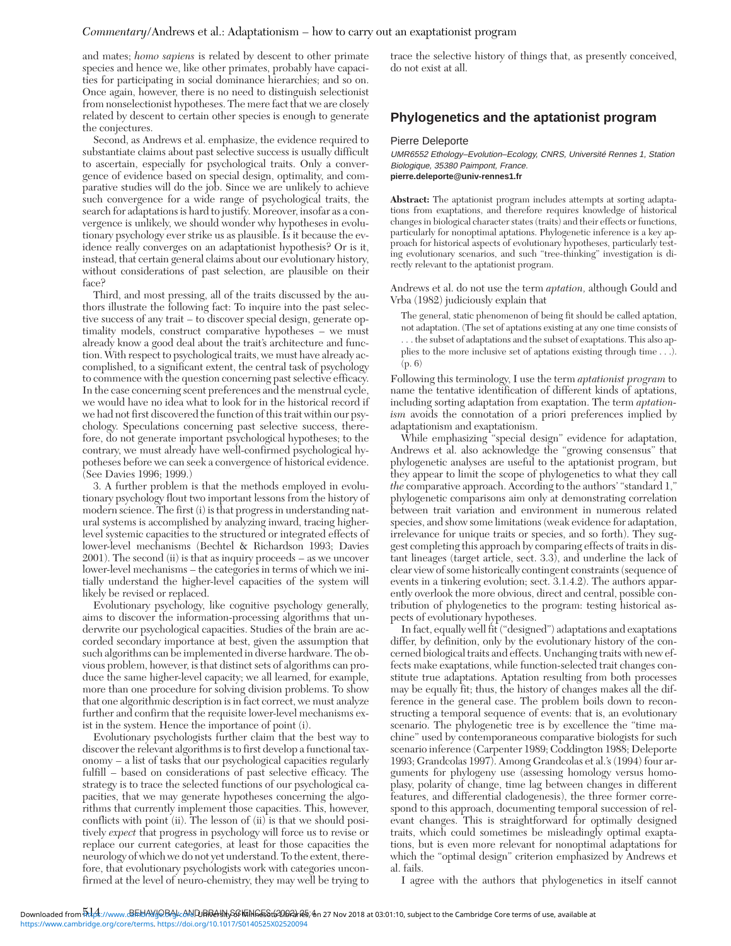and mates; *homo sapiens* is related by descent to other primate species and hence we, like other primates, probably have capacities for participating in social dominance hierarchies; and so on. Once again, however, there is no need to distinguish selectionist from nonselectionist hypotheses. The mere fact that we are closely related by descent to certain other species is enough to generate the conjectures.

Second, as Andrews et al. emphasize, the evidence required to substantiate claims about past selective success is usually difficult to ascertain, especially for psychological traits. Only a convergence of evidence based on special design, optimality, and comparative studies will do the job. Since we are unlikely to achieve such convergence for a wide range of psychological traits, the search for adaptations is hard to justify. Moreover, insofar as a convergence is unlikely, we should wonder why hypotheses in evolutionary psychology ever strike us as plausible. Is it because the evidence really converges on an adaptationist hypothesis? Or is it, instead, that certain general claims about our evolutionary history, without considerations of past selection, are plausible on their face?

Third, and most pressing, all of the traits discussed by the authors illustrate the following fact: To inquire into the past selective success of any trait – to discover special design, generate optimality models, construct comparative hypotheses – we must already know a good deal about the trait's architecture and function. With respect to psychological traits, we must have already accomplished, to a significant extent, the central task of psychology to commence with the question concerning past selective efficacy. In the case concerning scent preferences and the menstrual cycle, we would have no idea what to look for in the historical record if we had not first discovered the function of this trait within our psychology. Speculations concerning past selective success, therefore, do not generate important psychological hypotheses; to the contrary, we must already have well-confirmed psychological hypotheses before we can seek a convergence of historical evidence. (See Davies 1996; 1999.)

3. A further problem is that the methods employed in evolutionary psychology flout two important lessons from the history of modern science. The first (i) is that progress in understanding natural systems is accomplished by analyzing inward, tracing higherlevel systemic capacities to the structured or integrated effects of lower-level mechanisms (Bechtel & Richardson 1993; Davies 2001). The second (ii) is that as inquiry proceeds – as we uncover lower-level mechanisms – the categories in terms of which we initially understand the higher-level capacities of the system will likely be revised or replaced.

Evolutionary psychology, like cognitive psychology generally, aims to discover the information-processing algorithms that underwrite our psychological capacities. Studies of the brain are accorded secondary importance at best, given the assumption that such algorithms can be implemented in diverse hardware. The obvious problem, however, is that distinct sets of algorithms can produce the same higher-level capacity; we all learned, for example, more than one procedure for solving division problems. To show that one algorithmic description is in fact correct, we must analyze further and confirm that the requisite lower-level mechanisms exist in the system. Hence the importance of point (i).

Evolutionary psychologists further claim that the best way to discover the relevant algorithms is to first develop a functional taxonomy – a list of tasks that our psychological capacities regularly fulfill – based on considerations of past selective efficacy. The strategy is to trace the selected functions of our psychological capacities, that we may generate hypotheses concerning the algorithms that currently implement those capacities. This, however, conflicts with point (ii). The lesson of (ii) is that we should positively *expect* that progress in psychology will force us to revise or replace our current categories, at least for those capacities the neurology of which we do not yet understand. To the extent, therefore, that evolutionary psychologists work with categories unconfirmed at the level of neuro-chemistry, they may well be trying to trace the selective history of things that, as presently conceived, do not exist at all.

## **Phylogenetics and the aptationist program**

#### Pierre Deleporte

UMR6552 Ethology–Evolution–Ecology, CNRS, Université Rennes 1, Station Biologique, 35380 Paimpont, France. **pierre.deleporte@univ-rennes1.fr**

**Abstract:** The aptationist program includes attempts at sorting adaptations from exaptations, and therefore requires knowledge of historical changes in biological character states (traits) and their effects or functions, particularly for nonoptimal aptations. Phylogenetic inference is a key approach for historical aspects of evolutionary hypotheses, particularly testing evolutionary scenarios, and such "tree-thinking" investigation is directly relevant to the aptationist program.

Andrews et al. do not use the term *aptation,* although Gould and Vrba (1982) judiciously explain that

- The general, static phenomenon of being fit should be called aptation, not adaptation. (The set of aptations existing at any one time consists of . . . the subset of adaptations and the subset of exaptations. This also ap-
- plies to the more inclusive set of aptations existing through time . . .). (p. 6)

Following this terminology, I use the term *aptationist program* to name the tentative identification of different kinds of aptations, including sorting adaptation from exaptation. The term *aptationism* avoids the connotation of a priori preferences implied by adaptationism and exaptationism.

While emphasizing "special design" evidence for adaptation, Andrews et al. also acknowledge the "growing consensus" that phylogenetic analyses are useful to the aptationist program, but they appear to limit the scope of phylogenetics to what they call *the* comparative approach. According to the authors' "standard 1," phylogenetic comparisons aim only at demonstrating correlation between trait variation and environment in numerous related species, and show some limitations (weak evidence for adaptation, irrelevance for unique traits or species, and so forth). They suggest completing this approach by comparing effects of traits in distant lineages (target article, sect. 3.3), and underline the lack of clear view of some historically contingent constraints (sequence of events in a tinkering evolution; sect. 3.1.4.2). The authors apparently overlook the more obvious, direct and central, possible contribution of phylogenetics to the program: testing historical aspects of evolutionary hypotheses.

In fact, equally well fit ("designed") adaptations and exaptations differ, by definition, only by the evolutionary history of the concerned biological traits and effects. Unchanging traits with new effects make exaptations, while function-selected trait changes constitute true adaptations. Aptation resulting from both processes may be equally fit; thus, the history of changes makes all the difference in the general case. The problem boils down to reconstructing a temporal sequence of events: that is, an evolutionary scenario. The phylogenetic tree is by excellence the "time machine" used by contemporaneous comparative biologists for such scenario inference (Carpenter 1989; Coddington 1988; Deleporte 1993; Grandcolas 1997). Among Grandcolas et al.'s (1994) four arguments for phylogeny use (assessing homology versus homoplasy, polarity of change, time lag between changes in different features, and differential cladogenesis), the three former correspond to this approach, documenting temporal succession of relevant changes. This is straightforward for optimally designed traits, which could sometimes be misleadingly optimal exaptations, but is even more relevant for nonoptimal adaptations for which the "optimal design" criterion emphasized by Andrews et al. fails.

I agree with the authors that phylogenetics in itself cannot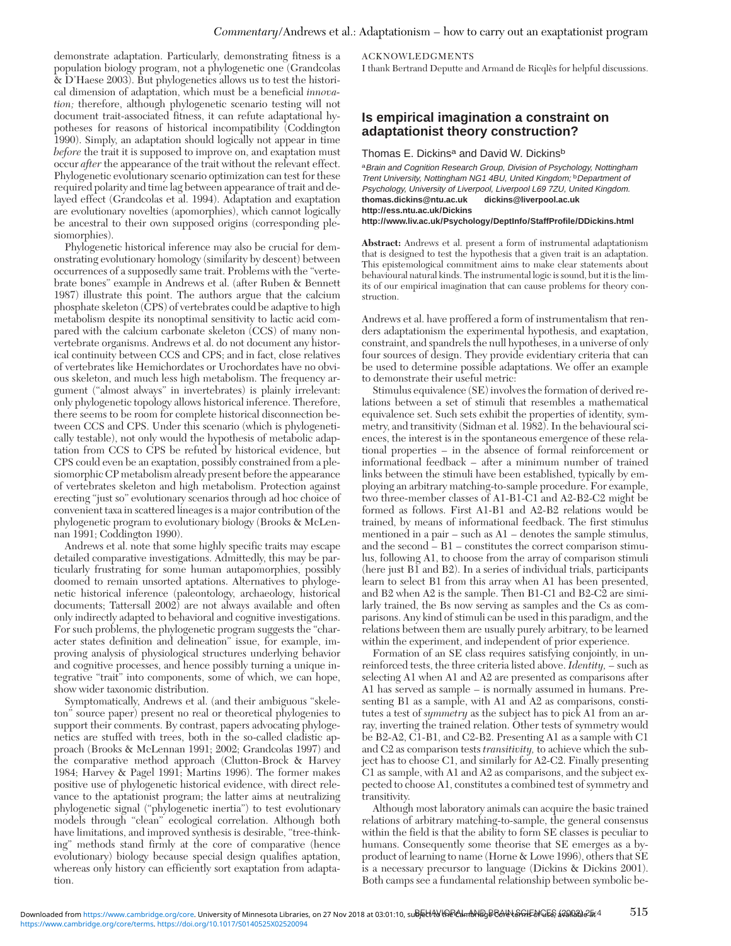demonstrate adaptation. Particularly, demonstrating fitness is a population biology program, not a phylogenetic one (Grandcolas & D'Haese 2003). But phylogenetics allows us to test the historical dimension of adaptation, which must be a beneficial *innovation;* therefore, although phylogenetic scenario testing will not document trait-associated fitness, it can refute adaptational hypotheses for reasons of historical incompatibility (Coddington 1990). Simply, an adaptation should logically not appear in time *before* the trait it is supposed to improve on, and exaptation must occur *after* the appearance of the trait without the relevant effect. Phylogenetic evolutionary scenario optimization can test for these required polarity and time lag between appearance of trait and delayed effect (Grandcolas et al. 1994). Adaptation and exaptation are evolutionary novelties (apomorphies), which cannot logically be ancestral to their own supposed origins (corresponding plesiomorphies).

Phylogenetic historical inference may also be crucial for demonstrating evolutionary homology (similarity by descent) between occurrences of a supposedly same trait. Problems with the "vertebrate bones" example in Andrews et al. (after Ruben & Bennett 1987) illustrate this point. The authors argue that the calcium phosphate skeleton (CPS) of vertebrates could be adaptive to high metabolism despite its nonoptimal sensitivity to lactic acid compared with the calcium carbonate skeleton (CCS) of many nonvertebrate organisms. Andrews et al. do not document any historical continuity between CCS and CPS; and in fact, close relatives of vertebrates like Hemichordates or Urochordates have no obvious skeleton, and much less high metabolism. The frequency argument ("almost always" in invertebrates) is plainly irrelevant: only phylogenetic topology allows historical inference. Therefore, there seems to be room for complete historical disconnection between CCS and CPS. Under this scenario (which is phylogenetically testable), not only would the hypothesis of metabolic adaptation from CCS to CPS be refuted by historical evidence, but CPS could even be an exaptation, possibly constrained from a plesiomorphic CP metabolism already present before the appearance of vertebrates skeleton and high metabolism. Protection against erecting "just so" evolutionary scenarios through ad hoc choice of convenient taxa in scattered lineages is a major contribution of the phylogenetic program to evolutionary biology (Brooks & McLennan 1991; Coddington 1990).

Andrews et al. note that some highly specific traits may escape detailed comparative investigations. Admittedly, this may be particularly frustrating for some human autapomorphies, possibly doomed to remain unsorted aptations. Alternatives to phylogenetic historical inference (paleontology, archaeology, historical documents; Tattersall 2002) are not always available and often only indirectly adapted to behavioral and cognitive investigations. For such problems, the phylogenetic program suggests the "character states definition and delineation" issue, for example, improving analysis of physiological structures underlying behavior and cognitive processes, and hence possibly turning a unique integrative "trait" into components, some of which, we can hope, show wider taxonomic distribution.

Symptomatically, Andrews et al. (and their ambiguous "skeleton" source paper) present no real or theoretical phylogenies to support their comments. By contrast, papers advocating phylogenetics are stuffed with trees, both in the so-called cladistic approach (Brooks & McLennan 1991; 2002; Grandcolas 1997) and the comparative method approach (Clutton-Brock & Harvey 1984; Harvey & Pagel 1991; Martins 1996). The former makes positive use of phylogenetic historical evidence, with direct relevance to the aptationist program; the latter aims at neutralizing phylogenetic signal ("phylogenetic inertia") to test evolutionary models through "clean" ecological correlation. Although both have limitations, and improved synthesis is desirable, "tree-thinking" methods stand firmly at the core of comparative (hence evolutionary) biology because special design qualifies aptation, whereas only history can efficiently sort exaptation from adaptation.

ACKNOWLEDGMENTS

I thank Bertrand Deputte and Armand de Ricqlès for helpful discussions.

## **Is empirical imagination a constraint on adaptationist theory construction?**

#### Thomas E. Dickins<sup>a</sup> and David W. Dickins<sup>b</sup>

aBrain and Cognition Research Group, Division of Psychology, Nottingham Trent University, Nottingham NG1 4BU, United Kingdom; bDepartment of Psychology, University of Liverpool, Liverpool L69 7ZU, United Kingdom. **thomas.dickins@ntu.ac.uk dickins@liverpool.ac.uk http://ess.ntu.ac.uk/Dickins**

**http://www.liv.ac.uk/Psychology/DeptInfo/StaffProfile/DDickins.html**

**Abstract:** Andrews et al. present a form of instrumental adaptationism that is designed to test the hypothesis that a given trait is an adaptation. This epistemological commitment aims to make clear statements about behavioural natural kinds. The instrumental logic is sound, but it is the limits of our empirical imagination that can cause problems for theory construction.

Andrews et al. have proffered a form of instrumentalism that renders adaptationism the experimental hypothesis, and exaptation, constraint, and spandrels the null hypotheses, in a universe of only four sources of design. They provide evidentiary criteria that can be used to determine possible adaptations. We offer an example to demonstrate their useful metric:

Stimulus equivalence (SE) involves the formation of derived relations between a set of stimuli that resembles a mathematical equivalence set. Such sets exhibit the properties of identity, symmetry, and transitivity (Sidman et al. 1982). In the behavioural sciences, the interest is in the spontaneous emergence of these relational properties – in the absence of formal reinforcement or informational feedback – after a minimum number of trained links between the stimuli have been established, typically by employing an arbitrary matching-to-sample procedure. For example, two three-member classes of A1-B1-C1 and A2-B2-C2 might be formed as follows. First A1-B1 and A2-B2 relations would be trained, by means of informational feedback. The first stimulus mentioned in a pair – such as A1 – denotes the sample stimulus, and the second – B1 – constitutes the correct comparison stimulus, following A1, to choose from the array of comparison stimuli (here just B1 and B2). In a series of individual trials, participants learn to select B1 from this array when A1 has been presented, and B2 when A2 is the sample. Then B1-C1 and B2-C2 are similarly trained, the Bs now serving as samples and the Cs as comparisons. Any kind of stimuli can be used in this paradigm, and the relations between them are usually purely arbitrary, to be learned within the experiment, and independent of prior experience.

Formation of an SE class requires satisfying conjointly, in unreinforced tests, the three criteria listed above. *Identity,* – such as selecting A1 when A1 and A2 are presented as comparisons after A1 has served as sample – is normally assumed in humans. Presenting B1 as a sample, with A1 and A2 as comparisons, constitutes a test of *symmetry* as the subject has to pick A1 from an array, inverting the trained relation. Other tests of symmetry would be B2-A2, C1-B1, and C2-B2. Presenting A1 as a sample with C1 and C2 as comparison tests *transitivity,* to achieve which the subject has to choose C1, and similarly for A2-C2. Finally presenting C1 as sample, with A1 and A2 as comparisons, and the subject expected to choose A1, constitutes a combined test of symmetry and transitivity.

Although most laboratory animals can acquire the basic trained relations of arbitrary matching-to-sample, the general consensus within the field is that the ability to form SE classes is peculiar to humans. Consequently some theorise that SE emerges as a byproduct of learning to name (Horne & Lowe 1996), others that SE is a necessary precursor to language (Dickins & Dickins 2001). Both camps see a fundamental relationship between symbolic be-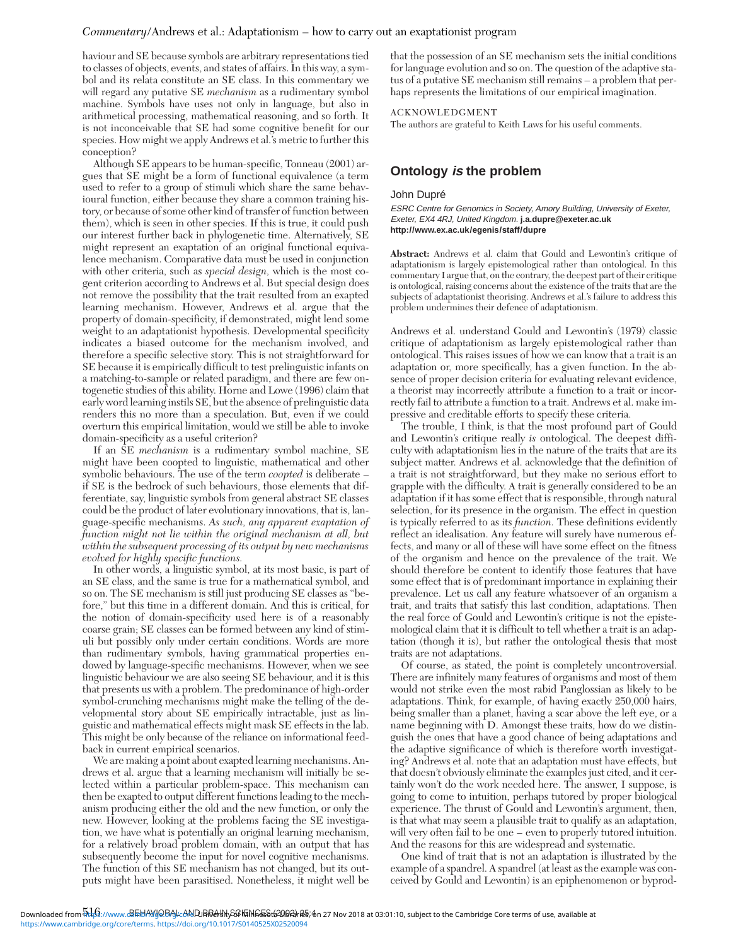haviour and SE because symbols are arbitrary representations tied to classes of objects, events, and states of affairs. In this way, a symbol and its relata constitute an SE class. In this commentary we will regard any putative SE *mechanism* as a rudimentary symbol machine. Symbols have uses not only in language, but also in arithmetical processing, mathematical reasoning, and so forth. It is not inconceivable that SE had some cognitive benefit for our species. How might we apply Andrews et al.'s metric to further this conception?

Although SE appears to be human-specific, Tonneau (2001) argues that SE might be a form of functional equivalence (a term used to refer to a group of stimuli which share the same behavioural function, either because they share a common training history, or because of some other kind of transfer of function between them), which is seen in other species. If this is true, it could push our interest further back in phylogenetic time. Alternatively, SE might represent an exaptation of an original functional equivalence mechanism. Comparative data must be used in conjunction with other criteria, such as *special design,* which is the most cogent criterion according to Andrews et al. But special design does not remove the possibility that the trait resulted from an exapted learning mechanism. However, Andrews et al. argue that the property of domain-specificity, if demonstrated, might lend some weight to an adaptationist hypothesis. Developmental specificity indicates a biased outcome for the mechanism involved, and therefore a specific selective story. This is not straightforward for SE because it is empirically difficult to test prelinguistic infants on a matching-to-sample or related paradigm, and there are few ontogenetic studies of this ability. Horne and Lowe (1996) claim that early word learning instils SE, but the absence of prelinguistic data renders this no more than a speculation. But, even if we could overturn this empirical limitation, would we still be able to invoke domain-specificity as a useful criterion?

If an SE *mechanism* is a rudimentary symbol machine, SE might have been coopted to linguistic, mathematical and other symbolic behaviours. The use of the term *coopted* is deliberate – if SE is the bedrock of such behaviours, those elements that differentiate, say, linguistic symbols from general abstract SE classes could be the product of later evolutionary innovations, that is, language-specific mechanisms. *As such, any apparent exaptation of function might not lie within the original mechanism at all, but within the subsequent processing of its output by new mechanisms evolved for highly specific functions.*

In other words, a linguistic symbol, at its most basic, is part of an SE class, and the same is true for a mathematical symbol, and so on. The SE mechanism is still just producing SE classes as "before," but this time in a different domain. And this is critical, for the notion of domain-specificity used here is of a reasonably coarse grain; SE classes can be formed between any kind of stimuli but possibly only under certain conditions. Words are more than rudimentary symbols, having grammatical properties endowed by language-specific mechanisms. However, when we see linguistic behaviour we are also seeing SE behaviour, and it is this that presents us with a problem. The predominance of high-order symbol-crunching mechanisms might make the telling of the developmental story about SE empirically intractable, just as linguistic and mathematical effects might mask SE effects in the lab. This might be only because of the reliance on informational feedback in current empirical scenarios.

We are making a point about exapted learning mechanisms. Andrews et al. argue that a learning mechanism will initially be selected within a particular problem-space. This mechanism can then be exapted to output different functions leading to the mechanism producing either the old and the new function, or only the new. However, looking at the problems facing the SE investigation, we have what is potentially an original learning mechanism, for a relatively broad problem domain, with an output that has subsequently become the input for novel cognitive mechanisms. The function of this SE mechanism has not changed, but its outputs might have been parasitised. Nonetheless, it might well be that the possession of an SE mechanism sets the initial conditions for language evolution and so on. The question of the adaptive status of a putative SE mechanism still remains – a problem that perhaps represents the limitations of our empirical imagination.

#### ACKNOWLEDGMENT

The authors are grateful to Keith Laws for his useful comments.

## **Ontology is the problem**

#### John Dupré

ESRC Centre for Genomics in Society, Amory Building, University of Exeter, Exeter, EX4 4RJ, United Kingdom. **j.a.dupre@exeter.ac.uk http://www.ex.ac.uk/egenis/staff/dupre**

**Abstract:** Andrews et al. claim that Gould and Lewontin's critique of adaptationism is largely epistemological rather than ontological. In this commentary I argue that, on the contrary, the deepest part of their critique is ontological, raising concerns about the existence of the traits that are the subjects of adaptationist theorising. Andrews et al.'s failure to address this problem undermines their defence of adaptationism.

Andrews et al. understand Gould and Lewontin's (1979) classic critique of adaptationism as largely epistemological rather than ontological. This raises issues of how we can know that a trait is an adaptation or, more specifically, has a given function. In the absence of proper decision criteria for evaluating relevant evidence, a theorist may incorrectly attribute a function to a trait or incorrectly fail to attribute a function to a trait. Andrews et al. make impressive and creditable efforts to specify these criteria.

The trouble, I think, is that the most profound part of Gould and Lewontin's critique really *is* ontological. The deepest difficulty with adaptationism lies in the nature of the traits that are its subject matter. Andrews et al. acknowledge that the definition of a trait is not straightforward, but they make no serious effort to grapple with the difficulty. A trait is generally considered to be an adaptation if it has some effect that is responsible, through natural selection, for its presence in the organism. The effect in question is typically referred to as its *function.* These definitions evidently reflect an idealisation. Any feature will surely have numerous effects, and many or all of these will have some effect on the fitness of the organism and hence on the prevalence of the trait. We should therefore be content to identify those features that have some effect that is of predominant importance in explaining their prevalence. Let us call any feature whatsoever of an organism a trait, and traits that satisfy this last condition, adaptations. Then the real force of Gould and Lewontin's critique is not the epistemological claim that it is difficult to tell whether a trait is an adaptation (though it is), but rather the ontological thesis that most traits are not adaptations.

Of course, as stated, the point is completely uncontroversial. There are infinitely many features of organisms and most of them would not strike even the most rabid Panglossian as likely to be adaptations. Think, for example, of having exactly 250,000 hairs, being smaller than a planet, having a scar above the left eye, or a name beginning with D. Amongst these traits, how do we distinguish the ones that have a good chance of being adaptations and the adaptive significance of which is therefore worth investigating? Andrews et al. note that an adaptation must have effects, but that doesn't obviously eliminate the examples just cited, and it certainly won't do the work needed here. The answer, I suppose, is going to come to intuition, perhaps tutored by proper biological experience. The thrust of Gould and Lewontin's argument, then, is that what may seem a plausible trait to qualify as an adaptation, will very often fail to be one – even to properly tutored intuition. And the reasons for this are widespread and systematic.

One kind of trait that is not an adaptation is illustrated by the example of a spandrel. A spandrel (at least as the example was conceived by Gould and Lewontin) is an epiphenomenon or byprod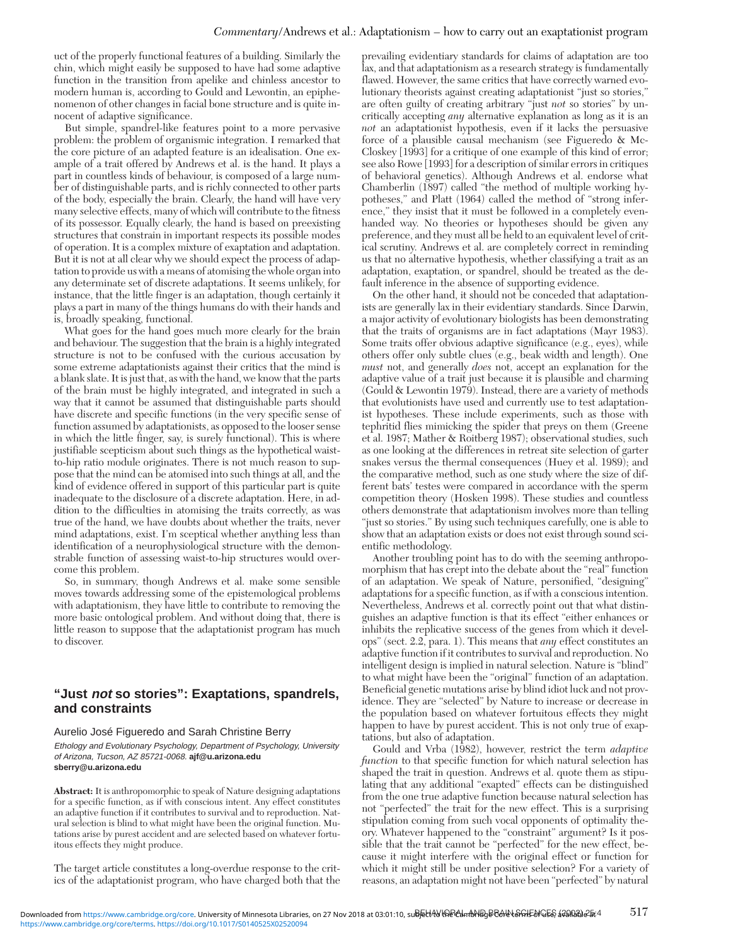uct of the properly functional features of a building. Similarly the chin, which might easily be supposed to have had some adaptive function in the transition from apelike and chinless ancestor to modern human is, according to Gould and Lewontin, an epiphenomenon of other changes in facial bone structure and is quite innocent of adaptive significance.

But simple, spandrel-like features point to a more pervasive problem: the problem of organismic integration. I remarked that the core picture of an adapted feature is an idealisation. One example of a trait offered by Andrews et al. is the hand. It plays a part in countless kinds of behaviour, is composed of a large number of distinguishable parts, and is richly connected to other parts of the body, especially the brain. Clearly, the hand will have very many selective effects, many of which will contribute to the fitness of its possessor. Equally clearly, the hand is based on preexisting structures that constrain in important respects its possible modes of operation. It is a complex mixture of exaptation and adaptation. But it is not at all clear why we should expect the process of adaptation to provide us with a means of atomising the whole organ into any determinate set of discrete adaptations. It seems unlikely, for instance, that the little finger is an adaptation, though certainly it plays a part in many of the things humans do with their hands and is, broadly speaking, functional.

What goes for the hand goes much more clearly for the brain and behaviour. The suggestion that the brain is a highly integrated structure is not to be confused with the curious accusation by some extreme adaptationists against their critics that the mind is a blank slate. It is just that, as with the hand, we know that the parts of the brain must be highly integrated, and integrated in such a way that it cannot be assumed that distinguishable parts should have discrete and specific functions (in the very specific sense of function assumed by adaptationists, as opposed to the looser sense in which the little finger, say, is surely functional). This is where justifiable scepticism about such things as the hypothetical waistto-hip ratio module originates. There is not much reason to suppose that the mind can be atomised into such things at all, and the kind of evidence offered in support of this particular part is quite inadequate to the disclosure of a discrete adaptation. Here, in addition to the difficulties in atomising the traits correctly, as was true of the hand, we have doubts about whether the traits, never mind adaptations, exist. I'm sceptical whether anything less than identification of a neurophysiological structure with the demonstrable function of assessing waist-to-hip structures would overcome this problem.

So, in summary, though Andrews et al. make some sensible moves towards addressing some of the epistemological problems with adaptationism, they have little to contribute to removing the more basic ontological problem. And without doing that, there is little reason to suppose that the adaptationist program has much to discover.

## **"Just not so stories": Exaptations, spandrels, and constraints**

Aurelio José Figueredo and Sarah Christine Berry

Ethology and Evolutionary Psychology, Department of Psychology, University of Arizona, Tucson, AZ 85721-0068. **ajf@u.arizona.edu sberry@u.arizona.edu**

**Abstract:** It is anthropomorphic to speak of Nature designing adaptations for a specific function, as if with conscious intent. Any effect constitutes an adaptive function if it contributes to survival and to reproduction. Natural selection is blind to what might have been the original function. Mutations arise by purest accident and are selected based on whatever fortuitous effects they might produce.

The target article constitutes a long-overdue response to the critics of the adaptationist program, who have charged both that the

prevailing evidentiary standards for claims of adaptation are too lax, and that adaptationism as a research strategy is fundamentally flawed. However, the same critics that have correctly warned evolutionary theorists against creating adaptationist "just so stories," are often guilty of creating arbitrary "just *not* so stories" by uncritically accepting *any* alternative explanation as long as it is an *not* an adaptationist hypothesis, even if it lacks the persuasive force of a plausible causal mechanism (see Figueredo & Mc-Closkey [1993] for a critique of one example of this kind of error; see also Rowe [1993] for a description of similar errors in critiques of behavioral genetics). Although Andrews et al. endorse what Chamberlin (1897) called "the method of multiple working hypotheses," and Platt (1964) called the method of "strong inference," they insist that it must be followed in a completely evenhanded way. No theories or hypotheses should be given any preference, and they must all be held to an equivalent level of critical scrutiny. Andrews et al. are completely correct in reminding us that no alternative hypothesis, whether classifying a trait as an adaptation, exaptation, or spandrel, should be treated as the default inference in the absence of supporting evidence.

On the other hand, it should not be conceded that adaptationists are generally lax in their evidentiary standards. Since Darwin, a major activity of evolutionary biologists has been demonstrating that the traits of organisms are in fact adaptations (Mayr 1983). Some traits offer obvious adaptive significance (e.g., eyes), while others offer only subtle clues (e.g., beak width and length). One *must* not, and generally *does* not, accept an explanation for the adaptive value of a trait just because it is plausible and charming (Gould & Lewontin 1979). Instead, there are a variety of methods that evolutionists have used and currently use to test adaptationist hypotheses. These include experiments, such as those with tephritid flies mimicking the spider that preys on them (Greene et al. 1987; Mather & Roitberg 1987); observational studies, such as one looking at the differences in retreat site selection of garter snakes versus the thermal consequences (Huey et al. 1989); and the comparative method, such as one study where the size of different bats' testes were compared in accordance with the sperm competition theory (Hosken 1998). These studies and countless others demonstrate that adaptationism involves more than telling "just so stories." By using such techniques carefully, one is able to show that an adaptation exists or does not exist through sound scientific methodology.

Another troubling point has to do with the seeming anthropomorphism that has crept into the debate about the "real" function of an adaptation. We speak of Nature, personified, "designing" adaptations for a specific function, as if with a conscious intention. Nevertheless, Andrews et al. correctly point out that what distinguishes an adaptive function is that its effect "either enhances or inhibits the replicative success of the genes from which it develops" (sect. 2.2, para. 1). This means that *any* effect constitutes an adaptive function if it contributes to survival and reproduction. No intelligent design is implied in natural selection. Nature is "blind" to what might have been the "original" function of an adaptation. Beneficial genetic mutations arise by blind idiot luck and not providence. They are "selected" by Nature to increase or decrease in the population based on whatever fortuitous effects they might happen to have by purest accident. This is not only true of exaptations, but also of adaptation.

Gould and Vrba (1982), however, restrict the term *adaptive function* to that specific function for which natural selection has shaped the trait in question. Andrews et al. quote them as stipulating that any additional "exapted" effects can be distinguished from the one true adaptive function because natural selection has not "perfected" the trait for the new effect. This is a surprising stipulation coming from such vocal opponents of optimality theory. Whatever happened to the "constraint" argument? Is it possible that the trait cannot be "perfected" for the new effect, because it might interfere with the original effect or function for which it might still be under positive selection? For a variety of reasons, an adaptation might not have been "perfected" by natural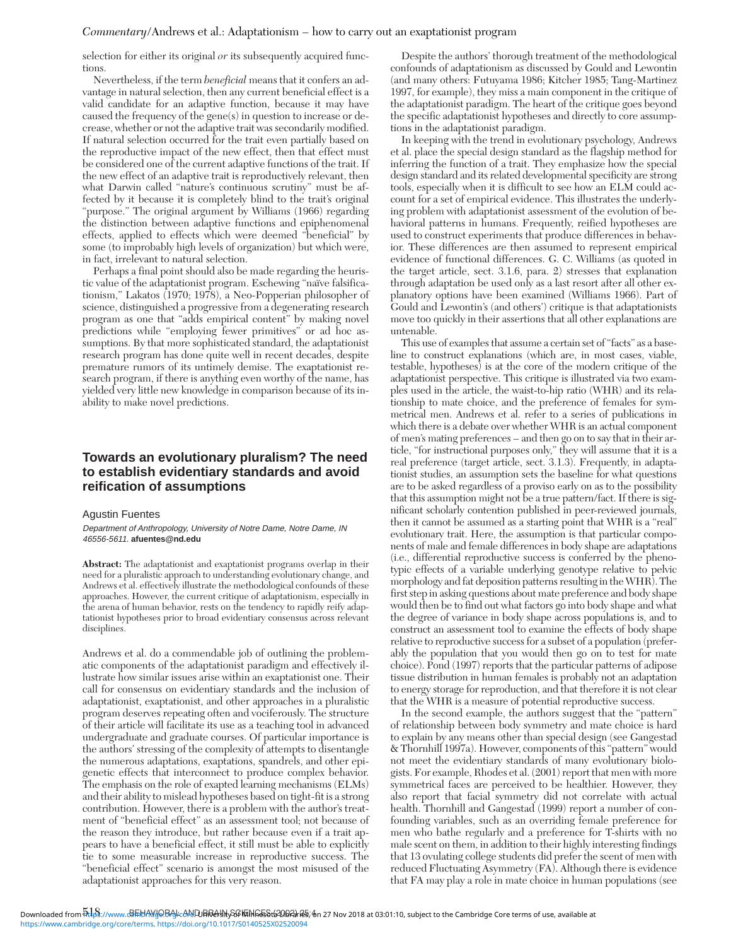selection for either its original *or* its subsequently acquired functions.

Nevertheless, if the term *beneficial* means that it confers an advantage in natural selection, then any current beneficial effect is a valid candidate for an adaptive function, because it may have caused the frequency of the gene(s) in question to increase or decrease, whether or not the adaptive trait was secondarily modified. If natural selection occurred for the trait even partially based on the reproductive impact of the new effect, then that effect must be considered one of the current adaptive functions of the trait. If the new effect of an adaptive trait is reproductively relevant, then what Darwin called "nature's continuous scrutiny" must be affected by it because it is completely blind to the trait's original "purpose." The original argument by Williams (1966) regarding the distinction between adaptive functions and epiphenomenal effects, applied to effects which were deemed "beneficial" by some (to improbably high levels of organization) but which were, in fact, irrelevant to natural selection.

Perhaps a final point should also be made regarding the heuristic value of the adaptationist program. Eschewing "naïve falsificationism," Lakatos (1970; 1978), a Neo-Popperian philosopher of science, distinguished a progressive from a degenerating research program as one that "adds empirical content" by making novel predictions while "employing fewer primitives" or ad hoc assumptions. By that more sophisticated standard, the adaptationist research program has done quite well in recent decades, despite premature rumors of its untimely demise. The exaptationist research program, if there is anything even worthy of the name, has yielded very little new knowledge in comparison because of its inability to make novel predictions.

## **Towards an evolutionary pluralism? The need to establish evidentiary standards and avoid reification of assumptions**

#### Agustin Fuentes

Department of Anthropology, University of Notre Dame, Notre Dame, IN 46556-5611. **afuentes@nd.edu**

**Abstract:** The adaptationist and exaptationist programs overlap in their need for a pluralistic approach to understanding evolutionary change, and Andrews et al. effectively illustrate the methodological confounds of these approaches. However, the current critique of adaptationism, especially in the arena of human behavior, rests on the tendency to rapidly reify adaptationist hypotheses prior to broad evidentiary consensus across relevant disciplines.

Andrews et al. do a commendable job of outlining the problematic components of the adaptationist paradigm and effectively illustrate how similar issues arise within an exaptationist one. Their call for consensus on evidentiary standards and the inclusion of adaptationist, exaptationist, and other approaches in a pluralistic program deserves repeating often and vociferously. The structure of their article will facilitate its use as a teaching tool in advanced undergraduate and graduate courses. Of particular importance is the authors' stressing of the complexity of attempts to disentangle the numerous adaptations, exaptations, spandrels, and other epigenetic effects that interconnect to produce complex behavior. The emphasis on the role of exapted learning mechanisms (ELMs) and their ability to mislead hypotheses based on tight-fit is a strong contribution. However, there is a problem with the author's treatment of "beneficial effect" as an assessment tool; not because of the reason they introduce, but rather because even if a trait appears to have a beneficial effect, it still must be able to explicitly tie to some measurable increase in reproductive success. The "beneficial effect" scenario is amongst the most misused of the adaptationist approaches for this very reason.

Despite the authors' thorough treatment of the methodological confounds of adaptationism as discussed by Gould and Lewontin (and many others: Futuyama 1986; Kitcher 1985; Tang-Martinez 1997, for example), they miss a main component in the critique of the adaptationist paradigm. The heart of the critique goes beyond the specific adaptationist hypotheses and directly to core assumptions in the adaptationist paradigm.

In keeping with the trend in evolutionary psychology, Andrews et al. place the special design standard as the flagship method for inferring the function of a trait. They emphasize how the special design standard and its related developmental specificity are strong tools, especially when it is difficult to see how an ELM could account for a set of empirical evidence. This illustrates the underlying problem with adaptationist assessment of the evolution of behavioral patterns in humans. Frequently, reified hypotheses are used to construct experiments that produce differences in behavior. These differences are then assumed to represent empirical evidence of functional differences. G. C. Williams (as quoted in the target article, sect. 3.1.6, para. 2) stresses that explanation through adaptation be used only as a last resort after all other explanatory options have been examined (Williams 1966). Part of Gould and Lewontin's (and others') critique is that adaptationists move too quickly in their assertions that all other explanations are untenable.

This use of examples that assume a certain set of "facts" as a baseline to construct explanations (which are, in most cases, viable, testable, hypotheses) is at the core of the modern critique of the adaptationist perspective. This critique is illustrated via two examples used in the article, the waist-to-hip ratio (WHR) and its relationship to mate choice, and the preference of females for symmetrical men. Andrews et al. refer to a series of publications in which there is a debate over whether WHR is an actual component of men's mating preferences – and then go on to say that in their article, "for instructional purposes only," they will assume that it is a real preference (target article, sect. 3.1.3). Frequently, in adaptationist studies, an assumption sets the baseline for what questions are to be asked regardless of a proviso early on as to the possibility that this assumption might not be a true pattern/fact. If there is significant scholarly contention published in peer-reviewed journals, then it cannot be assumed as a starting point that WHR is a "real" evolutionary trait. Here, the assumption is that particular components of male and female differences in body shape are adaptations (i.e., differential reproductive success is conferred by the phenotypic effects of a variable underlying genotype relative to pelvic morphology and fat deposition patterns resulting in the WHR). The first step in asking questions about mate preference and body shape would then be to find out what factors go into body shape and what the degree of variance in body shape across populations is, and to construct an assessment tool to examine the effects of body shape relative to reproductive success for a subset of a population (preferably the population that you would then go on to test for mate choice). Pond (1997) reports that the particular patterns of adipose tissue distribution in human females is probably not an adaptation to energy storage for reproduction, and that therefore it is not clear that the WHR is a measure of potential reproductive success.

In the second example, the authors suggest that the "pattern" of relationship between body symmetry and mate choice is hard to explain by any means other than special design (see Gangestad & Thornhill 1997a). However, components of this "pattern" would not meet the evidentiary standards of many evolutionary biologists. For example, Rhodes et al. (2001) report that men with more symmetrical faces are perceived to be healthier. However, they also report that facial symmetry did not correlate with actual health. Thornhill and Gangestad (1999) report a number of confounding variables, such as an overriding female preference for men who bathe regularly and a preference for T-shirts with no male scent on them, in addition to their highly interesting findings that 13 ovulating college students did prefer the scent of men with reduced Fluctuating Asymmetry (FA). Although there is evidence that FA may play a role in mate choice in human populations (see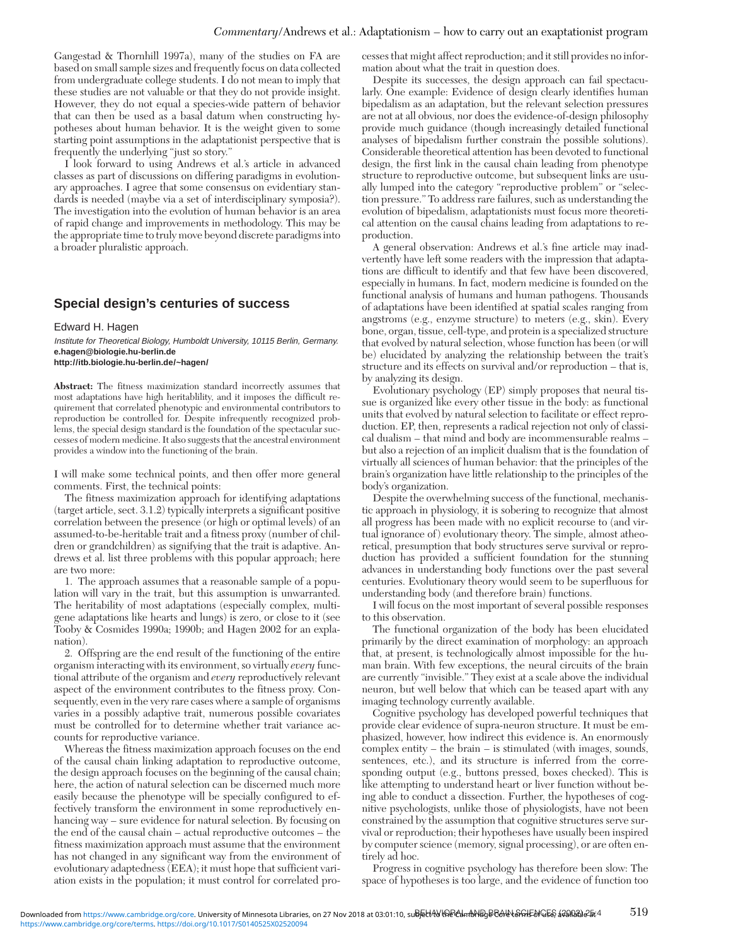Gangestad & Thornhill 1997a), many of the studies on FA are based on small sample sizes and frequently focus on data collected from undergraduate college students. I do not mean to imply that these studies are not valuable or that they do not provide insight. However, they do not equal a species-wide pattern of behavior that can then be used as a basal datum when constructing hypotheses about human behavior. It is the weight given to some starting point assumptions in the adaptationist perspective that is frequently the underlying "just so story."

I look forward to using Andrews et al.'s article in advanced classes as part of discussions on differing paradigms in evolutionary approaches. I agree that some consensus on evidentiary standards is needed (maybe via a set of interdisciplinary symposia?). The investigation into the evolution of human behavior is an area of rapid change and improvements in methodology. This may be the appropriate time to truly move beyond discrete paradigms into a broader pluralistic approach.

## **Special design's centuries of success**

Edward H. Hagen

Institute for Theoretical Biology, Humboldt University, 10115 Berlin, Germany. **e.hagen@biologie.hu-berlin.de**

**http://itb.biologie.hu-berlin.de/~hagen/**

**Abstract:** The fitness maximization standard incorrectly assumes that most adaptations have high heritablility, and it imposes the difficult requirement that correlated phenotypic and environmental contributors to reproduction be controlled for. Despite infrequently recognized problems, the special design standard is the foundation of the spectacular successes of modern medicine. It also suggests that the ancestral environment provides a window into the functioning of the brain.

I will make some technical points, and then offer more general comments. First, the technical points:

The fitness maximization approach for identifying adaptations (target article, sect. 3.1.2) typically interprets a significant positive correlation between the presence (or high or optimal levels) of an assumed-to-be-heritable trait and a fitness proxy (number of children or grandchildren) as signifying that the trait is adaptive. Andrews et al. list three problems with this popular approach; here are two more:

1. The approach assumes that a reasonable sample of a population will vary in the trait, but this assumption is unwarranted. The heritability of most adaptations (especially complex, multigene adaptations like hearts and lungs) is zero, or close to it (see Tooby & Cosmides 1990a; 1990b; and Hagen 2002 for an explanation).

2. Offspring are the end result of the functioning of the entire organism interacting with its environment, so virtually *every* functional attribute of the organism and *every* reproductively relevant aspect of the environment contributes to the fitness proxy. Consequently, even in the very rare cases where a sample of organisms varies in a possibly adaptive trait, numerous possible covariates must be controlled for to determine whether trait variance accounts for reproductive variance.

Whereas the fitness maximization approach focuses on the end of the causal chain linking adaptation to reproductive outcome, the design approach focuses on the beginning of the causal chain; here, the action of natural selection can be discerned much more easily because the phenotype will be specially configured to effectively transform the environment in some reproductively enhancing way – sure evidence for natural selection. By focusing on the end of the causal chain – actual reproductive outcomes – the fitness maximization approach must assume that the environment has not changed in any significant way from the environment of evolutionary adaptedness (EEA); it must hope that sufficient variation exists in the population; it must control for correlated processes that might affect reproduction; and it still provides no information about what the trait in question does.

Despite its successes, the design approach can fail spectacularly. One example: Evidence of design clearly identifies human bipedalism as an adaptation, but the relevant selection pressures are not at all obvious, nor does the evidence-of-design philosophy provide much guidance (though increasingly detailed functional analyses of bipedalism further constrain the possible solutions). Considerable theoretical attention has been devoted to functional design, the first link in the causal chain leading from phenotype structure to reproductive outcome, but subsequent links are usually lumped into the category "reproductive problem" or "selection pressure." To address rare failures, such as understanding the evolution of bipedalism, adaptationists must focus more theoretical attention on the causal chains leading from adaptations to reproduction.

A general observation: Andrews et al.'s fine article may inadvertently have left some readers with the impression that adaptations are difficult to identify and that few have been discovered, especially in humans. In fact, modern medicine is founded on the functional analysis of humans and human pathogens. Thousands of adaptations have been identified at spatial scales ranging from angstroms (e.g., enzyme structure) to meters (e.g., skin). Every bone, organ, tissue, cell-type, and protein is a specialized structure that evolved by natural selection, whose function has been (or will be) elucidated by analyzing the relationship between the trait's structure and its effects on survival and/or reproduction – that is, by analyzing its design.

Evolutionary psychology (EP) simply proposes that neural tissue is organized like every other tissue in the body: as functional units that evolved by natural selection to facilitate or effect reproduction. EP, then, represents a radical rejection not only of classical dualism – that mind and body are incommensurable realms – but also a rejection of an implicit dualism that is the foundation of virtually all sciences of human behavior: that the principles of the brain's organization have little relationship to the principles of the body's organization.

Despite the overwhelming success of the functional, mechanistic approach in physiology, it is sobering to recognize that almost all progress has been made with no explicit recourse to (and virtual ignorance of) evolutionary theory. The simple, almost atheoretical, presumption that body structures serve survival or reproduction has provided a sufficient foundation for the stunning advances in understanding body functions over the past several centuries. Evolutionary theory would seem to be superfluous for understanding body (and therefore brain) functions.

I will focus on the most important of several possible responses to this observation.

The functional organization of the body has been elucidated primarily by the direct examination of morphology: an approach that, at present, is technologically almost impossible for the human brain. With few exceptions, the neural circuits of the brain are currently "invisible." They exist at a scale above the individual neuron, but well below that which can be teased apart with any imaging technology currently available.

Cognitive psychology has developed powerful techniques that provide clear evidence of supra-neuron structure. It must be emphasized, however, how indirect this evidence is. An enormously complex entity – the brain – is stimulated (with images, sounds, sentences, etc.), and its structure is inferred from the corresponding output (e.g., buttons pressed, boxes checked). This is like attempting to understand heart or liver function without being able to conduct a dissection. Further, the hypotheses of cognitive psychologists, unlike those of physiologists, have not been constrained by the assumption that cognitive structures serve survival or reproduction; their hypotheses have usually been inspired by computer science (memory, signal processing), or are often entirely ad hoc.

Progress in cognitive psychology has therefore been slow: The space of hypotheses is too large, and the evidence of function too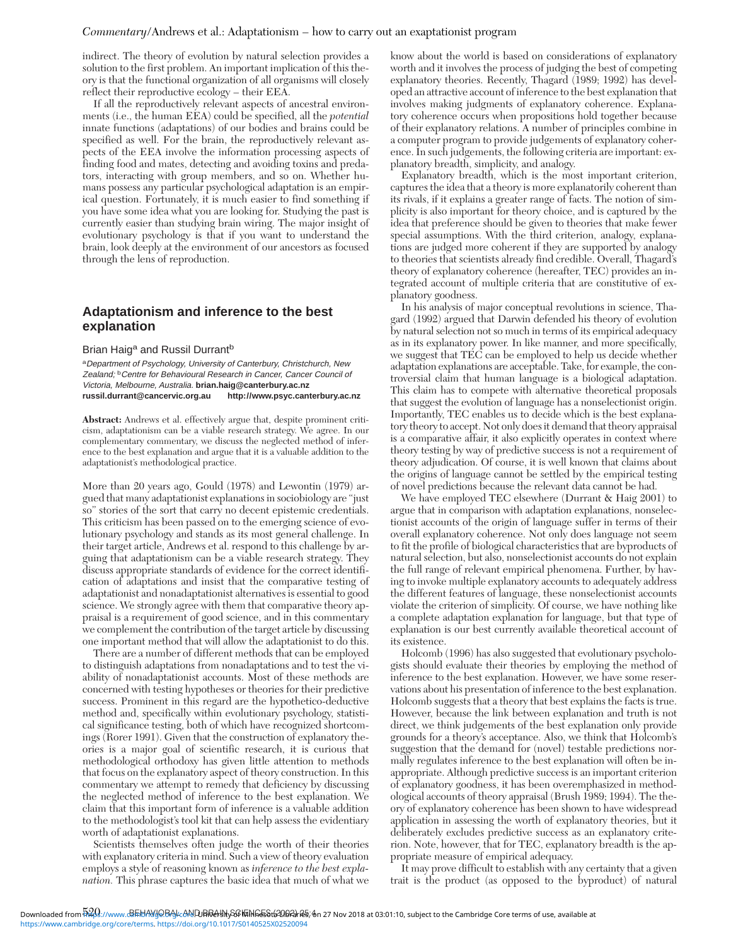indirect. The theory of evolution by natural selection provides a solution to the first problem. An important implication of this theory is that the functional organization of all organisms will closely reflect their reproductive ecology – their EEA.

If all the reproductively relevant aspects of ancestral environments (i.e., the human EEA) could be specified, all the *potential* innate functions (adaptations) of our bodies and brains could be specified as well. For the brain, the reproductively relevant aspects of the EEA involve the information processing aspects of finding food and mates, detecting and avoiding toxins and predators, interacting with group members, and so on. Whether humans possess any particular psychological adaptation is an empirical question. Fortunately, it is much easier to find something if you have some idea what you are looking for. Studying the past is currently easier than studying brain wiring. The major insight of evolutionary psychology is that if you want to understand the brain, look deeply at the environment of our ancestors as focused through the lens of reproduction.

## **Adaptationism and inference to the best explanation**

## Brian Haig<sup>a</sup> and Russil Durrant<sup>b</sup>

aDepartment of Psychology, University of Canterbury, Christchurch, New Zealand; <sup>b</sup>Centre for Behavioural Research in Cancer, Cancer Council of Victoria, Melbourne, Australia. **brian.haig@canterbury.ac.nz russil.durrant@cancervic.org.au http://www.psyc.canterbury.ac.nz**

**Abstract:** Andrews et al. effectively argue that, despite prominent criticism, adaptationism can be a viable research strategy. We agree. In our complementary commentary, we discuss the neglected method of inference to the best explanation and argue that it is a valuable addition to the adaptationist's methodological practice.

More than 20 years ago, Gould (1978) and Lewontin (1979) argued that many adaptationist explanations in sociobiology are "just so" stories of the sort that carry no decent epistemic credentials. This criticism has been passed on to the emerging science of evolutionary psychology and stands as its most general challenge. In their target article, Andrews et al. respond to this challenge by arguing that adaptationism can be a viable research strategy. They discuss appropriate standards of evidence for the correct identification of adaptations and insist that the comparative testing of adaptationist and nonadaptationist alternatives is essential to good science. We strongly agree with them that comparative theory appraisal is a requirement of good science, and in this commentary we complement the contribution of the target article by discussing one important method that will allow the adaptationist to do this.

There are a number of different methods that can be employed to distinguish adaptations from nonadaptations and to test the viability of nonadaptationist accounts. Most of these methods are concerned with testing hypotheses or theories for their predictive success. Prominent in this regard are the hypothetico-deductive method and, specifically within evolutionary psychology, statistical significance testing, both of which have recognized shortcomings (Rorer 1991). Given that the construction of explanatory theories is a major goal of scientific research, it is curious that methodological orthodoxy has given little attention to methods that focus on the explanatory aspect of theory construction. In this commentary we attempt to remedy that deficiency by discussing the neglected method of inference to the best explanation. We claim that this important form of inference is a valuable addition to the methodologist's tool kit that can help assess the evidentiary worth of adaptationist explanations.

Scientists themselves often judge the worth of their theories with explanatory criteria in mind. Such a view of theory evaluation employs a style of reasoning known as *inference to the best explanation.* This phrase captures the basic idea that much of what we know about the world is based on considerations of explanatory worth and it involves the process of judging the best of competing explanatory theories. Recently, Thagard (1989; 1992) has developed an attractive account of inference to the best explanation that involves making judgments of explanatory coherence. Explanatory coherence occurs when propositions hold together because of their explanatory relations. A number of principles combine in a computer program to provide judgements of explanatory coherence. In such judgements, the following criteria are important: explanatory breadth, simplicity, and analogy.

Explanatory breadth, which is the most important criterion, captures the idea that a theory is more explanatorily coherent than its rivals, if it explains a greater range of facts. The notion of simplicity is also important for theory choice, and is captured by the idea that preference should be given to theories that make fewer special assumptions. With the third criterion, analogy, explanations are judged more coherent if they are supported by analogy to theories that scientists already find credible. Overall, Thagard's theory of explanatory coherence (hereafter, TEC) provides an integrated account of multiple criteria that are constitutive of explanatory goodness.

In his analysis of major conceptual revolutions in science, Thagard (1992) argued that Darwin defended his theory of evolution by natural selection not so much in terms of its empirical adequacy as in its explanatory power. In like manner, and more specifically, we suggest that TEC can be employed to help us decide whether adaptation explanations are acceptable. Take, for example, the controversial claim that human language is a biological adaptation. This claim has to compete with alternative theoretical proposals that suggest the evolution of language has a nonselectionist origin. Importantly, TEC enables us to decide which is the best explanatory theory to accept. Not only does it demand that theory appraisal is a comparative affair, it also explicitly operates in context where theory testing by way of predictive success is not a requirement of theory adjudication. Of course, it is well known that claims about the origins of language cannot be settled by the empirical testing of novel predictions because the relevant data cannot be had.

We have employed TEC elsewhere (Durrant & Haig 2001) to argue that in comparison with adaptation explanations, nonselectionist accounts of the origin of language suffer in terms of their overall explanatory coherence. Not only does language not seem to fit the profile of biological characteristics that are byproducts of natural selection, but also, nonselectionist accounts do not explain the full range of relevant empirical phenomena. Further, by having to invoke multiple explanatory accounts to adequately address the different features of language, these nonselectionist accounts violate the criterion of simplicity. Of course, we have nothing like a complete adaptation explanation for language, but that type of explanation is our best currently available theoretical account of its existence.

Holcomb (1996) has also suggested that evolutionary psychologists should evaluate their theories by employing the method of inference to the best explanation. However, we have some reservations about his presentation of inference to the best explanation. Holcomb suggests that a theory that best explains the facts is true. However, because the link between explanation and truth is not direct, we think judgements of the best explanation only provide grounds for a theory's acceptance. Also, we think that Holcomb's suggestion that the demand for (novel) testable predictions normally regulates inference to the best explanation will often be inappropriate. Although predictive success is an important criterion of explanatory goodness, it has been overemphasized in methodological accounts of theory appraisal (Brush 1989; 1994). The theory of explanatory coherence has been shown to have widespread application in assessing the worth of explanatory theories, but it deliberately excludes predictive success as an explanatory criterion. Note, however, that for TEC, explanatory breadth is the appropriate measure of empirical adequacy.

It may prove difficult to establish with any certainty that a given trait is the product (as opposed to the byproduct) of natural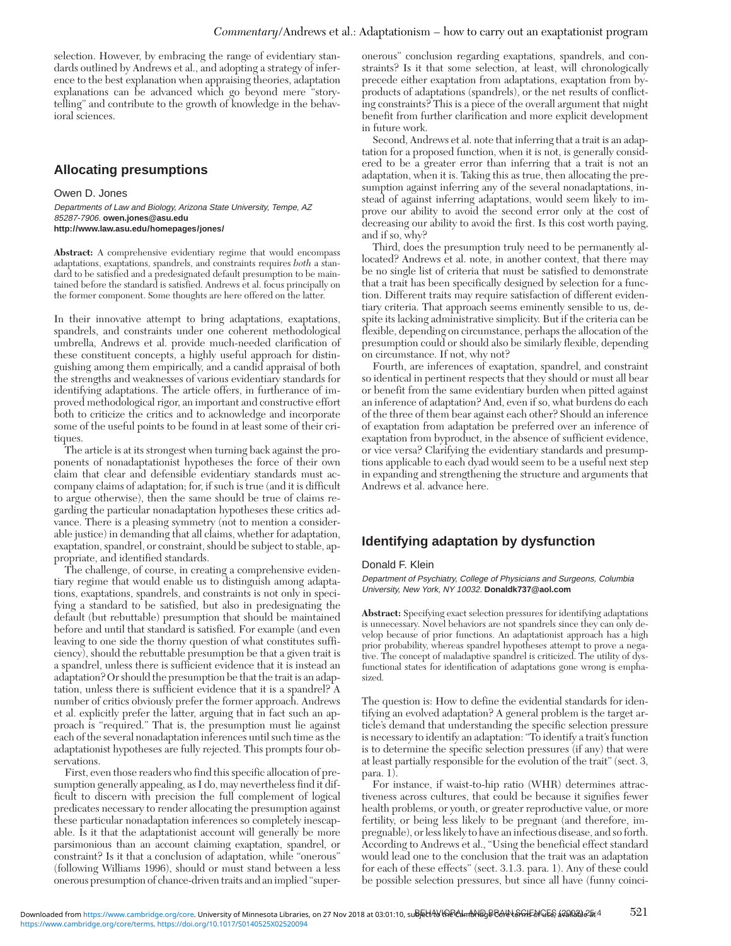selection. However, by embracing the range of evidentiary standards outlined by Andrews et al., and adopting a strategy of inference to the best explanation when appraising theories, adaptation explanations can be advanced which go beyond mere "storytelling" and contribute to the growth of knowledge in the behavioral sciences.

## **Allocating presumptions**

#### Owen D. Jones

Departments of Law and Biology, Arizona State University, Tempe, AZ 85287-7906. **owen.jones@asu.edu http://www.law.asu.edu/homepages/jones/**

**Abstract:** A comprehensive evidentiary regime that would encompass adaptations, exaptations, spandrels, and constraints requires *both* a standard to be satisfied and a predesignated default presumption to be maintained before the standard is satisfied. Andrews et al. focus principally on the former component. Some thoughts are here offered on the latter.

In their innovative attempt to bring adaptations, exaptations, spandrels, and constraints under one coherent methodological umbrella, Andrews et al. provide much-needed clarification of these constituent concepts, a highly useful approach for distinguishing among them empirically, and a candid appraisal of both the strengths and weaknesses of various evidentiary standards for identifying adaptations. The article offers, in furtherance of improved methodological rigor, an important and constructive effort both to criticize the critics and to acknowledge and incorporate some of the useful points to be found in at least some of their critiques.

The article is at its strongest when turning back against the proponents of nonadaptationist hypotheses the force of their own claim that clear and defensible evidentiary standards must accompany claims of adaptation; for, if such is true (and it is difficult to argue otherwise), then the same should be true of claims regarding the particular nonadaptation hypotheses these critics advance. There is a pleasing symmetry (not to mention a considerable justice) in demanding that all claims, whether for adaptation, exaptation, spandrel, or constraint, should be subject to stable, appropriate, and identified standards.

The challenge, of course, in creating a comprehensive evidentiary regime that would enable us to distinguish among adaptations, exaptations, spandrels, and constraints is not only in specifying a standard to be satisfied, but also in predesignating the default (but rebuttable) presumption that should be maintained before and until that standard is satisfied. For example (and even leaving to one side the thorny question of what constitutes sufficiency), should the rebuttable presumption be that a given trait is a spandrel, unless there is sufficient evidence that it is instead an adaptation? Or should the presumption be that the trait is an adaptation, unless there is sufficient evidence that it is a spandrel? A number of critics obviously prefer the former approach. Andrews et al. explicitly prefer the latter, arguing that in fact such an approach is "required." That is, the presumption must lie against each of the several nonadaptation inferences until such time as the adaptationist hypotheses are fully rejected. This prompts four observations.

First, even those readers who find this specific allocation of presumption generally appealing, as I do, may nevertheless find it difficult to discern with precision the full complement of logical predicates necessary to render allocating the presumption against these particular nonadaptation inferences so completely inescapable. Is it that the adaptationist account will generally be more parsimonious than an account claiming exaptation, spandrel, or constraint? Is it that a conclusion of adaptation, while "onerous" (following Williams 1996), should or must stand between a less onerous presumption of chance-driven traits and an implied "superonerous" conclusion regarding exaptations, spandrels, and constraints? Is it that some selection, at least, will chronologically precede either exaptation from adaptations, exaptation from byproducts of adaptations (spandrels), or the net results of conflicting constraints? This is a piece of the overall argument that might benefit from further clarification and more explicit development in future work.

Second, Andrews et al. note that inferring that a trait is an adaptation for a proposed function, when it is not, is generally considered to be a greater error than inferring that a trait is not an adaptation, when it is. Taking this as true, then allocating the presumption against inferring any of the several nonadaptations, instead of against inferring adaptations, would seem likely to improve our ability to avoid the second error only at the cost of decreasing our ability to avoid the first. Is this cost worth paying, and if so, why?

Third, does the presumption truly need to be permanently allocated? Andrews et al. note, in another context, that there may be no single list of criteria that must be satisfied to demonstrate that a trait has been specifically designed by selection for a function. Different traits may require satisfaction of different evidentiary criteria. That approach seems eminently sensible to us, despite its lacking administrative simplicity. But if the criteria can be flexible, depending on circumstance, perhaps the allocation of the presumption could or should also be similarly flexible, depending on circumstance. If not, why not?

Fourth, are inferences of exaptation, spandrel, and constraint so identical in pertinent respects that they should or must all bear or benefit from the same evidentiary burden when pitted against an inference of adaptation? And, even if so, what burdens do each of the three of them bear against each other? Should an inference of exaptation from adaptation be preferred over an inference of exaptation from byproduct, in the absence of sufficient evidence, or vice versa? Clarifying the evidentiary standards and presumptions applicable to each dyad would seem to be a useful next step in expanding and strengthening the structure and arguments that Andrews et al. advance here.

## **Identifying adaptation by dysfunction**

#### Donald F. Klein

Department of Psychiatry, College of Physicians and Surgeons, Columbia University, New York, NY 10032. **Donaldk737@aol.com**

**Abstract:** Specifying exact selection pressures for identifying adaptations is unnecessary. Novel behaviors are not spandrels since they can only develop because of prior functions. An adaptationist approach has a high prior probability, whereas spandrel hypotheses attempt to prove a negative. The concept of maladaptive spandrel is criticized. The utility of dysfunctional states for identification of adaptations gone wrong is emphasized.

The question is: How to define the evidential standards for identifying an evolved adaptation? A general problem is the target article's demand that understanding the specific selection pressure is necessary to identify an adaptation: "To identify a trait's function is to determine the specific selection pressures (if any) that were at least partially responsible for the evolution of the trait" (sect. 3, para. 1).

For instance, if waist-to-hip ratio (WHR) determines attractiveness across cultures, that could be because it signifies fewer health problems, or youth, or greater reproductive value, or more fertility, or being less likely to be pregnant (and therefore, impregnable), or less likely to have an infectious disease, and so forth. According to Andrews et al., "Using the beneficial effect standard would lead one to the conclusion that the trait was an adaptation for each of these effects" (sect. 3.1.3. para. 1). Any of these could be possible selection pressures, but since all have (funny coinci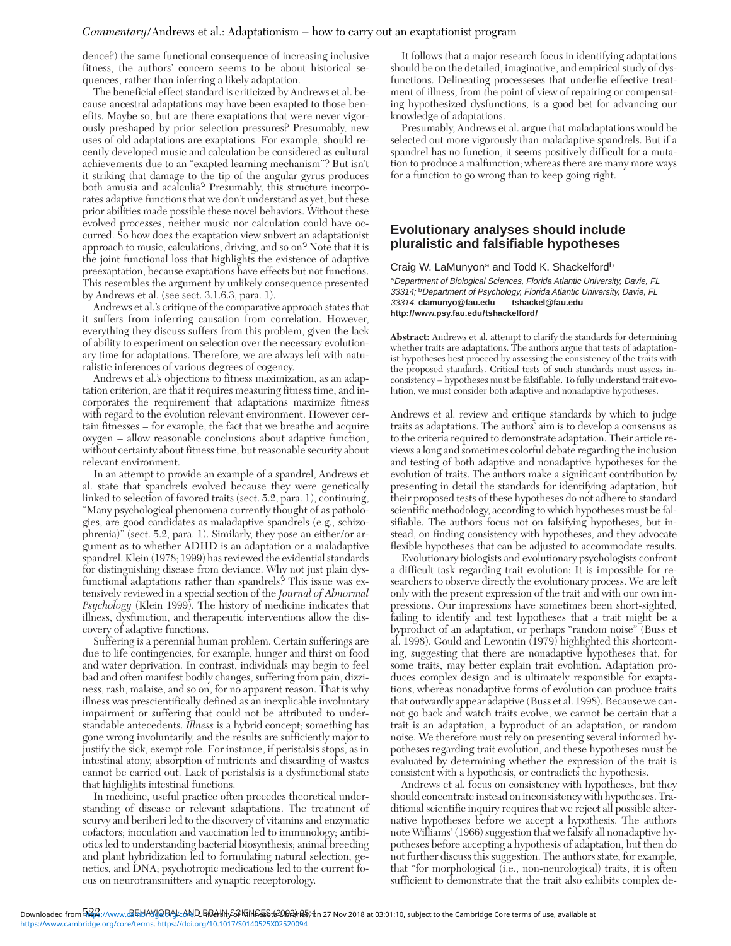dence?) the same functional consequence of increasing inclusive fitness, the authors' concern seems to be about historical sequences, rather than inferring a likely adaptation.

The beneficial effect standard is criticized by Andrews et al. because ancestral adaptations may have been exapted to those benefits. Maybe so, but are there exaptations that were never vigorously preshaped by prior selection pressures? Presumably, new uses of old adaptations are exaptations. For example, should recently developed music and calculation be considered as cultural achievements due to an "exapted learning mechanism"? But isn't it striking that damage to the tip of the angular gyrus produces both amusia and acalculia? Presumably, this structure incorporates adaptive functions that we don't understand as yet, but these prior abilities made possible these novel behaviors. Without these evolved processes, neither music nor calculation could have occurred. So how does the exaptation view subvert an adaptationist approach to music, calculations, driving, and so on? Note that it is the joint functional loss that highlights the existence of adaptive preexaptation, because exaptations have effects but not functions. This resembles the argument by unlikely consequence presented by Andrews et al. (see sect. 3.1.6.3, para. 1).

Andrews et al.'s critique of the comparative approach states that it suffers from inferring causation from correlation. However, everything they discuss suffers from this problem, given the lack of ability to experiment on selection over the necessary evolutionary time for adaptations. Therefore, we are always left with naturalistic inferences of various degrees of cogency.

Andrews et al.'s objections to fitness maximization, as an adaptation criterion, are that it requires measuring fitness time, and incorporates the requirement that adaptations maximize fitness with regard to the evolution relevant environment. However certain fitnesses – for example, the fact that we breathe and acquire oxygen – allow reasonable conclusions about adaptive function, without certainty about fitness time, but reasonable security about relevant environment.

In an attempt to provide an example of a spandrel, Andrews et al. state that spandrels evolved because they were genetically linked to selection of favored traits (sect. 5.2, para. 1), continuing, "Many psychological phenomena currently thought of as pathologies, are good candidates as maladaptive spandrels (e.g., schizophrenia)" (sect. 5.2, para. 1). Similarly, they pose an either/or argument as to whether ADHD is an adaptation or a maladaptive spandrel. Klein (1978; 1999) has reviewed the evidential standards for distinguishing disease from deviance. Why not just plain dysfunctional adaptations rather than spandrels? This issue was extensively reviewed in a special section of the *Journal of Abnormal Psychology* (Klein 1999). The history of medicine indicates that illness, dysfunction, and therapeutic interventions allow the discovery of adaptive functions.

Suffering is a perennial human problem. Certain sufferings are due to life contingencies, for example, hunger and thirst on food and water deprivation. In contrast, individuals may begin to feel bad and often manifest bodily changes, suffering from pain, dizziness, rash, malaise, and so on, for no apparent reason. That is why illness was prescientifically defined as an inexplicable involuntary impairment or suffering that could not be attributed to understandable antecedents. *Illness* is a hybrid concept; something has gone wrong involuntarily, and the results are sufficiently major to justify the sick, exempt role. For instance, if peristalsis stops, as in intestinal atony, absorption of nutrients and discarding of wastes cannot be carried out. Lack of peristalsis is a dysfunctional state that highlights intestinal functions.

In medicine, useful practice often precedes theoretical understanding of disease or relevant adaptations. The treatment of scurvy and beriberi led to the discovery of vitamins and enzymatic cofactors; inoculation and vaccination led to immunology; antibiotics led to understanding bacterial biosynthesis; animal breeding and plant hybridization led to formulating natural selection, genetics, and DNA; psychotropic medications led to the current focus on neurotransmitters and synaptic receptorology.

It follows that a major research focus in identifying adaptations should be on the detailed, imaginative, and empirical study of dysfunctions. Delineating processeses that underlie effective treatment of illness, from the point of view of repairing or compensating hypothesized dysfunctions, is a good bet for advancing our knowledge of adaptations.

Presumably, Andrews et al. argue that maladaptations would be selected out more vigorously than maladaptive spandrels. But if a spandrel has no function, it seems positively difficult for a mutation to produce a malfunction; whereas there are many more ways for a function to go wrong than to keep going right.

## **Evolutionary analyses should include pluralistic and falsifiable hypotheses**

Craig W. LaMunyon<sup>a</sup> and Todd K. Shackelford<sup>b</sup> aDepartment of Biological Sciences, Florida Atlantic University, Davie, FL 33314; <sup>b</sup>Department of Psychology, Florida Atlantic University, Davie, FL 33314. **clamunyo@fau.edu tshackel@fau.edu http://www.psy.fau.edu/tshackelford/**

**Abstract:** Andrews et al. attempt to clarify the standards for determining whether traits are adaptations. The authors argue that tests of adaptationist hypotheses best proceed by assessing the consistency of the traits with the proposed standards. Critical tests of such standards must assess inconsistency – hypotheses must be falsifiable. To fully understand trait evolution, we must consider both adaptive and nonadaptive hypotheses.

Andrews et al. review and critique standards by which to judge traits as adaptations. The authors' aim is to develop a consensus as to the criteria required to demonstrate adaptation. Their article reviews a long and sometimes colorful debate regarding the inclusion and testing of both adaptive and nonadaptive hypotheses for the evolution of traits. The authors make a significant contribution by presenting in detail the standards for identifying adaptation, but their proposed tests of these hypotheses do not adhere to standard scientific methodology, according to which hypotheses must be falsifiable. The authors focus not on falsifying hypotheses, but instead, on finding consistency with hypotheses, and they advocate flexible hypotheses that can be adjusted to accommodate results.

Evolutionary biologists and evolutionary psychologists confront a difficult task regarding trait evolution: It is impossible for researchers to observe directly the evolutionary process. We are left only with the present expression of the trait and with our own impressions. Our impressions have sometimes been short-sighted, failing to identify and test hypotheses that a trait might be a byproduct of an adaptation, or perhaps "random noise" (Buss et al. 1998). Gould and Lewontin (1979) highlighted this shortcoming, suggesting that there are nonadaptive hypotheses that, for some traits, may better explain trait evolution. Adaptation produces complex design and is ultimately responsible for exaptations, whereas nonadaptive forms of evolution can produce traits that outwardly appear adaptive (Buss et al. 1998). Because we cannot go back and watch traits evolve, we cannot be certain that a trait is an adaptation, a byproduct of an adaptation, or random noise. We therefore must rely on presenting several informed hypotheses regarding trait evolution, and these hypotheses must be evaluated by determining whether the expression of the trait is consistent with a hypothesis, or contradicts the hypothesis.

Andrews et al. focus on consistency with hypotheses, but they should concentrate instead on inconsistency with hypotheses. Traditional scientific inquiry requires that we reject all possible alternative hypotheses before we accept a hypothesis. The authors note Williams' (1966) suggestion that we falsify all nonadaptive hypotheses before accepting a hypothesis of adaptation, but then do not further discuss this suggestion. The authors state, for example, that "for morphological (i.e., non-neurological) traits, it is often sufficient to demonstrate that the trait also exhibits complex de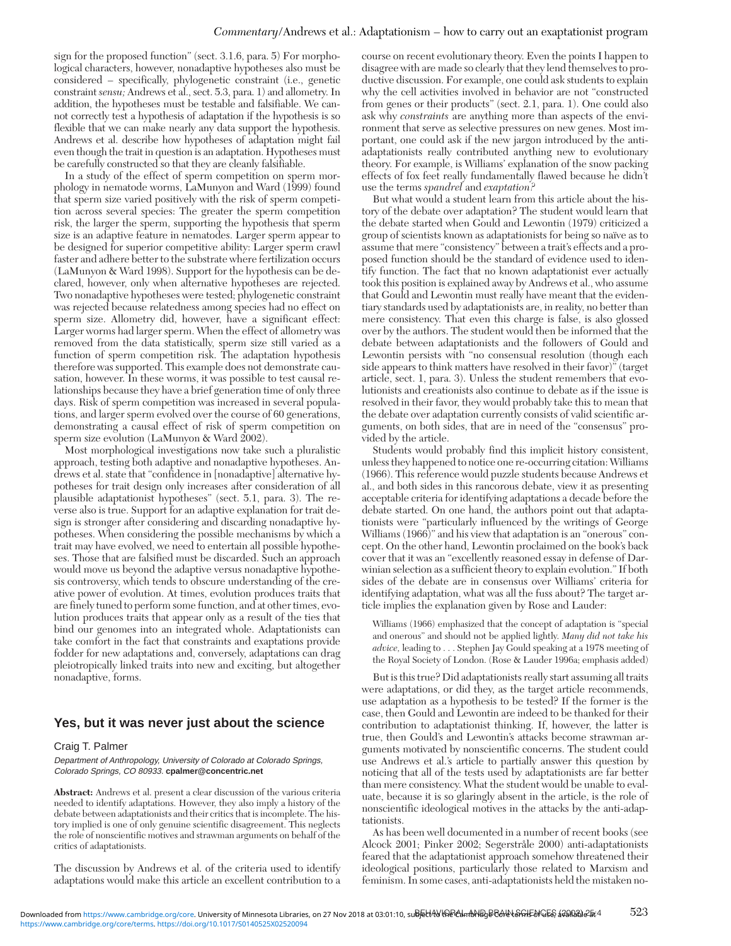sign for the proposed function" (sect. 3.1.6, para. 5) For morphological characters, however, nonadaptive hypotheses also must be considered – specifically, phylogenetic constraint (i.e., genetic constraint *sensu;* Andrews et al., sect. 5.3, para. 1) and allometry. In addition, the hypotheses must be testable and falsifiable. We cannot correctly test a hypothesis of adaptation if the hypothesis is so flexible that we can make nearly any data support the hypothesis. Andrews et al. describe how hypotheses of adaptation might fail even though the trait in question is an adaptation. Hypotheses must be carefully constructed so that they are cleanly falsifiable.

In a study of the effect of sperm competition on sperm morphology in nematode worms, LaMunyon and Ward (1999) found that sperm size varied positively with the risk of sperm competition across several species: The greater the sperm competition risk, the larger the sperm, supporting the hypothesis that sperm size is an adaptive feature in nematodes. Larger sperm appear to be designed for superior competitive ability: Larger sperm crawl faster and adhere better to the substrate where fertilization occurs (LaMunyon & Ward 1998). Support for the hypothesis can be declared, however, only when alternative hypotheses are rejected. Two nonadaptive hypotheses were tested; phylogenetic constraint was rejected because relatedness among species had no effect on sperm size. Allometry did, however, have a significant effect: Larger worms had larger sperm. When the effect of allometry was removed from the data statistically, sperm size still varied as a function of sperm competition risk. The adaptation hypothesis therefore was supported. This example does not demonstrate causation, however. In these worms, it was possible to test causal relationships because they have a brief generation time of only three days. Risk of sperm competition was increased in several populations, and larger sperm evolved over the course of 60 generations, demonstrating a causal effect of risk of sperm competition on sperm size evolution (LaMunyon & Ward 2002).

Most morphological investigations now take such a pluralistic approach, testing both adaptive and nonadaptive hypotheses. Andrews et al. state that "confidence in [nonadaptive] alternative hypotheses for trait design only increases after consideration of all plausible adaptationist hypotheses" (sect. 5.1, para. 3). The reverse also is true. Support for an adaptive explanation for trait design is stronger after considering and discarding nonadaptive hypotheses. When considering the possible mechanisms by which a trait may have evolved, we need to entertain all possible hypotheses. Those that are falsified must be discarded. Such an approach would move us beyond the adaptive versus nonadaptive hypothesis controversy, which tends to obscure understanding of the creative power of evolution. At times, evolution produces traits that are finely tuned to perform some function, and at other times, evolution produces traits that appear only as a result of the ties that bind our genomes into an integrated whole. Adaptationists can take comfort in the fact that constraints and exaptations provide fodder for new adaptations and, conversely, adaptations can drag pleiotropically linked traits into new and exciting, but altogether nonadaptive, forms.

## **Yes, but it was never just about the science**

#### Craig T. Palmer

Department of Anthropology, University of Colorado at Colorado Springs, Colorado Springs, CO 80933. **cpalmer@concentric.net**

**Abstract:** Andrews et al. present a clear discussion of the various criteria needed to identify adaptations. However, they also imply a history of the debate between adaptationists and their critics that is incomplete. The history implied is one of only genuine scientific disagreement. This neglects the role of nonscientific motives and strawman arguments on behalf of the critics of adaptationists.

The discussion by Andrews et al. of the criteria used to identify adaptations would make this article an excellent contribution to a course on recent evolutionary theory. Even the points I happen to disagree with are made so clearly that they lend themselves to productive discussion. For example, one could ask students to explain why the cell activities involved in behavior are not "constructed from genes or their products" (sect. 2.1, para. 1). One could also ask why *constraints* are anything more than aspects of the environment that serve as selective pressures on new genes. Most important, one could ask if the new jargon introduced by the antiadaptationists really contributed anything new to evolutionary theory. For example, is Williams' explanation of the snow packing effects of fox feet really fundamentally flawed because he didn't use the terms *spandrel* and *exaptation?*

But what would a student learn from this article about the history of the debate over adaptation? The student would learn that the debate started when Gould and Lewontin (1979) criticized a group of scientists known as adaptationists for being so naïve as to assume that mere "consistency" between a trait's effects and a proposed function should be the standard of evidence used to identify function. The fact that no known adaptationist ever actually took this position is explained away by Andrews et al., who assume that Gould and Lewontin must really have meant that the evidentiary standards used by adaptationists are, in reality, no better than mere consistency. That even this charge is false, is also glossed over by the authors. The student would then be informed that the debate between adaptationists and the followers of Gould and Lewontin persists with "no consensual resolution (though each side appears to think matters have resolved in their favor)" (target article, sect. 1, para. 3). Unless the student remembers that evolutionists and creationists also continue to debate as if the issue is resolved in their favor, they would probably take this to mean that the debate over adaptation currently consists of valid scientific arguments, on both sides, that are in need of the "consensus" provided by the article.

Students would probably find this implicit history consistent, unless they happened to notice one re-occurring citation: Williams (1966). This reference would puzzle students because Andrews et al., and both sides in this rancorous debate, view it as presenting acceptable criteria for identifying adaptations a decade before the debate started. On one hand, the authors point out that adaptationists were "particularly influenced by the writings of George Williams (1966)" and his view that adaptation is an "onerous" concept. On the other hand, Lewontin proclaimed on the book's back cover that it was an "excellently reasoned essay in defense of Darwinian selection as a sufficient theory to explain evolution." If both sides of the debate are in consensus over Williams' criteria for identifying adaptation, what was all the fuss about? The target article implies the explanation given by Rose and Lauder:

Williams (1966) emphasized that the concept of adaptation is "special and onerous" and should not be applied lightly. *Many did not take his advice,* leading to . . . Stephen Jay Gould speaking at a 1978 meeting of the Royal Society of London. (Rose & Lauder 1996a; emphasis added)

But is this true? Did adaptationists really start assuming all traits were adaptations, or did they, as the target article recommends, use adaptation as a hypothesis to be tested? If the former is the case, then Gould and Lewontin are indeed to be thanked for their contribution to adaptationist thinking. If, however, the latter is true, then Gould's and Lewontin's attacks become strawman arguments motivated by nonscientific concerns. The student could use Andrews et al.'s article to partially answer this question by noticing that all of the tests used by adaptationists are far better than mere consistency. What the student would be unable to evaluate, because it is so glaringly absent in the article, is the role of nonscientific ideological motives in the attacks by the anti-adaptationists.

As has been well documented in a number of recent books (see Alcock 2001; Pinker 2002; Segerstråle 2000) anti-adaptationists feared that the adaptationist approach somehow threatened their ideological positions, particularly those related to Marxism and feminism. In some cases, anti-adaptationists held the mistaken no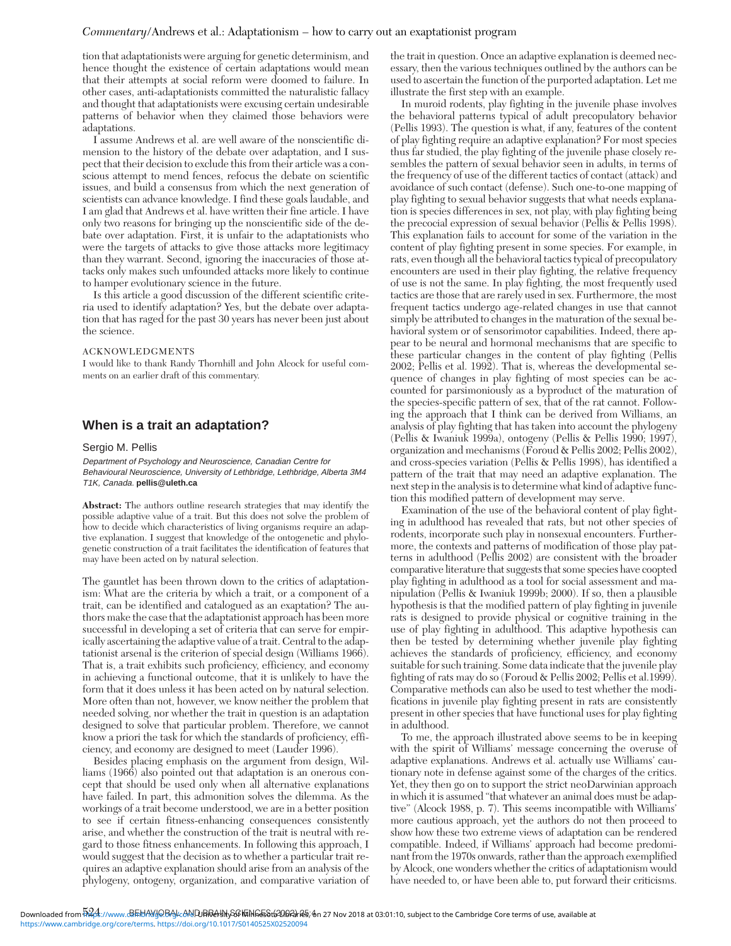tion that adaptationists were arguing for genetic determinism, and hence thought the existence of certain adaptations would mean that their attempts at social reform were doomed to failure. In other cases, anti-adaptationists committed the naturalistic fallacy and thought that adaptationists were excusing certain undesirable patterns of behavior when they claimed those behaviors were adaptations.

I assume Andrews et al. are well aware of the nonscientific dimension to the history of the debate over adaptation, and I suspect that their decision to exclude this from their article was a conscious attempt to mend fences, refocus the debate on scientific issues, and build a consensus from which the next generation of scientists can advance knowledge. I find these goals laudable, and I am glad that Andrews et al. have written their fine article. I have only two reasons for bringing up the nonscientific side of the debate over adaptation. First, it is unfair to the adaptationists who were the targets of attacks to give those attacks more legitimacy than they warrant. Second, ignoring the inaccuracies of those attacks only makes such unfounded attacks more likely to continue to hamper evolutionary science in the future.

Is this article a good discussion of the different scientific criteria used to identify adaptation? Yes, but the debate over adaptation that has raged for the past 30 years has never been just about the science.

#### ACKNOWLEDGMENTS

I would like to thank Randy Thornhill and John Alcock for useful comments on an earlier draft of this commentary.

## **When is a trait an adaptation?**

#### Sergio M. Pellis

Department of Psychology and Neuroscience, Canadian Centre for Behavioural Neuroscience, University of Lethbridge, Lethbridge, Alberta 3M4 T1K, Canada. **pellis@uleth.ca**

**Abstract:** The authors outline research strategies that may identify the possible adaptive value of a trait. But this does not solve the problem of how to decide which characteristics of living organisms require an adaptive explanation. I suggest that knowledge of the ontogenetic and phylogenetic construction of a trait facilitates the identification of features that may have been acted on by natural selection.

The gauntlet has been thrown down to the critics of adaptationism: What are the criteria by which a trait, or a component of a trait, can be identified and catalogued as an exaptation? The authors make the case that the adaptationist approach has been more successful in developing a set of criteria that can serve for empirically ascertaining the adaptive value of a trait. Central to the adaptationist arsenal is the criterion of special design (Williams 1966). That is, a trait exhibits such proficiency, efficiency, and economy in achieving a functional outcome, that it is unlikely to have the form that it does unless it has been acted on by natural selection. More often than not, however, we know neither the problem that needed solving, nor whether the trait in question is an adaptation designed to solve that particular problem. Therefore, we cannot know a priori the task for which the standards of proficiency, efficiency, and economy are designed to meet (Lauder 1996).

Besides placing emphasis on the argument from design, Williams (1966) also pointed out that adaptation is an onerous concept that should be used only when all alternative explanations have failed. In part, this admonition solves the dilemma. As the workings of a trait become understood, we are in a better position to see if certain fitness-enhancing consequences consistently arise, and whether the construction of the trait is neutral with regard to those fitness enhancements. In following this approach, I would suggest that the decision as to whether a particular trait requires an adaptive explanation should arise from an analysis of the phylogeny, ontogeny, organization, and comparative variation of the trait in question. Once an adaptive explanation is deemed necessary, then the various techniques outlined by the authors can be used to ascertain the function of the purported adaptation. Let me illustrate the first step with an example.

In muroid rodents, play fighting in the juvenile phase involves the behavioral patterns typical of adult precopulatory behavior (Pellis 1993). The question is what, if any, features of the content of play fighting require an adaptive explanation? For most species thus far studied, the play fighting of the juvenile phase closely resembles the pattern of sexual behavior seen in adults, in terms of the frequency of use of the different tactics of contact (attack) and avoidance of such contact (defense). Such one-to-one mapping of play fighting to sexual behavior suggests that what needs explanation is species differences in sex, not play, with play fighting being the precocial expression of sexual behavior (Pellis & Pellis 1998). This explanation fails to account for some of the variation in the content of play fighting present in some species. For example, in rats, even though all the behavioral tactics typical of precopulatory encounters are used in their play fighting, the relative frequency of use is not the same. In play fighting, the most frequently used tactics are those that are rarely used in sex. Furthermore, the most frequent tactics undergo age-related changes in use that cannot simply be attributed to changes in the maturation of the sexual behavioral system or of sensorimotor capabilities. Indeed, there appear to be neural and hormonal mechanisms that are specific to these particular changes in the content of play fighting (Pellis 2002; Pellis et al. 1992). That is, whereas the developmental sequence of changes in play fighting of most species can be accounted for parsimoniously as a byproduct of the maturation of the species-specific pattern of sex, that of the rat cannot. Following the approach that I think can be derived from Williams, an analysis of play fighting that has taken into account the phylogeny (Pellis & Iwaniuk 1999a), ontogeny (Pellis & Pellis 1990; 1997), organization and mechanisms (Foroud & Pellis 2002; Pellis 2002), and cross-species variation (Pellis & Pellis 1998), has identified a pattern of the trait that may need an adaptive explanation. The next step in the analysis is to determine what kind of adaptive function this modified pattern of development may serve.

Examination of the use of the behavioral content of play fighting in adulthood has revealed that rats, but not other species of rodents, incorporate such play in nonsexual encounters. Furthermore, the contexts and patterns of modification of those play patterns in adulthood (Pellis 2002) are consistent with the broader comparative literature that suggests that some species have coopted play fighting in adulthood as a tool for social assessment and manipulation (Pellis & Iwaniuk 1999b; 2000). If so, then a plausible hypothesis is that the modified pattern of play fighting in juvenile rats is designed to provide physical or cognitive training in the use of play fighting in adulthood. This adaptive hypothesis can then be tested by determining whether juvenile play fighting achieves the standards of proficiency, efficiency, and economy suitable for such training. Some data indicate that the juvenile play fighting of rats may do so (Foroud & Pellis 2002; Pellis et al.1999). Comparative methods can also be used to test whether the modifications in juvenile play fighting present in rats are consistently present in other species that have functional uses for play fighting in adulthood.

To me, the approach illustrated above seems to be in keeping with the spirit of Williams' message concerning the overuse of adaptive explanations. Andrews et al. actually use Williams' cautionary note in defense against some of the charges of the critics. Yet, they then go on to support the strict neoDarwinian approach in which it is assumed "that whatever an animal does must be adaptive" (Alcock 1988, p. 7). This seems incompatible with Williams' more cautious approach, yet the authors do not then proceed to show how these two extreme views of adaptation can be rendered compatible. Indeed, if Williams' approach had become predominant from the 1970s onwards, rather than the approach exemplified by Alcock, one wonders whether the critics of adaptationism would have needed to, or have been able to, put forward their criticisms.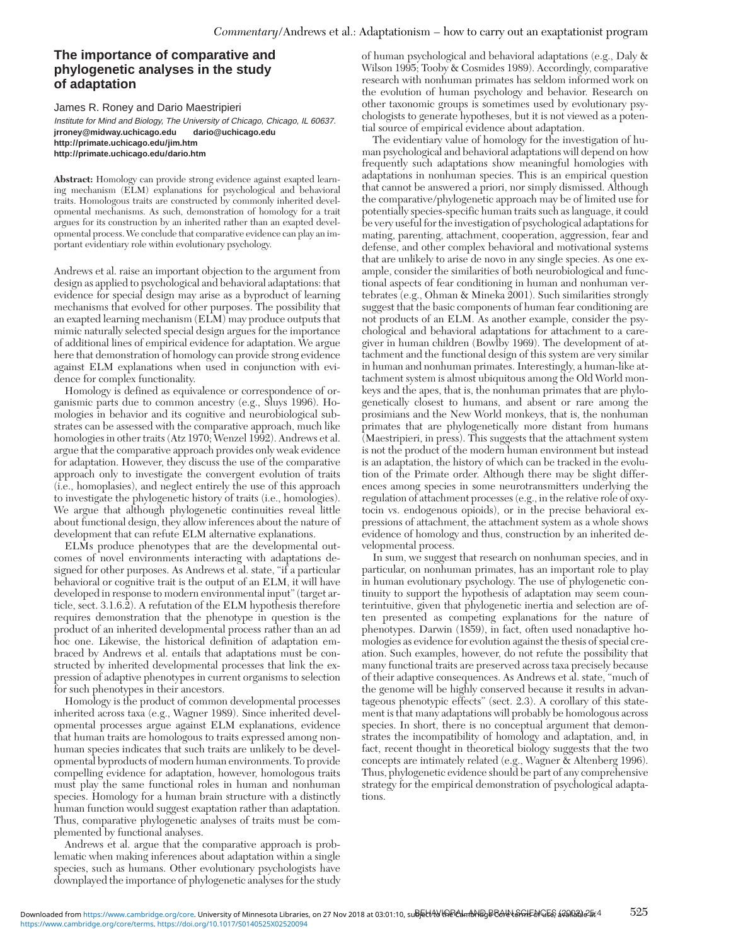## **The importance of comparative and phylogenetic analyses in the study of adaptation**

James R. Roney and Dario Maestripieri

Institute for Mind and Biology, The University of Chicago, Chicago, IL 60637. **jrroney@midway.uchicago.edu dario@uchicago.edu http://primate.uchicago.edu/jim.htm http://primate.uchicago.edu/dario.htm**

**Abstract:** Homology can provide strong evidence against exapted learning mechanism (ELM) explanations for psychological and behavioral traits. Homologous traits are constructed by commonly inherited developmental mechanisms. As such, demonstration of homology for a trait argues for its construction by an inherited rather than an exapted developmental process. We conclude that comparative evidence can play an important evidentiary role within evolutionary psychology.

Andrews et al. raise an important objection to the argument from design as applied to psychological and behavioral adaptations: that evidence for special design may arise as a byproduct of learning mechanisms that evolved for other purposes. The possibility that an exapted learning mechanism (ELM) may produce outputs that mimic naturally selected special design argues for the importance of additional lines of empirical evidence for adaptation. We argue here that demonstration of homology can provide strong evidence against ELM explanations when used in conjunction with evidence for complex functionality.

Homology is defined as equivalence or correspondence of organismic parts due to common ancestry (e.g., Sluys 1996). Homologies in behavior and its cognitive and neurobiological substrates can be assessed with the comparative approach, much like homologies in other traits (Atz 1970; Wenzel 1992). Andrews et al. argue that the comparative approach provides only weak evidence for adaptation. However, they discuss the use of the comparative approach only to investigate the convergent evolution of traits (i.e., homoplasies), and neglect entirely the use of this approach to investigate the phylogenetic history of traits (i.e., homologies). We argue that although phylogenetic continuities reveal little about functional design, they allow inferences about the nature of development that can refute ELM alternative explanations.

ELMs produce phenotypes that are the developmental outcomes of novel environments interacting with adaptations designed for other purposes. As Andrews et al. state, "if a particular behavioral or cognitive trait is the output of an ELM, it will have developed in response to modern environmental input" (target article, sect. 3.1.6.2). A refutation of the ELM hypothesis therefore requires demonstration that the phenotype in question is the product of an inherited developmental process rather than an ad hoc one. Likewise, the historical definition of adaptation embraced by Andrews et al. entails that adaptations must be constructed by inherited developmental processes that link the expression of adaptive phenotypes in current organisms to selection for such phenotypes in their ancestors.

Homology is the product of common developmental processes inherited across taxa (e.g., Wagner 1989). Since inherited developmental processes argue against ELM explanations, evidence that human traits are homologous to traits expressed among nonhuman species indicates that such traits are unlikely to be developmental byproducts of modern human environments. To provide compelling evidence for adaptation, however, homologous traits must play the same functional roles in human and nonhuman species. Homology for a human brain structure with a distinctly human function would suggest exaptation rather than adaptation. Thus, comparative phylogenetic analyses of traits must be complemented by functional analyses.

Andrews et al. argue that the comparative approach is problematic when making inferences about adaptation within a single species, such as humans. Other evolutionary psychologists have downplayed the importance of phylogenetic analyses for the study of human psychological and behavioral adaptations (e.g., Daly & Wilson 1995; Tooby & Cosmides 1989). Accordingly, comparative research with nonhuman primates has seldom informed work on the evolution of human psychology and behavior. Research on other taxonomic groups is sometimes used by evolutionary psychologists to generate hypotheses, but it is not viewed as a potential source of empirical evidence about adaptation.

The evidentiary value of homology for the investigation of human psychological and behavioral adaptations will depend on how frequently such adaptations show meaningful homologies with adaptations in nonhuman species. This is an empirical question that cannot be answered a priori, nor simply dismissed. Although the comparative/phylogenetic approach may be of limited use for potentially species-specific human traits such as language, it could be very useful for the investigation of psychological adaptations for mating, parenting, attachment, cooperation, aggression, fear and defense, and other complex behavioral and motivational systems that are unlikely to arise de novo in any single species. As one example, consider the similarities of both neurobiological and functional aspects of fear conditioning in human and nonhuman vertebrates (e.g., Ohman & Mineka 2001). Such similarities strongly suggest that the basic components of human fear conditioning are not products of an ELM. As another example, consider the psychological and behavioral adaptations for attachment to a caregiver in human children (Bowlby 1969). The development of attachment and the functional design of this system are very similar in human and nonhuman primates. Interestingly, a human-like attachment system is almost ubiquitous among the Old World monkeys and the apes, that is, the nonhuman primates that are phylogenetically closest to humans, and absent or rare among the prosimians and the New World monkeys, that is, the nonhuman primates that are phylogenetically more distant from humans (Maestripieri, in press). This suggests that the attachment system is not the product of the modern human environment but instead is an adaptation, the history of which can be tracked in the evolution of the Primate order. Although there may be slight differences among species in some neurotransmitters underlying the regulation of attachment processes (e.g., in the relative role of oxytocin vs. endogenous opioids), or in the precise behavioral expressions of attachment, the attachment system as a whole shows evidence of homology and thus, construction by an inherited developmental process.

In sum, we suggest that research on nonhuman species, and in particular, on nonhuman primates, has an important role to play in human evolutionary psychology. The use of phylogenetic continuity to support the hypothesis of adaptation may seem counterintuitive, given that phylogenetic inertia and selection are often presented as competing explanations for the nature of phenotypes. Darwin (1859), in fact, often used nonadaptive homologies as evidence for evolution against the thesis of special creation. Such examples, however, do not refute the possibility that many functional traits are preserved across taxa precisely because of their adaptive consequences. As Andrews et al. state, "much of the genome will be highly conserved because it results in advantageous phenotypic effects" (sect. 2.3). A corollary of this statement is that many adaptations will probably be homologous across species. In short, there is no conceptual argument that demonstrates the incompatibility of homology and adaptation, and, in fact, recent thought in theoretical biology suggests that the two concepts are intimately related (e.g., Wagner & Altenberg 1996). Thus, phylogenetic evidence should be part of any comprehensive strategy for the empirical demonstration of psychological adaptations.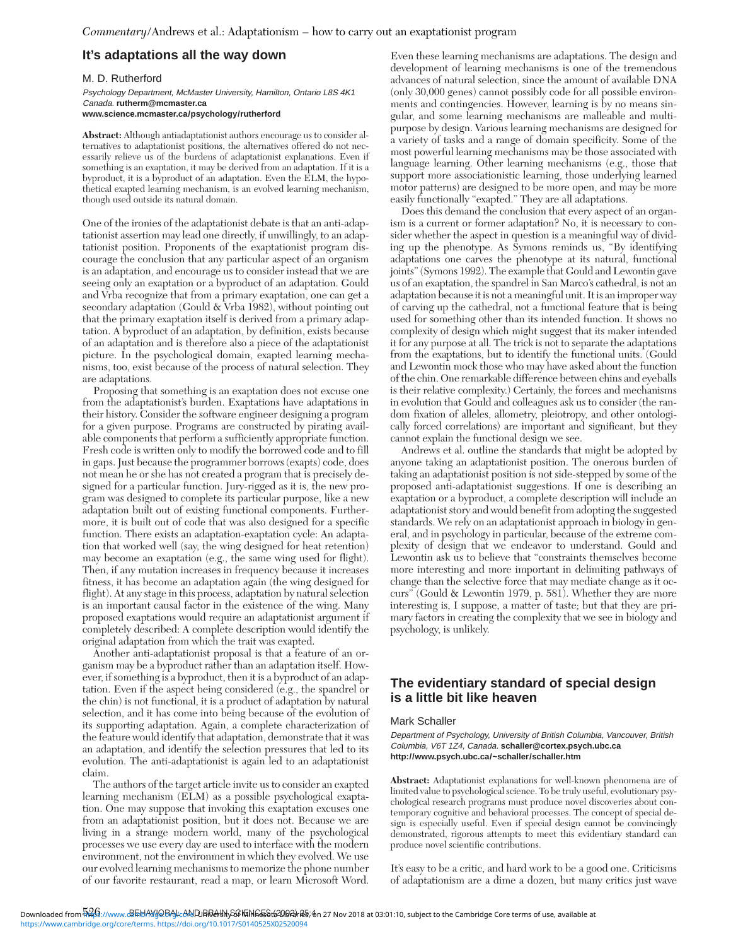## **It's adaptations all the way down**

#### M. D. Rutherford

Psychology Department, McMaster University, Hamilton, Ontario L8S 4K1 Canada. **rutherm@mcmaster.ca www.science.mcmaster.ca/psychology/rutherford**

**Abstract:** Although antiadaptationist authors encourage us to consider alternatives to adaptationist positions, the alternatives offered do not necessarily relieve us of the burdens of adaptationist explanations. Even if something is an exaptation, it may be derived from an adaptation. If it is a byproduct, it is a byproduct of an adaptation. Even the ELM, the hypothetical exapted learning mechanism, is an evolved learning mechanism, though used outside its natural domain.

One of the ironies of the adaptationist debate is that an anti-adaptationist assertion may lead one directly, if unwillingly, to an adaptationist position. Proponents of the exaptationist program discourage the conclusion that any particular aspect of an organism is an adaptation, and encourage us to consider instead that we are seeing only an exaptation or a byproduct of an adaptation. Gould and Vrba recognize that from a primary exaptation, one can get a secondary adaptation (Gould & Vrba 1982), without pointing out that the primary exaptation itself is derived from a primary adaptation. A byproduct of an adaptation, by definition, exists because of an adaptation and is therefore also a piece of the adaptationist picture. In the psychological domain, exapted learning mechanisms, too, exist because of the process of natural selection. They are adaptations.

Proposing that something is an exaptation does not excuse one from the adaptationist's burden. Exaptations have adaptations in their history. Consider the software engineer designing a program for a given purpose. Programs are constructed by pirating available components that perform a sufficiently appropriate function. Fresh code is written only to modify the borrowed code and to fill in gaps. Just because the programmer borrows (exapts) code, does not mean he or she has not created a program that is precisely designed for a particular function. Jury-rigged as it is, the new program was designed to complete its particular purpose, like a new adaptation built out of existing functional components. Furthermore, it is built out of code that was also designed for a specific function. There exists an adaptation-exaptation cycle: An adaptation that worked well (say, the wing designed for heat retention) may become an exaptation (e.g., the same wing used for flight). Then, if any mutation increases in frequency because it increases fitness, it has become an adaptation again (the wing designed for flight). At any stage in this process, adaptation by natural selection is an important causal factor in the existence of the wing. Many proposed exaptations would require an adaptationist argument if completely described: A complete description would identify the original adaptation from which the trait was exapted.

Another anti-adaptationist proposal is that a feature of an organism may be a byproduct rather than an adaptation itself. However, if something is a byproduct, then it is a byproduct of an adaptation. Even if the aspect being considered (e.g., the spandrel or the chin) is not functional, it is a product of adaptation by natural selection, and it has come into being because of the evolution of its supporting adaptation. Again, a complete characterization of the feature would identify that adaptation, demonstrate that it was an adaptation, and identify the selection pressures that led to its evolution. The anti-adaptationist is again led to an adaptationist claim.

The authors of the target article invite us to consider an exapted learning mechanism (ELM) as a possible psychological exaptation. One may suppose that invoking this exaptation excuses one from an adaptationist position, but it does not. Because we are living in a strange modern world, many of the psychological processes we use every day are used to interface with the modern environment, not the environment in which they evolved. We use our evolved learning mechanisms to memorize the phone number of our favorite restaurant, read a map, or learn Microsoft Word.

Even these learning mechanisms are adaptations. The design and development of learning mechanisms is one of the tremendous advances of natural selection, since the amount of available DNA (only 30,000 genes) cannot possibly code for all possible environments and contingencies. However, learning is by no means singular, and some learning mechanisms are malleable and multipurpose by design. Various learning mechanisms are designed for a variety of tasks and a range of domain specificity. Some of the most powerful learning mechanisms may be those associated with language learning. Other learning mechanisms (e.g., those that support more associationistic learning, those underlying learned motor patterns) are designed to be more open, and may be more easily functionally "exapted." They are all adaptations.

Does this demand the conclusion that every aspect of an organism is a current or former adaptation? No, it is necessary to consider whether the aspect in question is a meaningful way of dividing up the phenotype. As Symons reminds us, "By identifying adaptations one carves the phenotype at its natural, functional joints" (Symons 1992). The example that Gould and Lewontin gave us of an exaptation, the spandrel in San Marco's cathedral, is not an adaptation because it is not a meaningful unit. It is an improper way of carving up the cathedral, not a functional feature that is being used for something other than its intended function. It shows no complexity of design which might suggest that its maker intended it for any purpose at all. The trick is not to separate the adaptations from the exaptations, but to identify the functional units. (Gould and Lewontin mock those who may have asked about the function of the chin. One remarkable difference between chins and eyeballs is their relative complexity.) Certainly, the forces and mechanisms in evolution that Gould and colleagues ask us to consider (the random fixation of alleles, allometry, pleiotropy, and other ontologically forced correlations) are important and significant, but they cannot explain the functional design we see.

Andrews et al. outline the standards that might be adopted by anyone taking an adaptationist position. The onerous burden of taking an adaptationist position is not side-stepped by some of the proposed anti-adaptationist suggestions. If one is describing an exaptation or a byproduct, a complete description will include an adaptationist story and would benefit from adopting the suggested standards. We rely on an adaptationist approach in biology in general, and in psychology in particular, because of the extreme complexity of design that we endeavor to understand. Gould and Lewontin ask us to believe that "constraints themselves become more interesting and more important in delimiting pathways of change than the selective force that may mediate change as it occurs" (Gould & Lewontin 1979, p. 581). Whether they are more interesting is, I suppose, a matter of taste; but that they are primary factors in creating the complexity that we see in biology and psychology, is unlikely.

## **The evidentiary standard of special design is a little bit like heaven**

#### Mark Schaller

Department of Psychology, University of British Columbia, Vancouver, British Columbia, V6T 1Z4, Canada. **schaller@cortex.psych.ubc.ca http://www.psych.ubc.ca/~schaller/schaller.htm**

**Abstract:** Adaptationist explanations for well-known phenomena are of limited value to psychological science. To be truly useful, evolutionary psychological research programs must produce novel discoveries about contemporary cognitive and behavioral processes. The concept of special design is especially useful. Even if special design cannot be convincingly demonstrated, rigorous attempts to meet this evidentiary standard can produce novel scientific contributions.

It's easy to be a critic, and hard work to be a good one. Criticisms of adaptationism are a dime a dozen, but many critics just wave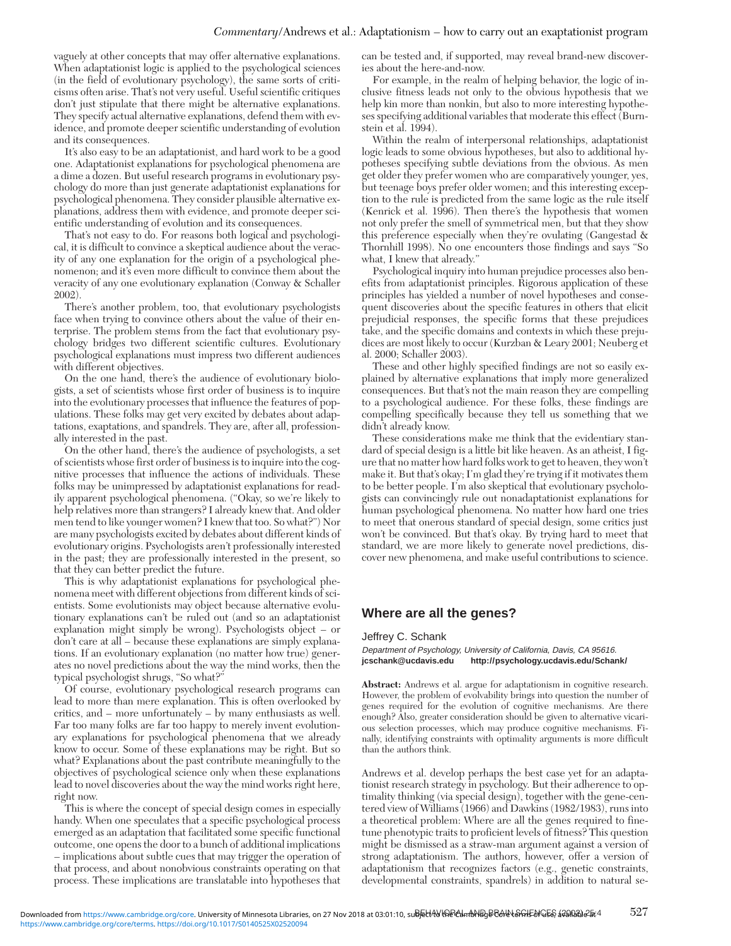vaguely at other concepts that may offer alternative explanations. When adaptationist logic is applied to the psychological sciences (in the field of evolutionary psychology), the same sorts of criticisms often arise. That's not very useful. Useful scientific critiques don't just stipulate that there might be alternative explanations. They specify actual alternative explanations, defend them with evidence, and promote deeper scientific understanding of evolution and its consequences.

It's also easy to be an adaptationist, and hard work to be a good one. Adaptationist explanations for psychological phenomena are a dime a dozen. But useful research programs in evolutionary psychology do more than just generate adaptationist explanations for psychological phenomena. They consider plausible alternative explanations, address them with evidence, and promote deeper scientific understanding of evolution and its consequences.

That's not easy to do. For reasons both logical and psychological, it is difficult to convince a skeptical audience about the veracity of any one explanation for the origin of a psychological phenomenon; and it's even more difficult to convince them about the veracity of any one evolutionary explanation (Conway & Schaller 2002).

There's another problem, too, that evolutionary psychologists face when trying to convince others about the value of their enterprise. The problem stems from the fact that evolutionary psychology bridges two different scientific cultures. Evolutionary psychological explanations must impress two different audiences with different objectives.

On the one hand, there's the audience of evolutionary biologists, a set of scientists whose first order of business is to inquire into the evolutionary processes that influence the features of populations. These folks may get very excited by debates about adaptations, exaptations, and spandrels. They are, after all, professionally interested in the past.

On the other hand, there's the audience of psychologists, a set of scientists whose first order of business is to inquire into the cognitive processes that influence the actions of individuals. These folks may be unimpressed by adaptationist explanations for readily apparent psychological phenomena. ("Okay, so we're likely to help relatives more than strangers? I already knew that. And older men tend to like younger women? I knew that too. So what?") Nor are many psychologists excited by debates about different kinds of evolutionary origins. Psychologists aren't professionally interested in the past; they are professionally interested in the present, so that they can better predict the future.

This is why adaptationist explanations for psychological phenomena meet with different objections from different kinds of scientists. Some evolutionists may object because alternative evolutionary explanations can't be ruled out (and so an adaptationist explanation might simply be wrong). Psychologists object – or don't care at all – because these explanations are simply explanations. If an evolutionary explanation (no matter how true) generates no novel predictions about the way the mind works, then the typical psychologist shrugs, "So what?"

Of course, evolutionary psychological research programs can lead to more than mere explanation. This is often overlooked by critics, and – more unfortunately – by many enthusiasts as well. Far too many folks are far too happy to merely invent evolutionary explanations for psychological phenomena that we already know to occur. Some of these explanations may be right. But so what? Explanations about the past contribute meaningfully to the objectives of psychological science only when these explanations lead to novel discoveries about the way the mind works right here, right now.

This is where the concept of special design comes in especially handy. When one speculates that a specific psychological process emerged as an adaptation that facilitated some specific functional outcome, one opens the door to a bunch of additional implications – implications about subtle cues that may trigger the operation of that process, and about nonobvious constraints operating on that process. These implications are translatable into hypotheses that

can be tested and, if supported, may reveal brand-new discoveries about the here-and-now.

For example, in the realm of helping behavior, the logic of inclusive fitness leads not only to the obvious hypothesis that we help kin more than nonkin, but also to more interesting hypotheses specifying additional variables that moderate this effect (Burnstein et al. 1994).

Within the realm of interpersonal relationships, adaptationist logic leads to some obvious hypotheses, but also to additional hypotheses specifying subtle deviations from the obvious. As men get older they prefer women who are comparatively younger, yes, but teenage boys prefer older women; and this interesting exception to the rule is predicted from the same logic as the rule itself (Kenrick et al. 1996). Then there's the hypothesis that women not only prefer the smell of symmetrical men, but that they show this preference especially when they're ovulating (Gangestad & Thornhill 1998). No one encounters those findings and says "So what, I knew that already."

Psychological inquiry into human prejudice processes also benefits from adaptationist principles. Rigorous application of these principles has yielded a number of novel hypotheses and consequent discoveries about the specific features in others that elicit prejudicial responses, the specific forms that these prejudices take, and the specific domains and contexts in which these prejudices are most likely to occur (Kurzban & Leary 2001; Neuberg et al. 2000; Schaller 2003).

These and other highly specified findings are not so easily explained by alternative explanations that imply more generalized consequences. But that's not the main reason they are compelling to a psychological audience. For these folks, these findings are compelling specifically because they tell us something that we didn't already know.

These considerations make me think that the evidentiary standard of special design is a little bit like heaven. As an atheist, I figure that no matter how hard folks work to get to heaven, they won't make it. But that's okay; I'm glad they're trying if it motivates them to be better people. I'm also skeptical that evolutionary psychologists can convincingly rule out nonadaptationist explanations for human psychological phenomena. No matter how hard one tries to meet that onerous standard of special design, some critics just won't be convinced. But that's okay. By trying hard to meet that standard, we are more likely to generate novel predictions, discover new phenomena, and make useful contributions to science.

## **Where are all the genes?**

#### Jeffrey C. Schank

Department of Psychology, University of California, Davis, CA 95616. **jcschank@ucdavis.edu http://psychology.ucdavis.edu/Schank/**

**Abstract:** Andrews et al. argue for adaptationism in cognitive research. However, the problem of evolvability brings into question the number of genes required for the evolution of cognitive mechanisms. Are there enough? Also, greater consideration should be given to alternative vicarious selection processes, which may produce cognitive mechanisms. Finally, identifying constraints with optimality arguments is more difficult than the authors think.

Andrews et al. develop perhaps the best case yet for an adaptationist research strategy in psychology. But their adherence to optimality thinking (via special design), together with the gene-centered view of Williams (1966) and Dawkins (1982/1983), runs into a theoretical problem: Where are all the genes required to finetune phenotypic traits to proficient levels of fitness? This question might be dismissed as a straw-man argument against a version of strong adaptationism. The authors, however, offer a version of adaptationism that recognizes factors (e.g., genetic constraints, developmental constraints, spandrels) in addition to natural se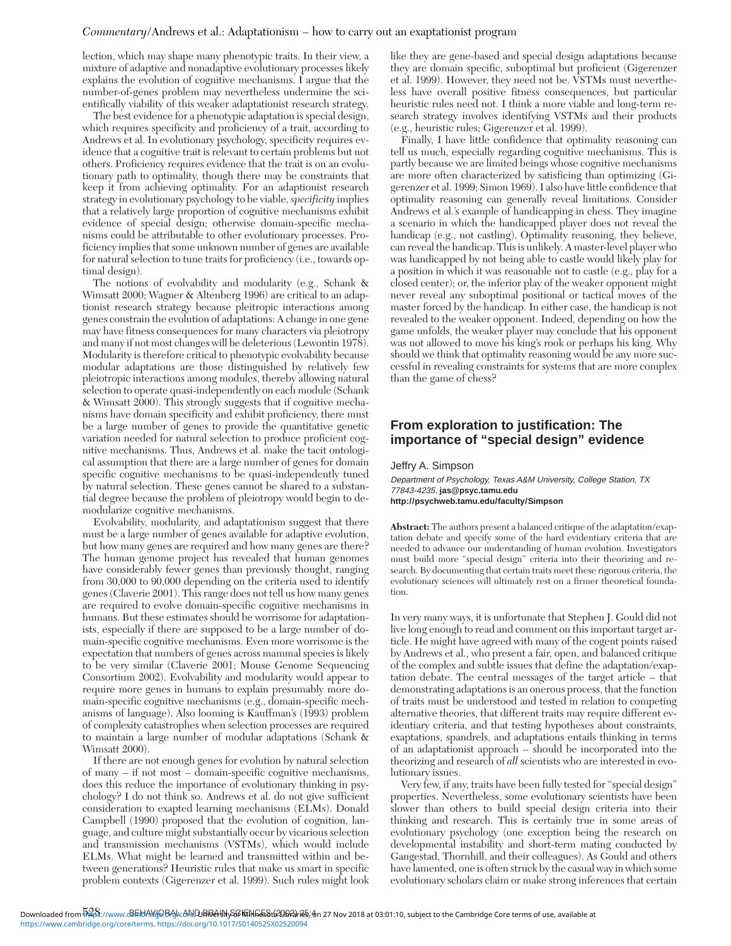lection, which may shape many phenotypic traits. In their view, a mixture of adaptive and nonadaptive evolutionary processes likely explains the evolution of cognitive mechanisms. I argue that the number-of-genes problem may nevertheless undermine the scientifically viability of this weaker adaptationist research strategy.

The best evidence for a phenotypic adaptation is special design, which requires specificity and proficiency of a trait, according to Andrews et al. In evolutionary psychology, specificity requires evidence that a cognitive trait is relevant to certain problems but not others. Proficiency requires evidence that the trait is on an evolutionary path to optimality, though there may be constraints that keep it from achieving optimality. For an adaptionist research strategy in evolutionary psychology to be viable, *specificity* implies that a relatively large proportion of cognitive mechanisms exhibit evidence of special design; otherwise domain-specific mechanisms could be attributable to other evolutionary processes. Proficiency implies that some unknown number of genes are available for natural selection to tune traits for proficiency (i.e., towards optimal design).

The notions of evolvability and modularity (e.g., Schank & Wimsatt 2000; Wagner & Altenberg 1996) are critical to an adaptionist research strategy because pleitropic interactions among genes constrain the evolution of adaptations: A change in one gene may have fitness consequences for many characters via pleiotropy and many if not most changes will be deleterious (Lewontin 1978). Modularity is therefore critical to phenotypic evolvability because modular adaptations are those distinguished by relatively few pleiotropic interactions among modules, thereby allowing natural selection to operate quasi-independently on each module (Schank & Wimsatt 2000). This strongly suggests that if cognitive mechanisms have domain specificity and exhibit proficiency, there must be a large number of genes to provide the quantitative genetic variation needed for natural selection to produce proficient cognitive mechanisms. Thus, Andrews et al. make the tacit ontological assumption that there are a large number of genes for domain specific cognitive mechanisms to be quasi-independently tuned by natural selection. These genes cannot be shared to a substantial degree because the problem of pleiotropy would begin to demodularize cognitive mechanisms.

Evolvability, modularity, and adaptationism suggest that there must be a large number of genes available for adaptive evolution, but how many genes are required and how many genes are there? The human genome project has revealed that human genomes have considerably fewer genes than previously thought, ranging from 30,000 to 90,000 depending on the criteria used to identify genes (Claverie 2001). This range does not tell us how many genes are required to evolve domain-specific cognitive mechanisms in humans. But these estimates should be worrisome for adaptationists, especially if there are supposed to be a large number of domain-specific cognitive mechanisms. Even more worrisome is the expectation that numbers of genes across mammal species is likely to be very similar (Claverie 2001; Mouse Genome Sequencing Consortium 2002). Evolvability and modularity would appear to require more genes in humans to explain presumably more domain-specific cognitive mechanisms (e.g., domain-specific mechanisms of language). Also looming is Kauffman's (1993) problem of complexity catastrophes when selection processes are required to maintain a large number of modular adaptations (Schank & Wimsatt 2000).

If there are not enough genes for evolution by natural selection of many – if not most – domain-specific cognitive mechanisms, does this reduce the importance of evolutionary thinking in psychology? I do not think so. Andrews et al. do not give sufficient consideration to exapted learning mechanisms (ELMs). Donald Campbell (1990) proposed that the evolution of cognition, language, and culture might substantially occur by vicarious selection and transmission mechanisms (VSTMs), which would include ELMs. What might be learned and transmitted within and between generations? Heuristic rules that make us smart in specific problem contexts (Gigerenzer et al. 1999). Such rules might look like they are gene-based and special design adaptations because they are domain specific, suboptimal but proficient (Gigerenzer et al. 1999). However, they need not be. VSTMs must nevertheless have overall positive fitness consequences, but particular heuristic rules need not. I think a more viable and long-term research strategy involves identifying VSTMs and their products (e.g., heuristic rules; Gigerenzer et al. 1999).

Finally, I have little confidence that optimality reasoning can tell us much, especially regarding cognitive mechanisms. This is partly because we are limited beings whose cognitive mechanisms are more often characterized by satisficing than optimizing (Gigerenzer et al. 1999; Simon 1969). I also have little confidence that optimality reasoning can generally reveal limitations. Consider Andrews et al.'s example of handicapping in chess. They imagine a scenario in which the handicapped player does not reveal the handicap (e.g., not castling). Optimality reasoning, they believe, can reveal the handicap. This is unlikely. A master-level player who was handicapped by not being able to castle would likely play for a position in which it was reasonable not to castle (e.g., play for a closed center); or, the inferior play of the weaker opponent might never reveal any suboptimal positional or tactical moves of the master forced by the handicap. In either case, the handicap is not revealed to the weaker opponent. Indeed, depending on how the game unfolds, the weaker player may conclude that his opponent was not allowed to move his king's rook or perhaps his king. Why should we think that optimality reasoning would be any more successful in revealing constraints for systems that are more complex than the game of chess?

## **From exploration to justification: The importance of "special design" evidence**

Jeffry A. Simpson

Department of Psychology, Texas A&M University, College Station, TX 77843-4235. **jas@psyc.tamu.edu http://psychweb.tamu.edu/faculty/Simpson**

**Abstract:** The authors present a balanced critique of the adaptation/exaptation debate and specify some of the hard evidentiary criteria that are needed to advance our understanding of human evolution. Investigators must build more "special design" criteria into their theorizing and research. By documenting that certain traits meet these rigorous criteria, the evolutionary sciences will ultimately rest on a firmer theoretical foundation.

In very many ways, it is unfortunate that Stephen J. Gould did not live long enough to read and comment on this important target article. He might have agreed with many of the cogent points raised by Andrews et al., who present a fair, open, and balanced critique of the complex and subtle issues that define the adaptation/exaptation debate. The central messages of the target article – that demonstrating adaptations is an onerous process, that the function of traits must be understood and tested in relation to competing alternative theories, that different traits may require different evidentiary criteria, and that testing hypotheses about constraints, exaptations, spandrels, and adaptations entails thinking in terms of an adaptationist approach – should be incorporated into the theorizing and research of *all* scientists who are interested in evolutionary issues.

Very few, if any, traits have been fully tested for "special design" properties. Nevertheless, some evolutionary scientists have been slower than others to build special design criteria into their thinking and research. This is certainly true in some areas of evolutionary psychology (one exception being the research on developmental instability and short-term mating conducted by Gangestad, Thornhill, and their colleagues). As Gould and others have lamented, one is often struck by the casual way in which some evolutionary scholars claim or make strong inferences that certain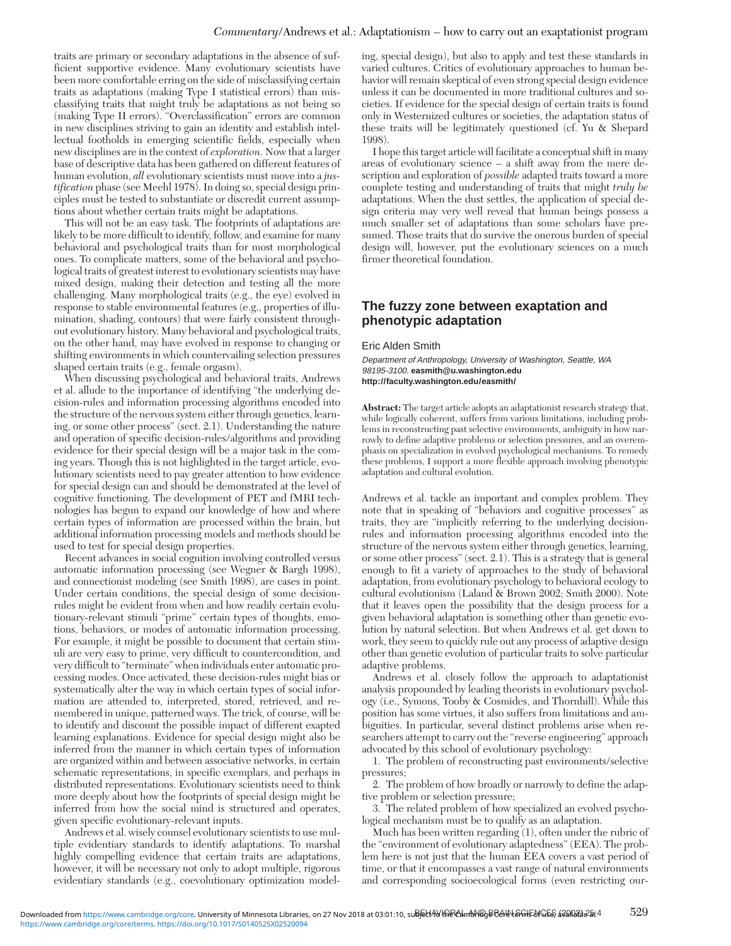traits are primary or secondary adaptations in the absence of sufficient supportive evidence. Many evolutionary scientists have been more comfortable erring on the side of misclassifying certain traits as adaptations (making Type I statistical errors) than misclassifying traits that might truly be adaptations as not being so (making Type II errors). "Overclassification" errors are common in new disciplines striving to gain an identity and establish intellectual footholds in emerging scientific fields, especially when new disciplines are in the context of *exploration.* Now that a larger base of descriptive data has been gathered on different features of human evolution, *all* evolutionary scientists must move into a *justification* phase (see Meehl 1978). In doing so, special design principles must be tested to substantiate or discredit current assumptions about whether certain traits might be adaptations.

This will not be an easy task. The footprints of adaptations are likely to be more difficult to identify, follow, and examine for many behavioral and psychological traits than for most morphological ones. To complicate matters, some of the behavioral and psychological traits of greatest interest to evolutionary scientists may have mixed design, making their detection and testing all the more challenging. Many morphological traits (e.g., the eye) evolved in response to stable environmental features (e.g., properties of illumination, shading, contours) that were fairly consistent throughout evolutionary history. Many behavioral and psychological traits, on the other hand, may have evolved in response to changing or shifting environments in which countervailing selection pressures shaped certain traits (e.g., female orgasm).

When discussing psychological and behavioral traits, Andrews et al. allude to the importance of identifying "the underlying decision-rules and information processing algorithms encoded into the structure of the nervous system either through genetics, learning, or some other process" (sect. 2.1). Understanding the nature and operation of specific decision-rules/algorithms and providing evidence for their special design will be a major task in the coming years. Though this is not highlighted in the target article, evolutionary scientists need to pay greater attention to how evidence for special design can and should be demonstrated at the level of cognitive functioning. The development of PET and fMRI technologies has begun to expand our knowledge of how and where certain types of information are processed within the brain, but additional information processing models and methods should be used to test for special design properties.

Recent advances in social cognition involving controlled versus automatic information processing (see Wegner & Bargh 1998), and connectionist modeling (see Smith 1998), are cases in point. Under certain conditions, the special design of some decisionrules might be evident from when and how readily certain evolutionary-relevant stimuli "prime" certain types of thoughts, emotions, behaviors, or modes of automatic information processing. For example, it might be possible to document that certain stimuli are very easy to prime, very difficult to countercondition, and very difficult to "terminate" when individuals enter automatic processing modes. Once activated, these decision-rules might bias or systematically alter the way in which certain types of social information are attended to, interpreted, stored, retrieved, and remembered in unique, patterned ways. The trick, of course, will be to identify and discount the possible impact of different exapted learning explanations. Evidence for special design might also be inferred from the manner in which certain types of information are organized within and between associative networks, in certain schematic representations, in specific exemplars, and perhaps in distributed representations. Evolutionary scientists need to think more deeply about how the footprints of special design might be inferred from how the social mind is structured and operates, given specific evolutionary-relevant inputs.

Andrews et al. wisely counsel evolutionary scientists to use multiple evidentiary standards to identify adaptations. To marshal highly compelling evidence that certain traits are adaptations, however, it will be necessary not only to adopt multiple, rigorous evidentiary standards (e.g., coevolutionary optimization modeling, special design), but also to apply and test these standards in varied cultures. Critics of evolutionary approaches to human behavior will remain skeptical of even strong special design evidence unless it can be documented in more traditional cultures and societies. If evidence for the special design of certain traits is found only in Westernized cultures or societies, the adaptation status of these traits will be legitimately questioned (cf. Yu & Shepard 1998).

I hope this target article will facilitate a conceptual shift in many areas of evolutionary science – a shift away from the mere description and exploration of *possible* adapted traits toward a more complete testing and understanding of traits that might *truly be* adaptations. When the dust settles, the application of special design criteria may very well reveal that human beings possess a much smaller set of adaptations than some scholars have presumed. Those traits that do survive the onerous burden of special design will, however, put the evolutionary sciences on a much firmer theoretical foundation.

## **The fuzzy zone between exaptation and phenotypic adaptation**

Eric Alden Smith

Department of Anthropology, University of Washington, Seattle, WA 98195-3100. **easmith@u.washington.edu http://faculty.washington.edu/easmith/**

**Abstract:** The target article adopts an adaptationist research strategy that, while logically coherent, suffers from various limitations, including problems in reconstructing past selective environments, ambiguity in how narrowly to define adaptive problems or selection pressures, and an overemphasis on specialization in evolved psychological mechanisms. To remedy these problems, I support a more flexible approach involving phenotypic adaptation and cultural evolution.

Andrews et al. tackle an important and complex problem. They note that in speaking of "behaviors and cognitive processes" as traits, they are "implicitly referring to the underlying decisionrules and information processing algorithms encoded into the structure of the nervous system either through genetics, learning, or some other process" (sect. 2.1). This is a strategy that is general enough to fit a variety of approaches to the study of behavioral adaptation, from evolutionary psychology to behavioral ecology to cultural evolutionism (Laland & Brown 2002; Smith 2000). Note that it leaves open the possibility that the design process for a given behavioral adaptation is something other than genetic evolution by natural selection. But when Andrews et al. get down to work, they seem to quickly rule out any process of adaptive design other than genetic evolution of particular traits to solve particular adaptive problems.

Andrews et al. closely follow the approach to adaptationist analysis propounded by leading theorists in evolutionary psychology (i.e., Symons, Tooby & Cosmides, and Thornhill). While this position has some virtues, it also suffers from limitations and ambiguities. In particular, several distinct problems arise when researchers attempt to carry out the "reverse engineering" approach advocated by this school of evolutionary psychology:

1. The problem of reconstructing past environments/selective pressures;

2. The problem of how broadly or narrowly to define the adaptive problem or selection pressure;

3. The related problem of how specialized an evolved psychological mechanism must be to qualify as an adaptation.

Much has been written regarding (1), often under the rubric of the "environment of evolutionary adaptedness" (EEA). The problem here is not just that the human EEA covers a vast period of time, or that it encompasses a vast range of natural environments and corresponding socioecological forms (even restricting our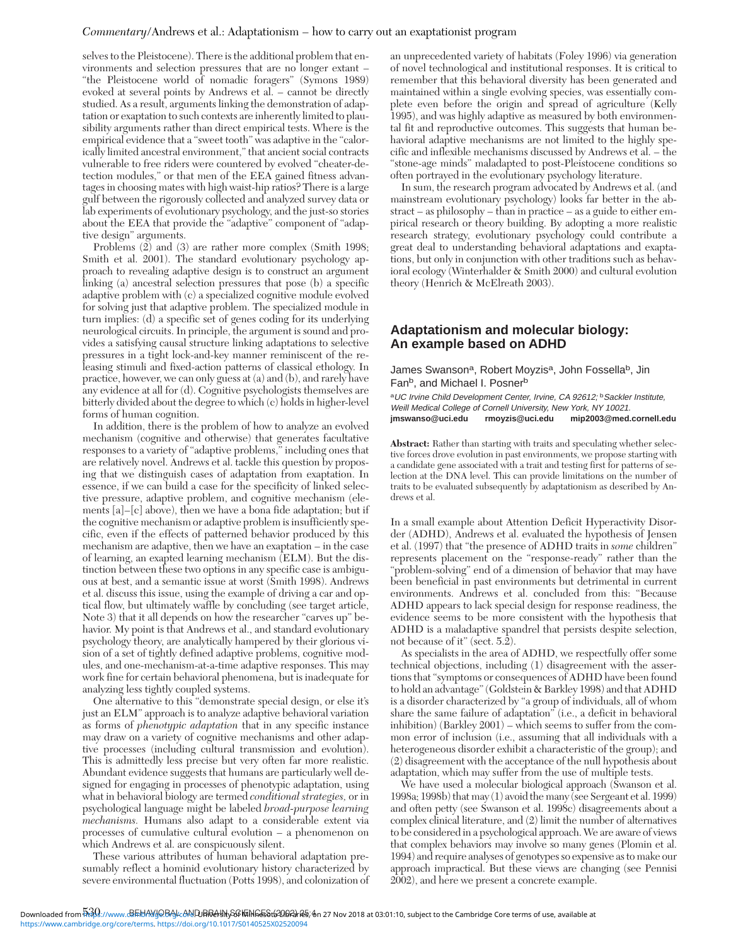selves to the Pleistocene). There is the additional problem that environments and selection pressures that are no longer extant – "the Pleistocene world of nomadic foragers" (Symons 1989) evoked at several points by Andrews et al. – cannot be directly studied. As a result, arguments linking the demonstration of adaptation or exaptation to such contexts are inherently limited to plausibility arguments rather than direct empirical tests. Where is the empirical evidence that a "sweet tooth" was adaptive in the "calorically limited ancestral environment," that ancient social contracts vulnerable to free riders were countered by evolved "cheater-detection modules," or that men of the EEA gained fitness advantages in choosing mates with high waist-hip ratios? There is a large gulf between the rigorously collected and analyzed survey data or lab experiments of evolutionary psychology, and the just-so stories about the EEA that provide the "adaptive" component of "adaptive design" arguments.

Problems (2) and (3) are rather more complex (Smith 1998; Smith et al. 2001). The standard evolutionary psychology approach to revealing adaptive design is to construct an argument linking (a) ancestral selection pressures that pose (b) a specific adaptive problem with (c) a specialized cognitive module evolved for solving just that adaptive problem. The specialized module in turn implies: (d) a specific set of genes coding for its underlying neurological circuits. In principle, the argument is sound and provides a satisfying causal structure linking adaptations to selective pressures in a tight lock-and-key manner reminiscent of the releasing stimuli and fixed-action patterns of classical ethology. In practice, however, we can only guess at (a) and (b), and rarely have any evidence at all for (d). Cognitive psychologists themselves are bitterly divided about the degree to which (c) holds in higher-level forms of human cognition.

In addition, there is the problem of how to analyze an evolved mechanism (cognitive and otherwise) that generates facultative responses to a variety of "adaptive problems," including ones that are relatively novel. Andrews et al. tackle this question by proposing that we distinguish cases of adaptation from exaptation. In essence, if we can build a case for the specificity of linked selective pressure, adaptive problem, and cognitive mechanism (elements [a]–[c] above), then we have a bona fide adaptation; but if the cognitive mechanism or adaptive problem is insufficiently specific, even if the effects of patterned behavior produced by this mechanism are adaptive, then we have an exaptation – in the case of learning, an exapted learning mechanism (ELM). But the distinction between these two options in any specific case is ambiguous at best, and a semantic issue at worst (Smith 1998). Andrews et al. discuss this issue, using the example of driving a car and optical flow, but ultimately waffle by concluding (see target article, Note 3) that it all depends on how the researcher "carves up" behavior. My point is that Andrews et al., and standard evolutionary psychology theory, are analytically hampered by their glorious vision of a set of tightly defined adaptive problems, cognitive modules, and one-mechanism-at-a-time adaptive responses. This may work fine for certain behavioral phenomena, but is inadequate for analyzing less tightly coupled systems.

One alternative to this "demonstrate special design, or else it's just an ELM" approach is to analyze adaptive behavioral variation as forms of *phenotypic adaptation* that in any specific instance may draw on a variety of cognitive mechanisms and other adaptive processes (including cultural transmission and evolution). This is admittedly less precise but very often far more realistic. Abundant evidence suggests that humans are particularly well designed for engaging in processes of phenotypic adaptation, using what in behavioral biology are termed *conditional strategies,* or in psychological language might be labeled *broad-purpose learning mechanisms.* Humans also adapt to a considerable extent via processes of cumulative cultural evolution – a phenomenon on which Andrews et al. are conspicuously silent.

These various attributes of human behavioral adaptation presumably reflect a hominid evolutionary history characterized by severe environmental fluctuation (Potts 1998), and colonization of an unprecedented variety of habitats (Foley 1996) via generation of novel technological and institutional responses. It is critical to remember that this behavioral diversity has been generated and maintained within a single evolving species, was essentially complete even before the origin and spread of agriculture (Kelly 1995), and was highly adaptive as measured by both environmental fit and reproductive outcomes. This suggests that human behavioral adaptive mechanisms are not limited to the highly specific and inflexible mechanisms discussed by Andrews et al. – the "stone-age minds" maladapted to post-Pleistocene conditions so often portrayed in the evolutionary psychology literature.

In sum, the research program advocated by Andrews et al. (and mainstream evolutionary psychology) looks far better in the abstract – as philosophy – than in practice – as a guide to either empirical research or theory building. By adopting a more realistic research strategy, evolutionary psychology could contribute a great deal to understanding behavioral adaptations and exaptations, but only in conjunction with other traditions such as behavioral ecology (Winterhalder & Smith 2000) and cultural evolution theory (Henrich & McElreath 2003).

## **Adaptationism and molecular biology: An example based on ADHD**

James Swanson<sup>a</sup>, Robert Moyzis<sup>a</sup>, John Fossella<sup>b</sup>, Jin Fan<sup>b</sup>, and Michael I. Posner<sup>b</sup>

aUC Irvine Child Development Center, Irvine, CA 92612; <sup>b</sup>Sackler Institute, Weill Medical College of Cornell University, New York, NY 10021. **jmswanso@uci.edu rmoyzis@uci.edu mip2003@med.cornell.edu**

Abstract: Rather than starting with traits and speculating whether selective forces drove evolution in past environments, we propose starting with a candidate gene associated with a trait and testing first for patterns of selection at the DNA level. This can provide limitations on the number of traits to be evaluated subsequently by adaptationism as described by Andrews et al.

In a small example about Attention Deficit Hyperactivity Disorder (ADHD), Andrews et al. evaluated the hypothesis of Jensen et al. (1997) that "the presence of ADHD traits in *some* children" represents placement on the "response-ready" rather than the "problem-solving" end of a dimension of behavior that may have been beneficial in past environments but detrimental in current environments. Andrews et al. concluded from this: "Because ADHD appears to lack special design for response readiness, the evidence seems to be more consistent with the hypothesis that ADHD is a maladaptive spandrel that persists despite selection, not because of it" (sect. 5.2).

As specialists in the area of ADHD, we respectfully offer some technical objections, including (1) disagreement with the assertions that "symptoms or consequences of ADHD have been found to hold an advantage" (Goldstein & Barkley 1998) and that ADHD is a disorder characterized by "a group of individuals, all of whom share the same failure of adaptation" (i.e., a deficit in behavioral inhibition) (Barkley 2001) – which seems to suffer from the common error of inclusion (i.e., assuming that all individuals with a heterogeneous disorder exhibit a characteristic of the group); and (2) disagreement with the acceptance of the null hypothesis about adaptation, which may suffer from the use of multiple tests.

We have used a molecular biological approach (Swanson et al. 1998a; 1998b) that may (1) avoid the many (see Sergeant et al. 1999) and often petty (see Swanson et al. 1998c) disagreements about a complex clinical literature, and (2) limit the number of alternatives to be considered in a psychological approach. We are aware of views that complex behaviors may involve so many genes (Plomin et al. 1994) and require analyses of genotypes so expensive as to make our approach impractical. But these views are changing (see Pennisi 2002), and here we present a concrete example.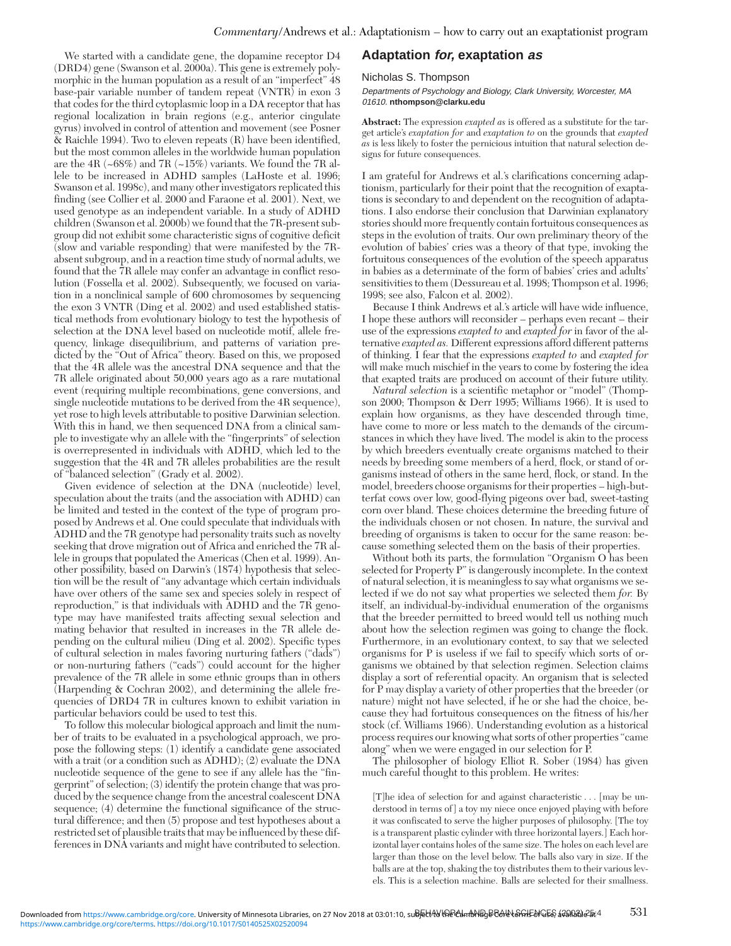We started with a candidate gene, the dopamine receptor D4 (DRD4) gene (Swanson et al. 2000a). This gene is extremely polymorphic in the human population as a result of an "imperfect" 48 base-pair variable number of tandem repeat (VNTR) in exon 3 that codes for the third cytoplasmic loop in a DA receptor that has regional localization in brain regions (e.g., anterior cingulate gyrus) involved in control of attention and movement (see Posner & Raichle 1994). Two to eleven repeats (R) have been identified, but the most common alleles in the worldwide human population are the 4R  $(-68%)$  and 7R  $(-15%)$  variants. We found the 7R allele to be increased in ADHD samples (LaHoste et al. 1996; Swanson et al. 1998c), and many other investigators replicated this finding (see Collier et al. 2000 and Faraone et al. 2001). Next, we used genotype as an independent variable. In a study of ADHD children (Swanson et al. 2000b) we found that the 7R-present subgroup did not exhibit some characteristic signs of cognitive deficit (slow and variable responding) that were manifested by the 7Rabsent subgroup, and in a reaction time study of normal adults, we found that the 7R allele may confer an advantage in conflict resolution (Fossella et al. 2002). Subsequently, we focused on variation in a nonclinical sample of 600 chromosomes by sequencing the exon 3 VNTR (Ding et al. 2002) and used established statistical methods from evolutionary biology to test the hypothesis of selection at the DNA level based on nucleotide motif, allele frequency, linkage disequilibrium, and patterns of variation predicted by the "Out of Africa" theory. Based on this, we proposed that the 4R allele was the ancestral DNA sequence and that the 7R allele originated about 50,000 years ago as a rare mutational event (requiring multiple recombinations, gene conversions, and single nucleotide mutations to be derived from the 4R sequence), yet rose to high levels attributable to positive Darwinian selection. With this in hand, we then sequenced DNA from a clinical sample to investigate why an allele with the "fingerprints" of selection is overrepresented in individuals with ADHD, which led to the suggestion that the 4R and 7R alleles probabilities are the result of "balanced selection" (Grady et al. 2002).

Given evidence of selection at the DNA (nucleotide) level, speculation about the traits (and the association with ADHD) can be limited and tested in the context of the type of program proposed by Andrews et al. One could speculate that individuals with ADHD and the 7R genotype had personality traits such as novelty seeking that drove migration out of Africa and enriched the 7R allele in groups that populated the Americas (Chen et al. 1999). Another possibility, based on Darwin's (1874) hypothesis that selection will be the result of "any advantage which certain individuals have over others of the same sex and species solely in respect of reproduction," is that individuals with ADHD and the 7R genotype may have manifested traits affecting sexual selection and mating behavior that resulted in increases in the 7R allele depending on the cultural milieu (Ding et al. 2002). Specific types of cultural selection in males favoring nurturing fathers ("dads") or non-nurturing fathers ("cads") could account for the higher prevalence of the 7R allele in some ethnic groups than in others (Harpending & Cochran 2002), and determining the allele frequencies of DRD4 7R in cultures known to exhibit variation in particular behaviors could be used to test this.

To follow this molecular biological approach and limit the number of traits to be evaluated in a psychological approach, we propose the following steps: (1) identify a candidate gene associated with a trait (or a condition such as ADHD); (2) evaluate the DNA nucleotide sequence of the gene to see if any allele has the "fingerprint" of selection; (3) identify the protein change that was produced by the sequence change from the ancestral coalescent DNA sequence; (4) determine the functional significance of the structural difference; and then (5) propose and test hypotheses about a restricted set of plausible traits that may be influenced by these differences in DNA variants and might have contributed to selection.

## **Adaptation for, exaptation as**

#### Nicholas S. Thompson

Departments of Psychology and Biology, Clark University, Worcester, MA 01610. **nthompson@clarku.edu**

**Abstract:** The expression *exapted as* is offered as a substitute for the target article's *exaptation for* and *exaptation to* on the grounds that *exapted as* is less likely to foster the pernicious intuition that natural selection designs for future consequences.

I am grateful for Andrews et al.'s clarifications concerning adaptionism, particularly for their point that the recognition of exaptations is secondary to and dependent on the recognition of adaptations. I also endorse their conclusion that Darwinian explanatory stories should more frequently contain fortuitous consequences as steps in the evolution of traits. Our own preliminary theory of the evolution of babies' cries was a theory of that type, invoking the fortuitous consequences of the evolution of the speech apparatus in babies as a determinate of the form of babies' cries and adults' sensitivities to them (Dessureau et al. 1998; Thompson et al. 1996; 1998; see also, Falcon et al. 2002).

Because I think Andrews et al.'s article will have wide influence, I hope these authors will reconsider – perhaps even recant – their use of the expressions *exapted to* and *exapted for* in favor of the alternative *exapted as.* Different expressions afford different patterns of thinking. I fear that the expressions *exapted to* and *exapted for* will make much mischief in the years to come by fostering the idea that exapted traits are produced on account of their future utility.

*Natural selection* is a scientific metaphor or "model" (Thompson 2000; Thompson & Derr 1995; Williams 1966). It is used to explain how organisms, as they have descended through time, have come to more or less match to the demands of the circumstances in which they have lived. The model is akin to the process by which breeders eventually create organisms matched to their needs by breeding some members of a herd, flock, or stand of organisms instead of others in the same herd, flock, or stand. In the model, breeders choose organisms for their properties – high-butterfat cows over low, good-flying pigeons over bad, sweet-tasting corn over bland. These choices determine the breeding future of the individuals chosen or not chosen. In nature, the survival and breeding of organisms is taken to occur for the same reason: because something selected them on the basis of their properties.

Without both its parts, the formulation "Organism O has been selected for Property P" is dangerously incomplete. In the context of natural selection, it is meaningless to say what organisms we selected if we do not say what properties we selected them *for.* By itself, an individual-by-individual enumeration of the organisms that the breeder permitted to breed would tell us nothing much about how the selection regimen was going to change the flock. Furthermore, in an evolutionary context, to say that we selected organisms for P is useless if we fail to specify which sorts of organisms we obtained by that selection regimen. Selection claims display a sort of referential opacity. An organism that is selected for P may display a variety of other properties that the breeder (or nature) might not have selected, if he or she had the choice, because they had fortuitous consequences on the fitness of his/her stock (cf. Williams 1966). Understanding evolution as a historical process requires our knowing what sorts of other properties "came along" when we were engaged in our selection for P.

The philosopher of biology Elliot R. Sober (1984) has given much careful thought to this problem. He writes:

[T]he idea of selection for and against characteristic . . . [may be understood in terms of] a toy my niece once enjoyed playing with before it was confiscated to serve the higher purposes of philosophy. [The toy is a transparent plastic cylinder with three horizontal layers.] Each horizontal layer contains holes of the same size. The holes on each level are larger than those on the level below. The balls also vary in size. If the balls are at the top, shaking the toy distributes them to their various levels. This is a selection machine. Balls are selected for their smallness.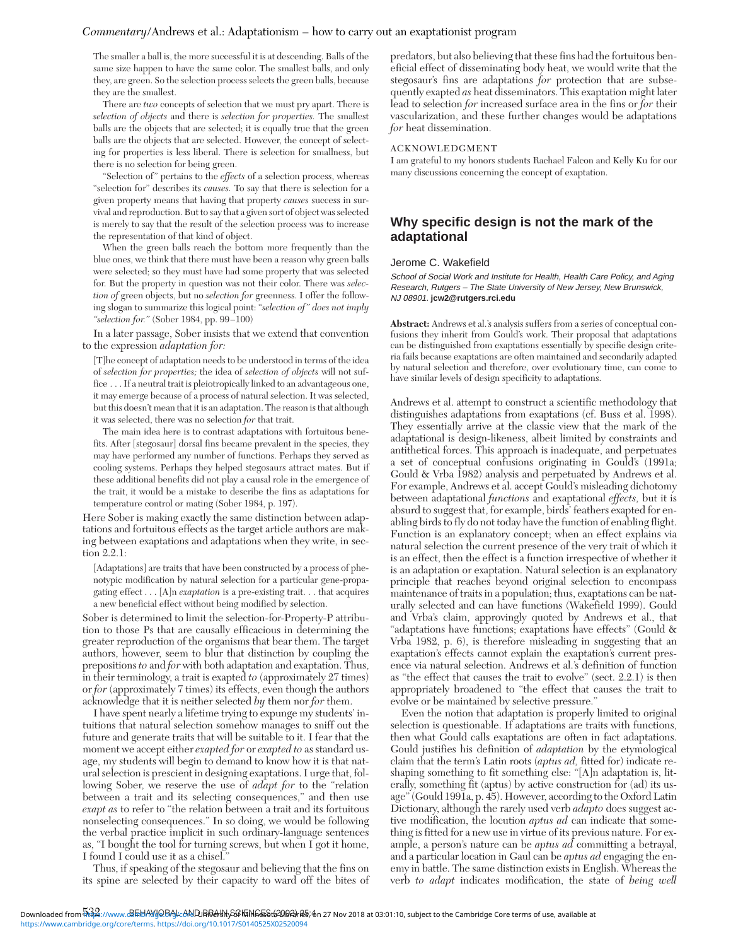The smaller a ball is, the more successful it is at descending. Balls of the same size happen to have the same color. The smallest balls, and only they, are green. So the selection process selects the green balls, because they are the smallest.

There are *two* concepts of selection that we must pry apart. There is *selection of objects* and there is *selection for properties.* The smallest balls are the objects that are selected; it is equally true that the green balls are the objects that are selected. However, the concept of selecting for properties is less liberal. There is selection for smallness, but there is no selection for being green.

"Selection of" pertains to the *effects* of a selection process, whereas "selection for" describes its *causes.* To say that there is selection for a given property means that having that property *causes* success in survival and reproduction. But to say that a given sort of object was selected is merely to say that the result of the selection process was to increase the representation of that kind of object.

When the green balls reach the bottom more frequently than the blue ones, we think that there must have been a reason why green balls were selected; so they must have had some property that was selected for. But the property in question was not their color. There was *selection of* green objects, but no *selection for* greenness. I offer the following slogan to summarize this logical point: "*selection of" does not imply "selection for."* (Sober 1984, pp. 99–100)

In a later passage, Sober insists that we extend that convention to the expression *adaptation for:*

[T]he concept of adaptation needs to be understood in terms of the idea of *selection for properties;* the idea of *selection of objects* will not suffice . . . If a neutral trait is pleiotropically linked to an advantageous one, it may emerge because of a process of natural selection. It was selected, but this doesn't mean that it is an adaptation. The reason is that although it was selected, there was no selection *for* that trait.

The main idea here is to contrast adaptations with fortuitous benefits. After [stegosaur] dorsal fins became prevalent in the species, they may have performed any number of functions. Perhaps they served as cooling systems. Perhaps they helped stegosaurs attract mates. But if these additional benefits did not play a causal role in the emergence of the trait, it would be a mistake to describe the fins as adaptations for temperature control or mating (Sober 1984, p. 197).

Here Sober is making exactly the same distinction between adaptations and fortuitous effects as the target article authors are making between exaptations and adaptations when they write, in section 2.2.1:

[Adaptations] are traits that have been constructed by a process of phenotypic modification by natural selection for a particular gene-propagating effect . . . [A]n *exaptation* is a pre-existing trait. . . that acquires a new beneficial effect without being modified by selection.

Sober is determined to limit the selection-for-Property-P attribution to those Ps that are causally efficacious in determining the greater reproduction of the organisms that bear them. The target authors, however, seem to blur that distinction by coupling the prepositions *to* and *for* with both adaptation and exaptation. Thus, in their terminology, a trait is exapted *to* (approximately 27 times) or *for* (approximately 7 times) its effects, even though the authors acknowledge that it is neither selected *by* them nor *for* them.

I have spent nearly a lifetime trying to expunge my students' intuitions that natural selection somehow manages to sniff out the future and generate traits that will be suitable to it. I fear that the moment we accept either *exapted for* or *exapted to* as standard usage, my students will begin to demand to know how it is that natural selection is prescient in designing exaptations. I urge that, following Sober, we reserve the use of *adapt for* to the "relation between a trait and its selecting consequences," and then use *exapt as* to refer to "the relation between a trait and its fortuitous nonselecting consequences." In so doing, we would be following the verbal practice implicit in such ordinary-language sentences as, "I bought the tool for turning screws, but when I got it home, I found I could use it as a chisel."

Thus, if speaking of the stegosaur and believing that the fins on its spine are selected by their capacity to ward off the bites of

predators, but also believing that these fins had the fortuitous beneficial effect of disseminating body heat, we would write that the stegosaur's fins are adaptations *for* protection that are subsequently exapted *as* heat disseminators. This exaptation might later lead to selection *for* increased surface area in the fins or *for* their vascularization, and these further changes would be adaptations *for* heat dissemination.

#### ACKNOWLEDGMENT

I am grateful to my honors students Rachael Falcon and Kelly Ku for our many discussions concerning the concept of exaptation.

## **Why specific design is not the mark of the adaptational**

#### Jerome C. Wakefield

School of Social Work and Institute for Health, Health Care Policy, and Aging Research, Rutgers – The State University of New Jersey, New Brunswick, NJ 08901. **jcw2@rutgers.rci.edu**

**Abstract:** Andrews et al.'s analysis suffers from a series of conceptual confusions they inherit from Gould's work. Their proposal that adaptations can be distinguished from exaptations essentially by specific design criteria fails because exaptations are often maintained and secondarily adapted by natural selection and therefore, over evolutionary time, can come to have similar levels of design specificity to adaptations.

Andrews et al. attempt to construct a scientific methodology that distinguishes adaptations from exaptations (cf. Buss et al. 1998). They essentially arrive at the classic view that the mark of the adaptational is design-likeness, albeit limited by constraints and antithetical forces. This approach is inadequate, and perpetuates a set of conceptual confusions originating in Gould's (1991a; Gould & Vrba 1982) analysis and perpetuated by Andrews et al. For example, Andrews et al. accept Gould's misleading dichotomy between adaptational *functions* and exaptational *effects,* but it is absurd to suggest that, for example, birds' feathers exapted for enabling birds to fly do not today have the function of enabling flight. Function is an explanatory concept; when an effect explains via natural selection the current presence of the very trait of which it is an effect, then the effect is a function irrespective of whether it is an adaptation or exaptation. Natural selection is an explanatory principle that reaches beyond original selection to encompass maintenance of traits in a population; thus, exaptations can be naturally selected and can have functions (Wakefield 1999). Gould and Vrba's claim, approvingly quoted by Andrews et al., that "adaptations have functions; exaptations have effects" (Gould & Vrba 1982, p. 6), is therefore misleading in suggesting that an exaptation's effects cannot explain the exaptation's current presence via natural selection. Andrews et al.'s definition of function as "the effect that causes the trait to evolve" (sect. 2.2.1) is then appropriately broadened to "the effect that causes the trait to evolve or be maintained by selective pressure."

Even the notion that adaptation is properly limited to original selection is questionable. If adaptations are traits with functions, then what Gould calls exaptations are often in fact adaptations. Gould justifies his definition of *adaptation* by the etymological claim that the term's Latin roots (*aptus ad,* fitted for) indicate reshaping something to fit something else: "[A]n adaptation is, literally, something fit (aptus) by active construction for (ad) its usage" (Gould 1991a, p. 45). However, according to the Oxford Latin Dictionary, although the rarely used verb *adapto* does suggest active modification, the locution *aptus ad* can indicate that something is fitted for a new use in virtue of its previous nature. For example, a person's nature can be *aptus ad* committing a betrayal, and a particular location in Gaul can be *aptus ad* engaging the enemy in battle. The same distinction exists in English. Whereas the verb *to adapt* indicates modification, the state of *being well*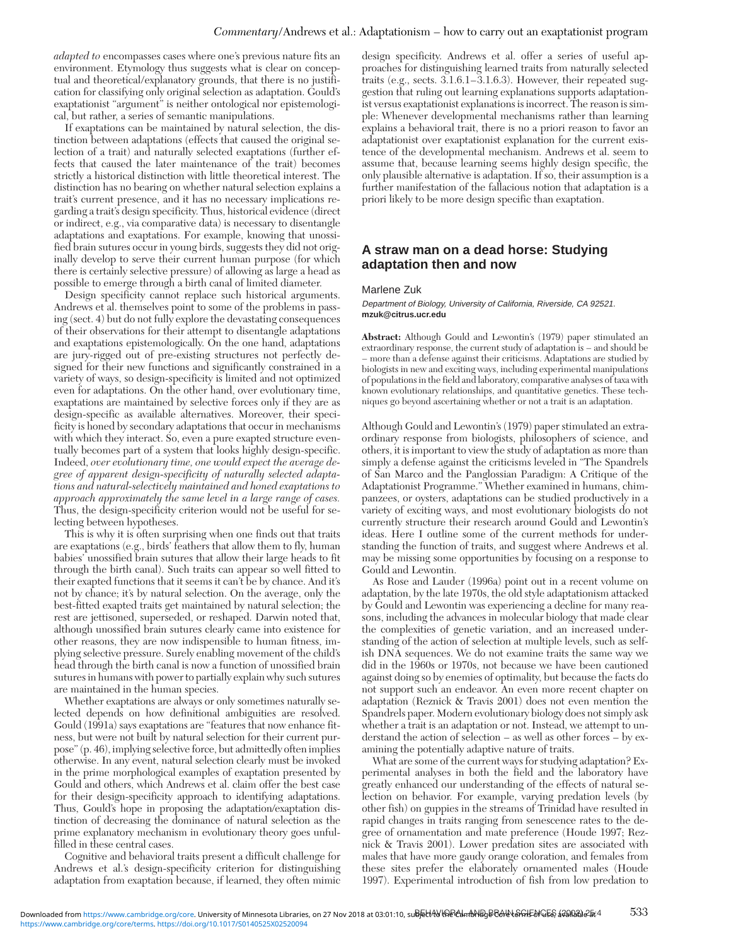*adapted to* encompasses cases where one's previous nature fits an environment. Etymology thus suggests what is clear on conceptual and theoretical/explanatory grounds, that there is no justification for classifying only original selection as adaptation. Gould's exaptationist "argument" is neither ontological nor epistemological, but rather, a series of semantic manipulations.

If exaptations can be maintained by natural selection, the distinction between adaptations (effects that caused the original selection of a trait) and naturally selected exaptations (further effects that caused the later maintenance of the trait) becomes strictly a historical distinction with little theoretical interest. The distinction has no bearing on whether natural selection explains a trait's current presence, and it has no necessary implications regarding a trait's design specificity. Thus, historical evidence (direct or indirect, e.g., via comparative data) is necessary to disentangle adaptations and exaptations. For example, knowing that unossified brain sutures occur in young birds, suggests they did not originally develop to serve their current human purpose (for which there is certainly selective pressure) of allowing as large a head as possible to emerge through a birth canal of limited diameter.

Design specificity cannot replace such historical arguments. Andrews et al. themselves point to some of the problems in passing (sect. 4) but do not fully explore the devastating consequences of their observations for their attempt to disentangle adaptations and exaptations epistemologically. On the one hand, adaptations are jury-rigged out of pre-existing structures not perfectly designed for their new functions and significantly constrained in a variety of ways, so design-specificity is limited and not optimized even for adaptations. On the other hand, over evolutionary time, exaptations are maintained by selective forces only if they are as design-specific as available alternatives. Moreover, their specificity is honed by secondary adaptations that occur in mechanisms with which they interact. So, even a pure exapted structure eventually becomes part of a system that looks highly design-specific. Indeed, *over evolutionary time, one would expect the average degree of apparent design-specificity of naturally selected adaptations and natural-selectively maintained and honed exaptations to approach approximately the same level in a large range of cases.* Thus, the design-specificity criterion would not be useful for selecting between hypotheses.

This is why it is often surprising when one finds out that traits are exaptations (e.g., birds' feathers that allow them to fly, human babies' unossified brain sutures that allow their large heads to fit through the birth canal). Such traits can appear so well fitted to their exapted functions that it seems it can't be by chance. And it's not by chance; it's by natural selection. On the average, only the best-fitted exapted traits get maintained by natural selection; the rest are jettisoned, superseded, or reshaped. Darwin noted that, although unossified brain sutures clearly came into existence for other reasons, they are now indispensible to human fitness, implying selective pressure. Surely enabling movement of the child's head through the birth canal is now a function of unossified brain sutures in humans with power to partially explain why such sutures are maintained in the human species.

Whether exaptations are always or only sometimes naturally selected depends on how definitional ambiguities are resolved. Gould (1991a) says exaptations are "features that now enhance fitness, but were not built by natural selection for their current purpose" (p. 46), implying selective force, but admittedly often implies otherwise. In any event, natural selection clearly must be invoked in the prime morphological examples of exaptation presented by Gould and others, which Andrews et al. claim offer the best case for their design-specificity approach to identifying adaptations. Thus, Gould's hope in proposing the adaptation/exaptation distinction of decreasing the dominance of natural selection as the prime explanatory mechanism in evolutionary theory goes unfulfilled in these central cases.

Cognitive and behavioral traits present a difficult challenge for Andrews et al.'s design-specificity criterion for distinguishing adaptation from exaptation because, if learned, they often mimic

design specificity. Andrews et al. offer a series of useful approaches for distinguishing learned traits from naturally selected traits (e.g., sects. 3.1.6.1–3.1.6.3). However, their repeated suggestion that ruling out learning explanations supports adaptationist versus exaptationist explanations is incorrect. The reason is simple: Whenever developmental mechanisms rather than learning explains a behavioral trait, there is no a priori reason to favor an adaptationist over exaptationist explanation for the current existence of the developmental mechanism. Andrews et al. seem to assume that, because learning seems highly design specific, the only plausible alternative is adaptation. If so, their assumption is a further manifestation of the fallacious notion that adaptation is a priori likely to be more design specific than exaptation.

## **A straw man on a dead horse: Studying adaptation then and now**

#### Marlene Zuk

Department of Biology, University of California, Riverside, CA 92521. **mzuk@citrus.ucr.edu**

**Abstract:** Although Gould and Lewontin's (1979) paper stimulated an extraordinary response, the current study of adaptation is – and should be – more than a defense against their criticisms. Adaptations are studied by biologists in new and exciting ways, including experimental manipulations of populations in the field and laboratory, comparative analyses of taxa with known evolutionary relationships, and quantitative genetics. These techniques go beyond ascertaining whether or not a trait is an adaptation.

Although Gould and Lewontin's (1979) paper stimulated an extraordinary response from biologists, philosophers of science, and others, it is important to view the study of adaptation as more than simply a defense against the criticisms leveled in "The Spandrels of San Marco and the Panglossian Paradigm: A Critique of the Adaptationist Programme." Whether examined in humans, chimpanzees, or oysters, adaptations can be studied productively in a variety of exciting ways, and most evolutionary biologists do not currently structure their research around Gould and Lewontin's ideas. Here I outline some of the current methods for understanding the function of traits, and suggest where Andrews et al. may be missing some opportunities by focusing on a response to Gould and Lewontin.

As Rose and Lauder (1996a) point out in a recent volume on adaptation, by the late 1970s, the old style adaptationism attacked by Gould and Lewontin was experiencing a decline for many reasons, including the advances in molecular biology that made clear the complexities of genetic variation, and an increased understanding of the action of selection at multiple levels, such as selfish DNA sequences. We do not examine traits the same way we did in the 1960s or 1970s, not because we have been cautioned against doing so by enemies of optimality, but because the facts do not support such an endeavor. An even more recent chapter on adaptation (Reznick & Travis 2001) does not even mention the Spandrels paper. Modern evolutionary biology does not simply ask whether a trait is an adaptation or not. Instead, we attempt to understand the action of selection – as well as other forces – by examining the potentially adaptive nature of traits.

What are some of the current ways for studying adaptation? Experimental analyses in both the field and the laboratory have greatly enhanced our understanding of the effects of natural selection on behavior. For example, varying predation levels (by other fish) on guppies in the streams of Trinidad have resulted in rapid changes in traits ranging from senescence rates to the degree of ornamentation and mate preference (Houde 1997; Reznick & Travis 2001). Lower predation sites are associated with males that have more gaudy orange coloration, and females from these sites prefer the elaborately ornamented males (Houde 1997). Experimental introduction of fish from low predation to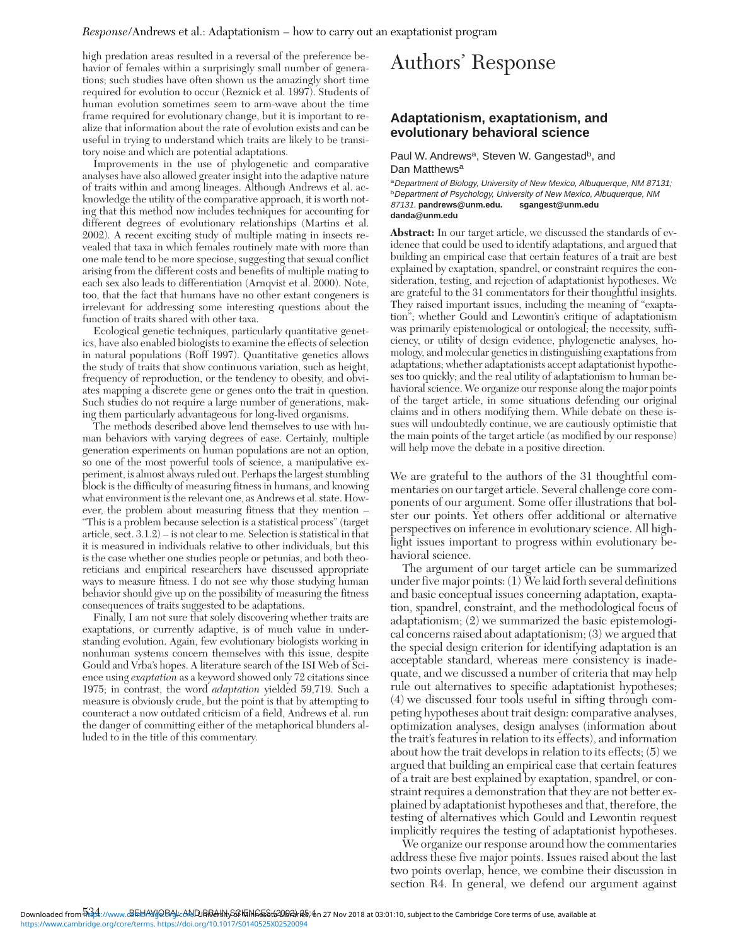high predation areas resulted in a reversal of the preference behavior of females within a surprisingly small number of generations; such studies have often shown us the amazingly short time required for evolution to occur (Reznick et al. 1997). Students of human evolution sometimes seem to arm-wave about the time frame required for evolutionary change, but it is important to realize that information about the rate of evolution exists and can be useful in trying to understand which traits are likely to be transitory noise and which are potential adaptations.

Improvements in the use of phylogenetic and comparative analyses have also allowed greater insight into the adaptive nature of traits within and among lineages. Although Andrews et al. acknowledge the utility of the comparative approach, it is worth noting that this method now includes techniques for accounting for different degrees of evolutionary relationships (Martins et al. 2002). A recent exciting study of multiple mating in insects revealed that taxa in which females routinely mate with more than one male tend to be more speciose, suggesting that sexual conflict arising from the different costs and benefits of multiple mating to each sex also leads to differentiation (Arnqvist et al. 2000). Note, too, that the fact that humans have no other extant congeners is irrelevant for addressing some interesting questions about the function of traits shared with other taxa.

Ecological genetic techniques, particularly quantitative genetics, have also enabled biologists to examine the effects of selection in natural populations (Roff 1997). Quantitative genetics allows the study of traits that show continuous variation, such as height, frequency of reproduction, or the tendency to obesity, and obviates mapping a discrete gene or genes onto the trait in question. Such studies do not require a large number of generations, making them particularly advantageous for long-lived organisms.

The methods described above lend themselves to use with human behaviors with varying degrees of ease. Certainly, multiple generation experiments on human populations are not an option, so one of the most powerful tools of science, a manipulative experiment, is almost always ruled out. Perhaps the largest stumbling block is the difficulty of measuring fitness in humans, and knowing what environment is the relevant one, as Andrews et al. state. However, the problem about measuring fitness that they mention – "This is a problem because selection is a statistical process" (target article, sect. 3.1.2) – is not clear to me. Selection is statistical in that it is measured in individuals relative to other individuals, but this is the case whether one studies people or petunias, and both theoreticians and empirical researchers have discussed appropriate ways to measure fitness. I do not see why those studying human behavior should give up on the possibility of measuring the fitness consequences of traits suggested to be adaptations.

Finally, I am not sure that solely discovering whether traits are exaptations, or currently adaptive, is of much value in understanding evolution. Again, few evolutionary biologists working in nonhuman systems concern themselves with this issue, despite Gould and Vrba's hopes. A literature search of the ISI Web of Science using *exaptation* as a keyword showed only 72 citations since 1975; in contrast, the word *adaptation* yielded 59,719. Such a measure is obviously crude, but the point is that by attempting to counteract a now outdated criticism of a field, Andrews et al. run the danger of committing either of the metaphorical blunders alluded to in the title of this commentary.

## Authors' Response

## **Adaptationism, exaptationism, and evolutionary behavioral science**

#### Paul W. Andrews<sup>a</sup>, Steven W. Gangestad<sup>b</sup>, and Dan Matthews<sup>a</sup>

aDepartment of Biology, University of New Mexico, Albuquerque, NM 87131; <sup>b</sup>Department of Psychology, University of New Mexico, Albuquerque, NM 87131. **pandrews@unm.edu. sgangest@unm.edu danda@unm.edu**

**Abstract:** In our target article, we discussed the standards of evidence that could be used to identify adaptations, and argued that building an empirical case that certain features of a trait are best explained by exaptation, spandrel, or constraint requires the consideration, testing, and rejection of adaptationist hypotheses. We are grateful to the 31 commentators for their thoughtful insights. They raised important issues, including the meaning of "exaptation"; whether Gould and Lewontin's critique of adaptationism was primarily epistemological or ontological; the necessity, sufficiency, or utility of design evidence, phylogenetic analyses, homology, and molecular genetics in distinguishing exaptations from adaptations; whether adaptationists accept adaptationist hypotheses too quickly; and the real utility of adaptationism to human behavioral science. We organize our response along the major points of the target article, in some situations defending our original claims and in others modifying them. While debate on these issues will undoubtedly continue, we are cautiously optimistic that the main points of the target article (as modified by our response) will help move the debate in a positive direction.

We are grateful to the authors of the 31 thoughtful commentaries on our target article. Several challenge core components of our argument. Some offer illustrations that bolster our points. Yet others offer additional or alternative perspectives on inference in evolutionary science. All highlight issues important to progress within evolutionary behavioral science.

The argument of our target article can be summarized under five major points: (1) We laid forth several definitions and basic conceptual issues concerning adaptation, exaptation, spandrel, constraint, and the methodological focus of adaptationism; (2) we summarized the basic epistemological concerns raised about adaptationism; (3) we argued that the special design criterion for identifying adaptation is an acceptable standard, whereas mere consistency is inadequate, and we discussed a number of criteria that may help rule out alternatives to specific adaptationist hypotheses; (4) we discussed four tools useful in sifting through competing hypotheses about trait design: comparative analyses, optimization analyses, design analyses (information about the trait's features in relation to its effects), and information about how the trait develops in relation to its effects; (5) we argued that building an empirical case that certain features of a trait are best explained by exaptation, spandrel, or constraint requires a demonstration that they are not better explained by adaptationist hypotheses and that, therefore, the testing of alternatives which Gould and Lewontin request implicitly requires the testing of adaptationist hypotheses.

We organize our response around how the commentaries address these five major points. Issues raised about the last two points overlap, hence, we combine their discussion in section R4. In general, we defend our argument against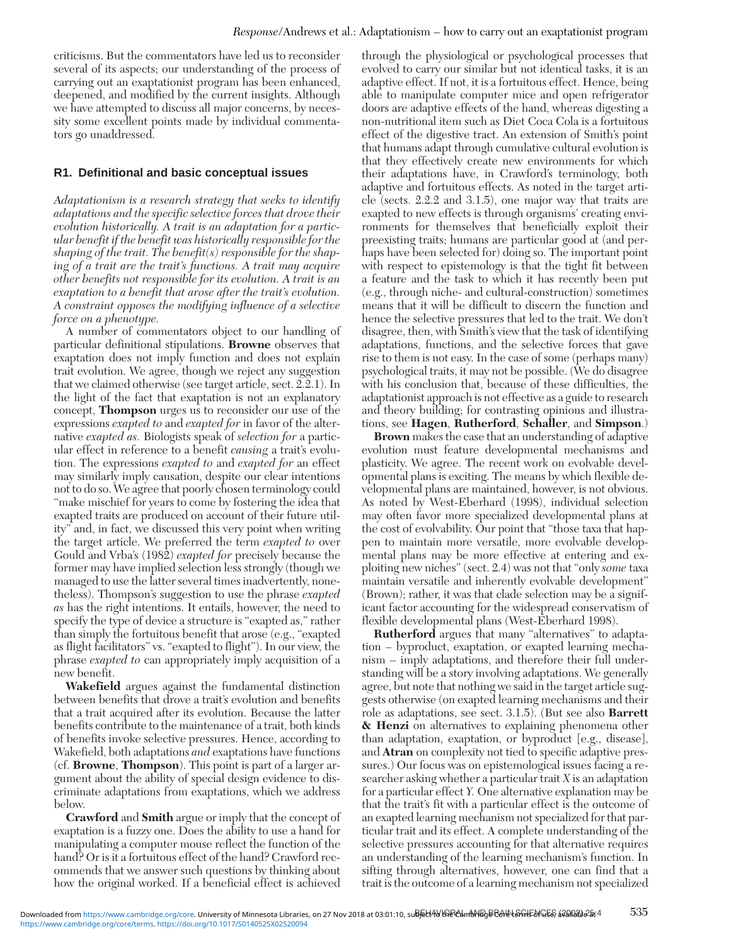criticisms. But the commentators have led us to reconsider several of its aspects; our understanding of the process of carrying out an exaptationist program has been enhanced, deepened, and modified by the current insights. Although we have attempted to discuss all major concerns, by necessity some excellent points made by individual commentators go unaddressed.

## **R1. Definitional and basic conceptual issues**

*Adaptationism is a research strategy that seeks to identify adaptations and the specific selective forces that drove their evolution historically. A trait is an adaptation for a particular benefit if the benefit was historically responsible for the shaping of the trait. The benefit(s) responsible for the shaping of a trait are the trait's functions. A trait may acquire other benefits not responsible for its evolution. A trait is an exaptation to a benefit that arose after the trait's evolution. A constraint opposes the modifying influence of a selective force on a phenotype.*

A number of commentators object to our handling of particular definitional stipulations. **Browne** observes that exaptation does not imply function and does not explain trait evolution. We agree, though we reject any suggestion that we claimed otherwise (see target article, sect. 2.2.1). In the light of the fact that exaptation is not an explanatory concept, **Thompson** urges us to reconsider our use of the expressions *exapted to* and *exapted for* in favor of the alternative *exapted as.* Biologists speak of *selection for* a particular effect in reference to a benefit *causing* a trait's evolution. The expressions *exapted to* and *exapted for* an effect may similarly imply causation, despite our clear intentions not to do so. We agree that poorly chosen terminology could "make mischief for years to come by fostering the idea that exapted traits are produced on account of their future utility" and, in fact, we discussed this very point when writing the target article. We preferred the term *exapted to* over Gould and Vrba's (1982) *exapted for* precisely because the former may have implied selection less strongly (though we managed to use the latter several times inadvertently, nonetheless). Thompson's suggestion to use the phrase *exapted as* has the right intentions. It entails, however, the need to specify the type of device a structure is "exapted as," rather than simply the fortuitous benefit that arose (e.g., "exapted as flight facilitators" vs. "exapted to flight"). In our view, the phrase *exapted to* can appropriately imply acquisition of a new benefit.

**Wakefield** argues against the fundamental distinction between benefits that drove a trait's evolution and benefits that a trait acquired after its evolution. Because the latter benefits contribute to the maintenance of a trait, both kinds of benefits invoke selective pressures. Hence, according to Wakefield, both adaptations *and* exaptations have functions (cf. **Browne**, **Thompson**). This point is part of a larger argument about the ability of special design evidence to discriminate adaptations from exaptations, which we address below.

**Crawford** and **Smith** argue or imply that the concept of exaptation is a fuzzy one. Does the ability to use a hand for manipulating a computer mouse reflect the function of the hand? Or is it a fortuitous effect of the hand? Crawford recommends that we answer such questions by thinking about how the original worked. If a beneficial effect is achieved

through the physiological or psychological processes that evolved to carry our similar but not identical tasks, it is an adaptive effect. If not, it is a fortuitous effect. Hence, being able to manipulate computer mice and open refrigerator doors are adaptive effects of the hand, whereas digesting a non-nutritional item such as Diet Coca Cola is a fortuitous effect of the digestive tract. An extension of Smith's point that humans adapt through cumulative cultural evolution is that they effectively create new environments for which their adaptations have, in Crawford's terminology, both adaptive and fortuitous effects. As noted in the target article (sects. 2.2.2 and 3.1.5), one major way that traits are exapted to new effects is through organisms' creating environments for themselves that beneficially exploit their preexisting traits; humans are particular good at (and perhaps have been selected for) doing so. The important point with respect to epistemology is that the tight fit between a feature and the task to which it has recently been put (e.g., through niche- and cultural-construction) sometimes means that it will be difficult to discern the function and hence the selective pressures that led to the trait. We don't disagree, then, with Smith's view that the task of identifying adaptations, functions, and the selective forces that gave rise to them is not easy. In the case of some (perhaps many) psychological traits, it may not be possible. (We do disagree with his conclusion that, because of these difficulties, the adaptationist approach is not effective as a guide to research and theory building; for contrasting opinions and illustrations, see **Hagen**, **Rutherford**, **Schaller**, and **Simpson**.)

**Brown** makes the case that an understanding of adaptive evolution must feature developmental mechanisms and plasticity. We agree. The recent work on evolvable developmental plans is exciting. The means by which flexible developmental plans are maintained, however, is not obvious. As noted by West-Eberhard (1998), individual selection may often favor more specialized developmental plans at the cost of evolvability. Our point that "those taxa that happen to maintain more versatile, more evolvable developmental plans may be more effective at entering and exploiting new niches" (sect. 2.4) was not that "only *some* taxa maintain versatile and inherently evolvable development" (Brown); rather, it was that clade selection may be a significant factor accounting for the widespread conservatism of flexible developmental plans (West-Eberhard 1998).

**Rutherford** argues that many "alternatives" to adaptation – byproduct, exaptation, or exapted learning mechanism – imply adaptations, and therefore their full understanding will be a story involving adaptations. We generally agree, but note that nothing we said in the target article suggests otherwise (on exapted learning mechanisms and their role as adaptations, see sect. 3.1.5). (But see also **Barrett & Henzi** on alternatives to explaining phenomena other than adaptation, exaptation, or byproduct [e.g., disease], and **Atran** on complexity not tied to specific adaptive pressures.) Our focus was on epistemological issues facing a researcher asking whether a particular trait *X* is an adaptation for a particular effect *Y.* One alternative explanation may be that the trait's fit with a particular effect is the outcome of an exapted learning mechanism not specialized for that particular trait and its effect. A complete understanding of the selective pressures accounting for that alternative requires an understanding of the learning mechanism's function. In sifting through alternatives, however, one can find that a trait is the outcome of a learning mechanism not specialized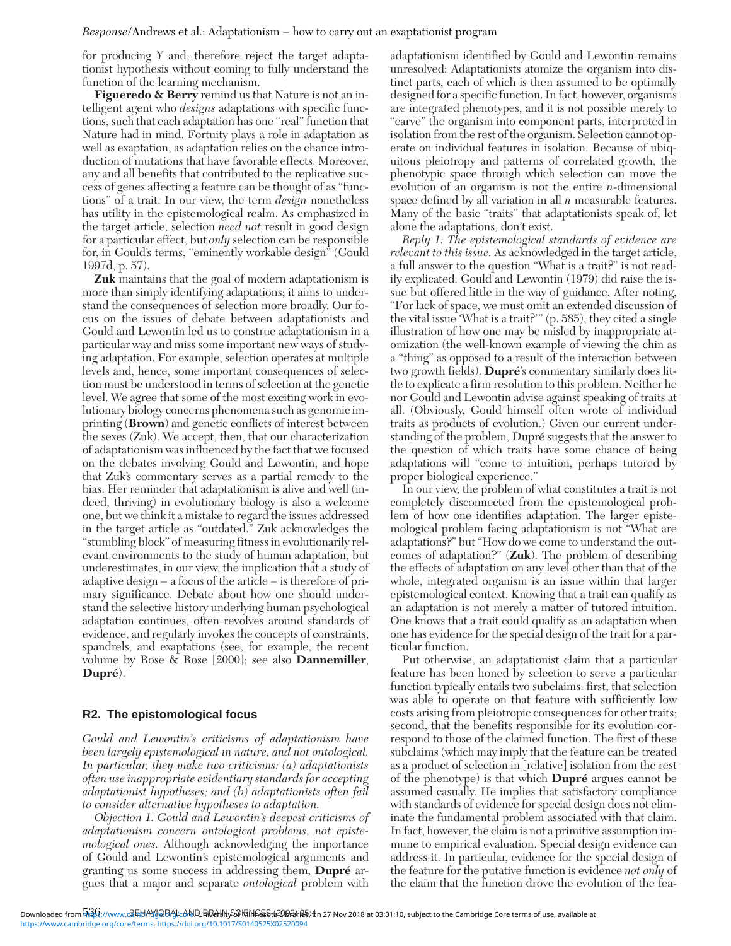for producing *Y* and, therefore reject the target adaptationist hypothesis without coming to fully understand the function of the learning mechanism.

**Figueredo & Berry** remind us that Nature is not an intelligent agent who *designs* adaptations with specific functions, such that each adaptation has one "real" function that Nature had in mind. Fortuity plays a role in adaptation as well as exaptation, as adaptation relies on the chance introduction of mutations that have favorable effects. Moreover, any and all benefits that contributed to the replicative success of genes affecting a feature can be thought of as "functions" of a trait. In our view, the term *design* nonetheless has utility in the epistemological realm. As emphasized in the target article, selection *need not* result in good design for a particular effect, but *only* selection can be responsible for, in Gould's terms, "eminently workable design" (Gould 1997d, p. 57).

**Zuk** maintains that the goal of modern adaptationism is more than simply identifying adaptations; it aims to understand the consequences of selection more broadly. Our focus on the issues of debate between adaptationists and Gould and Lewontin led us to construe adaptationism in a particular way and miss some important new ways of studying adaptation. For example, selection operates at multiple levels and, hence, some important consequences of selection must be understood in terms of selection at the genetic level. We agree that some of the most exciting work in evolutionary biology concerns phenomena such as genomic imprinting (**Brown**) and genetic conflicts of interest between the sexes (Zuk). We accept, then, that our characterization of adaptationism was influenced by the fact that we focused on the debates involving Gould and Lewontin, and hope that Zuk's commentary serves as a partial remedy to the bias. Her reminder that adaptationism is alive and well (indeed, thriving) in evolutionary biology is also a welcome one, but we think it a mistake to regard the issues addressed in the target article as "outdated." Zuk acknowledges the "stumbling block" of measuring fitness in evolutionarily relevant environments to the study of human adaptation, but underestimates, in our view, the implication that a study of adaptive design – a focus of the article – is therefore of primary significance. Debate about how one should understand the selective history underlying human psychological adaptation continues, often revolves around standards of evidence, and regularly invokes the concepts of constraints, spandrels, and exaptations (see, for example, the recent volume by Rose & Rose [2000]; see also **Dannemiller**, **Dupré**).

## **R2. The epistomological focus**

*Gould and Lewontin's criticisms of adaptationism have been largely epistemological in nature, and not ontological. In particular, they make two criticisms: (a) adaptationists often use inappropriate evidentiary standards for accepting adaptationist hypotheses; and (b) adaptationists often fail to consider alternative hypotheses to adaptation.*

*Objection 1: Gould and Lewontin's deepest criticisms of adaptationism concern ontological problems, not epistemological ones.* Although acknowledging the importance of Gould and Lewontin's epistemological arguments and granting us some success in addressing them, **Dupré** argues that a major and separate *ontological* problem with

adaptationism identified by Gould and Lewontin remains unresolved: Adaptationists atomize the organism into distinct parts, each of which is then assumed to be optimally designed for a specific function. In fact, however, organisms are integrated phenotypes, and it is not possible merely to "carve" the organism into component parts, interpreted in isolation from the rest of the organism. Selection cannot operate on individual features in isolation. Because of ubiquitous pleiotropy and patterns of correlated growth, the phenotypic space through which selection can move the evolution of an organism is not the entire *n*-dimensional space defined by all variation in all *n* measurable features. Many of the basic "traits" that adaptationists speak of, let alone the adaptations, don't exist.

*Reply 1: The epistemological standards of evidence are relevant to this issue.* As acknowledged in the target article, a full answer to the question "What is a trait?" is not readily explicated. Gould and Lewontin (1979) did raise the issue but offered little in the way of guidance. After noting, "For lack of space, we must omit an extended discussion of the vital issue 'What is a trait?'" (p. 585), they cited a single illustration of how one may be misled by inappropriate atomization (the well-known example of viewing the chin as a "thing" as opposed to a result of the interaction between two growth fields). **Dupré**'s commentary similarly does little to explicate a firm resolution to this problem. Neither he nor Gould and Lewontin advise against speaking of traits at all. (Obviously, Gould himself often wrote of individual traits as products of evolution.) Given our current understanding of the problem, Dupré suggests that the answer to the question of which traits have some chance of being adaptations will "come to intuition, perhaps tutored by proper biological experience."

In our view, the problem of what constitutes a trait is not completely disconnected from the epistemological problem of how one identifies adaptation. The larger epistemological problem facing adaptationism is not "What are adaptations?" but "How do we come to understand the outcomes of adaptation?" (**Zuk**). The problem of describing the effects of adaptation on any level other than that of the whole, integrated organism is an issue within that larger epistemological context. Knowing that a trait can qualify as an adaptation is not merely a matter of tutored intuition. One knows that a trait could qualify as an adaptation when one has evidence for the special design of the trait for a particular function.

Put otherwise, an adaptationist claim that a particular feature has been honed by selection to serve a particular function typically entails two subclaims: first, that selection was able to operate on that feature with sufficiently low costs arising from pleiotropic consequences for other traits; second, that the benefits responsible for its evolution correspond to those of the claimed function. The first of these subclaims (which may imply that the feature can be treated as a product of selection in [relative] isolation from the rest of the phenotype) is that which **Dupré** argues cannot be assumed casually. He implies that satisfactory compliance with standards of evidence for special design does not eliminate the fundamental problem associated with that claim. In fact, however, the claim is not a primitive assumption immune to empirical evaluation. Special design evidence can address it. In particular, evidence for the special design of the feature for the putative function is evidence *not only* of the claim that the function drove the evolution of the fea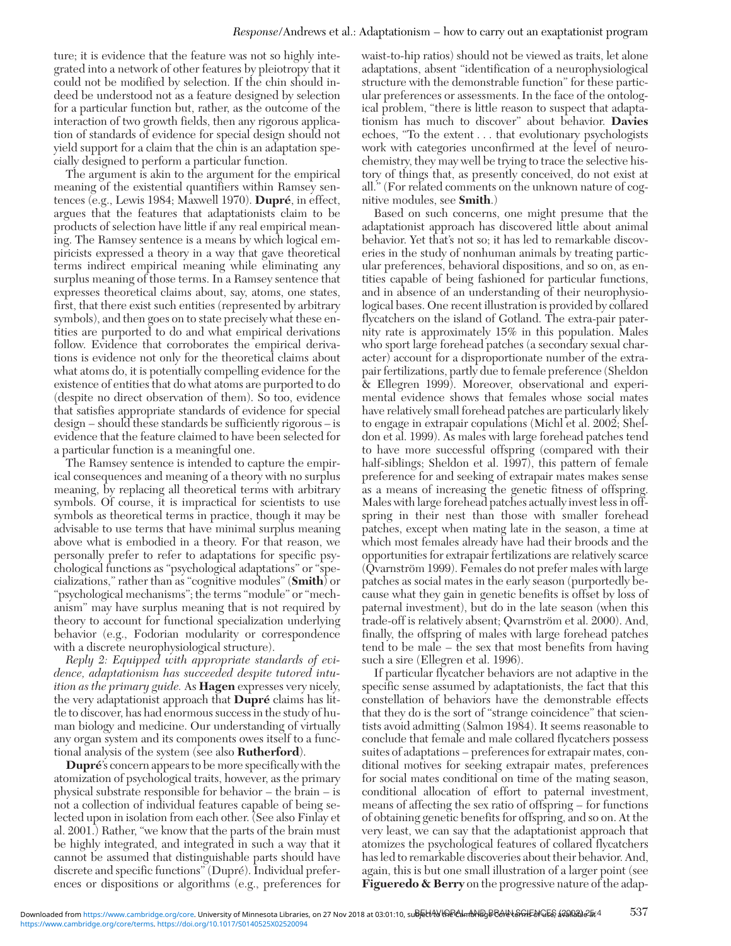ture; it is evidence that the feature was not so highly integrated into a network of other features by pleiotropy that it could not be modified by selection. If the chin should indeed be understood not as a feature designed by selection for a particular function but, rather, as the outcome of the interaction of two growth fields, then any rigorous application of standards of evidence for special design should not yield support for a claim that the chin is an adaptation specially designed to perform a particular function.

The argument is akin to the argument for the empirical meaning of the existential quantifiers within Ramsey sentences (e.g., Lewis 1984; Maxwell 1970). **Dupré**, in effect, argues that the features that adaptationists claim to be products of selection have little if any real empirical meaning. The Ramsey sentence is a means by which logical empiricists expressed a theory in a way that gave theoretical terms indirect empirical meaning while eliminating any surplus meaning of those terms. In a Ramsey sentence that expresses theoretical claims about, say, atoms, one states, first, that there exist such entities (represented by arbitrary symbols), and then goes on to state precisely what these entities are purported to do and what empirical derivations follow. Evidence that corroborates the empirical derivations is evidence not only for the theoretical claims about what atoms do, it is potentially compelling evidence for the existence of entities that do what atoms are purported to do (despite no direct observation of them). So too, evidence that satisfies appropriate standards of evidence for special design – should these standards be sufficiently rigorous – is evidence that the feature claimed to have been selected for a particular function is a meaningful one.

The Ramsey sentence is intended to capture the empirical consequences and meaning of a theory with no surplus meaning, by replacing all theoretical terms with arbitrary symbols. Of course, it is impractical for scientists to use symbols as theoretical terms in practice, though it may be advisable to use terms that have minimal surplus meaning above what is embodied in a theory. For that reason, we personally prefer to refer to adaptations for specific psychological functions as "psychological adaptations" or "specializations," rather than as "cognitive modules" (**Smith**) or "psychological mechanisms"; the terms "module" or "mechanism" may have surplus meaning that is not required by theory to account for functional specialization underlying behavior (e.g., Fodorian modularity or correspondence with a discrete neurophysiological structure).

*Reply 2: Equipped with appropriate standards of evidence, adaptationism has succeeded despite tutored intuition as the primary guide.* As **Hagen** expresses very nicely, the very adaptationist approach that **Dupré** claims has little to discover, has had enormous success in the study of human biology and medicine. Our understanding of virtually any organ system and its components owes itself to a functional analysis of the system (see also **Rutherford**).

**Dupré**'s concern appears to be more specifically with the atomization of psychological traits, however, as the primary physical substrate responsible for behavior – the brain – is not a collection of individual features capable of being selected upon in isolation from each other. (See also Finlay et al. 2001.) Rather, "we know that the parts of the brain must be highly integrated, and integrated in such a way that it cannot be assumed that distinguishable parts should have discrete and specific functions" (Dupré). Individual preferences or dispositions or algorithms (e.g., preferences for

waist-to-hip ratios) should not be viewed as traits, let alone adaptations, absent "identification of a neurophysiological structure with the demonstrable function" for these particular preferences or assessments. In the face of the ontological problem, "there is little reason to suspect that adaptationism has much to discover" about behavior. **Davies** echoes, "To the extent . . . that evolutionary psychologists work with categories unconfirmed at the level of neurochemistry, they may well be trying to trace the selective history of things that, as presently conceived, do not exist at all." (For related comments on the unknown nature of cognitive modules, see **Smith**.)

Based on such concerns, one might presume that the adaptationist approach has discovered little about animal behavior. Yet that's not so; it has led to remarkable discoveries in the study of nonhuman animals by treating particular preferences, behavioral dispositions, and so on, as entities capable of being fashioned for particular functions, and in absence of an understanding of their neurophysiological bases. One recent illustration is provided by collared flycatchers on the island of Gotland. The extra-pair paternity rate is approximately 15% in this population. Males who sport large forehead patches (a secondary sexual character) account for a disproportionate number of the extrapair fertilizations, partly due to female preference (Sheldon & Ellegren 1999). Moreover, observational and experimental evidence shows that females whose social mates have relatively small forehead patches are particularly likely to engage in extrapair copulations (Michl et al. 2002; Sheldon et al. 1999). As males with large forehead patches tend to have more successful offspring (compared with their half-siblings; Sheldon et al. 1997), this pattern of female preference for and seeking of extrapair mates makes sense as a means of increasing the genetic fitness of offspring. Males with large forehead patches actually invest less in offspring in their nest than those with smaller forehead patches, except when mating late in the season, a time at which most females already have had their broods and the opportunities for extrapair fertilizations are relatively scarce (Qvarnström 1999). Females do not prefer males with large patches as social mates in the early season (purportedly because what they gain in genetic benefits is offset by loss of paternal investment), but do in the late season (when this trade-off is relatively absent; Qvarnström et al. 2000). And, finally, the offspring of males with large forehead patches tend to be male – the sex that most benefits from having such a sire (Ellegren et al. 1996).

If particular flycatcher behaviors are not adaptive in the specific sense assumed by adaptationists, the fact that this constellation of behaviors have the demonstrable effects that they do is the sort of "strange coincidence" that scientists avoid admitting (Salmon 1984). It seems reasonable to conclude that female and male collared flycatchers possess suites of adaptations – preferences for extrapair mates, conditional motives for seeking extrapair mates, preferences for social mates conditional on time of the mating season, conditional allocation of effort to paternal investment, means of affecting the sex ratio of offspring – for functions of obtaining genetic benefits for offspring, and so on. At the very least, we can say that the adaptationist approach that atomizes the psychological features of collared flycatchers has led to remarkable discoveries about their behavior. And, again, this is but one small illustration of a larger point (see **Figueredo & Berry** on the progressive nature of the adap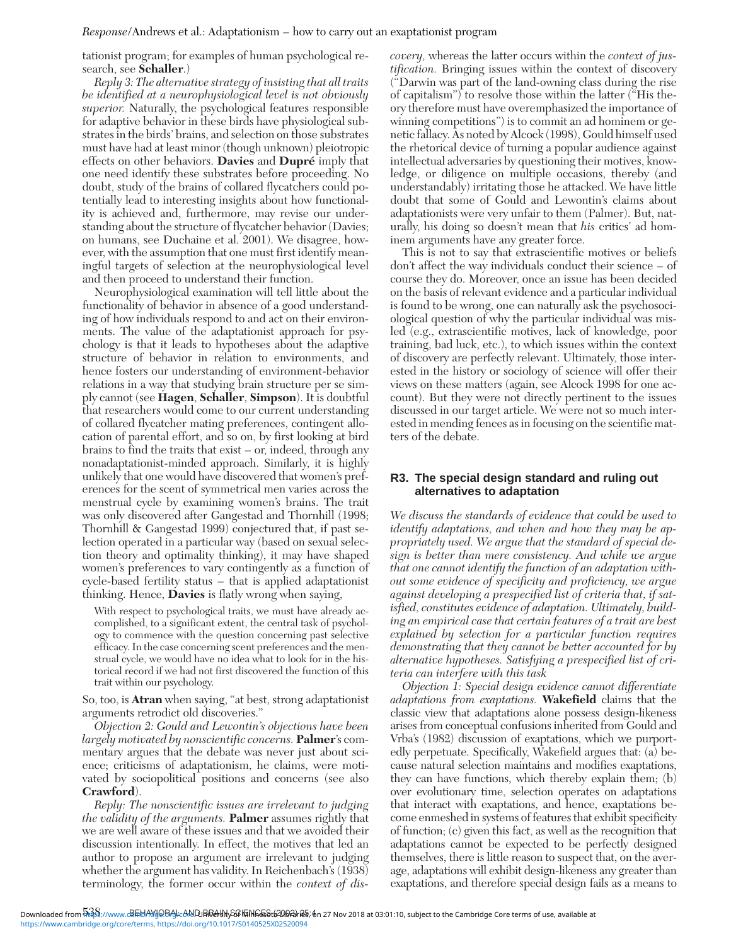tationist program; for examples of human psychological research, see **Schaller**.)

*Reply 3: The alternative strategy of insisting that all traits be identified at a neurophysiological level is not obviously superior.* Naturally, the psychological features responsible for adaptive behavior in these birds have physiological substrates in the birds' brains, and selection on those substrates must have had at least minor (though unknown) pleiotropic effects on other behaviors. **Davies** and **Dupré** imply that one need identify these substrates before proceeding. No doubt, study of the brains of collared flycatchers could potentially lead to interesting insights about how functionality is achieved and, furthermore, may revise our understanding about the structure of flycatcher behavior (Davies; on humans, see Duchaine et al. 2001). We disagree, however, with the assumption that one must first identify meaningful targets of selection at the neurophysiological level and then proceed to understand their function.

Neurophysiological examination will tell little about the functionality of behavior in absence of a good understanding of how individuals respond to and act on their environments. The value of the adaptationist approach for psychology is that it leads to hypotheses about the adaptive structure of behavior in relation to environments, and hence fosters our understanding of environment-behavior relations in a way that studying brain structure per se simply cannot (see **Hagen**, **Schaller**, **Simpson**). It is doubtful that researchers would come to our current understanding of collared flycatcher mating preferences, contingent allocation of parental effort, and so on, by first looking at bird brains to find the traits that exist – or, indeed, through any nonadaptationist-minded approach. Similarly, it is highly unlikely that one would have discovered that women's preferences for the scent of symmetrical men varies across the menstrual cycle by examining women's brains. The trait was only discovered after Gangestad and Thornhill (1998; Thornhill & Gangestad 1999) conjectured that, if past selection operated in a particular way (based on sexual selection theory and optimality thinking), it may have shaped women's preferences to vary contingently as a function of cycle-based fertility status – that is applied adaptationist thinking. Hence, **Davies** is flatly wrong when saying,

With respect to psychological traits, we must have already accomplished, to a significant extent, the central task of psychology to commence with the question concerning past selective efficacy. In the case concerning scent preferences and the menstrual cycle, we would have no idea what to look for in the historical record if we had not first discovered the function of this trait within our psychology.

So, too, is **Atran** when saying, "at best, strong adaptationist arguments retrodict old discoveries."

*Objection 2: Gould and Lewontin's objections have been largely motivated by nonscientific concerns.* **Palmer**'s commentary argues that the debate was never just about science; criticisms of adaptationism, he claims, were motivated by sociopolitical positions and concerns (see also **Crawford**).

*Reply: The nonscientific issues are irrelevant to judging the validity of the arguments.* **Palmer** assumes rightly that we are well aware of these issues and that we avoided their discussion intentionally. In effect, the motives that led an author to propose an argument are irrelevant to judging whether the argument has validity. In Reichenbach's (1938) terminology, the former occur within the *context of dis-* *covery,* whereas the latter occurs within the *context of justification.* Bringing issues within the context of discovery ("Darwin was part of the land-owning class during the rise of capitalism") to resolve those within the latter ( $\tilde{H}$  His theory therefore must have overemphasized the importance of winning competitions") is to commit an ad hominem or genetic fallacy. As noted by Alcock (1998), Gould himself used the rhetorical device of turning a popular audience against intellectual adversaries by questioning their motives, knowledge, or diligence on multiple occasions, thereby (and understandably) irritating those he attacked. We have little doubt that some of Gould and Lewontin's claims about adaptationists were very unfair to them (Palmer). But, naturally, his doing so doesn't mean that *his* critics' ad hominem arguments have any greater force.

This is not to say that extrascientific motives or beliefs don't affect the way individuals conduct their science – of course they do. Moreover, once an issue has been decided on the basis of relevant evidence and a particular individual is found to be wrong, one can naturally ask the psychosociological question of why the particular individual was misled (e.g., extrascientific motives, lack of knowledge, poor training, bad luck, etc.), to which issues within the context of discovery are perfectly relevant. Ultimately, those interested in the history or sociology of science will offer their views on these matters (again, see Alcock 1998 for one account). But they were not directly pertinent to the issues discussed in our target article. We were not so much interested in mending fences as in focusing on the scientific matters of the debate.

## **R3. The special design standard and ruling out alternatives to adaptation**

*We discuss the standards of evidence that could be used to identify adaptations, and when and how they may be appropriately used. We argue that the standard of special design is better than mere consistency. And while we argue that one cannot identify the function of an adaptation without some evidence of specificity and proficiency, we argue against developing a prespecified list of criteria that, if satisfied, constitutes evidence of adaptation. Ultimately, building an empirical case that certain features of a trait are best explained by selection for a particular function requires demonstrating that they cannot be better accounted for by alternative hypotheses. Satisfying a prespecified list of criteria can interfere with this task*

*Objection 1: Special design evidence cannot differentiate adaptations from exaptations.* **Wakefield** claims that the classic view that adaptations alone possess design-likeness arises from conceptual confusions inherited from Gould and Vrba's (1982) discussion of exaptations, which we purportedly perpetuate. Specifically, Wakefield argues that: (a) because natural selection maintains and modifies exaptations, they can have functions, which thereby explain them; (b) over evolutionary time, selection operates on adaptations that interact with exaptations, and hence, exaptations become enmeshed in systems of features that exhibit specificity of function; (c) given this fact, as well as the recognition that adaptations cannot be expected to be perfectly designed themselves, there is little reason to suspect that, on the average, adaptations will exhibit design-likeness any greater than exaptations, and therefore special design fails as a means to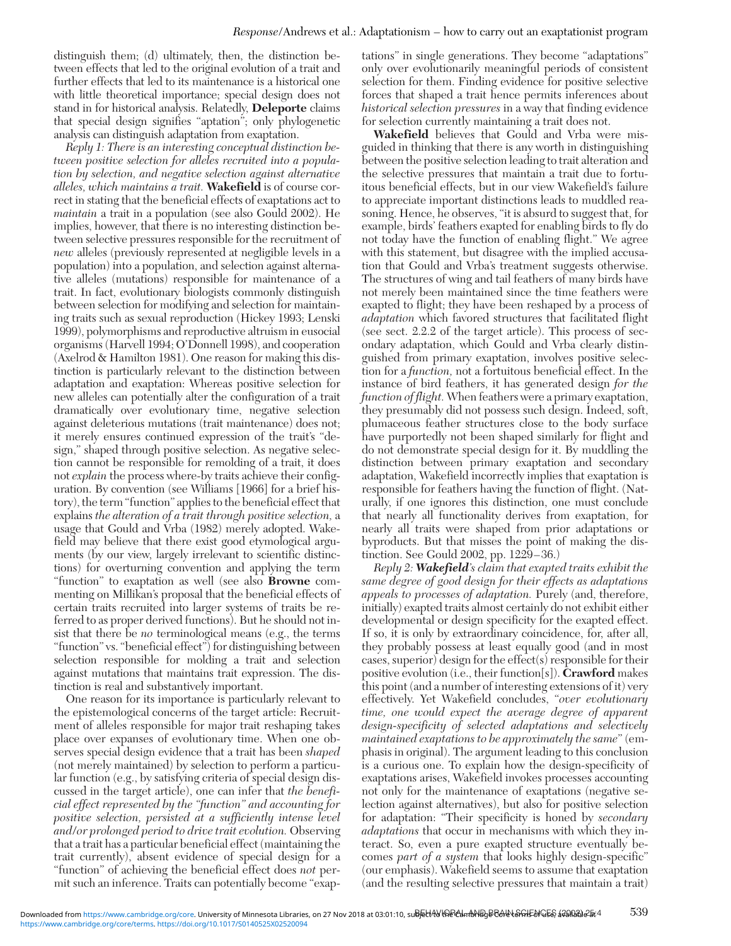distinguish them; (d) ultimately, then, the distinction between effects that led to the original evolution of a trait and further effects that led to its maintenance is a historical one with little theoretical importance; special design does not stand in for historical analysis. Relatedly, **Deleporte** claims that special design signifies "aptation"; only phylogenetic analysis can distinguish adaptation from exaptation.

*Reply 1: There is an interesting conceptual distinction between positive selection for alleles recruited into a population by selection, and negative selection against alternative alleles, which maintains a trait.* **Wakefield** is of course correct in stating that the beneficial effects of exaptations act to *maintain* a trait in a population (see also Gould 2002). He implies, however, that there is no interesting distinction between selective pressures responsible for the recruitment of *new* alleles (previously represented at negligible levels in a population) into a population, and selection against alternative alleles (mutations) responsible for maintenance of a trait. In fact, evolutionary biologists commonly distinguish between selection for modifying and selection for maintaining traits such as sexual reproduction (Hickey 1993; Lenski 1999), polymorphisms and reproductive altruism in eusocial organisms (Harvell 1994; O'Donnell 1998), and cooperation (Axelrod & Hamilton 1981). One reason for making this distinction is particularly relevant to the distinction between adaptation and exaptation: Whereas positive selection for new alleles can potentially alter the configuration of a trait dramatically over evolutionary time, negative selection against deleterious mutations (trait maintenance) does not; it merely ensures continued expression of the trait's "design," shaped through positive selection. As negative selection cannot be responsible for remolding of a trait, it does not *explain* the process where-by traits achieve their configuration. By convention (see Williams [1966] for a brief history), the term "function" applies to the beneficial effect that explains *the alteration of a trait through positive selection,* a usage that Gould and Vrba (1982) merely adopted. Wakefield may believe that there exist good etymological arguments (by our view, largely irrelevant to scientific distinctions) for overturning convention and applying the term "function" to exaptation as well (see also **Browne** commenting on Millikan's proposal that the beneficial effects of certain traits recruited into larger systems of traits be referred to as proper derived functions). But he should not insist that there be *no* terminological means (e.g., the terms "function" vs. "beneficial effect") for distinguishing between selection responsible for molding a trait and selection against mutations that maintains trait expression. The distinction is real and substantively important.

One reason for its importance is particularly relevant to the epistemological concerns of the target article: Recruitment of alleles responsible for major trait reshaping takes place over expanses of evolutionary time. When one observes special design evidence that a trait has been *shaped* (not merely maintained) by selection to perform a particular function (e.g., by satisfying criteria of special design discussed in the target article), one can infer that *the beneficial effect represented by the "function" and accounting for positive selection, persisted at a sufficiently intense level and/or prolonged period to drive trait evolution.* Observing that a trait has a particular beneficial effect (maintaining the trait currently), absent evidence of special design for a "function" of achieving the beneficial effect does *not* permit such an inference. Traits can potentially become "exap-

tations" in single generations. They become "adaptations" only over evolutionarily meaningful periods of consistent selection for them. Finding evidence for positive selective forces that shaped a trait hence permits inferences about *historical selection pressures* in a way that finding evidence for selection currently maintaining a trait does not.

**Wakefield** believes that Gould and Vrba were misguided in thinking that there is any worth in distinguishing between the positive selection leading to trait alteration and the selective pressures that maintain a trait due to fortuitous beneficial effects, but in our view Wakefield's failure to appreciate important distinctions leads to muddled reasoning. Hence, he observes, "it is absurd to suggest that, for example, birds' feathers exapted for enabling birds to fly do not today have the function of enabling flight." We agree with this statement, but disagree with the implied accusation that Gould and Vrba's treatment suggests otherwise. The structures of wing and tail feathers of many birds have not merely been maintained since the time feathers were exapted to flight; they have been reshaped by a process of *adaptation* which favored structures that facilitated flight (see sect. 2.2.2 of the target article). This process of secondary adaptation, which Gould and Vrba clearly distinguished from primary exaptation, involves positive selection for a *function,* not a fortuitous beneficial effect. In the instance of bird feathers, it has generated design *for the function of flight.* When feathers were a primary exaptation, they presumably did not possess such design. Indeed, soft, plumaceous feather structures close to the body surface have purportedly not been shaped similarly for flight and do not demonstrate special design for it. By muddling the distinction between primary exaptation and secondary adaptation, Wakefield incorrectly implies that exaptation is responsible for feathers having the function of flight. (Naturally, if one ignores this distinction, one must conclude that nearly all functionality derives from exaptation, for nearly all traits were shaped from prior adaptations or byproducts. But that misses the point of making the distinction. See Gould 2002, pp. 1229–36.)

*Reply 2: Wakefield's claim that exapted traits exhibit the same degree of good design for their effects as adaptations appeals to processes of adaptation.* Purely (and, therefore, initially) exapted traits almost certainly do not exhibit either developmental or design specificity for the exapted effect. If so, it is only by extraordinary coincidence, for, after all, they probably possess at least equally good (and in most cases, superior) design for the effect(s) responsible for their positive evolution (i.e., their function[s]). **Crawford** makes this point (and a number of interesting extensions of it) very effectively. Yet Wakefield concludes, "*over evolutionary time, one would expect the average degree of apparent design-specificity of selected adaptations and selectively maintained exaptations to be approximately the same*" (emphasis in original). The argument leading to this conclusion is a curious one. To explain how the design-specificity of exaptations arises, Wakefield invokes processes accounting not only for the maintenance of exaptations (negative selection against alternatives), but also for positive selection for adaptation: "Their specificity is honed by *secondary adaptations* that occur in mechanisms with which they interact. So, even a pure exapted structure eventually becomes *part of a system* that looks highly design-specific" (our emphasis). Wakefield seems to assume that exaptation (and the resulting selective pressures that maintain a trait)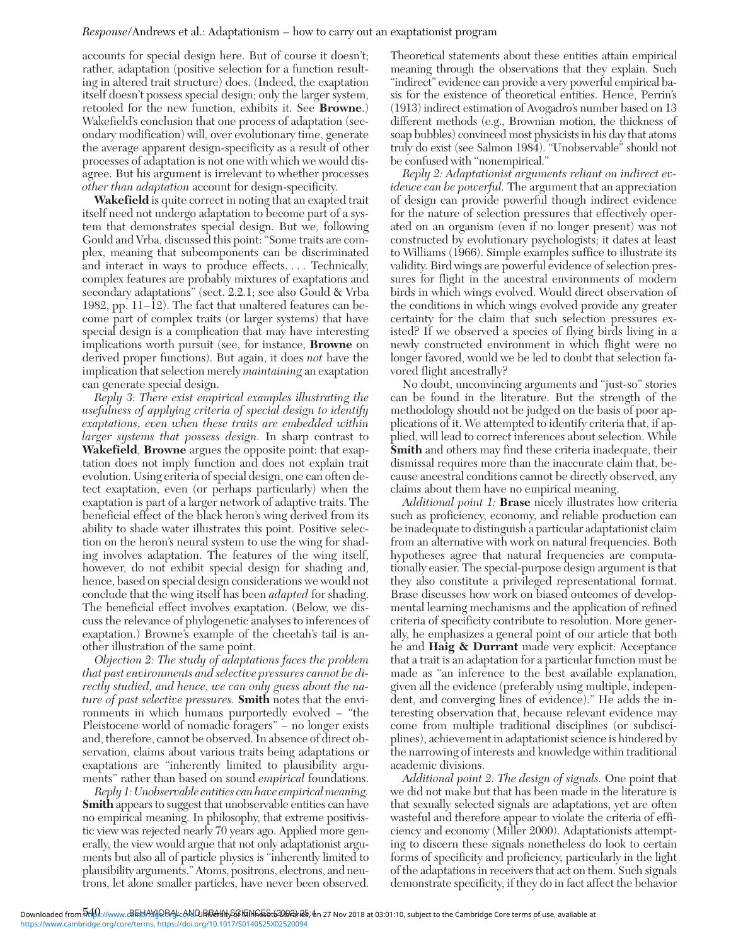accounts for special design here. But of course it doesn't; rather, adaptation (positive selection for a function resulting in altered trait structure) does. (Indeed, the exaptation itself doesn't possess special design; only the larger system, retooled for the new function, exhibits it. See **Browne**.) Wakefield's conclusion that one process of adaptation (secondary modification) will, over evolutionary time, generate the average apparent design-specificity as a result of other processes of adaptation is not one with which we would disagree. But his argument is irrelevant to whether processes *other than adaptation* account for design-specificity.

**Wakefield** is quite correct in noting that an exapted trait itself need not undergo adaptation to become part of a system that demonstrates special design. But we, following Gould and Vrba, discussed this point: "Some traits are complex, meaning that subcomponents can be discriminated and interact in ways to produce effects. . . . Technically, complex features are probably mixtures of exaptations and secondary adaptations" (sect. 2.2.1; see also Gould & Vrba 1982, pp. 11–12). The fact that unaltered features can become part of complex traits (or larger systems) that have special design is a complication that may have interesting implications worth pursuit (see, for instance, **Browne** on derived proper functions). But again, it does *not* have the implication that selection merely *maintaining* an exaptation can generate special design.

*Reply 3: There exist empirical examples illustrating the usefulness of applying criteria of special design to identify exaptations, even when these traits are embedded within larger systems that possess design.* In sharp contrast to **Wakefield**, **Browne** argues the opposite point: that exaptation does not imply function and does not explain trait evolution. Using criteria of special design, one can often detect exaptation, even (or perhaps particularly) when the exaptation is part of a larger network of adaptive traits. The beneficial effect of the black heron's wing derived from its ability to shade water illustrates this point. Positive selection on the heron's neural system to use the wing for shading involves adaptation. The features of the wing itself, however, do not exhibit special design for shading and, hence, based on special design considerations we would not conclude that the wing itself has been *adapted* for shading. The beneficial effect involves exaptation. (Below, we discuss the relevance of phylogenetic analyses to inferences of exaptation.) Browne's example of the cheetah's tail is another illustration of the same point.

*Objection 2: The study of adaptations faces the problem that past environments and selective pressures cannot be directly studied, and hence, we can only guess about the nature of past selective pressures.* **Smith** notes that the environments in which humans purportedly evolved – "the Pleistocene world of nomadic foragers" – no longer exists and, therefore, cannot be observed. In absence of direct observation, claims about various traits being adaptations or exaptations are "inherently limited to plausibility arguments" rather than based on sound *empirical* foundations.

*Reply 1: Unobservable entities can have empirical meaning.* **Smith** appears to suggest that unobservable entities can have no empirical meaning. In philosophy, that extreme positivistic view was rejected nearly 70 years ago. Applied more generally, the view would argue that not only adaptationist arguments but also all of particle physics is "inherently limited to plausibility arguments." Atoms, positrons, electrons, and neutrons, let alone smaller particles, have never been observed.

Theoretical statements about these entities attain empirical meaning through the observations that they explain. Such "indirect" evidence can provide a very powerful empirical basis for the existence of theoretical entities. Hence, Perrin's (1913) indirect estimation of Avogadro's number based on 13 different methods (e.g., Brownian motion, the thickness of soap bubbles) convinced most physicists in his day that atoms truly do exist (see Salmon 1984). "Unobservable" should not be confused with "nonempirical."

*Reply 2: Adaptationist arguments reliant on indirect evidence can be powerful.* The argument that an appreciation of design can provide powerful though indirect evidence for the nature of selection pressures that effectively operated on an organism (even if no longer present) was not constructed by evolutionary psychologists; it dates at least to Williams (1966). Simple examples suffice to illustrate its validity. Bird wings are powerful evidence of selection pressures for flight in the ancestral environments of modern birds in which wings evolved. Would direct observation of the conditions in which wings evolved provide any greater certainty for the claim that such selection pressures existed? If we observed a species of flying birds living in a newly constructed environment in which flight were no longer favored, would we be led to doubt that selection favored flight ancestrally?

No doubt, unconvincing arguments and "just-so" stories can be found in the literature. But the strength of the methodology should not be judged on the basis of poor applications of it. We attempted to identify criteria that, if applied, will lead to correct inferences about selection. While **Smith** and others may find these criteria inadequate, their dismissal requires more than the inaccurate claim that, because ancestral conditions cannot be directly observed, any claims about them have no empirical meaning.

*Additional point 1:* **Brase** nicely illustrates how criteria such as proficiency, economy, and reliable production can be inadequate to distinguish a particular adaptationist claim from an alternative with work on natural frequencies. Both hypotheses agree that natural frequencies are computationally easier. The special-purpose design argument is that they also constitute a privileged representational format. Brase discusses how work on biased outcomes of developmental learning mechanisms and the application of refined criteria of specificity contribute to resolution. More generally, he emphasizes a general point of our article that both he and **Haig & Durrant** made very explicit: Acceptance that a trait is an adaptation for a particular function must be made as "an inference to the best available explanation, given all the evidence (preferably using multiple, independent, and converging lines of evidence)." He adds the interesting observation that, because relevant evidence may come from multiple traditional disciplines (or subdisciplines), achievement in adaptationist science is hindered by the narrowing of interests and knowledge within traditional academic divisions.

*Additional point 2: The design of signals.* One point that we did not make but that has been made in the literature is that sexually selected signals are adaptations, yet are often wasteful and therefore appear to violate the criteria of efficiency and economy (Miller 2000). Adaptationists attempting to discern these signals nonetheless do look to certain forms of specificity and proficiency, particularly in the light of the adaptations in receivers that act on them. Such signals demonstrate specificity, if they do in fact affect the behavior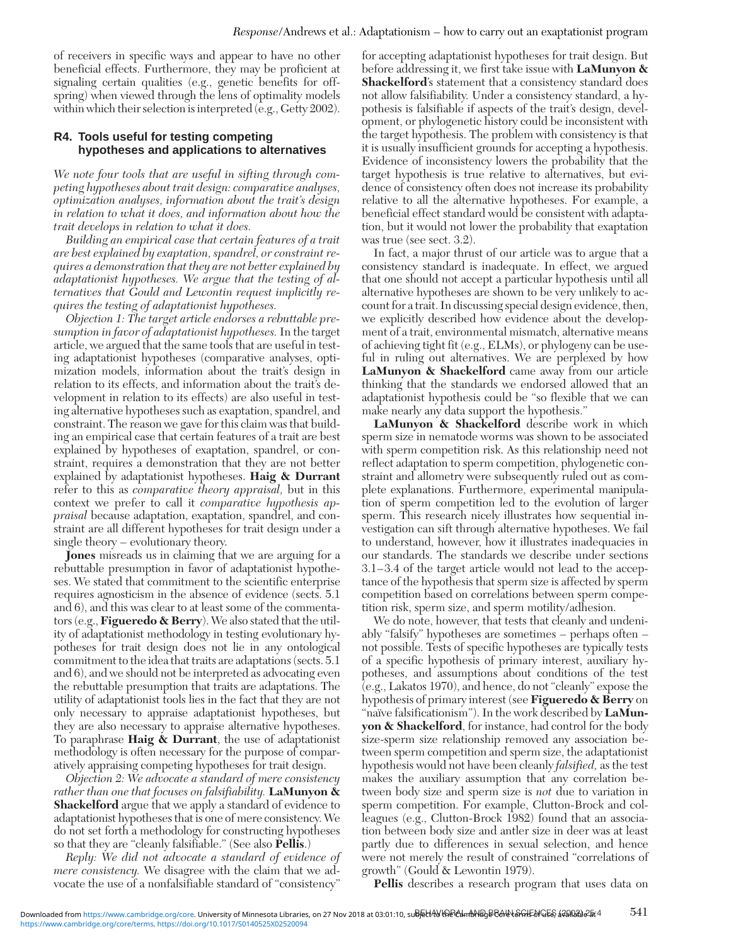of receivers in specific ways and appear to have no other beneficial effects. Furthermore, they may be proficient at signaling certain qualities (e.g., genetic benefits for offspring) when viewed through the lens of optimality models within which their selection is interpreted (e.g., Getty 2002).

## **R4. Tools useful for testing competing hypotheses and applications to alternatives**

*We note four tools that are useful in sifting through competing hypotheses about trait design: comparative analyses, optimization analyses, information about the trait's design in relation to what it does, and information about how the trait develops in relation to what it does.*

*Building an empirical case that certain features of a trait are best explained by exaptation, spandrel, or constraint requires a demonstration that they are not better explained by adaptationist hypotheses. We argue that the testing of alternatives that Gould and Lewontin request implicitly requires the testing of adaptationist hypotheses.*

*Objection 1: The target article endorses a rebuttable presumption in favor of adaptationist hypotheses.* In the target article, we argued that the same tools that are useful in testing adaptationist hypotheses (comparative analyses, optimization models, information about the trait's design in relation to its effects, and information about the trait's development in relation to its effects) are also useful in testing alternative hypotheses such as exaptation, spandrel, and constraint. The reason we gave for this claim was that building an empirical case that certain features of a trait are best explained by hypotheses of exaptation, spandrel, or constraint, requires a demonstration that they are not better explained by adaptationist hypotheses. **Haig & Durrant** refer to this as *comparative theory appraisal,* but in this context we prefer to call it *comparative hypothesis appraisal* because adaptation, exaptation, spandrel, and constraint are all different hypotheses for trait design under a single theory – evolutionary theory.

**Jones** misreads us in claiming that we are arguing for a rebuttable presumption in favor of adaptationist hypotheses. We stated that commitment to the scientific enterprise requires agnosticism in the absence of evidence (sects. 5.1 and 6), and this was clear to at least some of the commentators (e.g., **Figueredo & Berry**). We also stated that the utility of adaptationist methodology in testing evolutionary hypotheses for trait design does not lie in any ontological commitment to the idea that traits are adaptations (sects. 5.1 and 6), and we should not be interpreted as advocating even the rebuttable presumption that traits are adaptations. The utility of adaptationist tools lies in the fact that they are not only necessary to appraise adaptationist hypotheses, but they are also necessary to appraise alternative hypotheses. To paraphrase **Haig & Durrant**, the use of adaptationist methodology is often necessary for the purpose of comparatively appraising competing hypotheses for trait design.

*Objection 2: We advocate a standard of mere consistency rather than one that focuses on falsifiability.* **LaMunyon & Shackelford** argue that we apply a standard of evidence to adaptationist hypotheses that is one of mere consistency. We do not set forth a methodology for constructing hypotheses so that they are "cleanly falsifiable." (See also **Pellis**.)

*Reply: We did not advocate a standard of evidence of mere consistency.* We disagree with the claim that we advocate the use of a nonfalsifiable standard of "consistency"

for accepting adaptationist hypotheses for trait design. But before addressing it, we first take issue with **LaMunyon & Shackelford**'s statement that a consistency standard does not allow falsifiability. Under a consistency standard, a hypothesis is falsifiable if aspects of the trait's design, development, or phylogenetic history could be inconsistent with the target hypothesis. The problem with consistency is that it is usually insufficient grounds for accepting a hypothesis. Evidence of inconsistency lowers the probability that the target hypothesis is true relative to alternatives, but evidence of consistency often does not increase its probability relative to all the alternative hypotheses. For example, a beneficial effect standard would be consistent with adaptation, but it would not lower the probability that exaptation was true (see sect. 3.2).

In fact, a major thrust of our article was to argue that a consistency standard is inadequate. In effect, we argued that one should not accept a particular hypothesis until all alternative hypotheses are shown to be very unlikely to account for a trait. In discussing special design evidence, then, we explicitly described how evidence about the development of a trait, environmental mismatch, alternative means of achieving tight fit (e.g., ELMs), or phylogeny can be useful in ruling out alternatives. We are perplexed by how **LaMunyon & Shackelford** came away from our article thinking that the standards we endorsed allowed that an adaptationist hypothesis could be "so flexible that we can make nearly any data support the hypothesis."

**LaMunyon & Shackelford** describe work in which sperm size in nematode worms was shown to be associated with sperm competition risk. As this relationship need not reflect adaptation to sperm competition, phylogenetic constraint and allometry were subsequently ruled out as complete explanations. Furthermore, experimental manipulation of sperm competition led to the evolution of larger sperm. This research nicely illustrates how sequential investigation can sift through alternative hypotheses. We fail to understand, however, how it illustrates inadequacies in our standards. The standards we describe under sections 3.1–3.4 of the target article would not lead to the acceptance of the hypothesis that sperm size is affected by sperm competition based on correlations between sperm competition risk, sperm size, and sperm motility/adhesion.

We do note, however, that tests that cleanly and undeniably "falsify" hypotheses are sometimes – perhaps often – not possible. Tests of specific hypotheses are typically tests of a specific hypothesis of primary interest, auxiliary hypotheses, and assumptions about conditions of the test (e.g., Lakatos 1970), and hence, do not "cleanly" expose the hypothesis of primary interest (see **Figueredo & Berry** on "naïve falsificationism"). In the work described by **LaMunyon & Shackelford**, for instance, had control for the body size-sperm size relationship removed any association between sperm competition and sperm size, the adaptationist hypothesis would not have been cleanly *falsified,* as the test makes the auxiliary assumption that any correlation between body size and sperm size is *not* due to variation in sperm competition. For example, Clutton-Brock and colleagues (e.g., Clutton-Brock 1982) found that an association between body size and antler size in deer was at least partly due to differences in sexual selection, and hence were not merely the result of constrained "correlations of growth" (Gould & Lewontin 1979).

**Pellis** describes a research program that uses data on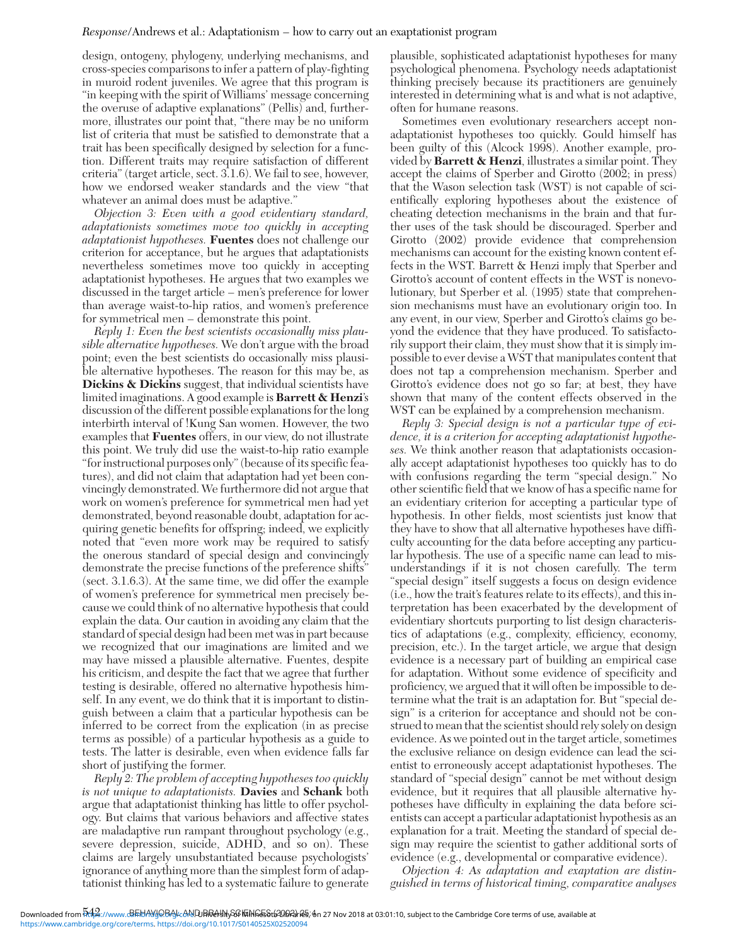design, ontogeny, phylogeny, underlying mechanisms, and cross-species comparisons to infer a pattern of play-fighting in muroid rodent juveniles. We agree that this program is "in keeping with the spirit of Williams' message concerning the overuse of adaptive explanations" (Pellis) and, furthermore, illustrates our point that, "there may be no uniform list of criteria that must be satisfied to demonstrate that a trait has been specifically designed by selection for a function. Different traits may require satisfaction of different criteria" (target article, sect. 3.1.6). We fail to see, however, how we endorsed weaker standards and the view "that whatever an animal does must be adaptive."

*Objection 3: Even with a good evidentiary standard, adaptationists sometimes move too quickly in accepting adaptationist hypotheses.* **Fuentes** does not challenge our criterion for acceptance, but he argues that adaptationists nevertheless sometimes move too quickly in accepting adaptationist hypotheses. He argues that two examples we discussed in the target article – men's preference for lower than average waist-to-hip ratios, and women's preference for symmetrical men – demonstrate this point.

*Reply 1: Even the best scientists occasionally miss plausible alternative hypotheses.* We don't argue with the broad point; even the best scientists do occasionally miss plausible alternative hypotheses. The reason for this may be, as **Dickins & Dickins** suggest, that individual scientists have limited imaginations. A good example is **Barrett & Henzi**'s discussion of the different possible explanations for the long interbirth interval of !Kung San women. However, the two examples that **Fuentes** offers, in our view, do not illustrate this point. We truly did use the waist-to-hip ratio example "for instructional purposes only" (because of its specific features), and did not claim that adaptation had yet been convincingly demonstrated. We furthermore did not argue that work on women's preference for symmetrical men had yet demonstrated, beyond reasonable doubt, adaptation for acquiring genetic benefits for offspring; indeed, we explicitly noted that "even more work may be required to satisfy the onerous standard of special design and convincingly demonstrate the precise functions of the preference shifts" (sect. 3.1.6.3). At the same time, we did offer the example of women's preference for symmetrical men precisely because we could think of no alternative hypothesis that could explain the data. Our caution in avoiding any claim that the standard of special design had been met was in part because we recognized that our imaginations are limited and we may have missed a plausible alternative. Fuentes, despite his criticism, and despite the fact that we agree that further testing is desirable, offered no alternative hypothesis himself. In any event, we do think that it is important to distinguish between a claim that a particular hypothesis can be inferred to be correct from the explication (in as precise terms as possible) of a particular hypothesis as a guide to tests. The latter is desirable, even when evidence falls far short of justifying the former.

*Reply 2: The problem of accepting hypotheses too quickly is not unique to adaptationists.* **Davies** and **Schank** both argue that adaptationist thinking has little to offer psychology. But claims that various behaviors and affective states are maladaptive run rampant throughout psychology (e.g., severe depression, suicide, ADHD, and so on). These claims are largely unsubstantiated because psychologists' ignorance of anything more than the simplest form of adaptationist thinking has led to a systematic failure to generate

plausible, sophisticated adaptationist hypotheses for many psychological phenomena. Psychology needs adaptationist thinking precisely because its practitioners are genuinely interested in determining what is and what is not adaptive, often for humane reasons.

Sometimes even evolutionary researchers accept nonadaptationist hypotheses too quickly. Gould himself has been guilty of this (Alcock 1998). Another example, provided by **Barrett & Henzi**, illustrates a similar point. They accept the claims of Sperber and Girotto (2002; in press) that the Wason selection task (WST) is not capable of scientifically exploring hypotheses about the existence of cheating detection mechanisms in the brain and that further uses of the task should be discouraged. Sperber and Girotto (2002) provide evidence that comprehension mechanisms can account for the existing known content effects in the WST. Barrett & Henzi imply that Sperber and Girotto's account of content effects in the WST is nonevolutionary, but Sperber et al. (1995) state that comprehension mechanisms must have an evolutionary origin too. In any event, in our view, Sperber and Girotto's claims go beyond the evidence that they have produced. To satisfactorily support their claim, they must show that it is simply impossible to ever devise a WST that manipulates content that does not tap a comprehension mechanism. Sperber and Girotto's evidence does not go so far; at best, they have shown that many of the content effects observed in the WST can be explained by a comprehension mechanism.

*Reply 3: Special design is not a particular type of evidence, it is a criterion for accepting adaptationist hypotheses.* We think another reason that adaptationists occasionally accept adaptationist hypotheses too quickly has to do with confusions regarding the term "special design." No other scientific field that we know of has a specific name for an evidentiary criterion for accepting a particular type of hypothesis. In other fields, most scientists just know that they have to show that all alternative hypotheses have difficulty accounting for the data before accepting any particular hypothesis. The use of a specific name can lead to misunderstandings if it is not chosen carefully. The term "special design" itself suggests a focus on design evidence (i.e., how the trait's features relate to its effects), and this interpretation has been exacerbated by the development of evidentiary shortcuts purporting to list design characteristics of adaptations (e.g., complexity, efficiency, economy, precision, etc.). In the target article, we argue that design evidence is a necessary part of building an empirical case for adaptation. Without some evidence of specificity and proficiency, we argued that it will often be impossible to determine what the trait is an adaptation for. But "special design" is a criterion for acceptance and should not be construed to mean that the scientist should rely solely on design evidence. As we pointed out in the target article, sometimes the exclusive reliance on design evidence can lead the scientist to erroneously accept adaptationist hypotheses. The standard of "special design" cannot be met without design evidence, but it requires that all plausible alternative hypotheses have difficulty in explaining the data before scientists can accept a particular adaptationist hypothesis as an explanation for a trait. Meeting the standard of special design may require the scientist to gather additional sorts of evidence (e.g., developmental or comparative evidence).

*Objection 4: As adaptation and exaptation are distinguished in terms of historical timing, comparative analyses*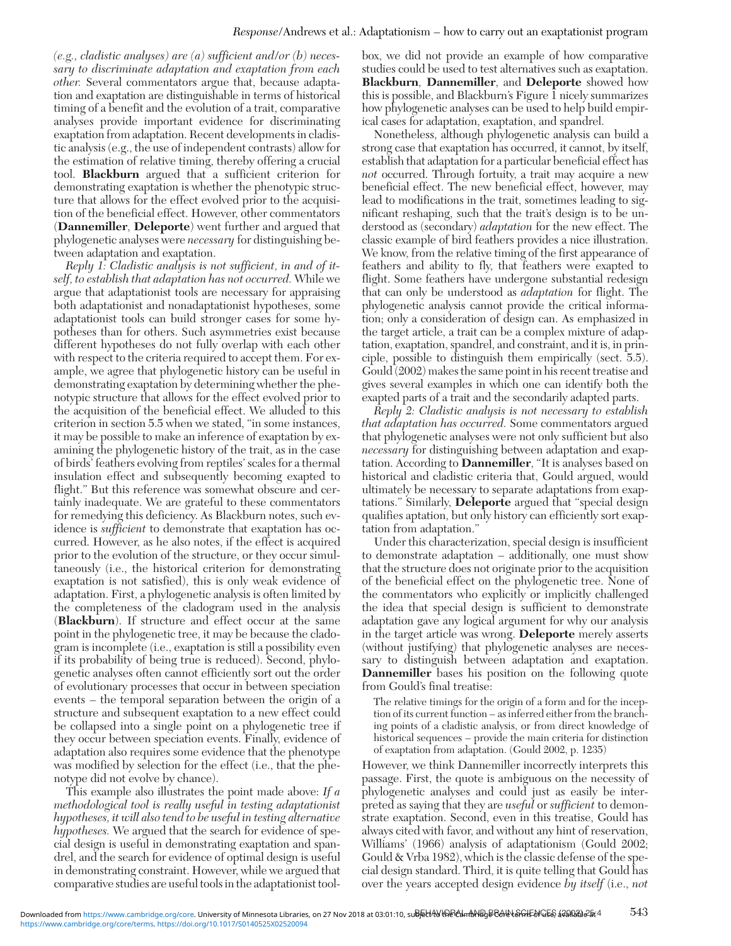*(e.g., cladistic analyses) are (a) sufficient and/or (b) necessary to discriminate adaptation and exaptation from each other.* Several commentators argue that, because adaptation and exaptation are distinguishable in terms of historical timing of a benefit and the evolution of a trait, comparative analyses provide important evidence for discriminating exaptation from adaptation. Recent developments in cladistic analysis (e.g., the use of independent contrasts) allow for the estimation of relative timing, thereby offering a crucial tool. **Blackburn** argued that a sufficient criterion for demonstrating exaptation is whether the phenotypic structure that allows for the effect evolved prior to the acquisition of the beneficial effect. However, other commentators (**Dannemiller**, **Deleporte**) went further and argued that phylogenetic analyses were *necessary* for distinguishing between adaptation and exaptation.

*Reply 1: Cladistic analysis is not sufficient, in and of itself, to establish that adaptation has not occurred.* While we argue that adaptationist tools are necessary for appraising both adaptationist and nonadaptationist hypotheses, some adaptationist tools can build stronger cases for some hypotheses than for others. Such asymmetries exist because different hypotheses do not fully overlap with each other with respect to the criteria required to accept them. For example, we agree that phylogenetic history can be useful in demonstrating exaptation by determining whether the phenotypic structure that allows for the effect evolved prior to the acquisition of the beneficial effect. We alluded to this criterion in section 5.5 when we stated, "in some instances, it may be possible to make an inference of exaptation by examining the phylogenetic history of the trait, as in the case of birds' feathers evolving from reptiles' scales for a thermal insulation effect and subsequently becoming exapted to flight." But this reference was somewhat obscure and certainly inadequate. We are grateful to these commentators for remedying this deficiency. As Blackburn notes, such evidence is *sufficient* to demonstrate that exaptation has occurred. However, as he also notes, if the effect is acquired prior to the evolution of the structure, or they occur simultaneously (i.e., the historical criterion for demonstrating exaptation is not satisfied), this is only weak evidence of adaptation. First, a phylogenetic analysis is often limited by the completeness of the cladogram used in the analysis (**Blackburn**). If structure and effect occur at the same point in the phylogenetic tree, it may be because the cladogram is incomplete (i.e., exaptation is still a possibility even if its probability of being true is reduced). Second, phylogenetic analyses often cannot efficiently sort out the order of evolutionary processes that occur in between speciation events – the temporal separation between the origin of a structure and subsequent exaptation to a new effect could be collapsed into a single point on a phylogenetic tree if they occur between speciation events. Finally, evidence of adaptation also requires some evidence that the phenotype was modified by selection for the effect (i.e., that the phenotype did not evolve by chance).

This example also illustrates the point made above: *If a methodological tool is really useful in testing adaptationist hypotheses, it will also tend to be useful in testing alternative hypotheses.* We argued that the search for evidence of special design is useful in demonstrating exaptation and spandrel, and the search for evidence of optimal design is useful in demonstrating constraint. However, while we argued that comparative studies are useful tools in the adaptationist toolbox, we did not provide an example of how comparative studies could be used to test alternatives such as exaptation. **Blackburn**, **Dannemiller**, and **Deleporte** showed how this is possible, and Blackburn's Figure 1 nicely summarizes how phylogenetic analyses can be used to help build empirical cases for adaptation, exaptation, and spandrel.

Nonetheless, although phylogenetic analysis can build a strong case that exaptation has occurred, it cannot, by itself, establish that adaptation for a particular beneficial effect has *not* occurred. Through fortuity, a trait may acquire a new beneficial effect. The new beneficial effect, however, may lead to modifications in the trait, sometimes leading to significant reshaping, such that the trait's design is to be understood as (secondary) *adaptation* for the new effect. The classic example of bird feathers provides a nice illustration. We know, from the relative timing of the first appearance of feathers and ability to fly, that feathers were exapted to flight. Some feathers have undergone substantial redesign that can only be understood as *adaptation* for flight. The phylogenetic analysis cannot provide the critical information; only a consideration of design can. As emphasized in the target article, a trait can be a complex mixture of adaptation, exaptation, spandrel, and constraint, and it is, in principle, possible to distinguish them empirically (sect. 5.5). Gould (2002) makes the same point in his recent treatise and gives several examples in which one can identify both the exapted parts of a trait and the secondarily adapted parts.

*Reply 2: Cladistic analysis is not necessary to establish that adaptation has occurred.* Some commentators argued that phylogenetic analyses were not only sufficient but also *necessary* for distinguishing between adaptation and exaptation. According to **Dannemiller**, "It is analyses based on historical and cladistic criteria that, Gould argued, would ultimately be necessary to separate adaptations from exaptations." Similarly, **Deleporte** argued that "special design qualifies aptation, but only history can efficiently sort exaptation from adaptation."

Under this characterization, special design is insufficient to demonstrate adaptation – additionally, one must show that the structure does not originate prior to the acquisition of the beneficial effect on the phylogenetic tree. None of the commentators who explicitly or implicitly challenged the idea that special design is sufficient to demonstrate adaptation gave any logical argument for why our analysis in the target article was wrong. **Deleporte** merely asserts (without justifying) that phylogenetic analyses are necessary to distinguish between adaptation and exaptation. **Dannemiller** bases his position on the following quote from Gould's final treatise:

The relative timings for the origin of a form and for the inception of its current function – as inferred either from the branching points of a cladistic analysis, or from direct knowledge of historical sequences – provide the main criteria for distinction of exaptation from adaptation. (Gould 2002, p. 1235)

However, we think Dannemiller incorrectly interprets this passage. First, the quote is ambiguous on the necessity of phylogenetic analyses and could just as easily be interpreted as saying that they are *useful* or *sufficient* to demonstrate exaptation. Second, even in this treatise, Gould has always cited with favor, and without any hint of reservation, Williams' (1966) analysis of adaptationism (Gould 2002; Gould & Vrba 1982), which is the classic defense of the special design standard. Third, it is quite telling that Gould has over the years accepted design evidence *by itself* (i.e., *not*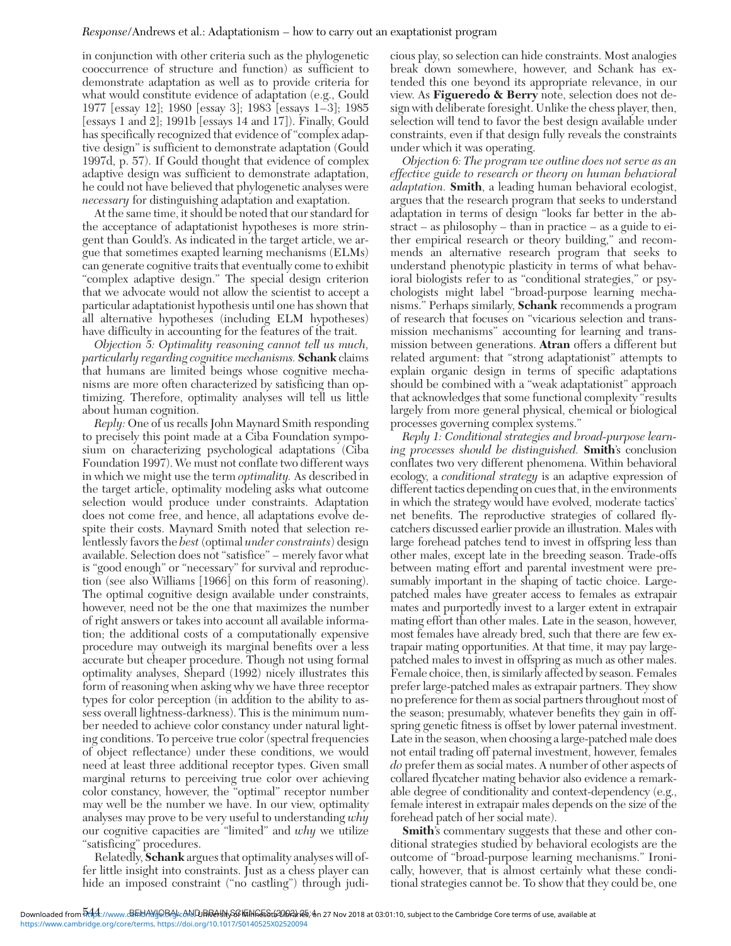in conjunction with other criteria such as the phylogenetic cooccurrence of structure and function) as sufficient to demonstrate adaptation as well as to provide criteria for what would constitute evidence of adaptation (e.g., Gould 1977 [essay 12]; 1980 [essay 3]; 1983 [essays 1–3]; 1985 [essays 1 and 2]; 1991b [essays 14 and 17]). Finally, Gould has specifically recognized that evidence of "complex adaptive design" is sufficient to demonstrate adaptation (Gould 1997d, p. 57). If Gould thought that evidence of complex adaptive design was sufficient to demonstrate adaptation, he could not have believed that phylogenetic analyses were *necessary* for distinguishing adaptation and exaptation.

At the same time, it should be noted that our standard for the acceptance of adaptationist hypotheses is more stringent than Gould's. As indicated in the target article, we argue that sometimes exapted learning mechanisms (ELMs) can generate cognitive traits that eventually come to exhibit "complex adaptive design." The special design criterion that we advocate would not allow the scientist to accept a particular adaptationist hypothesis until one has shown that all alternative hypotheses (including ELM hypotheses) have difficulty in accounting for the features of the trait.

*Objection 5: Optimality reasoning cannot tell us much, particularly regarding cognitive mechanisms.* **Schank** claims that humans are limited beings whose cognitive mechanisms are more often characterized by satisficing than optimizing. Therefore, optimality analyses will tell us little about human cognition.

*Reply:* One of us recalls John Maynard Smith responding to precisely this point made at a Ciba Foundation symposium on characterizing psychological adaptations (Ciba Foundation 1997). We must not conflate two different ways in which we might use the term *optimality.* As described in the target article, optimality modeling asks what outcome selection would produce under constraints. Adaptation does not come free, and hence, all adaptations evolve despite their costs. Maynard Smith noted that selection relentlessly favors the *best* (optimal *under constraints*) design available. Selection does not "satisfice" – merely favor what is "good enough" or "necessary" for survival and reproduction (see also Williams [1966] on this form of reasoning). The optimal cognitive design available under constraints, however, need not be the one that maximizes the number of right answers or takes into account all available information; the additional costs of a computationally expensive procedure may outweigh its marginal benefits over a less accurate but cheaper procedure. Though not using formal optimality analyses, Shepard (1992) nicely illustrates this form of reasoning when asking why we have three receptor types for color perception (in addition to the ability to assess overall lightness-darkness). This is the minimum number needed to achieve color constancy under natural lighting conditions. To perceive true color (spectral frequencies of object reflectance) under these conditions, we would need at least three additional receptor types. Given small marginal returns to perceiving true color over achieving color constancy, however, the "optimal" receptor number may well be the number we have. In our view, optimality analyses may prove to be very useful to understanding *why* our cognitive capacities are "limited" and *why* we utilize "satisficing" procedures.

Relatedly, **Schank** argues that optimality analyses will offer little insight into constraints. Just as a chess player can hide an imposed constraint ("no castling") through judicious play, so selection can hide constraints. Most analogies break down somewhere, however, and Schank has extended this one beyond its appropriate relevance, in our view. As **Figueredo & Berry** note, selection does not design with deliberate foresight. Unlike the chess player, then, selection will tend to favor the best design available under constraints, even if that design fully reveals the constraints under which it was operating.

*Objection 6: The program we outline does not serve as an effective guide to research or theory on human behavioral adaptation.* **Smith**, a leading human behavioral ecologist, argues that the research program that seeks to understand adaptation in terms of design "looks far better in the abstract – as philosophy – than in practice – as a guide to either empirical research or theory building," and recommends an alternative research program that seeks to understand phenotypic plasticity in terms of what behavioral biologists refer to as "conditional strategies," or psychologists might label "broad-purpose learning mechanisms." Perhaps similarly, **Schank** recommends a program of research that focuses on "vicarious selection and transmission mechanisms" accounting for learning and transmission between generations. **Atran** offers a different but related argument: that "strong adaptationist" attempts to explain organic design in terms of specific adaptations should be combined with a "weak adaptationist" approach that acknowledges that some functional complexity "results largely from more general physical, chemical or biological processes governing complex systems."

*Reply 1: Conditional strategies and broad-purpose learning processes should be distinguished.* **Smith**'s conclusion conflates two very different phenomena. Within behavioral ecology, a *conditional strategy* is an adaptive expression of different tactics depending on cues that, in the environments in which the strategy would have evolved, moderate tactics' net benefits. The reproductive strategies of collared flycatchers discussed earlier provide an illustration. Males with large forehead patches tend to invest in offspring less than other males, except late in the breeding season. Trade-offs between mating effort and parental investment were presumably important in the shaping of tactic choice. Largepatched males have greater access to females as extrapair mates and purportedly invest to a larger extent in extrapair mating effort than other males. Late in the season, however, most females have already bred, such that there are few extrapair mating opportunities. At that time, it may pay largepatched males to invest in offspring as much as other males. Female choice, then, is similarly affected by season. Females prefer large-patched males as extrapair partners. They show no preference for them as social partners throughout most of the season; presumably, whatever benefits they gain in offspring genetic fitness is offset by lower paternal investment. Late in the season, when choosing a large-patched male does not entail trading off paternal investment, however, females *do* prefer them as social mates. A number of other aspects of collared flycatcher mating behavior also evidence a remarkable degree of conditionality and context-dependency (e.g., female interest in extrapair males depends on the size of the forehead patch of her social mate).

**Smith**'s commentary suggests that these and other conditional strategies studied by behavioral ecologists are the outcome of "broad-purpose learning mechanisms." Ironically, however, that is almost certainly what these conditional strategies cannot be. To show that they could be, one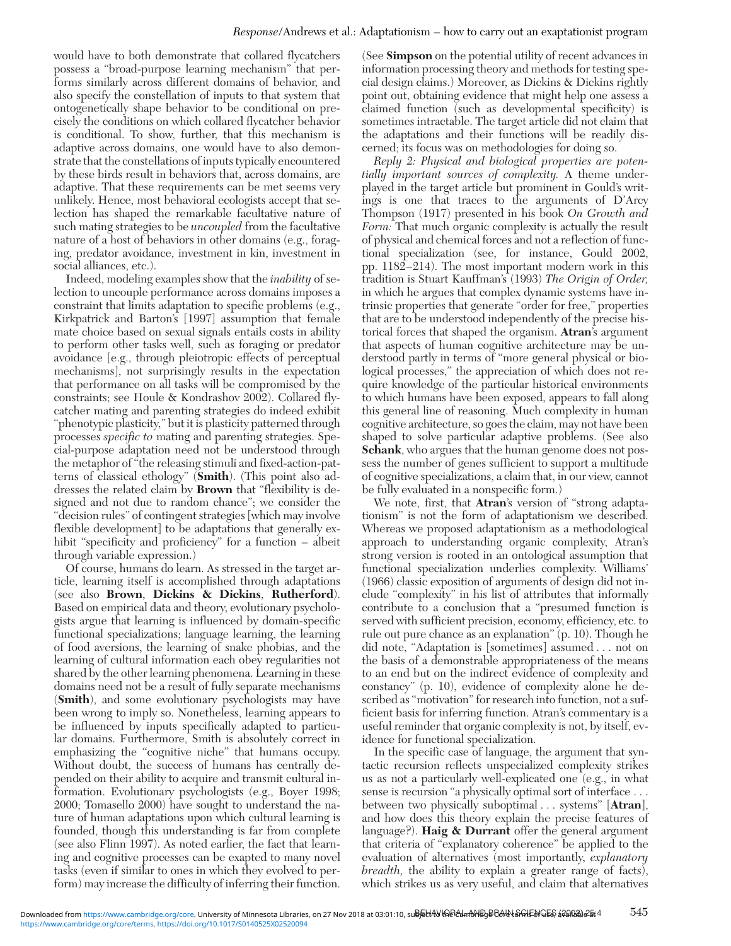would have to both demonstrate that collared flycatchers possess a "broad-purpose learning mechanism" that performs similarly across different domains of behavior, and also specify the constellation of inputs to that system that ontogenetically shape behavior to be conditional on precisely the conditions on which collared flycatcher behavior is conditional. To show, further, that this mechanism is adaptive across domains, one would have to also demonstrate that the constellations of inputs typically encountered by these birds result in behaviors that, across domains, are adaptive. That these requirements can be met seems very unlikely. Hence, most behavioral ecologists accept that selection has shaped the remarkable facultative nature of such mating strategies to be *uncoupled* from the facultative nature of a host of behaviors in other domains (e.g., foraging, predator avoidance, investment in kin, investment in social alliances, etc.).

Indeed, modeling examples show that the *inability* of selection to uncouple performance across domains imposes a constraint that limits adaptation to specific problems (e.g., Kirkpatrick and Barton's [1997] assumption that female mate choice based on sexual signals entails costs in ability to perform other tasks well, such as foraging or predator avoidance [e.g., through pleiotropic effects of perceptual mechanisms], not surprisingly results in the expectation that performance on all tasks will be compromised by the constraints; see Houle & Kondrashov 2002). Collared flycatcher mating and parenting strategies do indeed exhibit "phenotypic plasticity," but it is plasticity patterned through processes *specific to* mating and parenting strategies. Special-purpose adaptation need not be understood through the metaphor of "the releasing stimuli and fixed-action-patterns of classical ethology" (**Smith**). (This point also addresses the related claim by **Brown** that "flexibility is designed and not due to random chance"; we consider the "decision rules" of contingent strategies [which may involve flexible development] to be adaptations that generally exhibit "specificity and proficiency" for a function – albeit through variable expression.)

Of course, humans do learn. As stressed in the target article, learning itself is accomplished through adaptations (see also **Brown**, **Dickins & Dickins**, **Rutherford**). Based on empirical data and theory, evolutionary psychologists argue that learning is influenced by domain-specific functional specializations; language learning, the learning of food aversions, the learning of snake phobias, and the learning of cultural information each obey regularities not shared by the other learning phenomena. Learning in these domains need not be a result of fully separate mechanisms (**Smith**), and some evolutionary psychologists may have been wrong to imply so. Nonetheless, learning appears to be influenced by inputs specifically adapted to particular domains. Furthermore, Smith is absolutely correct in emphasizing the "cognitive niche" that humans occupy. Without doubt, the success of humans has centrally depended on their ability to acquire and transmit cultural information. Evolutionary psychologists (e.g., Boyer 1998; 2000; Tomasello 2000) have sought to understand the nature of human adaptations upon which cultural learning is founded, though this understanding is far from complete (see also Flinn 1997). As noted earlier, the fact that learning and cognitive processes can be exapted to many novel tasks (even if similar to ones in which they evolved to perform) may increase the difficulty of inferring their function.

(See **Simpson** on the potential utility of recent advances in information processing theory and methods for testing special design claims.) Moreover, as Dickins & Dickins rightly point out, obtaining evidence that might help one assess a claimed function (such as developmental specificity) is sometimes intractable. The target article did not claim that the adaptations and their functions will be readily discerned; its focus was on methodologies for doing so.

*Reply 2: Physical and biological properties are potentially important sources of complexity.* A theme underplayed in the target article but prominent in Gould's writings is one that traces to the arguments of D'Arcy Thompson (1917) presented in his book *On Growth and Form:* That much organic complexity is actually the result of physical and chemical forces and not a reflection of functional specialization (see, for instance, Gould 2002, pp. 1182–214). The most important modern work in this tradition is Stuart Kauffman's (1993) *The Origin of Order,* in which he argues that complex dynamic systems have intrinsic properties that generate "order for free," properties that are to be understood independently of the precise historical forces that shaped the organism. **Atran**'s argument that aspects of human cognitive architecture may be understood partly in terms of "more general physical or biological processes," the appreciation of which does not require knowledge of the particular historical environments to which humans have been exposed, appears to fall along this general line of reasoning. Much complexity in human cognitive architecture, so goes the claim, may not have been shaped to solve particular adaptive problems. (See also **Schank**, who argues that the human genome does not possess the number of genes sufficient to support a multitude of cognitive specializations, a claim that, in our view, cannot be fully evaluated in a nonspecific form.)

We note, first, that **Atran**'s version of "strong adaptationism" is not the form of adaptationism we described. Whereas we proposed adaptationism as a methodological approach to understanding organic complexity, Atran's strong version is rooted in an ontological assumption that functional specialization underlies complexity. Williams' (1966) classic exposition of arguments of design did not include "complexity" in his list of attributes that informally contribute to a conclusion that a "presumed function is served with sufficient precision, economy, efficiency, etc. to rule out pure chance as an explanation" (p. 10). Though he did note, "Adaptation is [sometimes] assumed . . . not on the basis of a demonstrable appropriateness of the means to an end but on the indirect evidence of complexity and constancy" (p. 10), evidence of complexity alone he described as "motivation" for research into function, not a sufficient basis for inferring function. Atran's commentary is a useful reminder that organic complexity is not, by itself, evidence for functional specialization.

In the specific case of language, the argument that syntactic recursion reflects unspecialized complexity strikes us as not a particularly well-explicated one (e.g., in what sense is recursion "a physically optimal sort of interface . . . between two physically suboptimal . . . systems" [**Atran**], and how does this theory explain the precise features of language?). **Haig & Durrant** offer the general argument that criteria of "explanatory coherence" be applied to the evaluation of alternatives (most importantly, *explanatory breadth,* the ability to explain a greater range of facts), which strikes us as very useful, and claim that alternatives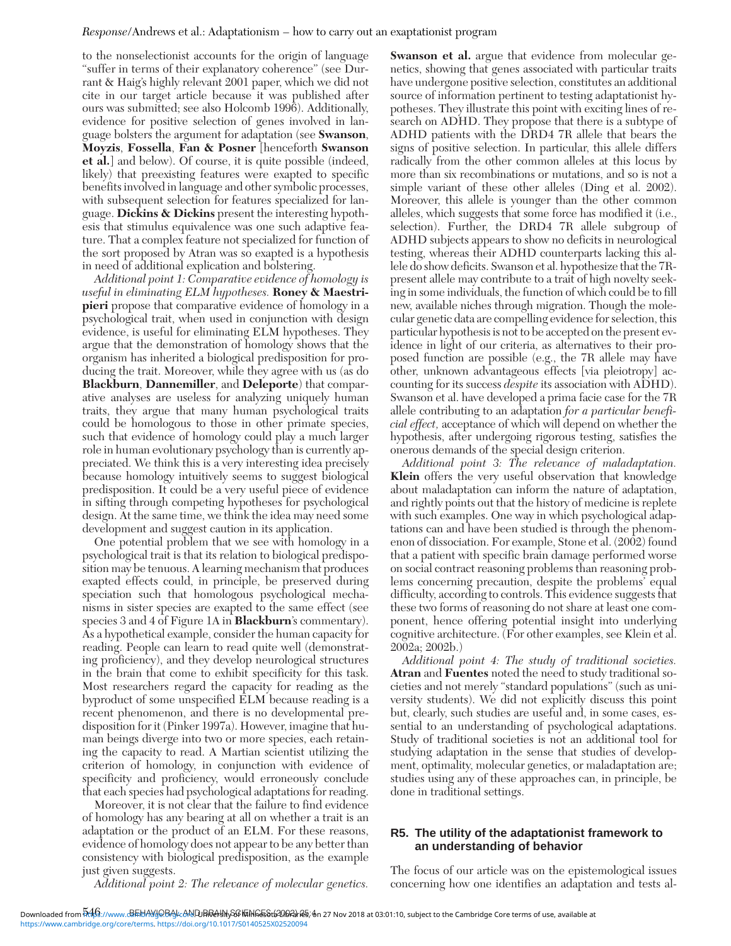to the nonselectionist accounts for the origin of language "suffer in terms of their explanatory coherence" (see Durrant & Haig's highly relevant 2001 paper, which we did not cite in our target article because it was published after ours was submitted; see also Holcomb 1996). Additionally, evidence for positive selection of genes involved in language bolsters the argument for adaptation (see **Swanson**, **Moyzis**, **Fossella**, **Fan & Posner** [henceforth **Swanson et al.**] and below). Of course, it is quite possible (indeed, likely) that preexisting features were exapted to specific benefits involved in language and other symbolic processes, with subsequent selection for features specialized for language. **Dickins & Dickins** present the interesting hypothesis that stimulus equivalence was one such adaptive feature. That a complex feature not specialized for function of the sort proposed by Atran was so exapted is a hypothesis in need of additional explication and bolstering.

*Additional point 1: Comparative evidence of homology is useful in eliminating ELM hypotheses.* **Roney & Maestripieri** propose that comparative evidence of homology in a psychological trait, when used in conjunction with design evidence, is useful for eliminating ELM hypotheses. They argue that the demonstration of homology shows that the organism has inherited a biological predisposition for producing the trait. Moreover, while they agree with us (as do **Blackburn**, **Dannemiller**, and **Deleporte**) that comparative analyses are useless for analyzing uniquely human traits, they argue that many human psychological traits could be homologous to those in other primate species, such that evidence of homology could play a much larger role in human evolutionary psychology than is currently appreciated. We think this is a very interesting idea precisely because homology intuitively seems to suggest biological predisposition. It could be a very useful piece of evidence in sifting through competing hypotheses for psychological design. At the same time, we think the idea may need some development and suggest caution in its application.

One potential problem that we see with homology in a psychological trait is that its relation to biological predisposition may be tenuous. A learning mechanism that produces exapted effects could, in principle, be preserved during speciation such that homologous psychological mechanisms in sister species are exapted to the same effect (see species 3 and 4 of Figure 1A in **Blackburn**'s commentary). As a hypothetical example, consider the human capacity for reading. People can learn to read quite well (demonstrating proficiency), and they develop neurological structures in the brain that come to exhibit specificity for this task. Most researchers regard the capacity for reading as the byproduct of some unspecified ELM because reading is a recent phenomenon, and there is no developmental predisposition for it (Pinker 1997a). However, imagine that human beings diverge into two or more species, each retaining the capacity to read. A Martian scientist utilizing the criterion of homology, in conjunction with evidence of specificity and proficiency, would erroneously conclude that each species had psychological adaptations for reading.

Moreover, it is not clear that the failure to find evidence of homology has any bearing at all on whether a trait is an adaptation or the product of an ELM. For these reasons, evidence of homology does not appear to be any better than consistency with biological predisposition, as the example just given suggests.

**Swanson et al.** argue that evidence from molecular genetics, showing that genes associated with particular traits have undergone positive selection, constitutes an additional source of information pertinent to testing adaptationist hypotheses. They illustrate this point with exciting lines of research on ADHD. They propose that there is a subtype of ADHD patients with the DRD4 7R allele that bears the signs of positive selection. In particular, this allele differs radically from the other common alleles at this locus by more than six recombinations or mutations, and so is not a simple variant of these other alleles (Ding et al. 2002). Moreover, this allele is younger than the other common alleles, which suggests that some force has modified it (i.e., selection). Further, the DRD4 7R allele subgroup of ADHD subjects appears to show no deficits in neurological testing, whereas their ADHD counterparts lacking this allele do show deficits. Swanson et al. hypothesize that the 7Rpresent allele may contribute to a trait of high novelty seeking in some individuals, the function of which could be to fill new, available niches through migration. Though the molecular genetic data are compelling evidence for selection, this particular hypothesis is not to be accepted on the present evidence in light of our criteria, as alternatives to their proposed function are possible (e.g., the 7R allele may have other, unknown advantageous effects [via pleiotropy] accounting for its success *despite* its association with ADHD). Swanson et al. have developed a prima facie case for the 7R allele contributing to an adaptation *for a particular beneficial effect,* acceptance of which will depend on whether the hypothesis, after undergoing rigorous testing, satisfies the onerous demands of the special design criterion.

*Additional point 3: The relevance of maladaptation.* **Klein** offers the very useful observation that knowledge about maladaptation can inform the nature of adaptation, and rightly points out that the history of medicine is replete with such examples. One way in which psychological adaptations can and have been studied is through the phenomenon of dissociation. For example, Stone et al. (2002) found that a patient with specific brain damage performed worse on social contract reasoning problems than reasoning problems concerning precaution, despite the problems' equal difficulty, according to controls. This evidence suggests that these two forms of reasoning do not share at least one component, hence offering potential insight into underlying cognitive architecture. (For other examples, see Klein et al. 2002a; 2002b.)

*Additional point 4: The study of traditional societies.* **Atran** and **Fuentes** noted the need to study traditional societies and not merely "standard populations" (such as university students). We did not explicitly discuss this point but, clearly, such studies are useful and, in some cases, essential to an understanding of psychological adaptations. Study of traditional societies is not an additional tool for studying adaptation in the sense that studies of development, optimality, molecular genetics, or maladaptation are; studies using any of these approaches can, in principle, be done in traditional settings.

## **R5. The utility of the adaptationist framework to an understanding of behavior**

The focus of our article was on the epistemological issues concerning how one identifies an adaptation and tests al-

*Additional point 2: The relevance of molecular genetics.*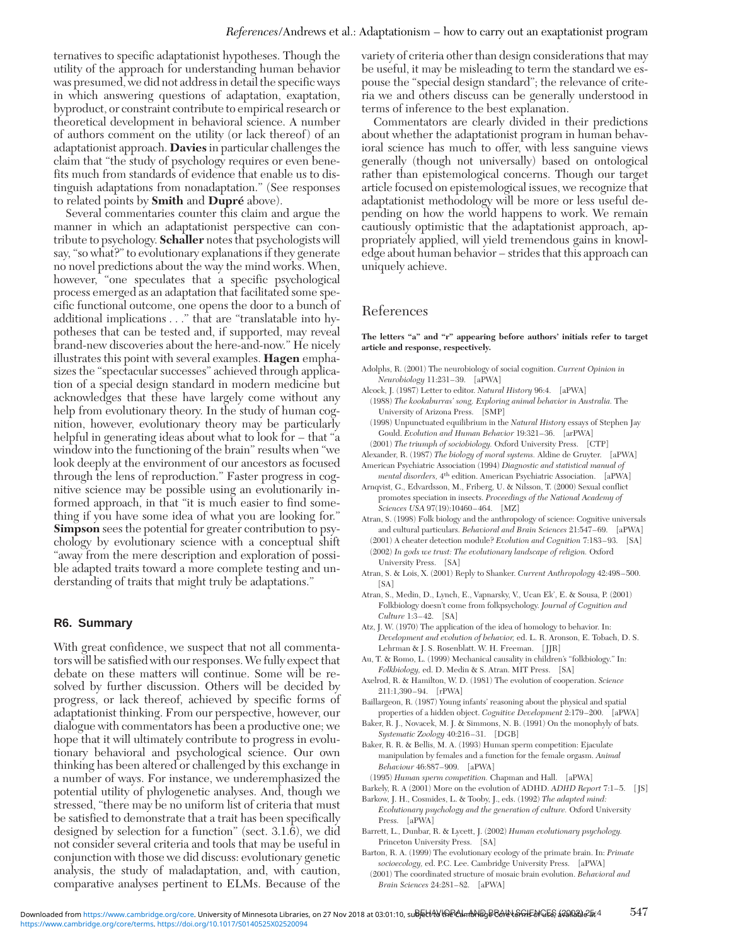ternatives to specific adaptationist hypotheses. Though the utility of the approach for understanding human behavior was presumed, we did not address in detail the specific ways in which answering questions of adaptation, exaptation, byproduct, or constraint contribute to empirical research or theoretical development in behavioral science. A number of authors comment on the utility (or lack thereof) of an adaptationist approach. **Davies** in particular challenges the claim that "the study of psychology requires or even benefits much from standards of evidence that enable us to distinguish adaptations from nonadaptation." (See responses to related points by **Smith** and **Dupré** above).

Several commentaries counter this claim and argue the manner in which an adaptationist perspective can contribute to psychology. **Schaller** notes that psychologists will say, "so what?" to evolutionary explanations if they generate no novel predictions about the way the mind works. When, however, "one speculates that a specific psychological process emerged as an adaptation that facilitated some specific functional outcome, one opens the door to a bunch of additional implications . . ." that are "translatable into hypotheses that can be tested and, if supported, may reveal brand-new discoveries about the here-and-now." He nicely illustrates this point with several examples. **Hagen** emphasizes the "spectacular successes" achieved through application of a special design standard in modern medicine but acknowledges that these have largely come without any help from evolutionary theory. In the study of human cognition, however, evolutionary theory may be particularly helpful in generating ideas about what to look for – that "a window into the functioning of the brain" results when "we look deeply at the environment of our ancestors as focused through the lens of reproduction." Faster progress in cognitive science may be possible using an evolutionarily informed approach, in that "it is much easier to find something if you have some idea of what you are looking for." **Simpson** sees the potential for greater contribution to psychology by evolutionary science with a conceptual shift "away from the mere description and exploration of possible adapted traits toward a more complete testing and understanding of traits that might truly be adaptations."

## **R6. Summary**

With great confidence, we suspect that not all commentators will be satisfied with our responses. We fully expect that debate on these matters will continue. Some will be resolved by further discussion. Others will be decided by progress, or lack thereof, achieved by specific forms of adaptationist thinking. From our perspective, however, our dialogue with commentators has been a productive one; we hope that it will ultimately contribute to progress in evolutionary behavioral and psychological science. Our own thinking has been altered or challenged by this exchange in a number of ways. For instance, we underemphasized the potential utility of phylogenetic analyses. And, though we stressed, "there may be no uniform list of criteria that must be satisfied to demonstrate that a trait has been specifically designed by selection for a function" (sect. 3.1.6), we did not consider several criteria and tools that may be useful in conjunction with those we did discuss: evolutionary genetic analysis, the study of maladaptation, and, with caution, comparative analyses pertinent to ELMs. Because of the

variety of criteria other than design considerations that may be useful, it may be misleading to term the standard we espouse the "special design standard"; the relevance of criteria we and others discuss can be generally understood in terms of inference to the best explanation.

Commentators are clearly divided in their predictions about whether the adaptationist program in human behavioral science has much to offer, with less sanguine views generally (though not universally) based on ontological rather than epistemological concerns. Though our target article focused on epistemological issues, we recognize that adaptationist methodology will be more or less useful depending on how the world happens to work. We remain cautiously optimistic that the adaptationist approach, appropriately applied, will yield tremendous gains in knowledge about human behavior – strides that this approach can uniquely achieve.

## References

#### **The letters "a" and "r" appearing before authors' initials refer to target article and response, respectively.**

- Adolphs, R. (2001) The neurobiology of social cognition. *Current Opinion in Neurobiology* 11:231–39. [aPWA]
- Alcock, J. (1987) Letter to editor. *Natural History* 96:4. [aPWA]
- (1988) *The kookaburras' song. Exploring animal behavior in Australia.* The University of Arizona Press. [SMP]
- (1998) Unpunctuated equilibrium in the *Natural History* essays of Stephen Jay Gould. *Evolution and Human Behavior* 19:321–36. [arPWA]
- (2001) *The triumph of sociobiology.* Oxford University Press. [CTP]
- Alexander, R. (1987) *The biology of moral systems.* Aldine de Gruyter. [aPWA] American Psychiatric Association (1994) *Diagnostic and statistical manual of*
- *mental disorders*,  $4<sup>th</sup>$  edition. American Psychiatric Association. [aPWA] Arnqvist, G., Edvardsson, M., Friberg, U. & Nilsson, T. (2000) Sexual conflict
- promotes speciation in insects. *Proceedings of the National Academy of Sciences USA* 97(19):10460–464. [MZ]
- Atran, S. (1998) Folk biology and the anthropology of science: Cognitive universals and cultural particulars. *Behavioral and Brain Sciences* 21:547–69. [aPWA] (2001) A cheater detection module? *Evolution and Cognition* 7:183–93. [SA] (2002) *In gods we trust: The evolutionary landscape of religion.* Oxford
- University Press. [SA]
- Atran, S. & Lois, X. (2001) Reply to Shanker. *Current Anthropology* 42:498–500.  $[SA]$
- Atran, S., Medin, D., Lynch, E., Vapnarsky, V., Ucan Ek', E. & Sousa, P. (2001) Folkbiology doesn't come from folkpsychology. *Journal of Cognition and Culture* 1:3–42. [SA]
- Atz, J. W. (1970) The application of the idea of homology to behavior. In: *Development and evolution of behavior,* ed. L. R. Aronson, E. Tobach, D. S. Lehrman & J. S. Rosenblatt. W. H. Freeman. [JJR]
- Au, T. & Romo, L. (1999) Mechanical causality in children's "folkbiology." In: *Folkbiology,* ed. D. Medin & S. Atran. MIT Press. [SA]
- Axelrod, R. & Hamilton, W. D. (1981) The evolution of cooperation. *Science* 211:1,390–94. [rPWA]
- Baillargeon, R. (1987) Young infants' reasoning about the physical and spatial properties of a hidden object. *Cognitive Development* 2:179–200. [aPWA]
- Baker, R. J., Novacek, M. J. & Simmons, N. B. (1991) On the monophyly of bats. *Systematic Zoology* 40:216–31. [DGB]
- Baker, R. R. & Bellis, M. A. (1993) Human sperm competition: Ejaculate manipulation by females and a function for the female orgasm. *Animal Behaviour* 46:887–909. [aPWA]

(1995) *Human sperm competition.* Chapman and Hall. [aPWA]

- Barkely, R. A (2001) More on the evolution of ADHD. *ADHD Report* 7:1–5. [JS]
- Barkow, J. H., Cosmides, L. & Tooby, J., eds. (1992) *The adapted mind: Evolutionary psychology and the generation of culture.* Oxford University Press. [aPWA]
- Barrett, L., Dunbar, R. & Lycett, J. (2002) *Human evolutionary psychology.* Princeton University Press. [SA]

Barton, R. A. (1999) The evolutionary ecology of the primate brain. In: *Primate socioecology,* ed. P.C. Lee. Cambridge University Press. [aPWA] (2001) The coordinated structure of mosaic brain evolution. *Behavioral and Brain Sciences* 24:281–82. [aPWA]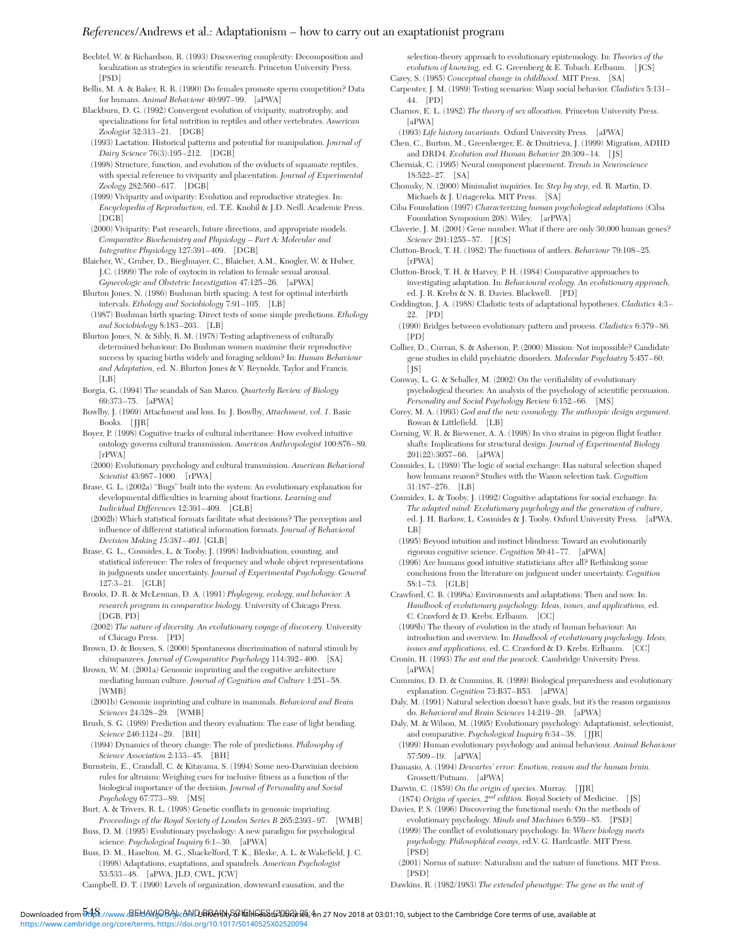- Bechtel, W. & Richardson, R. (1993) Discovering complexity: Decomposition and localization as strategies in scientific research. Princeton University Press. [PSD]
- Bellis, M. A. & Baker, R. R. (1990) Do females promote sperm competition? Data for humans. *Animal Behaviour* 40:997–99. [aPWA]
- Blackburn, D. G. (1992) Convergent evolution of viviparity, matrotrophy, and specializations for fetal nutrition in reptiles and other vertebrates. *American Zoologist* 32:313–21. [DGB]
- (1993) Lactation: Historical patterns and potential for manipulation. *Journal of Dairy Science* 76(3):195–212. [DGB]
- (1998) Structure, function, and evolution of the oviducts of squamate reptiles, with special reference to viviparity and placentation. *Journal of Experimental Zoology* 282:560–617. [DGB]
- (1999) Viviparity and oviparity: Evolution and reproductive strategies. In: *Encyclopedia of Reproduction,* ed. T.E. Knobil & J.D. Neill. Academic Press. [DGB]
- (2000) Viviparity: Past research, future directions, and appropriate models. *Comparative Biochemistry and Physiology – Part A: Molecular and Integrative Physiology* 127:391–409. [DGB]
- Blaicher, W., Gruber, D., Bieglmayer, C., Blaicher, A.M., Knogler, W. & Huber, J.C. (1999) The role of oxytocin in relation to female sexual arousal. *Gynecologic and Obstetric Investigation* 47:125–26. [aPWA]
- Blurton Jones, N. (1986) Bushman birth spacing: A test for optimal interbirth intervals. *Ethology and Sociobiology* 7:91–105. [LB]
- (1987) Bushman birth spacing: Direct tests of some simple predictions. *Ethology and Sociobiology* 8:183–203. [LB]
- Blurton Jones, N. & Sibly, R. M. (1978) Testing adaptiveness of culturally determined behaviour: Do Bushman women maximise their reproductive success by spacing births widely and foraging seldom? In: *Human Behaviour and Adaptation,* ed. N. Blurton Jones & V. Reynolds. Taylor and Francis.  $[<sub>L</sub>$ B]
- Borgia, G. (1994) The scandals of San Marco. *Quarterly Review of Biology* 69:373–75. [aPWA]
- Bowlby, J. (1969) Attachment and loss. In: J. Bowlby, *Attachment, vol. 1.* Basic Books. [JJR]
- Boyer, P. (1998) Cognitive tracks of cultural inheritance: How evolved intuitive ontology governs cultural transmission. *American Anthropologist* 100:876–89. [rPWA]

(2000) Evolutionary psychology and cultural transmission. *American Behavioral Scientist* 43:987–1000. [rPWA]

- Brase, G. L. (2002a) "Bugs" built into the system: An evolutionary explanation for developmental difficulties in learning about fractions. *Learning and Individual Differences* 12:391–409. [GLB]
- (2002b) Which statistical formats facilitate what decisions? The perception and influence of different statistical information formats. *Journal of Behavioral Decision Making 15:381–401.* [GLB]
- Brase, G. L., Cosmides, L. & Tooby, J. (1998) Individuation, counting, and statistical inference: The roles of frequency and whole object representations in judgments under uncertainty. *Journal of Experimental Psychology: General* 127:3–21. [GLB]
- Brooks, D. R. & McLennan, D. A. (1991) *Phylogeny, ecology, and behavior. A research program in comparative biology.* University of Chicago Press. [DGB, PD]
- (2002) *The nature of diversity. An evolutionary voyage of discovery.* University of Chicago Press. [PD]
- Brown, D. & Boysen, S. (2000) Spontaneous discrimination of natural stimuli by chimpanzees. *Journal of Comparative Psychology* 114:392–400. [SA]
- Brown, W. M. (2001a) Genomic imprinting and the cognitive architecture mediating human culture. *Journal of Cognition and Culture* 1:251–58. [WMB]
- (2001b) Genomic imprinting and culture in mammals. *Behavioral and Brain Sciences* 24:328–29. [WMB]
- Brush, S. G. (1989) Prediction and theory evaluation: The case of light bending. *Science* 246:1124–29. [BH]
- (1994) Dynamics of theory change: The role of predictions. *Philosophy of Science Association* 2:133–45. [BH]
- Burnstein, E., Crandall, C. & Kitayama, S. (1994) Some neo-Darwinian decision rules for altruism: Weighing cues for inclusive fitness as a function of the biological importance of the decision. *Journal of Personality and Social Psychology* 67:773–89. [MS]
- Burt, A. & Trivers, R. L. (1998) Genetic conflicts in genomic imprinting. *Proceedings of the Royal Society of London Series B* 265:2393–97. [WMB]
- Buss, D. M. (1995) Evolutionary psychology: A new paradigm for psychological science. *Psychological Inquiry* 6:1–30. [aPWA]
- Buss, D. M., Haselton. M. G., Shackelford, T. K., Bleske, A. L. & Wakefield, J. C. (1998) Adaptations, exaptations, and spandrels. *American Psychologist* 53:533–48. [aPWA, JLD, CWL, JCW]
- Campbell, D. T. (1990) Levels of organization, downward causation, and the

selection-theory approach to evolutionary epistemology. In: *Theories of the evolution of knowing,* ed. G. Greenberg & E. Tobach. Erlbaum. [JCS]

- Carey, S. (1985) *Conceptual change in childhood.* MIT Press. [SA]
- Carpenter, J. M. (1989) Testing scenarios: Wasp social behavior. *Cladistics* 5:131– 44. [PD]
- Charnov, E. L. (1982) *The theory of sex allocation.* Princeton University Press. [aPWA]
- (1993) *Life history invariants.* Oxford University Press. [aPWA]
- Chen, C., Burton, M., Greenberger, E. & Dmitrieva, J. (1999) Migration, ADHD and DRD4. *Evolution and Human Behavior* 20:309–14. [JS]
- Cherniak, C. (1995) Neural component placement. *Trends in Neuroscience* 18:522–27. [SA]
- Chomsky, N. (2000) Minimalist inquiries. In: *Step by step,* ed. R. Martin, D. Michaels & J. Uriagereka. MIT Press. [SA]
- Ciba Foundation (1997) *Characterizing human psychological adaptations* (Ciba Foundation Symposium 208). Wiley. [arPWA]
- Claverie, J. M. (2001) Gene number. What if there are only 30,000 human genes? *Science* 291:1255–57. [JCS]
- Clutton-Brock, T. H. (1982) The functions of antlers. *Behaviour* 79:108–25. [rPWA]
- Clutton-Brock, T. H. & Harvey, P. H. (1984) Comparative approaches to investigating adaptation. In: *Behavioural ecology. An evolutionary approach,* ed. J. R. Krebs & N. B. Davies. Blackwell. [PD]
- Coddington, J. A. (1988) Cladistic tests of adaptational hypotheses. *Cladistics* 4:3– 22. [PD]
- (1990) Bridges between evolutionary pattern and process. *Cladistics* 6:379–86. [PD]
- Collier, D., Curran, S. & Asherson, P. (2000) Mission: Not impossible? Candidate gene studies in child psychiatric disorders. *Molecular Psychiatry* 5:457–60.  $[$   $|$  $|$ S $]$
- Conway, L. G. & Schaller, M. (2002) On the verifiability of evolutionary psychological theories: An analysis of the psychology of scientific persuasion. *Personality and Social Psychology Review* 6:152–66. [MS]
- Corey, M. A. (1993) *God and the new cosmology: The anthropic design argument.* Rowan & Littlefield. [LB]
- Corning, W. R. & Biewener, A. A. (1998) In vivo strains in pigeon flight feather shafts: Implications for structural design. *Journal of Experimental Biology* 201(22):3057–66. [aPWA]
- Cosmides, L. (1989) The logic of social exchange: Has natural selection shaped how humans reason? Studies with the Wason selection task. *Cognition* 31:187–276. [LB]
- Cosmides, L. & Tooby, J. (1992) Cognitive adaptations for social exchange. In: *The adapted mind: Evolutionary psychology and the generation of culture,* ed. J. H. Barkow, L. Cosmides & J. Tooby. Oxford University Press. [aPWA, LB]
	- (1995) Beyond intuition and instinct blindness: Toward an evolutionarily rigorous cognitive science. *Cognition* 50:41–77. [aPWA]
- (1996) Are humans good intuitive statisticians after all? Rethinking some conclusions from the literature on judgment under uncertainty. *Cognition* 58:1–73. [GLB]

Crawford, C. B. (1998a) Environments and adaptations: Then and now. In: *Handbook of evolutionary psychology: Ideas, issues, and applications,* ed. C. Crawford & D. Krebs. Erlbaum. [CC]

- (1998b) The theory of evolution in the study of human behaviour: An introduction and overview. In: *Handbook of evolutionary psychology. Ideas, issues and applications,* ed. C. Crawford & D. Krebs. Erlbaum. [CC]
- Cronin, H. (1993) *The ant and the peacock.* Cambridge University Press. [aPWA]
- Cummins, D. D. & Cummins, R. (1999) Biological preparedness and evolutionary explanation. *Cognition* 73:B37–B53. [aPWA]
- Daly, M. (1991) Natural selection doesn't have goals, but it's the reason organisms do. *Behavioral and Brain Sciences* 14:219–20. [aPWA]
- Daly, M. & Wilson, M. (1995) Evolutionary psychology: Adaptationist, selectionist, and comparative. *Psychological Inquiry* 6:34–38. [JJR]
- (1999) Human evolutionary psychology and animal behaviour. *Animal Behaviour* 57:509–19. [aPWA]
- Damasio, A. (1994) *Descartes' error: Emotion, reason and the human brain.* Grossett/Putnam. [aPWA]
- Darwin, C. (1859) *On the origin of species.* Murray. [JJR] (1874) *Origin of species, 2nd edition.* Royal Society of Medicine. [JS]
- Davies, P. S. (1996) Discovering the functional mesh: On the methods of evolutionary psychology. *Minds and Machines* 6:559–85. [PSD]
	- (1999) The conflict of evolutionary psychology. In: *Where biology meets psychology: Philosophical essays,* ed.V. G. Hardcastle. MIT Press. [PSD]
	- (2001) Norms of nature: Naturalism and the nature of functions. MIT Press. [PSD]
- Dawkins, R. (1982/1983) *The extended phenotype: The gene as the unit of*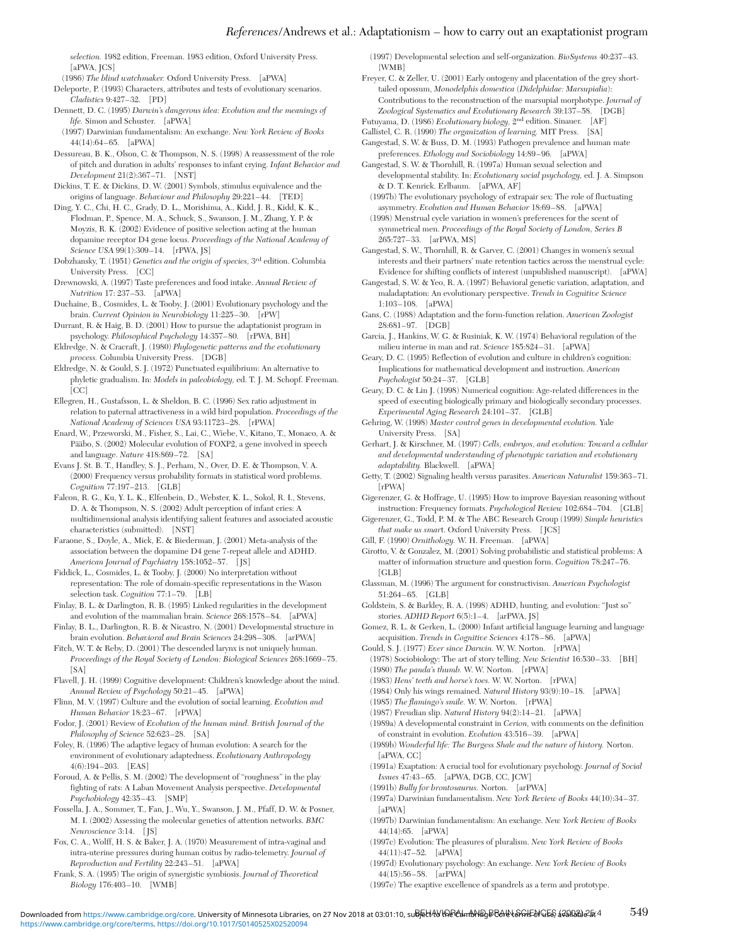*selection.* 1982 edition, Freeman. 1983 edition, Oxford University Press. [aPWA, JCS]

- (1986) *The blind watchmaker.* Oxford University Press. [aPWA]
- Deleporte, P. (1993) Characters, attributes and tests of evolutionary scenarios. *Cladistics* 9:427–32. [PD] Dennett, D. C. (1995) *Darwin's dangerous idea: Evolution and the meanings of*
- *life.* Simon and Schuster. [aPWA] (1997) Darwinian fundamentalism: An exchange. *New York Review of Books*
- 44(14):64–65. [aPWA] Dessureau, B. K., Olson, C. & Thompson, N. S. (1998) A reassessment of the role of pitch and duration in adults' responses to infant crying. *Infant Behavior and Development* 21(2):367–71. [NST]
- Dickins, T. E. & Dickins, D. W. (2001) Symbols, stimulus equivalence and the origins of language. *Behaviour and Philosophy* 29:221–44. [TED]
- Ding, Y. C., Chi, H. C., Grady, D. L., Morishima, A., Kidd, J. R., Kidd, K. K., Flodman, P., Spence, M. A., Schuck, S., Swanson, J. M., Zhang, Y. P. & Moyzis, R. K. (2002) Evidence of positive selection acting at the human dopamine receptor D4 gene locus. *Proceedings of the National Academy of Science USA* 99(1):309–14. [rPWA, JS]
- Dobzhansky, T. (1951) *Genetics and the origin of species,* 3rd edition. Columbia University Press. [CC]
- Drewnowski, A. (1997) Taste preferences and food intake. *Annual Review of Nutrition* 17: 237–53. [aPWA]
- Duchaine, B., Cosmides, L. & Tooby, J. (2001) Evolutionary psychology and the brain. *Current Opinion in Neurobiology* 11:225–30. [rPW]
- Durrant, R. & Haig, B. D. (2001) How to pursue the adaptationist program in psychology. *Philosophical Psychology* 14:357–80. [rPWA, BH]
- Eldredge, N. & Cracraft, J. (1980) *Phylogenetic patterns and the evolutionary process.* Columbia University Press. [DGB]
- Eldredge, N. & Gould, S. J. (1972) Punctuated equilibrium: An alternative to phyletic gradualism. In: *Models in paleobiology,* ed. T. J. M. Schopf. Freeman. [CC]
- Ellegren, H., Gustafsson, L. & Sheldon, B. C. (1996) Sex ratio adjustment in relation to paternal attractiveness in a wild bird population. *Proceedings of the National Academy of Sciences USA* 93:11723–28. [rPWA]
- Enard, W., Przeworski, M., Fisher, S., Lai, C., Wiebe, V., Kitano, T., Monaco, A. & Pääbo, S. (2002) Molecular evolution of FOXP2, a gene involved in speech and language. *Nature* 418:869–72. [SA]
- Evans J. St. B. T., Handley, S. J., Perham, N., Over, D. E. & Thompson, V. A. (2000) Frequency versus probability formats in statistical word problems. *Cognition* 77:197–213. [GLB]
- Falcon, R. G., Ku, Y. L. K., Elfenbein, D., Webster, K. L., Sokol, R. I., Stevens, D. A. & Thompson, N. S. (2002) Adult perception of infant cries: A multidimensional analysis identifying salient features and associated acoustic characteristics (submitted). [NST]
- Faraone, S., Doyle, A., Mick, E. & Biederman, J. (2001) Meta-analysis of the association between the dopamine D4 gene 7-repeat allele and ADHD. *American Journal of Psychiatry* 158:1052–57. [JS]
- Fiddick, L., Cosmides, L. & Tooby, J. (2000) No interpretation without representation: The role of domain-specific representations in the Wason selection task. *Cognition* 77:1–79. [LB]
- Finlay, B. L. & Darlington, R. B. (1995) Linked regularities in the development and evolution of the mammalian brain. *Science* 268:1578–84. [aPWA]
- Finlay, B. L., Darlington, R. B. & Nicastro, N. (2001) Developmental structure in brain evolution. *Behavioral and Brain Sciences* 24:298–308. [arPWA]
- Fitch, W. T. & Reby, D. (2001) The descended larynx is not uniquely human. *Proceedings of the Royal Society of London: Biological Sciences* 268:1669–75. [SA]
- Flavell, J. H. (1999) Cognitive development: Children's knowledge about the mind. *Annual Review of Psychology* 50:21–45. [aPWA]
- Flinn, M. V. (1997) Culture and the evolution of social learning. *Evolution and Human Behavior* 18:23–67. [rPWA]
- Fodor, J. (2001) Review of *Evolution of the human mind. British Journal of the Philosophy of Science* 52:623–28. [SA]
- Foley, R. (1996) The adaptive legacy of human evolution: A search for the environment of evolutionary adaptedness. *Evolutionary Anthropology* 4(6):194–203. [EAS]
- Foroud, A. & Pellis, S. M. (2002) The development of "roughness" in the play fighting of rats: A Laban Movement Analysis perspective. *Developmental Psychobiology* 42:35–43. [SMP]
- Fossella, J. A., Sommer, T., Fan, J., Wu, Y., Swanson, J. M., Pfaff, D. W. & Posner, M. I. (2002) Assessing the molecular genetics of attention networks. *BMC Neuroscience* 3:14. [JS]
- Fox, C. A., Wolff, H. S. & Baker, J. A. (1970) Measurement of intra-vaginal and intra-uterine pressures during human coitus by radio-telemetry. *Journal of Reproduction and Fertility* 22:243–51. [aPWA]
- Frank, S. A. (1995) The origin of synergistic symbiosis. *Journal of Theoretical Biology* 176:403–10. [WMB]
- (1997) Developmental selection and self-organization. *BioSystems* 40:237–43. {WMB]
- Freyer, C. & Zeller, U. (2001) Early ontogeny and placentation of the grey shorttailed opossum, *Monodelphis domestica* (*Didelphidae: Marsupialia*): Contributions to the reconstruction of the marsupial morphotype. *Journal of Zoological Systematics and Evolutionary Research* 39:137–58. [DGB]
- Futuyama, D. (1986) *Evolutionary biology,* 2nd edition. Sinauer. [AF]
- Gallistel, C. R. (1990) *The organization of learning.* MIT Press. [SA] Gangestad, S. W. & Buss, D. M. (1993) Pathogen prevalence and human mate
- preferences. *Ethology and Sociobiology* 14:89–96. [aPWA]
- Gangestad, S. W. & Thornhill, R. (1997a) Human sexual selection and developmental stability. In: *Evolutionary social psychology,* ed. J. A. Simpson & D. T. Kenrick. Erlbaum. [aPWA, AF]
	- (1997b) The evolutionary psychology of extrapair sex: The role of fluctuating asymmetry. *Evolution and Human Behavior* 18:69–88. [aPWA]
	- (1998) Menstrual cycle variation in women's preferences for the scent of symmetrical men. *Proceedings of the Royal Society of London, Series B* 265:727–33. [arPWA, MS]
- Gangestad, S. W., Thornhill, R. & Garver, C. (2001) Changes in women's sexual interests and their partners' mate retention tactics across the menstrual cycle: Evidence for shifting conflicts of interest (unpublished manuscript). [aPWA]
- Gangestad, S. W. & Yeo, R. A. (1997) Behavioral genetic variation, adaptation, and maladaptation: An evolutionary perspective. *Trends in Cognitive Science* 1:103–108. [aPWA]
- Gans, C. (1988) Adaptation and the form-function relation. *American Zoologist* 28:681–97. [DGB]
- Garcia, J., Hankins, W. G. & Rusiniak, K. W. (1974) Behavioral regulation of the milieu interne in man and rat. *Science* 185:824–31. [aPWA]
- Geary, D. C. (1995) Reflection of evolution and culture in children's cognition: Implications for mathematical development and instruction. *American Psychologist* 50:24–37. [GLB]
- Geary, D. C. & Lin J. (1998) Numerical cognition: Age-related differences in the speed of executing biologically primary and biologically secondary processes. *Experimental Aging Research* 24:101–37. [GLB]
- Gehring, W. (1998) *Master control genes in developmental evolution.* Yale University Press. [SA]
- Gerhart, J. & Kirschner, M. (1997) *Cells, embryos, and evolution: Toward a cellular and developmental understanding of phenotypic variation and evolutionary adaptability.* Blackwell. [aPWA]
- Getty, T. (2002) Signaling health versus parasites. *American Naturalist* 159:363–71. [rPWA]
- Gigerenzer, G. & Hoffrage, U. (1995) How to improve Bayesian reasoning without instruction: Frequency formats. *Psychological Review* 102:684–704. [GLB]
- Gigerenzer, G., Todd, P. M. & The ABC Research Group (1999) *Simple heuristics that make us smart.* Oxford University Press. [ICS]
- Gill, F. (1990) *Ornithology.* W. H. Freeman. [aPWA]
- Girotto, V. & Gonzalez, M. (2001) Solving probabilistic and statistical problems: A matter of information structure and question form. *Cognition* 78:247–76. [GLB]
- Glassman, M. (1996) The argument for constructivism. *American Psychologist* 51:264–65. [GLB]
- Goldstein, S. & Barkley, R. A. (1998) ADHD, hunting, and evolution: "Just so" stories. *ADHD Report* 6(5):1–4. [arPWA, JS]
- Gomez, R. L. & Gerken, L. (2000) Infant artificial language learning and language acquisition. *Trends in Cognitive Sciences* 4:178–86. [aPWA]
- Gould, S. J. (1977) *Ever since Darwin.* W. W. Norton. [rPWA]
- (1978) Sociobiology: The art of story telling. *New Scientist* 16:530–33. [BH] (1980) *The panda's thumb.* W. W. Norton. [rPWA]
- (1983) *Hens' teeth and horse's toes.* W. W. Norton. [rPWA]
- (1984) Only his wings remained. *Natural History* 93(9):10–18. [aPWA]
- (1985) *The flamingo's smile.* W. W. Norton. [rPWA]
- (1987) Freudian slip. *Natural History* 94(2):14–21. [aPWA]
- (1989a) A developmental constraint in *Cerion,* with comments on the definition of constraint in evolution. *Evolution* 43:516–39. [aPWA]
- (1989b) *Wonderful life: The Burgess Shale and the nature of history.* Norton. [aPWA, CC]
- (1991a) Exaptation: A crucial tool for evolutionary psychology. *Journal of Social Issues* 47:43–65. [aPWA, DGB, CC, JCW]
- (1991b) *Bully for brontosaurus.* Norton. [arPWA]
- (1997a) Darwinian fundamentalism. *New York Review of Books* 44(10):34–37. [aPWA]
- (1997b) Darwinian fundamentalism: An exchange. *New York Review of Books* 44(14):65. [aPWA]
- (1997c) Evolution: The pleasures of pluralism. *New York Review of Books* 44(11):47–52. [aPWA]
- (1997d) Evolutionary psychology: An exchange. *New York Review of Books* 44(15):56–58. [arPWA]
- (1997e) The exaptive excellence of spandrels as a term and prototype.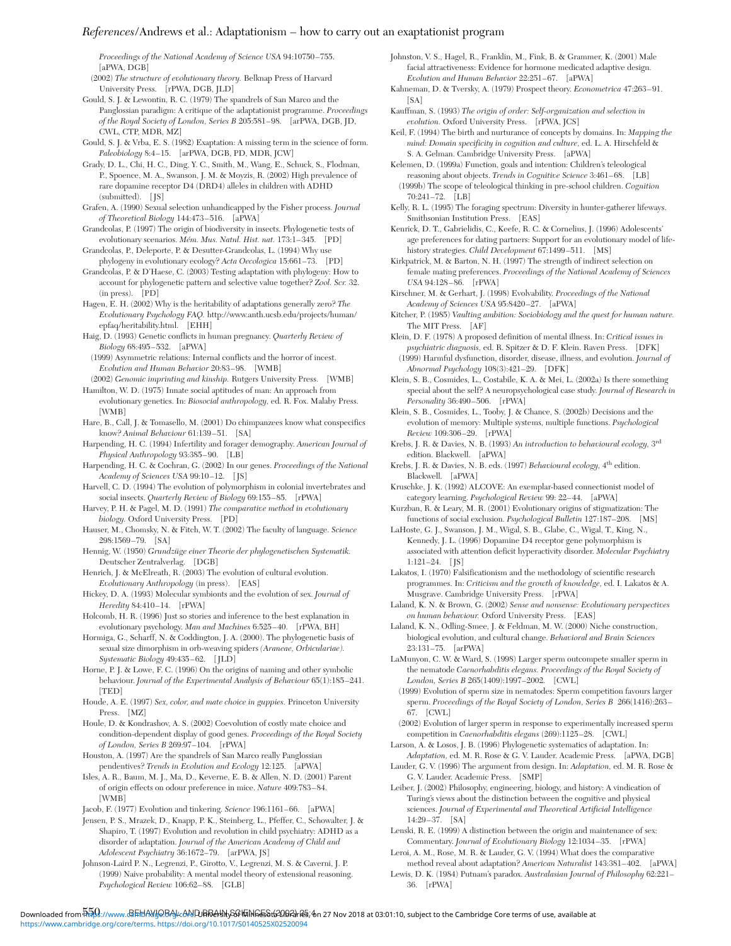*Proceedings of the National Academy of Science USA* 94:10750–755. [aPWA, DGB]

(2002) *The structure of evolutionary theory.* Belknap Press of Harvard University Press. [rPWA, DGB, JLD]

Gould, S. J. & Lewontin, R. C. (1979) The spandrels of San Marco and the Panglossian paradigm: A critique of the adaptationist programme. *Proceedings of the Royal Society of London, Series B* 205:581–98. [arPWA, DGB, JD, CWL, CTP, MDR, MZ]

Gould, S. J. & Vrba, E. S. (1982) Exaptation: A missing term in the science of form. *Paleobiology* 8:4–15. [arPWA, DGB, PD, MDR, JCW]

Grady, D. L., Chi, H. C., Ding, Y. C., Smith, M., Wang, E., Schuck, S., Flodman, P., Spoence, M. A., Swanson, J. M. & Moyzis, R. (2002) High prevalence of rare dopamine receptor D4 (DRD4) alleles in children with ADHD (submitted). [JS]

Grafen, A. (1990) Sexual selection unhandicapped by the Fisher process. *Journal of Theoretical Biology* 144:473–516. [aPWA]

Grandcolas, P. (1997) The origin of biodiversity in insects. Phylogenetic tests of evolutionary scenarios. *Mém. Mus. Natnl. Hist. nat.* 173:1–345. [PD]

Grandcolas, P., Deleporte, P. & Desutter-Grandcolas, L. (1994) Why use phylogeny in evolutionary ecology? *Acta Oecologica* 15:661–73. [PD]

Grandcolas, P. & D'Haese, C. (2003) Testing adaptation with phylogeny: How to account for phylogenetic pattern and selective value together? *Zool. Scr.* 32. (in press). [PD]

Hagen, E. H. (2002) Why is the heritability of adaptations generally zero? *The Evolutionary Psychology FAQ.* http://www.anth.ucsb.edu/projects/human/ epfaq/heritability.html. [EHH]

Haig, D. (1993) Genetic conflicts in human pregnancy. *Quarterly Review of Biology* 68:495–532. [aPWA]

(1999) Asymmetric relations: Internal conflicts and the horror of incest. *Evolution and Human Behavior* 20:83–98. [WMB]

(2002) *Genomic imprinting and kinship.* Rutgers University Press. [WMB] Hamilton, W. D. (1975) Innate social aptitudes of man: An approach from

evolutionary genetics. In: *Biosocial anthropology,* ed. R. Fox. Malaby Press. [WMB]

Hare, B., Call, J. & Tomasello, M. (2001) Do chimpanzees know what conspecifics know? *Animal Behaviour* 61:139–51. [SA]

Harpending, H. C. (1994) Infertility and forager demography. *American Journal of Physical Anthropology* 93:385–90. [LB]

Harpending, H. C. & Cochran, G. (2002) In our genes. *Proceedings of the National Academy of Sciences USA* 99:10–12. [JS]

Harvell, C. D. (1994) The evolution of polymorphism in colonial invertebrates and social insects. *Quarterly Review of Biology* 69:155–85. [rPWA]

Harvey, P. H. & Pagel, M. D. (1991) *The comparative method in evolutionary biology.* Oxford University Press. [PD]

Hauser, M., Chomsky, N. & Fitch, W. T. (2002) The faculty of language. *Science* 298:1569–79. [SA]

Hennig, W. (1950) *Grundzüge einer Theorie der phylogenetischen Systematik.* Deutscher Zentralverlag. [DGB]

Henrich, J. & McElreath, R. (2003) The evolution of cultural evolution. *Evolutionary Anthropology* (in press). [EAS]

Hickey, D. A. (1993) Molecular symbionts and the evolution of sex. *Journal of Heredity* 84:410–14. [rPWA]

Holcomb, H. R. (1996) Just so stories and inference to the best explanation in evolutionary psychology. *Man and Machines* 6:525–40. [rPWA, BH]

Hormiga, G., Scharff, N. & Coddington, J. A. (2000). The phylogenetic basis of sexual size dimorphism in orb-weaving spiders *(Araneae, Orbiculariae). Systematic Biology* 49:435–62. [JLD]

Horne, P. J. & Lowe, F. C. (1996) On the origins of naming and other symbolic behaviour. *Journal of the Experimental Analysis of Behaviour* 65(1):185–241.  $|TED|$ 

Houde, A. E. (1997) *Sex, color, and mate choice in guppies.* Princeton University Press. [MZ]

Houle, D. & Kondrashov, A. S. (2002) Coevolution of costly mate choice and condition-dependent display of good genes. *Proceedings of the Royal Society of London, Series B* 269:97–104. [rPWA]

Houston, A. (1997) Are the spandrels of San Marco really Panglossian pendentives? *Trends in Evolution and Ecology* 12:125. [aPWA]

Isles, A. R., Baum, M. J., Ma, D., Keverne, E. B. & Allen, N. D. (2001) Parent of origin effects on odour preference in mice. *Nature* 409:783–84. [WMB]

Jacob, F. (1977) Evolution and tinkering. *Science* 196:1161–66. [aPWA]

Jensen, P. S., Mrazek, D., Knapp, P. K., Steinberg, L., Pfeffer, C., Schowalter, J. & Shapiro, T. (1997) Evolution and revolution in child psychiatry: ADHD as a disorder of adaptation. *Journal of the American Academy of Child and Adolescent Psychiatry* 36:1672–79. [arPWA, JS]

Johnson-Laird P. N., Legrenzi, P., Girotto, V., Legrenzi, M. S. & Caverni, J. P. (1999) Naive probability: A mental model theory of extensional reasoning. *Psychological Review* 106:62–88. [GLB]

Johnston, V. S., Hagel, R., Franklin, M., Fink, B. & Grammer, K. (2001) Male facial attractiveness: Evidence for hormone medicated adaptive design. *Evolution and Human Behavior* 22:251–67. [aPWA]

Kahneman, D. & Tversky, A. (1979) Prospect theory. *Econometrica* 47:263–91.  $[SA]$ 

Kauffman, S. (1993) *The origin of order: Self-organization and selection in evolution.* Oxford University Press. [rPWA, JCS]

Keil, F. (1994) The birth and nurturance of concepts by domains. In: *Mapping the mind: Domain specificity in cognition and culture,* ed. L. A. Hirschfeld & S. A. Gelman. Cambridge University Press. [aPWA]

Kelemen, D. (1999a) Function, goals and intention: Children's teleological reasoning about objects. *Trends in Cognitive Science* 3:461–68. [LB] (1999b) The scope of teleological thinking in pre-school children. *Cognition* 70:241–72. [LB]

Kelly, R. L. (1995) The foraging spectrum: Diversity in hunter-gatherer lifeways. Smithsonian Institution Press. [EAS]

Kenrick, D. T., Gabrielidis, C., Keefe, R. C. & Cornelius, J. (1996) Adolescents' age preferences for dating partners: Support for an evolutionary model of lifehistory strategies. *Child Development* 67:1499–511. [MS]

Kirkpatrick, M. & Barton, N. H. (1997) The strength of indirect selection on female mating preferences. *Proceedings of the National Academy of Sciences USA* 94:128–86. [rPWA]

Kirschner, M. & Gerhart, J. (1998) Evolvability. *Proceedings of the National Academy of Sciences USA* 95:8420–27. [aPWA]

Kitcher, P. (1985) *Vaulting ambition: Sociobiology and the quest for human nature.* The MIT Press. [AF]

Klein, D. F. (1978) A proposed definition of mental illness. In: *Critical issues in psychiatric diagnosis,* ed. R. Spitzer & D. F. Klein. Raven Press. [DFK] (1999) Harmful dysfunction, disorder, disease, illness, and evolution. *Journal of Abnormal Psychology* 108(3):421–29. [DFK]

Klein, S. B., Cosmides, L., Costabile, K. A. & Mei, L. (2002a) Is there something special about the self? A neuropsychological case study. *Journal of Research in Personality* 36:490–506. [rPWA]

Klein, S. B., Cosmides, L., Tooby, J. & Chance, S. (2002b) Decisions and the evolution of memory: Multiple systems, multiple functions. *Psychological Review* 109:306–29. [rPWA]

Krebs, J. R. & Davies, N. B. (1993) *An introduction to behavioural ecology,* 3rd edition. Blackwell. [aPWA]

Krebs, J. R. & Davies, N. B. eds. (1997) *Behavioural ecology,* 4th edition. Blackwell. [aPWA]

Kruschke, J. K. (1992) ALCOVE: An exemplar-based connectionist model of category learning. *Psychological Review* 99: 22–44. [aPWA]

Kurzban, R. & Leary, M. R. (2001) Evolutionary origins of stigmatization: The functions of social exclusion. *Psychological Bulletin* 127:187–208. [MS]

LaHoste, G. J., Swanson, J. M., Wigal, S. B., Glabe, C., Wigal, T., King, N., Kennedy, J. L. (1996) Dopamine D4 receptor gene polymorphism is associated with attention deficit hyperactivity disorder. *Molecular Psychiatry*  $1:121-24.$  [JS]

Lakatos, I. (1970) Falsificationism and the methodology of scientific research programmes. In: *Criticism and the growth of knowledge,* ed. I. Lakatos & A. Musgrave. Cambridge University Press. [rPWA]

Laland, K. N. & Brown, G. (2002) *Sense and nonsense: Evolutionary perspectives on human behaviour.* Oxford University Press. [EAS]

Laland, K. N., Odling-Smee, J. & Feldman, M. W. (2000) Niche construction, biological evolution, and cultural change. *Behavioral and Brain Sciences* 23:131–75. [arPWA]

LaMunyon, C. W. & Ward, S. (1998) Larger sperm outcompete smaller sperm in the nematode *Caenorhabditis elegans. Proceedings of the Royal Society of London, Series B* 265(1409):1997–2002. [CWL]

(1999) Evolution of sperm size in nematodes: Sperm competition favours larger sperm. *Proceedings of the Royal Society of London, Series B* 266(1416):263– 67. [CWL]

(2002) Evolution of larger sperm in response to experimentally increased sperm competition in *Caenorhabditis elegans* (269):1125–28. [CWL]

Larson, A. & Losos, J. B. (1996) Phylogenetic systematics of adaptation. In: *Adaptation,* ed. M. R. Rose & G. V. Lauder. Academic Press. [aPWA, DGB]

Lauder, G. V. (1996) The argument from design. In: *Adaptation,* ed. M. R. Rose & G. V. Lauder. Academic Press. [SMP]

Leiber, J. (2002) Philosophy, engineering, biology, and history: A vindication of Turing's views about the distinction between the cognitive and physical sciences. *Journal of Experimental and Theoretical Artificial Intelligence* 14:29–37. [SA]

Lenski, R. E. (1999) A distinction between the origin and maintenance of sex: Commentary. *Journal of Evolutionary Biology* 12:1034–35. [rPWA]

Leroi, A. M., Rose, M. R. & Lauder, G. V. (1994) What does the comparative method reveal about adaptation? *American Naturalist* 143:381–402. [aPWA]

Lewis, D. K. (1984) Putnam's paradox. *Australasian Journal of Philosophy* 62:221– 36. [rPWA]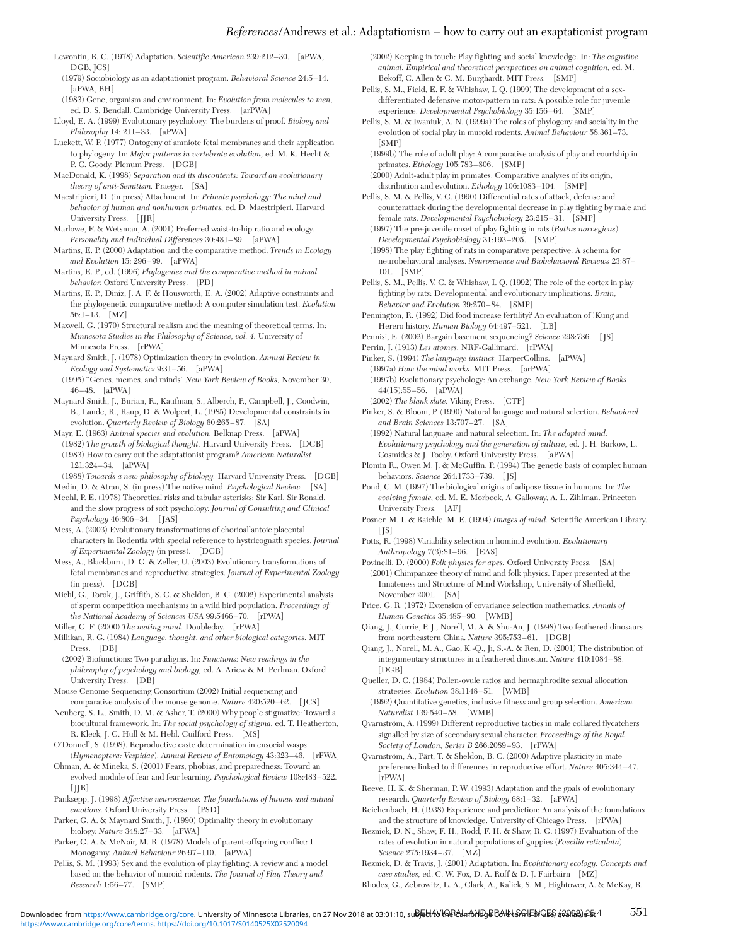- Lewontin, R. C. (1978) Adaptation. *Scientific American* 239:212–30. [aPWA, DGB, JCS]
- (1979) Sociobiology as an adaptationist program. *Behavioral Science* 24:5–14. [aPWA, BH]
- (1983) Gene, organism and environment. In: *Evolution from molecules to men,* ed. D. S. Bendall. Cambridge University Press. [arPWA]
- Lloyd, E. A. (1999) Evolutionary psychology: The burdens of proof. *Biology and Philosophy* 14: 211–33. [aPWA]
- Luckett, W. P. (1977) Ontogeny of amniote fetal membranes and their application to phylogeny. In: *Major patterns in vertebrate evolution,* ed. M. K. Hecht & P. C. Goody. Plenum Press. [DGB]
- MacDonald, K. (1998) *Separation and its discontents: Toward an evolutionary theory of anti-Semitism.* Praeger. [SA]
- Maestripieri, D. (in press) Attachment. In: *Primate psychology: The mind and behavior of human and nonhuman primates,* ed. D. Maestripieri. Harvard University Press. [JJR]
- Marlowe, F. & Wetsman, A. (2001) Preferred waist-to-hip ratio and ecology. *Personality and Individual Differences* 30:481–89. [aPWA]
- Martins, E. P. (2000) Adaptation and the comparative method. *Trends in Ecology and Evolution* 15: 296–99. [aPWA]
- Martins, E. P., ed. (1996) *Phylogenies and the comparative method in animal behavior.* Oxford University Press. [PD]
- Martins, E. P., Diniz, J. A. F. & Housworth, E. A. (2002) Adaptive constraints and the phylogenetic comparative method: A computer simulation test. *Evolution* 56:1–13. [MZ]
- Maxwell, G. (1970) Structural realism and the meaning of theoretical terms. In: *Minnesota Studies in the Philosophy of Science, vol. 4.* University of Minnesota Press. [rPWA]
- Maynard Smith, J. (1978) Optimization theory in evolution. *Annual Review in Ecology and Systematics* 9:31–56. [aPWA]
- (1995) "Genes, memes, and minds" *New York Review of Books,* November 30, 46–48. [aPWA]
- Maynard Smith, J., Burian, R., Kaufman, S., Alberch, P., Campbell, J., Goodwin, B., Lande, R., Raup, D. & Wolpert, L. (1985) Developmental constraints in evolution. *Quarterly Review of Biology* 60:265–87. [SA]
- Mayr, E. (1963) *Animal species and evolution.* Belknap Press. [aPWA] (1982) *The growth of biological thought.* Harvard University Press. [DGB] (1983) How to carry out the adaptationist program? *American Naturalist* 121:324–34. [aPWA]
- (1988) *Towards a new philosophy of biology.* Harvard University Press. [DGB] Medin, D. & Atran, S. (in press) The native mind. *Psychological Review.* [SA]
- Meehl, P. E. (1978) Theoretical risks and tabular asterisks: Sir Karl, Sir Ronald, and the slow progress of soft psychology. *Journal of Consulting and Clinical Psychology* 46:806–34. [JAS]
- Mess, A. (2003) Evolutionary transformations of chorioallantoic placental characters in Rodentia with special reference to hystricognath species. *Journal of Experimental Zoology* (in press). [DGB]
- Mess, A., Blackburn, D. G. & Zeller, U. (2003) Evolutionary transformations of fetal membranes and reproductive strategies. *Journal of Experimental Zoology* (in press). [DGB]
- Michl, G., Torok, J., Griffith, S. C. & Sheldon, B. C. (2002) Experimental analysis of sperm competition mechanisms in a wild bird population. *Proceedings of the National Academy of Sciences USA* 99:5466–70. [rPWA]
- Miller, G. F. (2000) *The mating mind.* Doubleday. [rPWA]
- Millikan, R. G. (1984) *Language, thought, and other biological categories.* MIT Press. [DB] (2002) Biofunctions: Two paradigms. In: *Functions: New readings in the*
- *philosophy of psychology and biology,* ed. A. Ariew & M. Perlman. Oxford University Press. [DB]
- Mouse Genome Sequencing Consortium (2002) Initial sequencing and comparative analysis of the mouse genome. *Nature* 420:520–62. [JCS]
- Neuberg, S. L., Smith, D. M. & Asher, T. (2000) Why people stigmatize: Toward a biocultural framework. In: *The social psychology of stigma,* ed. T. Heatherton, R. Kleck, J. G. Hull & M. Hebl. Guilford Press. [MS]
- O'Donnell, S. (1998). Reproductive caste determination in eusocial wasps (*Hymenoptera: Vespidae*). *Annual Review of Entomology* 43:323–46. [rPWA]
- Ohman, A. & Mineka, S. (2001) Fears, phobias, and preparedness: Toward an evolved module of fear and fear learning. *Psychological Review* 108:483–522.  $[IIR]$
- Panksepp, J. (1998) *Affective neuroscience: The foundations of human and animal emotions.* Oxford University Press. [PSD]
- Parker, G. A. & Maynard Smith, J. (1990) Optimality theory in evolutionary biology. *Nature* 348:27–33. [aPWA]
- Parker, G. A. & McNair, M. R. (1978) Models of parent-offspring conflict: I. Monogamy. *Animal Behaviour* 26:97–110. [aPWA]
- Pellis, S. M. (1993) Sex and the evolution of play fighting: A review and a model based on the behavior of muroid rodents. *The Journal of Play Theory and Research* 1:56–77. [SMP]
- (2002) Keeping in touch: Play fighting and social knowledge. In: *The cognitive animal: Empirical and theoretical perspectives on animal cognition,* ed. M. Bekoff, C. Allen & G. M. Burghardt. MIT Press. [SMP]
- Pellis, S. M., Field, E. F. & Whishaw, I. Q. (1999) The development of a sexdifferentiated defensive motor-pattern in rats: A possible role for juvenile experience. *Developmental Psychobiology* 35:156–64. [SMP]
- Pellis, S. M. & Iwaniuk, A. N. (1999a) The roles of phylogeny and sociality in the evolution of social play in muroid rodents. *Animal Behaviour* 58:361–73. [SMP]
- (1999b) The role of adult play: A comparative analysis of play and courtship in primates. *Ethology* 105:783–806. [SMP]
- (2000) Adult-adult play in primates: Comparative analyses of its origin, distribution and evolution. *Ethology* 106:1083–104. [SMP]
- Pellis, S. M. & Pellis, V. C. (1990) Differential rates of attack, defense and counterattack during the developmental decrease in play fighting by male and female rats. *Developmental Psychobiology* 23:215–31. [SMP] (1997) The pre-juvenile onset of play fighting in rats (*Rattus norvegicus*).
- *Developmental Psychobiology* 31:193–205. [SMP] (1998) The play fighting of rats in comparative perspective: A schema for
- neurobehavioral analyses. *Neuroscience and Biobehavioral Reviews* 23:87– 101. [SMP]
- Pellis, S. M., Pellis, V. C. & Whishaw, I. Q. (1992) The role of the cortex in play fighting by rats: Developmental and evolutionary implications. *Brain, Behavior and Evolution* 39:270–84. [SMP]
- Pennington, R. (1992) Did food increase fertility? An evaluation of !Kung and Herero history. *Human Biology* 64:497–521. [LB]
- Pennisi, E. (2002) Bargain basement sequencing? *Science* 298:736. [JS]
- Perrin, J. (1913) *Les atomes.* NRF-Gallimard. [rPWA]
- Pinker, S. (1994) *The language instinct.* HarperCollins. [aPWA]
- (1997a) *How the mind works.* MIT Press. [arPWA]
- (1997b) Evolutionary psychology: An exchange. *New York Review of Books* 44(15):55–56. [aPWA]
- (2002) *The blank slate.* Viking Press. [CTP]
- Pinker, S. & Bloom, P. (1990) Natural language and natural selection. *Behavioral and Brain Sciences* 13:707–27. [SA]
- (1992) Natural language and natural selection. In: *The adapted mind: Evolutionary psychology and the generation of culture,* ed. J. H. Barkow, L. Cosmides & J. Tooby. Oxford University Press. [aPWA]
- Plomin R., Owen M. J. & McGuffin, P. (1994) The genetic basis of complex human behaviors. *Science* 264:1733–739. [JS]
- Pond, C. M. (1997) The biological origins of adipose tissue in humans. In: *The evolving female,* ed. M. E. Morbeck, A. Galloway, A. L. Zihlman. Princeton University Press. [AF]
- Posner, M. I. & Raichle, M. E. (1994) *Images of mind.* Scientific American Library.  $[$ [S]
- Potts, R. (1998) Variability selection in hominid evolution. *Evolutionary Anthropology* 7(3):81–96. [EAS]
- Povinelli, D. (2000) *Folk physics for apes.* Oxford University Press. [SA] (2001) Chimpanzee theory of mind and folk physics. Paper presented at the Innateness and Structure of Mind Workshop, University of Sheffield, November 2001. [SA]
- Price, G. R. (1972) Extension of covariance selection mathematics. *Annals of Human Genetics* 35:485–90. [WMB]
- Qiang, J., Currie, P. J., Norell, M. A. & Shu-An, J. (1998) Two feathered dinosaurs from northeastern China. *Nature* 395:753–61. [DGB]
- Qiang, J., Norell, M. A., Gao, K.-Q., Ji, S.-A. & Ren, D. (2001) The distribution of integumentary structures in a feathered dinosaur. *Nature* 410:1084–88. [DGB]
- Queller, D. C. (1984) Pollen-ovule ratios and hermaphrodite sexual allocation strategies. *Evolution* 38:1148–51. [WMB]
- (1992) Quantitative genetics, inclusive fitness and group selection. *American Naturalist* 139:540–58. [WMB]
- Qvarnström, A. (1999) Different reproductive tactics in male collared flycatchers signalled by size of secondary sexual character. *Proceedings of the Royal Society of London, Series B* 266:2089–93. [rPWA]
- Qvarnström, A., Pärt, T. & Sheldon, B. C. (2000) Adaptive plasticity in mate preference linked to differences in reproductive effort. *Nature* 405:344–47. [rPWA]
- Reeve, H. K. & Sherman, P. W. (1993) Adaptation and the goals of evolutionary research. *Quarterly Review of Biology* 68:1–32. [aPWA]
- Reichenbach, H. (1938) Experience and prediction: An analysis of the foundations and the structure of knowledge. University of Chicago Press. [rPWA]
- Reznick, D. N., Shaw, F. H., Rodd, F. H. & Shaw, R. G. (1997) Evaluation of the rates of evolution in natural populations of guppies (*Poecilia reticulata*). *Science* 275:1934–37. [MZ]
- Reznick, D. & Travis, J. (2001) Adaptation. In: *Evolutionary ecology: Concepts and case studies,* ed. C. W. Fox, D. A. Roff & D. J. Fairbairn [MZ]
- Rhodes, G., Zebrowitz, L. A., Clark, A., Kalick, S. M., Hightower, A. & McKay, R.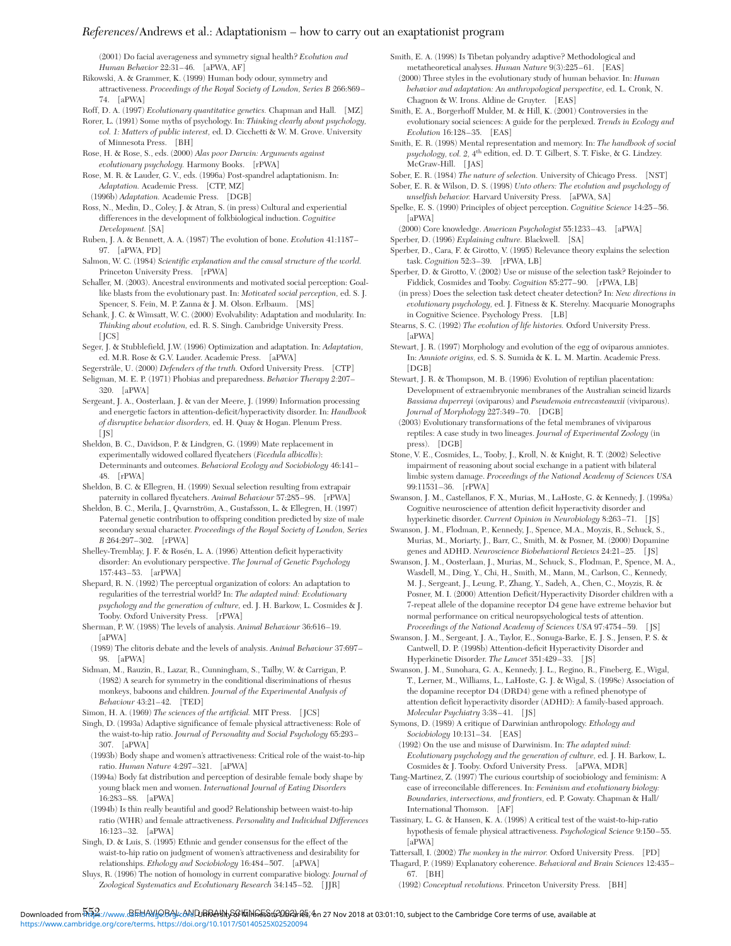(2001) Do facial averageness and symmetry signal health? *Evolution and Human Behavior* 22:31–46. [aPWA, AF]

Rikowski, A. & Grammer, K. (1999) Human body odour, symmetry and

attractiveness. *Proceedings of the Royal Society of London, Series B* 266:869– 74. [aPWA]

Roff, D. A. (1997) *Evolutionary quantitative genetics.* Chapman and Hall. [MZ] Rorer, L. (1991) Some myths of psychology. In: *Thinking clearly about psychology, vol. 1: Matters of public interest,* ed. D. Cicchetti & W. M. Grove. University

- of Minnesota Press. [BH] Rose, H. & Rose, S., eds. (2000) *Alas poor Darwin: Arguments against*
- *evolutionary psychology.* Harmony Books. [rPWA] Rose, M. R. & Lauder, G. V., eds. (1996a) Post-spandrel adaptationism. In:

*Adaptation.* Academic Press. [CTP, MZ] (1996b) *Adaptation.* Academic Press. [DGB]

Ross, N., Medin, D., Coley, J. & Atran, S. (in press) Cultural and experiential differences in the development of folkbiological induction. *Cognitive Development.* [SA]

Ruben, J. A. & Bennett, A. A. (1987) The evolution of bone. *Evolution* 41:1187– 97. [aPWA, PD]

Salmon, W. C. (1984) *Scientific explanation and the causal structure of the world.* Princeton University Press. [rPWA]

Schaller, M. (2003). Ancestral environments and motivated social perception: Goallike blasts from the evolutionary past. In: *Motivated social perception,* ed. S. J. Spencer, S. Fein, M. P. Zanna & J. M. Olson. Erlbaum. [MS]

Schank, J. C. & Wimsatt, W. C. (2000) Evolvability: Adaptation and modularity. In: *Thinking about evolution,* ed. R. S. Singh. Cambridge University Press. [JCS]

Seger, J. & Stubblefield, J.W. (1996) Optimization and adaptation. In: *Adaptation,* ed. M.R. Rose & G.V. Lauder. Academic Press. [aPWA]

Segerstråle, U. (2000) *Defenders of the truth.* Oxford University Press. [CTP]

Seligman, M. E. P. (1971) Phobias and preparedness. *Behavior Therapy 2:*207– 320. [aPWA]

Sergeant, J. A., Oosterlaan, J. & van der Meere, J. (1999) Information processing and energetic factors in attention-deficit/hyperactivity disorder. In: *Handbook of disruptive behavior disorders,* ed. H. Quay & Hogan. Plenum Press.  $[$ [S]

Sheldon, B. C., Davidson, P. & Lindgren, G. (1999) Mate replacement in experimentally widowed collared flycatchers (*Ficedula albicollis*): Determinants and outcomes. *Behavioral Ecology and Sociobiology* 46:141– 48. [rPWA]

Sheldon, B. C. & Ellegren, H. (1999) Sexual selection resulting from extrapair paternity in collared flycatchers. *Animal Behaviour* 57:285–98. [rPWA]

Sheldon, B. C., Merila, J., Qvarnström, A., Gustafsson, L. & Ellegren, H. (1997) Paternal genetic contribution to offspring condition predicted by size of male secondary sexual character. *Proceedings of the Royal Society of London, Series B* 264:297–302. [rPWA]

Shelley-Tremblay, J. F. & Rosén, L. A. (1996) Attention deficit hyperactivity disorder: An evolutionary perspective. *The Journal of Genetic Psychology* 157:443–53. [arPWA]

Shepard, R. N. (1992) The perceptual organization of colors: An adaptation to regularities of the terrestrial world? In: *The adapted mind: Evolutionary psychology and the generation of culture,* ed. J. H. Barkow, L. Cosmides & J. Tooby. Oxford University Press. [rPWA]

Sherman, P. W. (1988) The levels of analysis. *Animal Behaviour* 36:616–19. [aPWA]

(1989) The clitoris debate and the levels of analysis. *Animal Behaviour* 37:697– 98. [aPWA]

Sidman, M., Rauzin, R., Lazar, R., Cunningham, S., Tailby, W. & Carrigan, P. (1982) A search for symmetry in the conditional discriminations of rhesus monkeys, baboons and children. *Journal of the Experimental Analysis of Behaviour* 43:21–42. [TED]

Simon, H. A. (1969) *The sciences of the artificial.* MIT Press. [JCS]

Singh, D. (1993a) Adaptive significance of female physical attractiveness: Role of the waist-to-hip ratio. *Journal of Personality and Social Psychology* 65:293– 307. [aPWA]

(1993b) Body shape and women's attractiveness: Critical role of the waist-to-hip ratio. *Human Nature* 4:297–321. [aPWA]

(1994a) Body fat distribution and perception of desirable female body shape by young black men and women. *International Journal of Eating Disorders* 16:283–88. [aPWA]

- (1994b) Is thin really beautiful and good? Relationship between waist-to-hip ratio (WHR) and female attractiveness. *Personality and Individual Differences* 16:123–32. [aPWA]
- Singh, D. & Luis, S. (1995) Ethnic and gender consensus for the effect of the waist-to-hip ratio on judgment of women's attractiveness and desirability for relationships. *Ethology and Sociobiology* 16:484–507. [aPWA]
- Sluys, R. (1996) The notion of homology in current comparative biology. *Journal of Zoological Systematics and Evolutionary Research* 34:145–52. [JJR]

Smith, E. A. (1998) Is Tibetan polyandry adaptive? Methodological and metatheoretical analyses. *Human Nature* 9(3):225–61. [EAS]

(2000) Three styles in the evolutionary study of human behavior. In: *Human behavior and adaptation: An anthropological perspective,* ed. L. Cronk, N. Chagnon & W. Irons. Aldine de Gruyter. [EAS]

Smith, E. A., Borgerhoff Mulder, M. & Hill, K. (2001) Controversies in the evolutionary social sciences: A guide for the perplexed. *Trends in Ecology and Evolution* 16:128–35. [EAS]

Smith, E. R. (1998) Mental representation and memory. In: *The handbook of social psychology, vol. 2,* 4th edition, ed. D. T. Gilbert, S. T. Fiske, & G. Lindzey. McGraw-Hill. [JAS]

Sober, E. R. (1984) *The nature of selection.* University of Chicago Press. [NST] Sober, E. R. & Wilson, D. S. (1998) *Unto others: The evolution and psychology of*

*unselfish behavior.* Harvard University Press. [aPWA, SA]

Spelke, E. S. (1990) Principles of object perception. *Cognitive Science* 14:25–56. [aPWA]

(2000) Core knowledge. *American Psychologist* 55:1233–43. [aPWA] Sperber, D. (1996) *Explaining culture.* Blackwell. [SA]

Sperber, D., Cara, F. & Girotto, V. (1995) Relevance theory explains the selection task. *Cognition* 52:3–39. [rPWA, LB]

Sperber, D. & Girotto, V. (2002) Use or misuse of the selection task? Rejoinder to Fiddick, Cosmides and Tooby. *Cognition* 85:277–90. [rPWA, LB]

- (in press) Does the selection task detect cheater detection? In: *New directions in evolutionary psychology,* ed. J. Fitness & K. Sterelny. Macquarie Monographs in Cognitive Science. Psychology Press. [LB]
- Stearns, S. C. (1992) *The evolution of life histories.* Oxford University Press. [aPWA]

Stewart, J. R. (1997) Morphology and evolution of the egg of oviparous amniotes. In: *Amniote origins,* ed. S. S. Sumida & K. L. M. Martin. Academic Press. [DGB]

Stewart, J. R. & Thompson, M. B. (1996) Evolution of reptilian placentation: Development of extraembryonic membranes of the Australian scincid lizards *Bassiana duperreyi* (oviparous) and *Pseudemoia entrecasteauxii* (viviparous). *Journal of Morphology* 227:349–70. [DGB]

(2003) Evolutionary transformations of the fetal membranes of viviparous reptiles: A case study in two lineages. *Journal of Experimental Zoology* (in press). [DGB]

Stone, V. E., Cosmides, L., Tooby, J., Kroll, N. & Knight, R. T. (2002) Selective impairment of reasoning about social exchange in a patient with bilateral limbic system damage. *Proceedings of the National Academy of Sciences USA* 99:11531–36. [rPWA]

Swanson, J. M., Castellanos, F. X., Murias, M., LaHoste, G. & Kennedy, J. (1998a) Cognitive neuroscience of attention deficit hyperactivity disorder and hyperkinetic disorder. *Current Opinion in Neurobiology* 8:263–71. [JS]

- Swanson, J. M., Flodman, P., Kennedy, J., Spence, M.A., Moyzis, R., Schuck, S., Murias, M., Moriarty, J., Barr, C., Smith, M. & Posner, M. (2000) Dopamine genes and ADHD. *Neuroscience Biobehavioral Reviews* 24:21–25. [JS]
- Swanson, J. M., Oosterlaan, J., Murias, M., Schuck, S., Flodman, P., Spence, M. A., Wasdell, M., Ding, Y., Chi, H., Smith, M., Mann, M., Carlson, C., Kennedy, M. J., Sergeant, J., Leung, P., Zhang, Y., Sadeh, A., Chen, C., Moyzis, R. & Posner, M. I. (2000) Attention Deficit/Hyperactivity Disorder children with a 7-repeat allele of the dopamine receptor D4 gene have extreme behavior but normal performance on critical neuropsychological tests of attention. *Proceedings of the National Academy of Sciences USA* 97:4754–59. [JS]
- Swanson, J. M., Sergeant, J. A., Taylor, E., Sonuga-Barke, E. J. S., Jensen, P. S. & Cantwell, D. P. (1998b) Attention-deficit Hyperactivity Disorder and Hyperkinetic Disorder. *The Lancet* 351:429–33. [JS]
- Swanson, J. M., Sunohara, G. A., Kennedy, J. L., Regino, R., Fineberg, E., Wigal, T., Lerner, M., Williams, L., LaHoste, G. J. & Wigal, S. (1998c) Association of the dopamine receptor D4 (DRD4) gene with a refined phenotype of attention deficit hyperactivity disorder (ADHD): A family-based approach. *Molecular Psychiatry* 3:38–41. [JS]
- Symons, D. (1989) A critique of Darwinian anthropology. *Ethology and Sociobiology* 10:131–34. [EAS]

(1992) On the use and misuse of Darwinism. In: *The adapted mind: Evolutionary psychology and the generation of culture,* ed. J. H. Barkow, L. Cosmides & J. Tooby. Oxford University Press. [aPWA, MDR]

Tang-Martinez, Z. (1997) The curious courtship of sociobiology and feminism: A case of irreconcilable differences. In: *Feminism and evolutionary biology: Boundaries, intersections, and frontiers,* ed. P. Gowaty. Chapman & Hall/ International Thomson. [AF]

Tassinary, L. G. & Hansen, K. A. (1998) A critical test of the waist-to-hip-ratio hypothesis of female physical attractiveness. *Psychological Science* 9:150–55. [aPWA]

Tattersall, I. (2002) *The monkey in the mirror.* Oxford University Press. [PD]

Thagard, P. (1989) Explanatory coherence. *Behavioral and Brain Sciences* 12:435– 67. [BH]

(1992) *Conceptual revolutions.* Princeton University Press. [BH]